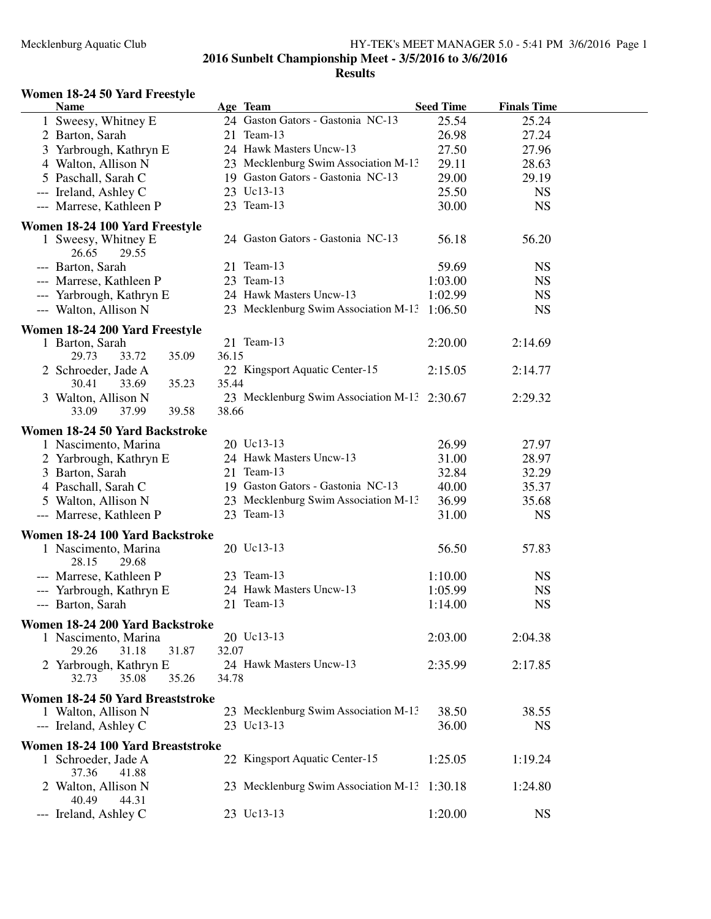#### **Results**

## **Women 18-24 50 Yard Freestyle**

| <b>Name</b>                                                             |       | Age Team                                     | <b>Seed Time</b> | <b>Finals Time</b> |  |
|-------------------------------------------------------------------------|-------|----------------------------------------------|------------------|--------------------|--|
| 1 Sweesy, Whitney E                                                     |       | 24 Gaston Gators - Gastonia NC-13            | 25.54            | 25.24              |  |
| 2 Barton, Sarah                                                         |       | 21 Team-13                                   | 26.98            | 27.24              |  |
| 3 Yarbrough, Kathryn E                                                  |       | 24 Hawk Masters Uncw-13                      | 27.50            | 27.96              |  |
| 4 Walton, Allison N                                                     |       | 23 Mecklenburg Swim Association M-13         | 29.11            | 28.63              |  |
| 5 Paschall, Sarah C                                                     |       | 19 Gaston Gators - Gastonia NC-13            | 29.00            | 29.19              |  |
| --- Ireland, Ashley C                                                   |       | 23 Uc13-13                                   | 25.50            | <b>NS</b>          |  |
| --- Marrese, Kathleen P                                                 |       | 23 Team-13                                   | 30.00            | <b>NS</b>          |  |
|                                                                         |       |                                              |                  |                    |  |
| Women 18-24 100 Yard Freestyle<br>1 Sweesy, Whitney E<br>26.65<br>29.55 |       | 24 Gaston Gators - Gastonia NC-13            | 56.18            | 56.20              |  |
| --- Barton, Sarah                                                       |       | 21 Team-13                                   | 59.69            | <b>NS</b>          |  |
| --- Marrese, Kathleen P                                                 |       | 23 Team-13                                   | 1:03.00          | <b>NS</b>          |  |
| --- Yarbrough, Kathryn E                                                |       | 24 Hawk Masters Uncw-13                      | 1:02.99          | <b>NS</b>          |  |
| --- Walton, Allison N                                                   |       | 23 Mecklenburg Swim Association M-13 1:06.50 |                  | <b>NS</b>          |  |
|                                                                         |       |                                              |                  |                    |  |
| Women 18-24 200 Yard Freestyle                                          |       |                                              |                  |                    |  |
| 1 Barton, Sarah                                                         |       | 21 Team-13                                   | 2:20.00          | 2:14.69            |  |
| 35.09<br>29.73<br>33.72                                                 | 36.15 |                                              |                  |                    |  |
| 2 Schroeder, Jade A                                                     |       | 22 Kingsport Aquatic Center-15               | 2:15.05          | 2:14.77            |  |
| 30.41<br>33.69<br>35.23                                                 | 35.44 | 23 Mecklenburg Swim Association M-13 2:30.67 |                  | 2:29.32            |  |
| 3 Walton, Allison N                                                     | 38.66 |                                              |                  |                    |  |
| 37.99<br>39.58<br>33.09                                                 |       |                                              |                  |                    |  |
| Women 18-24 50 Yard Backstroke                                          |       |                                              |                  |                    |  |
| 1 Nascimento, Marina                                                    |       | 20 Uc13-13                                   | 26.99            | 27.97              |  |
| 2 Yarbrough, Kathryn E                                                  |       | 24 Hawk Masters Uncw-13                      | 31.00            | 28.97              |  |
| 3 Barton, Sarah                                                         |       | 21 Team-13                                   | 32.84            | 32.29              |  |
| 4 Paschall, Sarah C                                                     |       | 19 Gaston Gators - Gastonia NC-13            | 40.00            | 35.37              |  |
| 5 Walton, Allison N                                                     |       | 23 Mecklenburg Swim Association M-13         | 36.99            | 35.68              |  |
| --- Marrese, Kathleen P                                                 |       | 23 Team-13                                   | 31.00            | <b>NS</b>          |  |
| Women 18-24 100 Yard Backstroke                                         |       |                                              |                  |                    |  |
| 1 Nascimento, Marina<br>28.15<br>29.68                                  |       | 20 Uc13-13                                   | 56.50            | 57.83              |  |
| --- Marrese, Kathleen P                                                 |       | 23 Team-13                                   | 1:10.00          | <b>NS</b>          |  |
| --- Yarbrough, Kathryn E                                                |       | 24 Hawk Masters Uncw-13                      | 1:05.99          | <b>NS</b>          |  |
| --- Barton, Sarah                                                       |       | 21 Team-13                                   | 1:14.00          | <b>NS</b>          |  |
|                                                                         |       |                                              |                  |                    |  |
| Women 18-24 200 Yard Backstroke                                         |       | 20 Uc13-13                                   | 2:03.00          | 2:04.38            |  |
| 1 Nascimento, Marina<br>29.26<br>31.18<br>31.87                         | 32.07 |                                              |                  |                    |  |
| 2 Yarbrough, Kathryn E                                                  |       | 24 Hawk Masters Uncw-13                      | 2:35.99          | 2:17.85            |  |
| 32.73<br>35.08<br>35.26                                                 | 34.78 |                                              |                  |                    |  |
|                                                                         |       |                                              |                  |                    |  |
| Women 18-24 50 Yard Breaststroke                                        |       |                                              |                  |                    |  |
| 1 Walton, Allison N                                                     |       | 23 Mecklenburg Swim Association M-13         | 38.50            | 38.55              |  |
| --- Ireland, Ashley C                                                   |       | 23 Uc13-13                                   | 36.00            | <b>NS</b>          |  |
| Women 18-24 100 Yard Breaststroke                                       |       |                                              |                  |                    |  |
| 1 Schroeder, Jade A<br>37.36<br>41.88                                   |       | 22 Kingsport Aquatic Center-15               | 1:25.05          | 1:19.24            |  |
| 2 Walton, Allison N<br>40.49<br>44.31                                   |       | 23 Mecklenburg Swim Association M-13 1:30.18 |                  | 1:24.80            |  |
| --- Ireland, Ashley C                                                   |       | 23 Uc13-13                                   | 1:20.00          | <b>NS</b>          |  |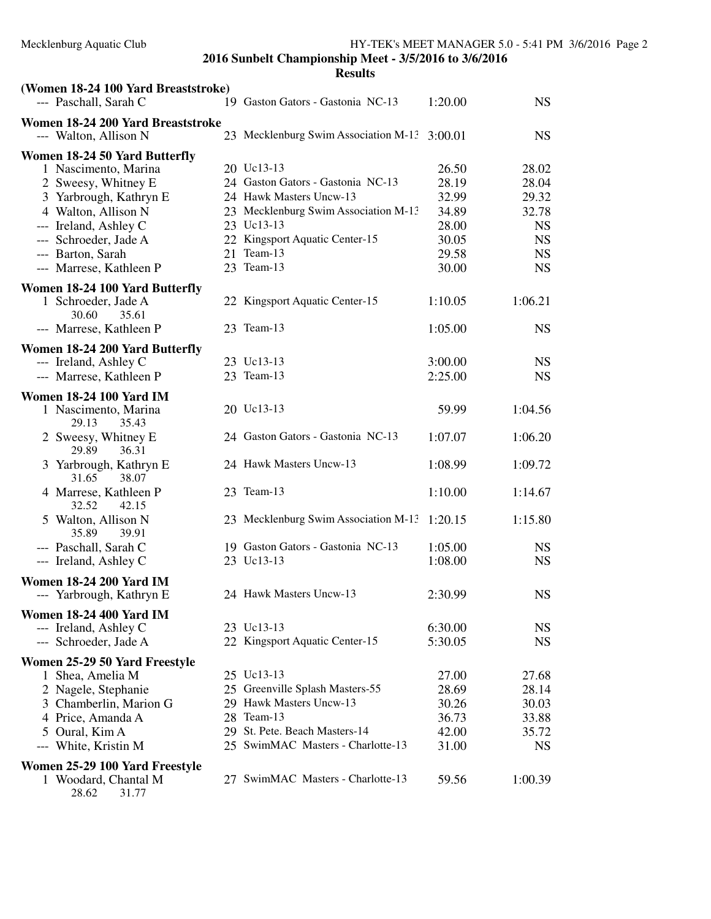| (Women 18-24 100 Yard Breaststroke)<br>--- Paschall, Sarah C             | 19 Gaston Gators - Gastonia NC-13            | 1:20.00 | <b>NS</b> |
|--------------------------------------------------------------------------|----------------------------------------------|---------|-----------|
|                                                                          |                                              |         |           |
| Women 18-24 200 Yard Breaststroke<br>--- Walton, Allison N               | 23 Mecklenburg Swim Association M-13 3:00.01 |         | <b>NS</b> |
|                                                                          |                                              |         |           |
| Women 18-24 50 Yard Butterfly                                            |                                              |         |           |
| 1 Nascimento, Marina                                                     | 20 Uc13-13                                   | 26.50   | 28.02     |
| 2 Sweesy, Whitney E                                                      | 24 Gaston Gators - Gastonia NC-13            | 28.19   | 28.04     |
| 3 Yarbrough, Kathryn E                                                   | 24 Hawk Masters Uncw-13                      | 32.99   | 29.32     |
| 4 Walton, Allison N                                                      | 23 Mecklenburg Swim Association M-13         | 34.89   | 32.78     |
| --- Ireland, Ashley C                                                    | 23 Uc13-13                                   | 28.00   | <b>NS</b> |
| --- Schroeder, Jade A                                                    | 22 Kingsport Aquatic Center-15               | 30.05   | <b>NS</b> |
| --- Barton, Sarah                                                        | 21 Team-13                                   | 29.58   | <b>NS</b> |
| --- Marrese, Kathleen P                                                  | 23 Team-13                                   | 30.00   | <b>NS</b> |
| Women 18-24 100 Yard Butterfly                                           |                                              |         |           |
| 1 Schroeder, Jade A<br>30.60<br>35.61                                    | 22 Kingsport Aquatic Center-15               | 1:10.05 | 1:06.21   |
| --- Marrese, Kathleen P                                                  | 23 Team-13                                   | 1:05.00 | <b>NS</b> |
| Women 18-24 200 Yard Butterfly                                           |                                              |         |           |
| --- Ireland, Ashley C                                                    | 23 Uc13-13                                   | 3:00.00 | <b>NS</b> |
| --- Marrese, Kathleen P                                                  | 23 Team-13                                   | 2:25.00 | <b>NS</b> |
|                                                                          |                                              |         |           |
| <b>Women 18-24 100 Yard IM</b><br>1 Nascimento, Marina<br>29.13<br>35.43 | 20 Uc13-13                                   | 59.99   | 1:04.56   |
| 2 Sweesy, Whitney E<br>29.89<br>36.31                                    | 24 Gaston Gators - Gastonia NC-13            | 1:07.07 | 1:06.20   |
| 3 Yarbrough, Kathryn E<br>31.65<br>38.07                                 | 24 Hawk Masters Uncw-13                      | 1:08.99 | 1:09.72   |
| 4 Marrese, Kathleen P<br>32.52<br>42.15                                  | 23 Team-13                                   | 1:10.00 | 1:14.67   |
| 5 Walton, Allison N<br>35.89<br>39.91                                    | 23 Mecklenburg Swim Association M-13         | 1:20.15 | 1:15.80   |
| --- Paschall, Sarah C                                                    | 19 Gaston Gators - Gastonia NC-13            | 1:05.00 | <b>NS</b> |
| --- Ireland, Ashley C                                                    | 23 Uc13-13                                   | 1:08.00 | <b>NS</b> |
| <b>Women 18-24 200 Yard IM</b>                                           |                                              |         |           |
| --- Yarbrough, Kathryn E                                                 | 24 Hawk Masters Uncw-13                      | 2:30.99 | <b>NS</b> |
| <b>Women 18-24 400 Yard IM</b>                                           |                                              |         |           |
| --- Ireland, Ashley C                                                    | 23 Uc13-13                                   | 6:30.00 | <b>NS</b> |
| --- Schroeder, Jade A                                                    | 22 Kingsport Aquatic Center-15               | 5:30.05 | <b>NS</b> |
| Women 25-29 50 Yard Freestyle                                            |                                              |         |           |
| 1 Shea, Amelia M                                                         | 25 Uc13-13                                   | 27.00   | 27.68     |
| 2 Nagele, Stephanie                                                      | 25 Greenville Splash Masters-55              | 28.69   | 28.14     |
| 3 Chamberlin, Marion G                                                   | 29 Hawk Masters Uncw-13                      | 30.26   | 30.03     |
| 4 Price, Amanda A                                                        | 28 Team-13                                   | 36.73   | 33.88     |
| 5 Oural, Kim A                                                           | 29 St. Pete. Beach Masters-14                | 42.00   | 35.72     |
| --- White, Kristin M                                                     | 25 SwimMAC Masters - Charlotte-13            | 31.00   | <b>NS</b> |
|                                                                          |                                              |         |           |
| Women 25-29 100 Yard Freestyle<br>1 Woodard, Chantal M<br>28.62<br>31.77 | 27 SwimMAC Masters - Charlotte-13            | 59.56   | 1:00.39   |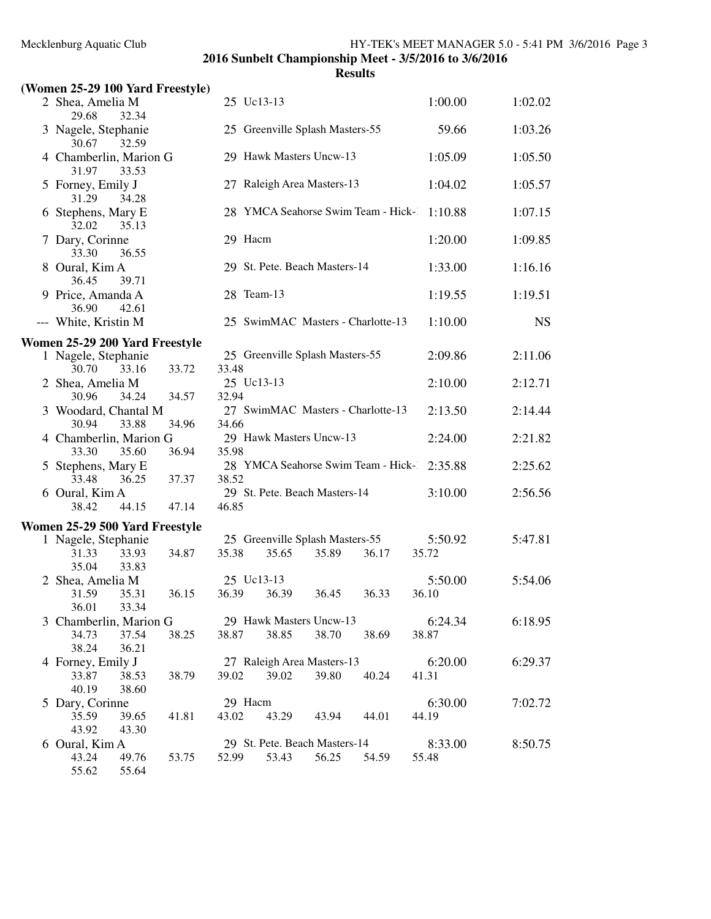| (Women 25-29 100 Yard Freestyle)         |       |       |                                          |       |       |       |         |           |
|------------------------------------------|-------|-------|------------------------------------------|-------|-------|-------|---------|-----------|
| 2 Shea, Amelia M                         |       |       | 25 Uc13-13                               |       |       |       | 1:00.00 | 1:02.02   |
| 29.68<br>32.34<br>3 Nagele, Stephanie    |       |       | 25 Greenville Splash Masters-55          |       |       |       | 59.66   | 1:03.26   |
| 30.67<br>32.59                           |       |       |                                          |       |       |       |         |           |
| 4 Chamberlin, Marion G<br>31.97<br>33.53 |       |       | 29 Hawk Masters Uncw-13                  |       |       |       | 1:05.09 | 1:05.50   |
| 5 Forney, Emily J<br>31.29<br>34.28      |       |       | 27 Raleigh Area Masters-13               |       |       |       | 1:04.02 | 1:05.57   |
| 6 Stephens, Mary E<br>32.02<br>35.13     |       |       | 28 YMCA Seahorse Swim Team - Hick-       |       |       |       | 1:10.88 | 1:07.15   |
| 7 Dary, Corinne<br>33.30<br>36.55        |       |       | 29 Hacm                                  |       |       |       | 1:20.00 | 1:09.85   |
| 8 Oural, Kim A<br>36.45<br>39.71         |       |       | 29 St. Pete. Beach Masters-14            |       |       |       | 1:33.00 | 1:16.16   |
| 9 Price, Amanda A<br>36.90<br>42.61      |       |       | 28 Team-13                               |       |       |       | 1:19.55 | 1:19.51   |
| --- White, Kristin M                     |       |       | 25 SwimMAC Masters - Charlotte-13        |       |       |       | 1:10.00 | <b>NS</b> |
| Women 25-29 200 Yard Freestyle           |       |       |                                          |       |       |       |         |           |
| 1 Nagele, Stephanie                      |       |       | 25 Greenville Splash Masters-55          |       |       |       | 2:09.86 | 2:11.06   |
| 30.70<br>33.16<br>2 Shea, Amelia M       | 33.72 | 33.48 | 25 Uc13-13                               |       |       |       | 2:10.00 | 2:12.71   |
| 34.24<br>30.96                           | 34.57 | 32.94 |                                          |       |       |       |         |           |
| 3 Woodard, Chantal M                     |       |       | 27 SwimMAC Masters - Charlotte-13        |       |       |       | 2:13.50 | 2:14.44   |
| 30.94<br>33.88                           | 34.96 | 34.66 |                                          |       |       |       |         |           |
| 4 Chamberlin, Marion G<br>33.30<br>35.60 | 36.94 | 35.98 | 29 Hawk Masters Uncw-13                  |       |       |       | 2:24.00 | 2:21.82   |
| 5 Stephens, Mary E                       |       |       | 28 YMCA Seahorse Swim Team - Hick-       |       |       |       | 2:35.88 | 2:25.62   |
| 33.48<br>36.25                           | 37.37 | 38.52 |                                          |       |       |       |         |           |
| 6 Oural, Kim A                           |       |       | 29 St. Pete. Beach Masters-14            |       |       |       | 3:10.00 | 2:56.56   |
| 38.42<br>44.15                           | 47.14 | 46.85 |                                          |       |       |       |         |           |
| Women 25-29 500 Yard Freestyle           |       |       |                                          |       |       |       |         |           |
| 1 Nagele, Stephanie<br>33.93             |       | 35.38 | 25 Greenville Splash Masters-55<br>35.65 |       | 36.17 | 35.72 | 5:50.92 | 5:47.81   |
| 31.33<br>35.04<br>33.83                  | 34.87 |       |                                          | 35.89 |       |       |         |           |
| 2 Shea, Amelia M                         |       |       | 25 Uc13-13                               |       |       |       | 5:50.00 | 5:54.06   |
| 31.59<br>35.31                           | 36.15 | 36.39 | 36.39                                    | 36.45 | 36.33 | 36.10 |         |           |
| 36.01<br>33.34                           |       |       |                                          |       |       |       |         |           |
| 3 Chamberlin, Marion G                   |       |       | 29 Hawk Masters Uncw-13                  |       |       |       | 6:24.34 | 6:18.95   |
| 34.73<br>37.54                           | 38.25 | 38.87 | 38.85                                    | 38.70 | 38.69 | 38.87 |         |           |
| 36.21<br>38.24                           |       |       | 27 Raleigh Area Masters-13               |       |       |       | 6:20.00 | 6:29.37   |
| 4 Forney, Emily J<br>33.87<br>38.53      | 38.79 | 39.02 | 39.02                                    | 39.80 | 40.24 | 41.31 |         |           |
| 40.19<br>38.60                           |       |       |                                          |       |       |       |         |           |
| 5 Dary, Corinne                          |       |       | 29 Hacm                                  |       |       |       | 6:30.00 | 7:02.72   |
| 35.59<br>39.65                           | 41.81 | 43.02 | 43.29                                    | 43.94 | 44.01 | 44.19 |         |           |
| 43.92<br>43.30                           |       |       |                                          |       |       |       |         |           |
| 6 Oural, Kim A                           |       |       | 29 St. Pete. Beach Masters-14            |       |       |       | 8:33.00 | 8:50.75   |
| 49.76<br>43.24<br>55.62<br>55.64         | 53.75 | 52.99 | 53.43                                    | 56.25 | 54.59 | 55.48 |         |           |
|                                          |       |       |                                          |       |       |       |         |           |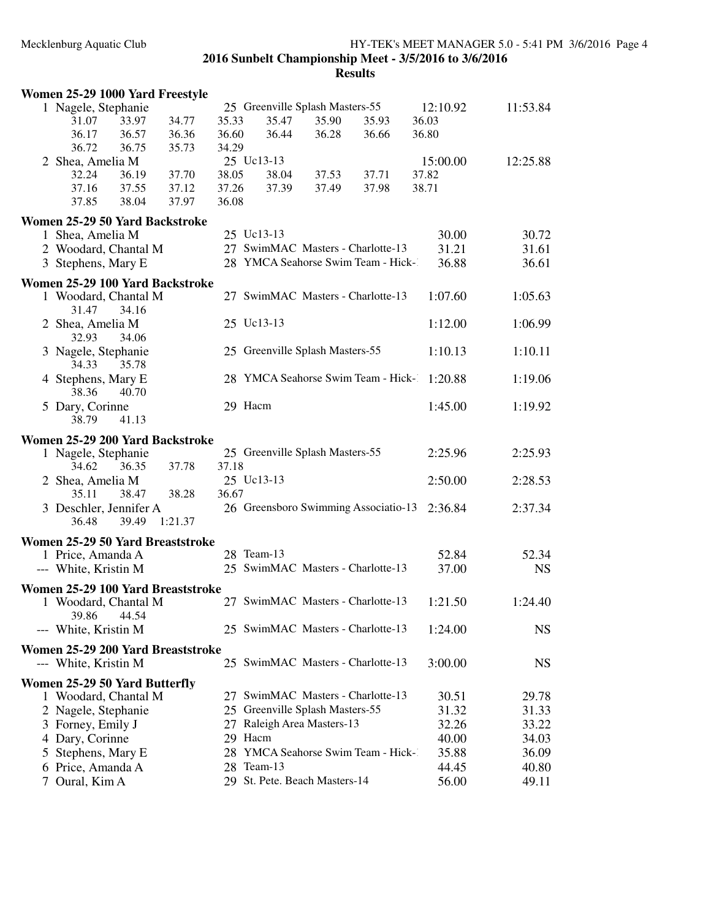|   | Women 25-29 1000 Yard Freestyle   |       |         |       |                                      |       |       |          |           |
|---|-----------------------------------|-------|---------|-------|--------------------------------------|-------|-------|----------|-----------|
|   | 1 Nagele, Stephanie               |       |         |       | 25 Greenville Splash Masters-55      |       |       | 12:10.92 | 11:53.84  |
|   | 31.07                             | 33.97 | 34.77   | 35.33 | 35.47                                | 35.90 | 35.93 | 36.03    |           |
|   | 36.17                             | 36.57 | 36.36   | 36.60 | 36.44                                | 36.28 | 36.66 | 36.80    |           |
|   | 36.72                             | 36.75 | 35.73   | 34.29 |                                      |       |       |          |           |
|   | 2 Shea, Amelia M                  |       |         |       | 25 Uc13-13                           |       |       | 15:00.00 | 12:25.88  |
|   | 32.24                             | 36.19 | 37.70   | 38.05 | 38.04                                | 37.53 | 37.71 | 37.82    |           |
|   | 37.16                             | 37.55 | 37.12   | 37.26 | 37.39                                | 37.49 | 37.98 | 38.71    |           |
|   | 37.85                             | 38.04 | 37.97   | 36.08 |                                      |       |       |          |           |
|   | Women 25-29 50 Yard Backstroke    |       |         |       |                                      |       |       |          |           |
|   | 1 Shea, Amelia M                  |       |         |       | 25 Uc13-13                           |       |       | 30.00    | 30.72     |
|   | 2 Woodard, Chantal M              |       |         |       | 27 SwimMAC Masters - Charlotte-13    |       |       | 31.21    | 31.61     |
|   | 3 Stephens, Mary E                |       |         |       | 28 YMCA Seahorse Swim Team - Hick-   |       |       | 36.88    | 36.61     |
|   |                                   |       |         |       |                                      |       |       |          |           |
|   | Women 25-29 100 Yard Backstroke   |       |         |       |                                      |       |       |          |           |
|   | 1 Woodard, Chantal M              |       |         |       | 27 SwimMAC Masters - Charlotte-13    |       |       | 1:07.60  | 1:05.63   |
|   | 31.47                             | 34.16 |         |       | 25 Uc13-13                           |       |       | 1:12.00  |           |
|   | 2 Shea, Amelia M<br>32.93         | 34.06 |         |       |                                      |       |       |          | 1:06.99   |
|   |                                   |       |         |       | 25 Greenville Splash Masters-55      |       |       |          |           |
|   | 3 Nagele, Stephanie<br>34.33      | 35.78 |         |       |                                      |       |       | 1:10.13  | 1:10.11   |
|   |                                   |       |         |       | 28 YMCA Seahorse Swim Team - Hick-1  |       |       | 1:20.88  | 1:19.06   |
|   | 4 Stephens, Mary E<br>38.36       | 40.70 |         |       |                                      |       |       |          |           |
|   |                                   |       |         |       | 29 Hacm                              |       |       | 1:45.00  | 1:19.92   |
|   | 5 Dary, Corinne<br>38.79          | 41.13 |         |       |                                      |       |       |          |           |
|   |                                   |       |         |       |                                      |       |       |          |           |
|   | Women 25-29 200 Yard Backstroke   |       |         |       |                                      |       |       |          |           |
|   | 1 Nagele, Stephanie               |       |         |       | 25 Greenville Splash Masters-55      |       |       | 2:25.96  | 2:25.93   |
|   | 34.62                             | 36.35 | 37.78   | 37.18 |                                      |       |       |          |           |
|   | 2 Shea, Amelia M                  |       |         |       | 25 Uc13-13                           |       |       | 2:50.00  | 2:28.53   |
|   | 35.11                             | 38.47 | 38.28   | 36.67 |                                      |       |       |          |           |
|   | 3 Deschler, Jennifer A            |       |         |       | 26 Greensboro Swimming Associatio-13 |       |       | 2:36.84  | 2:37.34   |
|   | 36.48                             | 39.49 | 1:21.37 |       |                                      |       |       |          |           |
|   | Women 25-29 50 Yard Breaststroke  |       |         |       |                                      |       |       |          |           |
|   | 1 Price, Amanda A                 |       |         |       | 28 Team-13                           |       |       | 52.84    | 52.34     |
|   | --- White, Kristin M              |       |         |       | 25 SwimMAC Masters - Charlotte-13    |       |       | 37.00    | <b>NS</b> |
|   | Women 25-29 100 Yard Breaststroke |       |         |       |                                      |       |       |          |           |
|   | 1 Woodard, Chantal M              |       |         |       | 27 SwimMAC Masters - Charlotte-13    |       |       | 1:21.50  | 1:24.40   |
|   | 39.86                             | 44.54 |         |       |                                      |       |       |          |           |
|   | --- White, Kristin M              |       |         |       | 25 SwimMAC Masters - Charlotte-13    |       |       | 1:24.00  | <b>NS</b> |
|   |                                   |       |         |       |                                      |       |       |          |           |
|   | Women 25-29 200 Yard Breaststroke |       |         |       |                                      |       |       |          |           |
|   | --- White, Kristin M              |       |         |       | 25 SwimMAC Masters - Charlotte-13    |       |       | 3:00.00  | NS        |
|   | Women 25-29 50 Yard Butterfly     |       |         |       |                                      |       |       |          |           |
|   | 1 Woodard, Chantal M              |       |         |       | 27 SwimMAC Masters - Charlotte-13    |       |       | 30.51    | 29.78     |
|   | 2 Nagele, Stephanie               |       |         |       | 25 Greenville Splash Masters-55      |       |       | 31.32    | 31.33     |
|   | 3 Forney, Emily J                 |       |         |       | 27 Raleigh Area Masters-13           |       |       | 32.26    | 33.22     |
|   | 4 Dary, Corinne                   |       |         |       | 29 Hacm                              |       |       | 40.00    | 34.03     |
| 5 | Stephens, Mary E                  |       |         |       | 28 YMCA Seahorse Swim Team - Hick-   |       |       | 35.88    | 36.09     |
|   | 6 Price, Amanda A                 |       |         |       | 28 Team-13                           |       |       | 44.45    | 40.80     |
|   | Oural, Kim A                      |       |         |       | 29 St. Pete. Beach Masters-14        |       |       | 56.00    | 49.11     |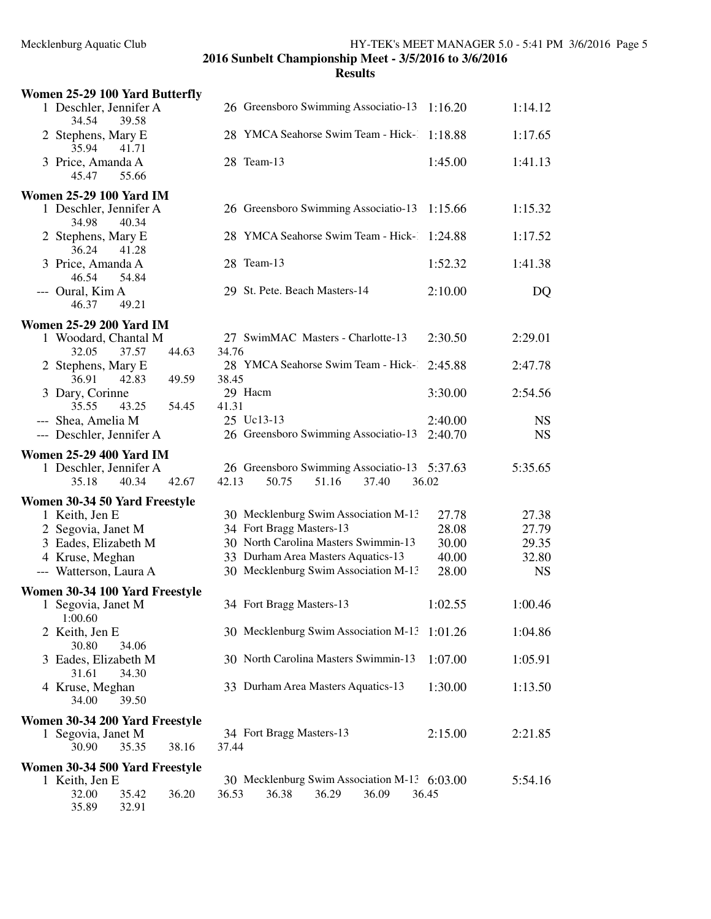| Women 25-29 100 Yard Butterfly                                                    |                                              |         |           |
|-----------------------------------------------------------------------------------|----------------------------------------------|---------|-----------|
| 1 Deschler, Jennifer A<br>34.54<br>39.58                                          | 26 Greensboro Swimming Associatio-13         | 1:16.20 | 1:14.12   |
| 2 Stephens, Mary E<br>35.94<br>41.71                                              | 28 YMCA Seahorse Swim Team - Hick-           | 1:18.88 | 1:17.65   |
| 3 Price, Amanda A<br>55.66<br>45.47                                               | 28 Team-13                                   | 1:45.00 | 1:41.13   |
| <b>Women 25-29 100 Yard IM</b>                                                    |                                              |         |           |
| 1 Deschler, Jennifer A<br>34.98<br>40.34                                          | 26 Greensboro Swimming Associatio-13         | 1:15.66 | 1:15.32   |
| 2 Stephens, Mary E<br>36.24<br>41.28                                              | 28 YMCA Seahorse Swim Team - Hick-1          | 1:24.88 | 1:17.52   |
| 3 Price, Amanda A<br>46.54<br>54.84                                               | 28 Team-13                                   | 1:52.32 | 1:41.38   |
| --- Oural, Kim A<br>46.37<br>49.21                                                | 29 St. Pete. Beach Masters-14                | 2:10.00 | DQ        |
|                                                                                   |                                              |         |           |
| <b>Women 25-29 200 Yard IM</b><br>1 Woodard, Chantal M<br>32.05<br>37.57<br>44.63 | 27 SwimMAC Masters - Charlotte-13<br>34.76   | 2:30.50 | 2:29.01   |
| 2 Stephens, Mary E<br>36.91<br>42.83<br>49.59                                     | 28 YMCA Seahorse Swim Team - Hick-1<br>38.45 | 2:45.88 | 2:47.78   |
| 3 Dary, Corinne<br>35.55<br>43.25<br>54.45                                        | 29 Hacm<br>41.31                             | 3:30.00 | 2:54.56   |
| --- Shea, Amelia M                                                                | 25 Uc13-13                                   | 2:40.00 | <b>NS</b> |
| --- Deschler, Jennifer A                                                          | 26 Greensboro Swimming Associatio-13         | 2:40.70 | <b>NS</b> |
| <b>Women 25-29 400 Yard IM</b>                                                    |                                              |         |           |
| 1 Deschler, Jennifer A                                                            | 26 Greensboro Swimming Associatio-13 5:37.63 |         | 5:35.65   |
| 35.18<br>40.34<br>42.67                                                           | 42.13<br>50.75<br>51.16<br>37.40             | 36.02   |           |
| Women 30-34 50 Yard Freestyle                                                     |                                              |         |           |
| 1 Keith, Jen E                                                                    | 30 Mecklenburg Swim Association M-13         | 27.78   | 27.38     |
| 2 Segovia, Janet M                                                                | 34 Fort Bragg Masters-13                     | 28.08   | 27.79     |
| 3 Eades, Elizabeth M                                                              | 30 North Carolina Masters Swimmin-13         | 30.00   | 29.35     |
| 4 Kruse, Meghan                                                                   | 33 Durham Area Masters Aquatics-13           | 40.00   | 32.80     |
| --- Watterson, Laura A                                                            | 30 Mecklenburg Swim Association M-13         | 28.00   | <b>NS</b> |
| Women 30-34 100 Yard Freestyle                                                    |                                              |         |           |
| 1 Segovia, Janet M<br>1:00.60                                                     | 34 Fort Bragg Masters-13                     | 1:02.55 | 1:00.46   |
| 2 Keith, Jen E<br>30.80<br>34.06                                                  | 30 Mecklenburg Swim Association M-13 1:01.26 |         | 1:04.86   |
| 3 Eades, Elizabeth M<br>31.61<br>34.30                                            | 30 North Carolina Masters Swimmin-13         | 1:07.00 | 1:05.91   |
| 4 Kruse, Meghan<br>34.00<br>39.50                                                 | 33 Durham Area Masters Aquatics-13           | 1:30.00 | 1:13.50   |
| Women 30-34 200 Yard Freestyle                                                    |                                              |         |           |
| 1 Segovia, Janet M                                                                | 34 Fort Bragg Masters-13                     | 2:15.00 | 2:21.85   |
| 30.90<br>35.35<br>38.16                                                           | 37.44                                        |         |           |
| Women 30-34 500 Yard Freestyle                                                    |                                              |         |           |
| 1 Keith, Jen E                                                                    | 30 Mecklenburg Swim Association M-13 6:03.00 |         | 5:54.16   |
| 36.20<br>32.00<br>35.42<br>35.89<br>32.91                                         | 36.38<br>36.29<br>36.53<br>36.09             | 36.45   |           |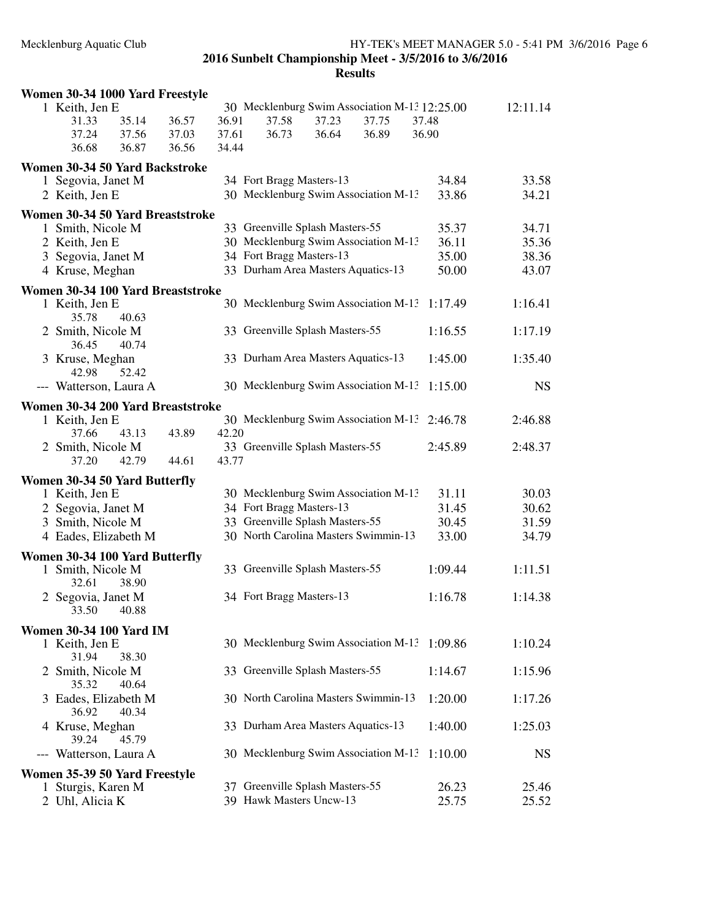| Women 30-34 1000 Yard Freestyle         |       |       |                                                            |       |       |                                               |                |
|-----------------------------------------|-------|-------|------------------------------------------------------------|-------|-------|-----------------------------------------------|----------------|
| 1 Keith, Jen E                          |       |       |                                                            |       |       | 30 Mecklenburg Swim Association M-13 12:25.00 | 12:11.14       |
| 35.14<br>31.33                          | 36.57 | 36.91 | 37.58                                                      | 37.23 | 37.75 | 37.48                                         |                |
| 37.24<br>37.56                          | 37.03 | 37.61 | 36.73                                                      | 36.64 | 36.89 | 36.90                                         |                |
| 36.68<br>36.87                          | 36.56 | 34.44 |                                                            |       |       |                                               |                |
| Women 30-34 50 Yard Backstroke          |       |       |                                                            |       |       |                                               |                |
| 1 Segovia, Janet M                      |       |       | 34 Fort Bragg Masters-13                                   |       |       | 34.84                                         | 33.58          |
| 2 Keith, Jen E                          |       |       | 30 Mecklenburg Swim Association M-13                       |       |       | 33.86                                         | 34.21          |
| Women 30-34 50 Yard Breaststroke        |       |       |                                                            |       |       |                                               |                |
| 1 Smith, Nicole M                       |       |       | 33 Greenville Splash Masters-55                            |       |       | 35.37                                         | 34.71          |
| 2 Keith, Jen E                          |       |       | 30 Mecklenburg Swim Association M-13                       |       |       | 36.11                                         | 35.36          |
| 3 Segovia, Janet M                      |       |       | 34 Fort Bragg Masters-13                                   |       |       | 35.00                                         | 38.36          |
| 4 Kruse, Meghan                         |       |       | 33 Durham Area Masters Aquatics-13                         |       |       | 50.00                                         | 43.07          |
|                                         |       |       |                                                            |       |       |                                               |                |
| Women 30-34 100 Yard Breaststroke       |       |       | 30 Mecklenburg Swim Association M-13                       |       |       |                                               | 1:16.41        |
| 1 Keith, Jen E<br>35.78<br>40.63        |       |       |                                                            |       |       | 1:17.49                                       |                |
| 2 Smith, Nicole M                       |       |       | 33 Greenville Splash Masters-55                            |       |       | 1:16.55                                       | 1:17.19        |
| 36.45<br>40.74                          |       |       |                                                            |       |       |                                               |                |
| 3 Kruse, Meghan                         |       |       | 33 Durham Area Masters Aquatics-13                         |       |       | 1:45.00                                       | 1:35.40        |
| 42.98<br>52.42                          |       |       |                                                            |       |       |                                               |                |
| --- Watterson, Laura A                  |       |       | 30 Mecklenburg Swim Association M-13                       |       |       | 1:15.00                                       | <b>NS</b>      |
| Women 30-34 200 Yard Breaststroke       |       |       |                                                            |       |       |                                               |                |
| 1 Keith, Jen E                          |       |       | 30 Mecklenburg Swim Association M-13                       |       |       | 2:46.78                                       | 2:46.88        |
| 43.13<br>37.66                          | 43.89 | 42.20 |                                                            |       |       |                                               |                |
| 2 Smith, Nicole M                       |       |       | 33 Greenville Splash Masters-55                            |       |       | 2:45.89                                       | 2:48.37        |
| 37.20<br>42.79                          | 44.61 | 43.77 |                                                            |       |       |                                               |                |
|                                         |       |       |                                                            |       |       |                                               |                |
| Women 30-34 50 Yard Butterfly           |       |       | 30 Mecklenburg Swim Association M-13                       |       |       |                                               |                |
| 1 Keith, Jen E                          |       |       | 34 Fort Bragg Masters-13                                   |       |       | 31.11<br>31.45                                | 30.03<br>30.62 |
| 2 Segovia, Janet M<br>3 Smith, Nicole M |       |       | 33 Greenville Splash Masters-55                            |       |       | 30.45                                         | 31.59          |
| 4 Eades, Elizabeth M                    |       |       | 30 North Carolina Masters Swimmin-13                       |       |       | 33.00                                         | 34.79          |
|                                         |       |       |                                                            |       |       |                                               |                |
| Women 30-34 100 Yard Butterfly          |       |       |                                                            |       |       |                                               |                |
| 1 Smith, Nicole M                       |       |       | 33 Greenville Splash Masters-55                            |       |       | 1:09.44                                       | 1:11.51        |
| 32.61<br>38.90                          |       |       |                                                            |       |       |                                               |                |
| 2 Segovia, Janet M                      |       |       | 34 Fort Bragg Masters-13                                   |       |       | 1:16.78                                       | 1:14.38        |
| 33.50<br>40.88                          |       |       |                                                            |       |       |                                               |                |
| <b>Women 30-34 100 Yard IM</b>          |       |       |                                                            |       |       |                                               |                |
| 1 Keith, Jen E                          |       |       | 30 Mecklenburg Swim Association M-13                       |       |       | 1:09.86                                       | 1:10.24        |
| 31.94<br>38.30                          |       |       |                                                            |       |       |                                               |                |
| 2 Smith, Nicole M                       |       |       | 33 Greenville Splash Masters-55                            |       |       | 1:14.67                                       | 1:15.96        |
| 35.32<br>40.64                          |       |       | 30 North Carolina Masters Swimmin-13                       |       |       |                                               |                |
| 3 Eades, Elizabeth M<br>40.34<br>36.92  |       |       |                                                            |       |       | 1:20.00                                       | 1:17.26        |
| 4 Kruse, Meghan                         |       |       | 33 Durham Area Masters Aquatics-13                         |       |       | 1:40.00                                       | 1:25.03        |
| 39.24<br>45.79                          |       |       |                                                            |       |       |                                               |                |
| --- Watterson, Laura A                  |       |       | 30 Mecklenburg Swim Association M-13                       |       |       | 1:10.00                                       | <b>NS</b>      |
|                                         |       |       |                                                            |       |       |                                               |                |
| Women 35-39 50 Yard Freestyle           |       |       |                                                            |       |       |                                               |                |
| Sturgis, Karen M                        |       |       | 37 Greenville Splash Masters-55<br>39 Hawk Masters Uncw-13 |       |       | 26.23<br>25.75                                | 25.46<br>25.52 |
| 2 Uhl, Alicia K                         |       |       |                                                            |       |       |                                               |                |
|                                         |       |       |                                                            |       |       |                                               |                |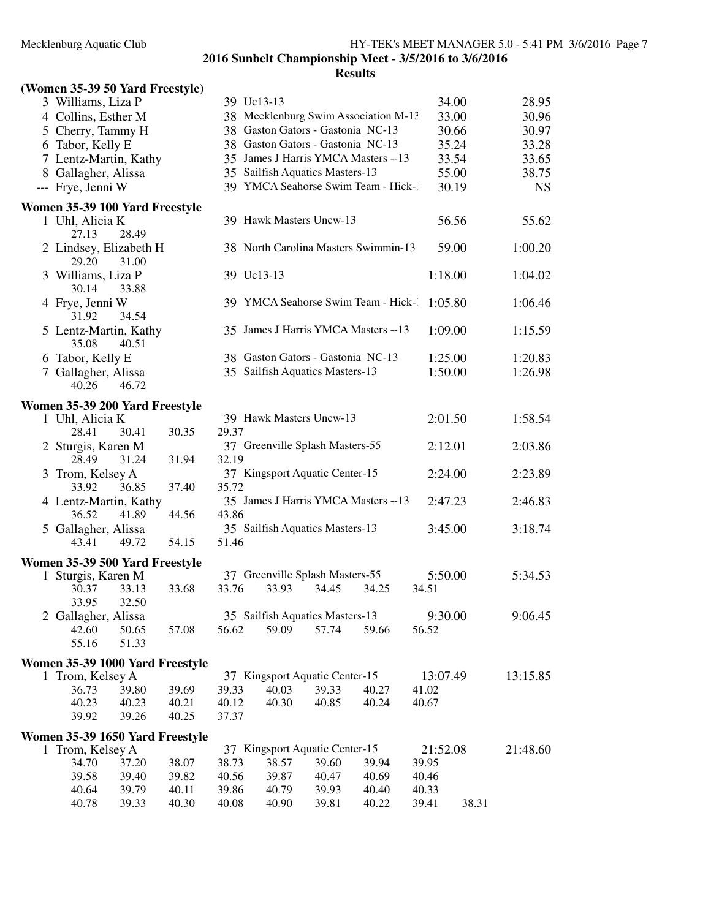## **(Women 35-39 50 Yard Freestyle)**

| $\frac{1}{2}$                            |       |       |                                      |       |       |          |       |           |
|------------------------------------------|-------|-------|--------------------------------------|-------|-------|----------|-------|-----------|
| 3 Williams, Liza P                       |       |       | 39 Uc13-13                           |       |       |          | 34.00 | 28.95     |
| 4 Collins, Esther M                      |       |       | 38 Mecklenburg Swim Association M-13 |       |       |          | 33.00 | 30.96     |
| 5 Cherry, Tammy H                        |       |       | 38 Gaston Gators - Gastonia NC-13    |       |       |          | 30.66 | 30.97     |
| 6 Tabor, Kelly E                         |       |       | 38 Gaston Gators - Gastonia NC-13    |       |       |          | 35.24 | 33.28     |
| 7 Lentz-Martin, Kathy                    |       |       | 35 James J Harris YMCA Masters -- 13 |       |       |          | 33.54 | 33.65     |
| 8 Gallagher, Alissa                      |       |       | 35 Sailfish Aquatics Masters-13      |       |       |          | 55.00 | 38.75     |
| --- Frye, Jenni W                        |       |       | 39 YMCA Seahorse Swim Team - Hick-1  |       |       |          | 30.19 | <b>NS</b> |
|                                          |       |       |                                      |       |       |          |       |           |
| Women 35-39 100 Yard Freestyle           |       |       |                                      |       |       |          |       |           |
| 1 Uhl, Alicia K<br>28.49<br>27.13        |       |       | 39 Hawk Masters Uncw-13              |       |       |          | 56.56 | 55.62     |
| 2 Lindsey, Elizabeth H<br>29.20<br>31.00 |       |       | 38 North Carolina Masters Swimmin-13 |       |       |          | 59.00 | 1:00.20   |
| 3 Williams, Liza P<br>30.14<br>33.88     |       |       | 39 Uc13-13                           |       |       | 1:18.00  |       | 1:04.02   |
| 4 Frye, Jenni W<br>34.54<br>31.92        |       |       | 39 YMCA Seahorse Swim Team - Hick-   |       |       | 1:05.80  |       | 1:06.46   |
| 5 Lentz-Martin, Kathy<br>35.08<br>40.51  |       |       | 35 James J Harris YMCA Masters -- 13 |       |       | 1:09.00  |       | 1:15.59   |
| 6 Tabor, Kelly E                         |       |       | 38 Gaston Gators - Gastonia NC-13    |       |       | 1:25.00  |       | 1:20.83   |
| 7 Gallagher, Alissa                      |       |       | 35 Sailfish Aquatics Masters-13      |       |       | 1:50.00  |       | 1:26.98   |
| 40.26<br>46.72                           |       |       |                                      |       |       |          |       |           |
| Women 35-39 200 Yard Freestyle           |       |       |                                      |       |       |          |       |           |
| 1 Uhl, Alicia K                          |       |       | 39 Hawk Masters Uncw-13              |       |       | 2:01.50  |       | 1:58.54   |
| 28.41<br>30.41                           | 30.35 | 29.37 |                                      |       |       |          |       |           |
| 2 Sturgis, Karen M                       |       |       | 37 Greenville Splash Masters-55      |       |       | 2:12.01  |       | 2:03.86   |
| 28.49<br>31.24                           | 31.94 | 32.19 |                                      |       |       |          |       |           |
| 3 Trom, Kelsey A                         |       |       | 37 Kingsport Aquatic Center-15       |       |       | 2:24.00  |       | 2:23.89   |
| 33.92<br>36.85                           | 37.40 | 35.72 |                                      |       |       |          |       |           |
| 4 Lentz-Martin, Kathy                    |       |       | 35 James J Harris YMCA Masters -- 13 |       |       | 2:47.23  |       | 2:46.83   |
| 36.52<br>41.89                           | 44.56 | 43.86 |                                      |       |       |          |       |           |
| 5 Gallagher, Alissa                      |       |       | 35 Sailfish Aquatics Masters-13      |       |       | 3:45.00  |       | 3:18.74   |
| 43.41<br>49.72                           | 54.15 | 51.46 |                                      |       |       |          |       |           |
| Women 35-39 500 Yard Freestyle           |       |       |                                      |       |       |          |       |           |
| 1 Sturgis, Karen M                       |       |       | 37 Greenville Splash Masters-55      |       |       | 5:50.00  |       | 5:34.53   |
| 33.13<br>30.37<br>33.95<br>32.50         | 33.68 | 33.76 | 33.93                                | 34.45 | 34.25 | 34.51    |       |           |
| 2 Gallagher, Alissa                      |       |       | 35 Sailfish Aquatics Masters-13      |       |       | 9:30.00  |       | 9:06.45   |
| 42.60<br>50.65                           | 57.08 | 56.62 | 59.09                                | 57.74 | 59.66 | 56.52    |       |           |
| 55.16<br>51.33                           |       |       |                                      |       |       |          |       |           |
| Women 35-39 1000 Yard Freestyle          |       |       |                                      |       |       |          |       |           |
| 1 Trom, Kelsey A                         |       |       | 37 Kingsport Aquatic Center-15       |       |       | 13:07.49 |       | 13:15.85  |
| 36.73<br>39.80                           | 39.69 | 39.33 | 40.03                                | 39.33 | 40.27 | 41.02    |       |           |
| 40.23<br>40.23                           | 40.21 | 40.12 | 40.30                                | 40.85 | 40.24 | 40.67    |       |           |
| 39.92<br>39.26                           | 40.25 | 37.37 |                                      |       |       |          |       |           |
| Women 35-39 1650 Yard Freestyle          |       |       |                                      |       |       |          |       |           |
| 1 Trom, Kelsey A                         |       |       | 37 Kingsport Aquatic Center-15       |       |       | 21:52.08 |       | 21:48.60  |
| 34.70<br>37.20                           | 38.07 | 38.73 | 38.57                                | 39.60 | 39.94 | 39.95    |       |           |
| 39.58<br>39.40                           | 39.82 | 40.56 | 39.87                                | 40.47 | 40.69 | 40.46    |       |           |
| 40.64<br>39.79                           | 40.11 | 39.86 | 40.79                                | 39.93 | 40.40 | 40.33    |       |           |
| 40.78<br>39.33                           | 40.30 | 40.08 | 40.90                                | 39.81 | 40.22 | 39.41    | 38.31 |           |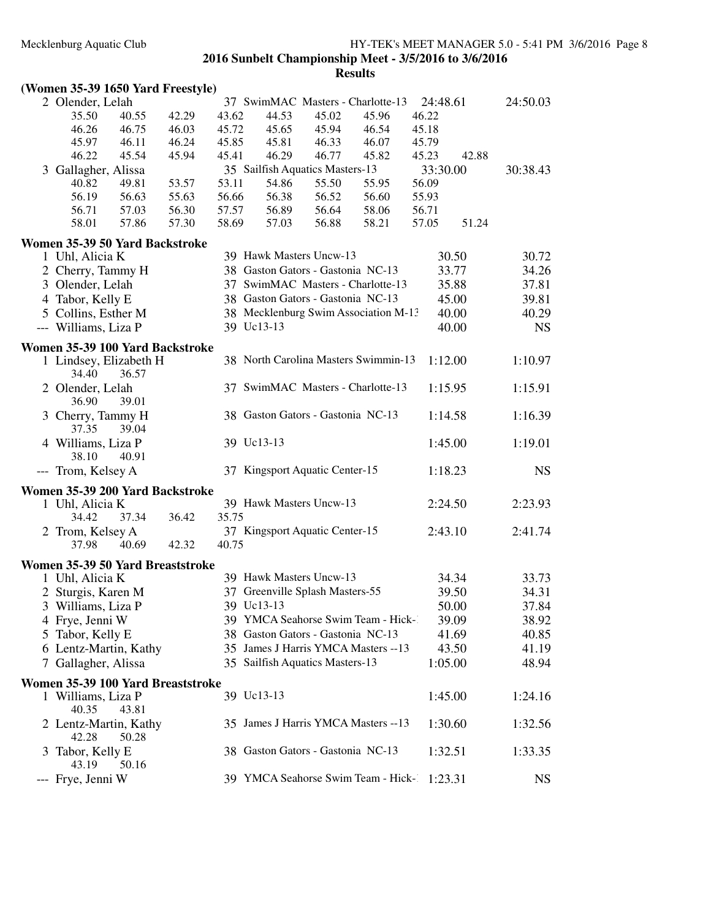| (Women 35-39 1650 Yard Freestyle) |  |  |
|-----------------------------------|--|--|
|-----------------------------------|--|--|

| 2 Olender, Lelah                                          |                |       |       | 37 SwimMAC Masters - Charlotte-13    |       |       | 24:48.61 |       | 24:50.03  |
|-----------------------------------------------------------|----------------|-------|-------|--------------------------------------|-------|-------|----------|-------|-----------|
| 35.50                                                     | 40.55          | 42.29 | 43.62 | 44.53                                | 45.02 | 45.96 | 46.22    |       |           |
| 46.26                                                     | 46.75          | 46.03 | 45.72 | 45.65                                | 45.94 | 46.54 | 45.18    |       |           |
| 45.97                                                     | 46.11          | 46.24 | 45.85 | 45.81                                | 46.33 | 46.07 | 45.79    |       |           |
| 46.22                                                     | 45.54          | 45.94 | 45.41 | 46.29                                | 46.77 | 45.82 | 45.23    | 42.88 |           |
| 3 Gallagher, Alissa                                       |                |       |       | 35 Sailfish Aquatics Masters-13      |       |       | 33:30.00 |       | 30:38.43  |
| 40.82                                                     | 49.81          | 53.57 | 53.11 | 54.86                                | 55.50 | 55.95 | 56.09    |       |           |
| 56.19                                                     | 56.63          | 55.63 | 56.66 | 56.38                                | 56.52 | 56.60 | 55.93    |       |           |
| 56.71                                                     | 57.03          | 56.30 | 57.57 | 56.89                                | 56.64 | 58.06 | 56.71    |       |           |
| 58.01                                                     | 57.86          | 57.30 | 58.69 | 57.03                                | 56.88 | 58.21 | 57.05    | 51.24 |           |
| Women 35-39 50 Yard Backstroke                            |                |       |       |                                      |       |       |          |       |           |
| 1 Uhl, Alicia K                                           |                |       |       | 39 Hawk Masters Uncw-13              |       |       |          | 30.50 | 30.72     |
| 2 Cherry, Tammy H                                         |                |       |       | 38 Gaston Gators - Gastonia NC-13    |       |       |          | 33.77 | 34.26     |
| 3 Olender, Lelah                                          |                |       |       | 37 SwimMAC Masters - Charlotte-13    |       |       |          | 35.88 | 37.81     |
| 4 Tabor, Kelly E                                          |                |       |       | 38 Gaston Gators - Gastonia NC-13    |       |       |          | 45.00 | 39.81     |
| 5 Collins, Esther M                                       |                |       |       | 38 Mecklenburg Swim Association M-13 |       |       |          | 40.00 | 40.29     |
| --- Williams, Liza P                                      |                |       |       | 39 Uc13-13                           |       |       |          | 40.00 | <b>NS</b> |
|                                                           |                |       |       |                                      |       |       |          |       |           |
| Women 35-39 100 Yard Backstroke<br>1 Lindsey, Elizabeth H |                |       |       | 38 North Carolina Masters Swimmin-13 |       |       | 1:12.00  |       | 1:10.97   |
| 34.40<br>2 Olender, Lelah                                 | 36.57          |       |       | 37 SwimMAC Masters - Charlotte-13    |       |       | 1:15.95  |       | 1:15.91   |
| 36.90<br>3 Cherry, Tammy H                                | 39.01          |       |       | 38 Gaston Gators - Gastonia NC-13    |       |       | 1:14.58  |       | 1:16.39   |
| 37.35<br>4 Williams, Liza P<br>38.10                      | 39.04<br>40.91 |       |       | 39 Uc13-13                           |       |       | 1:45.00  |       | 1:19.01   |
| --- Trom, Kelsey A                                        |                |       |       | 37 Kingsport Aquatic Center-15       |       |       | 1:18.23  |       | <b>NS</b> |
| Women 35-39 200 Yard Backstroke                           |                |       |       |                                      |       |       |          |       |           |
| 1 Uhl, Alicia K                                           |                |       |       | 39 Hawk Masters Uncw-13              |       |       | 2:24.50  |       | 2:23.93   |
| 34.42                                                     | 37.34          | 36.42 | 35.75 |                                      |       |       |          |       |           |
| 2 Trom, Kelsey A                                          |                |       |       | 37 Kingsport Aquatic Center-15       |       |       | 2:43.10  |       | 2:41.74   |
| 37.98                                                     | 40.69          | 42.32 | 40.75 |                                      |       |       |          |       |           |
| Women 35-39 50 Yard Breaststroke                          |                |       |       |                                      |       |       |          |       |           |
| 1 Uhl, Alicia K                                           |                |       |       | 39 Hawk Masters Uncw-13              |       |       |          | 34.34 | 33.73     |
| 2 Sturgis, Karen M                                        |                |       |       | 37 Greenville Splash Masters-55      |       |       |          | 39.50 | 34.31     |
| 3 Williams, Liza P                                        |                |       |       | 39 Uc13-13                           |       |       |          | 50.00 | 37.84     |
| 4 Frye, Jenni W                                           |                |       |       | 39 YMCA Seahorse Swim Team - Hick-   |       |       |          | 39.09 | 38.92     |
| 5 Tabor, Kelly E                                          |                |       |       | 38 Gaston Gators - Gastonia NC-13    |       |       |          | 41.69 | 40.85     |
| 6 Lentz-Martin, Kathy                                     |                |       |       | 35 James J Harris YMCA Masters -- 13 |       |       |          | 43.50 | 41.19     |
|                                                           |                |       |       |                                      |       |       | 1:05.00  |       |           |
| 7 Gallagher, Alissa                                       |                |       |       | 35 Sailfish Aquatics Masters-13      |       |       |          |       | 48.94     |
| Women 35-39 100 Yard Breaststroke                         |                |       |       |                                      |       |       |          |       |           |
| 1 Williams, Liza P<br>40.35                               | 43.81          |       |       | 39 Uc13-13                           |       |       | 1:45.00  |       | 1:24.16   |
| 2 Lentz-Martin, Kathy<br>42.28                            | 50.28          |       |       | 35 James J Harris YMCA Masters --13  |       |       | 1:30.60  |       | 1:32.56   |
| 3 Tabor, Kelly E<br>43.19                                 | 50.16          |       |       | 38 Gaston Gators - Gastonia NC-13    |       |       | 1:32.51  |       | 1:33.35   |
| --- Frye, Jenni W                                         |                |       |       | 39 YMCA Seahorse Swim Team - Hick-1  |       |       | 1:23.31  |       | <b>NS</b> |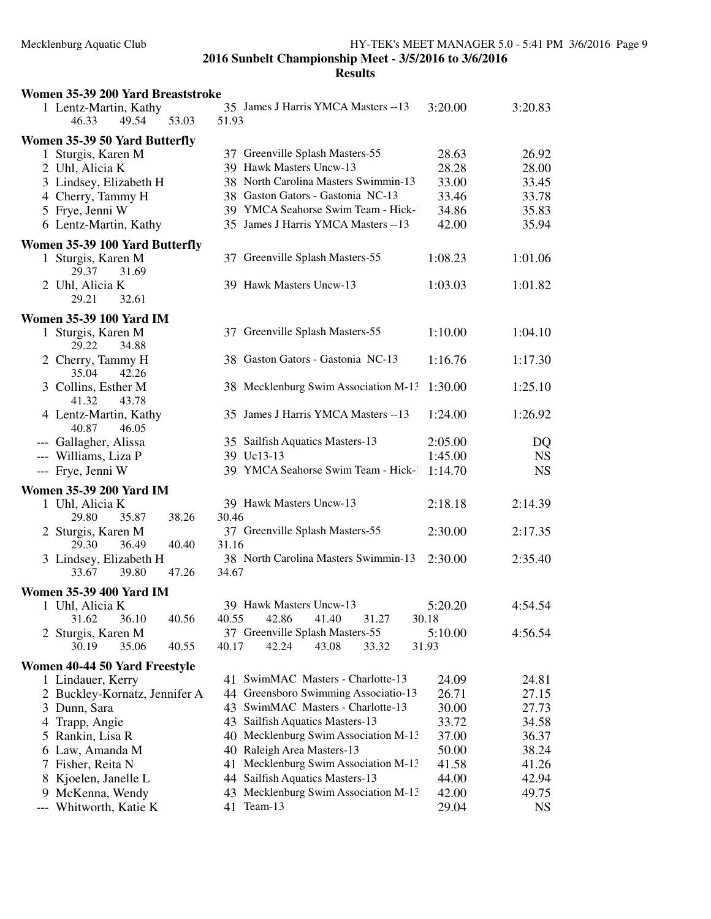| Women 35-39 200 Yard Breaststroke                |                                               |         |           |
|--------------------------------------------------|-----------------------------------------------|---------|-----------|
| 1 Lentz-Martin, Kathy<br>53.03<br>46.33<br>49.54 | 35 James J Harris YMCA Masters -- 13<br>51.93 | 3:20.00 | 3:20.83   |
| Women 35-39 50 Yard Butterfly                    |                                               |         |           |
| 1 Sturgis, Karen M                               | 37 Greenville Splash Masters-55               | 28.63   | 26.92     |
| 2 Uhl, Alicia K                                  | 39 Hawk Masters Uncw-13                       | 28.28   | 28.00     |
| 3 Lindsey, Elizabeth H                           | 38 North Carolina Masters Swimmin-13          | 33.00   | 33.45     |
| 4 Cherry, Tammy H                                | 38 Gaston Gators - Gastonia NC-13             | 33.46   | 33.78     |
| 5 Frye, Jenni W                                  | 39 YMCA Seahorse Swim Team - Hick-1           | 34.86   | 35.83     |
| 6 Lentz-Martin, Kathy                            | 35 James J Harris YMCA Masters -- 13          | 42.00   | 35.94     |
| Women 35-39 100 Yard Butterfly                   |                                               |         |           |
| 1 Sturgis, Karen M<br>29.37<br>31.69             | 37 Greenville Splash Masters-55               | 1:08.23 | 1:01.06   |
| 2 Uhl, Alicia K<br>29.21<br>32.61                | 39 Hawk Masters Uncw-13                       | 1:03.03 | 1:01.82   |
| <b>Women 35-39 100 Yard IM</b>                   |                                               |         |           |
| 1 Sturgis, Karen M<br>29.22<br>34.88             | 37 Greenville Splash Masters-55               | 1:10.00 | 1:04.10   |
| 2 Cherry, Tammy H<br>35.04<br>42.26              | 38 Gaston Gators - Gastonia NC-13             | 1:16.76 | 1:17.30   |
| 3 Collins, Esther M<br>41.32<br>43.78            | 38 Mecklenburg Swim Association M-13          | 1:30.00 | 1:25.10   |
| 4 Lentz-Martin, Kathy<br>40.87<br>46.05          | 35 James J Harris YMCA Masters -- 13          | 1:24.00 | 1:26.92   |
| --- Gallagher, Alissa                            | 35 Sailfish Aquatics Masters-13               | 2:05.00 | DQ        |
| --- Williams, Liza P                             | 39 Uc13-13                                    | 1:45.00 | <b>NS</b> |
| --- Frye, Jenni W                                | 39 YMCA Seahorse Swim Team - Hick-            | 1:14.70 | <b>NS</b> |
| <b>Women 35-39 200 Yard IM</b>                   |                                               |         |           |
| 1 Uhl, Alicia K                                  | 39 Hawk Masters Uncw-13                       | 2:18.18 | 2:14.39   |
| 38.26<br>29.80<br>35.87                          | 30.46                                         |         |           |
| 2 Sturgis, Karen M                               | 37 Greenville Splash Masters-55               | 2:30.00 | 2:17.35   |
| 29.30<br>36.49<br>40.40                          | 31.16                                         |         |           |
| 3 Lindsey, Elizabeth H                           | 38 North Carolina Masters Swimmin-13          | 2:30.00 | 2:35.40   |
| 33.67<br>39.80<br>47.26                          | 34.67                                         |         |           |
| Women 35-39 400 Yard IM                          |                                               |         |           |
| 1 Uhl, Alicia K                                  | 39 Hawk Masters Uncw-13                       | 5:20.20 | 4:54.54   |
| 31.62<br>36.10<br>40.56                          | 40.55<br>42.86<br>41.40<br>31.27              | 30.18   |           |
| 2 Sturgis, Karen M                               | 37 Greenville Splash Masters-55               | 5:10.00 | 4:56.54   |
| 35.06<br>30.19<br>40.55                          | 40.17<br>42.24<br>43.08<br>33.32              | 31.93   |           |
| Women 40-44 50 Yard Freestyle                    |                                               |         |           |
| 1 Lindauer, Kerry                                | 41 SwimMAC Masters - Charlotte-13             | 24.09   | 24.81     |
| 2 Buckley-Kornatz, Jennifer A                    | 44 Greensboro Swimming Associatio-13          | 26.71   | 27.15     |
| 3 Dunn, Sara                                     | SwimMAC Masters - Charlotte-13<br>43          | 30.00   | 27.73     |
| 4 Trapp, Angie                                   | 43 Sailfish Aquatics Masters-13               | 33.72   | 34.58     |
| 5 Rankin, Lisa R                                 | 40 Mecklenburg Swim Association M-13          | 37.00   | 36.37     |
| 6 Law, Amanda M                                  | 40 Raleigh Area Masters-13                    | 50.00   | 38.24     |
| 7 Fisher, Reita N                                | Mecklenburg Swim Association M-13<br>41       | 41.58   | 41.26     |
| 8 Kjoelen, Janelle L                             | 44 Sailfish Aquatics Masters-13               | 44.00   | 42.94     |
| 9 McKenna, Wendy                                 | 43 Mecklenburg Swim Association M-13          | 42.00   | 49.75     |
| Whitworth, Katie K                               | 41 Team-13                                    | 29.04   | <b>NS</b> |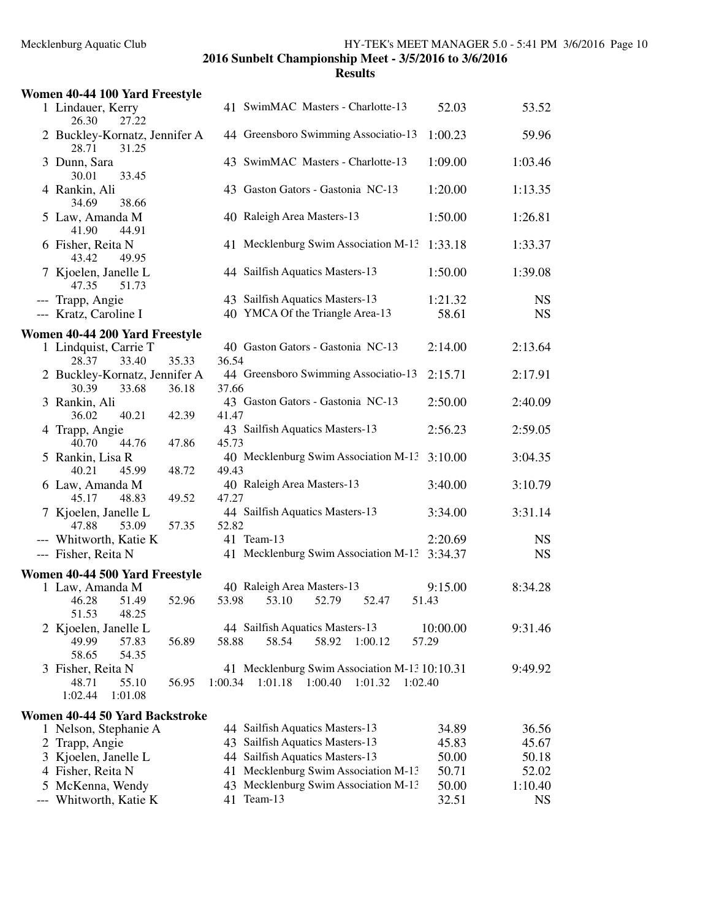|   | Women 40-44 100 Yard Freestyle                                            |       |                                                                                                      |                        |
|---|---------------------------------------------------------------------------|-------|------------------------------------------------------------------------------------------------------|------------------------|
|   | 1 Lindauer, Kerry<br>26.30<br>27.22                                       |       | 41 SwimMAC Masters - Charlotte-13<br>52.03                                                           | 53.52                  |
|   | 2 Buckley-Kornatz, Jennifer A<br>28.71<br>31.25                           |       | 44 Greensboro Swimming Associatio-13<br>1:00.23                                                      | 59.96                  |
|   | 3 Dunn, Sara<br>30.01<br>33.45                                            |       | 43 SwimMAC Masters - Charlotte-13<br>1:09.00                                                         | 1:03.46                |
|   | 4 Rankin, Ali<br>34.69<br>38.66                                           |       | 43 Gaston Gators - Gastonia NC-13<br>1:20.00                                                         | 1:13.35                |
|   | 5 Law, Amanda M<br>41.90<br>44.91                                         |       | 40 Raleigh Area Masters-13<br>1:50.00                                                                | 1:26.81                |
|   | 6 Fisher, Reita N<br>43.42<br>49.95                                       |       | 41 Mecklenburg Swim Association M-13<br>1:33.18                                                      | 1:33.37                |
|   | 7 Kjoelen, Janelle L<br>47.35<br>51.73                                    |       | 44 Sailfish Aquatics Masters-13<br>1:50.00                                                           | 1:39.08                |
|   | --- Trapp, Angie<br>--- Kratz, Caroline I                                 |       | 43 Sailfish Aquatics Masters-13<br>1:21.32<br>40 YMCA Of the Triangle Area-13<br>58.61               | <b>NS</b><br><b>NS</b> |
|   | Women 40-44 200 Yard Freestyle                                            |       |                                                                                                      |                        |
|   | 1 Lindquist, Carrie T<br>28.37<br>33.40                                   | 35.33 | 40 Gaston Gators - Gastonia NC-13<br>2:14.00<br>36.54                                                | 2:13.64                |
|   | 2 Buckley-Kornatz, Jennifer A<br>30.39<br>33.68                           | 36.18 | 44 Greensboro Swimming Associatio-13<br>2:15.71<br>37.66                                             | 2:17.91                |
|   | 3 Rankin, Ali<br>36.02<br>40.21                                           | 42.39 | 43 Gaston Gators - Gastonia NC-13<br>2:50.00<br>41.47                                                | 2:40.09                |
|   | 4 Trapp, Angie<br>40.70<br>44.76                                          | 47.86 | 43 Sailfish Aquatics Masters-13<br>2:56.23<br>45.73                                                  | 2:59.05                |
|   | 5 Rankin, Lisa R<br>40.21<br>45.99                                        | 48.72 | 40 Mecklenburg Swim Association M-13<br>3:10.00<br>49.43                                             | 3:04.35                |
|   | 6 Law, Amanda M<br>45.17<br>48.83                                         | 49.52 | 40 Raleigh Area Masters-13<br>3:40.00<br>47.27                                                       | 3:10.79                |
|   | 7 Kjoelen, Janelle L<br>53.09<br>47.88                                    | 57.35 | 44 Sailfish Aquatics Masters-13<br>3:34.00<br>52.82                                                  | 3:31.14                |
|   | --- Whitworth, Katie K                                                    |       | 41 Team-13<br>2:20.69                                                                                | <b>NS</b>              |
|   | --- Fisher, Reita N                                                       |       | 41 Mecklenburg Swim Association M-13<br>3:34.37                                                      | <b>NS</b>              |
|   | Women 40-44 500 Yard Freestyle                                            |       |                                                                                                      |                        |
|   | 1 Law, Amanda M                                                           |       | 40 Raleigh Area Masters-13<br>9:15.00                                                                | 8:34.28                |
|   | 46.28 51.49<br>51.53<br>48.25                                             | 52.96 | 53.98<br>53.10<br>52.79<br>51.43<br>52.47                                                            |                        |
|   | 2 Kjoelen, Janelle L<br>49.99<br>57.83                                    | 56.89 | 44 Sailfish Aquatics Masters-13<br>10:00.00<br>58.88<br>58.54<br>58.92<br>1:00.12<br>57.29           | 9:31.46                |
| 3 | 58.65<br>54.35<br>Fisher, Reita N<br>48.71<br>55.10<br>1:01.08<br>1:02.44 | 56.95 | 41 Mecklenburg Swim Association M-13 10:10.31<br>1:00.34<br>1:01.18<br>1:00.40<br>1:01.32<br>1:02.40 | 9:49.92                |
|   | Women 40-44 50 Yard Backstroke                                            |       |                                                                                                      |                        |
|   | 1 Nelson, Stephanie A                                                     |       | 44 Sailfish Aquatics Masters-13<br>34.89                                                             | 36.56                  |
|   | 2 Trapp, Angie                                                            |       | 43 Sailfish Aquatics Masters-13<br>45.83                                                             | 45.67                  |
|   | 3 Kjoelen, Janelle L                                                      |       | 44 Sailfish Aquatics Masters-13<br>50.00                                                             | 50.18                  |
|   | 4 Fisher, Reita N                                                         |       | 41 Mecklenburg Swim Association M-13<br>50.71                                                        | 52.02                  |
| 5 | McKenna, Wendy                                                            |       | 43 Mecklenburg Swim Association M-13<br>50.00                                                        | 1:10.40                |
|   | Whitworth, Katie K                                                        |       | Team-13<br>32.51<br>41                                                                               | <b>NS</b>              |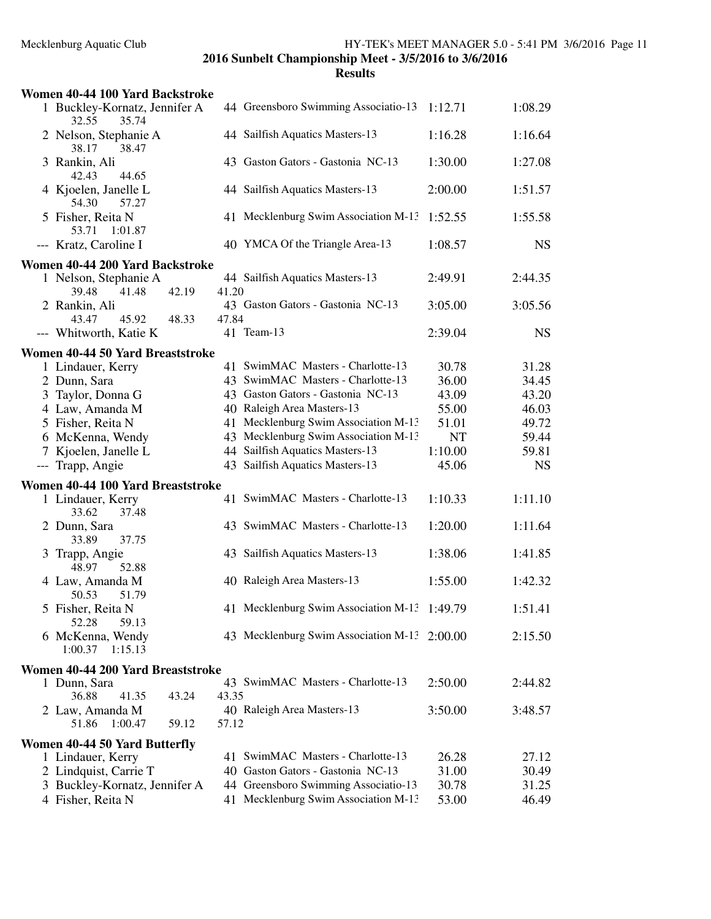| Women 40-44 100 Yard Backstroke                           |       |                                              |         |           |
|-----------------------------------------------------------|-------|----------------------------------------------|---------|-----------|
| 1 Buckley-Kornatz, Jennifer A<br>32.55<br>35.74           |       | 44 Greensboro Swimming Associatio-13         | 1:12.71 | 1:08.29   |
| 2 Nelson, Stephanie A<br>38.17<br>38.47                   |       | 44 Sailfish Aquatics Masters-13              | 1:16.28 | 1:16.64   |
| 3 Rankin, Ali<br>42.43<br>44.65                           |       | 43 Gaston Gators - Gastonia NC-13            | 1:30.00 | 1:27.08   |
| 4 Kjoelen, Janelle L<br>54.30<br>57.27                    |       | 44 Sailfish Aquatics Masters-13              | 2:00.00 | 1:51.57   |
| 5 Fisher, Reita N<br>53.71<br>1:01.87                     |       | 41 Mecklenburg Swim Association M-13         | 1:52.55 | 1:55.58   |
| --- Kratz, Caroline I                                     |       | 40 YMCA Of the Triangle Area-13              | 1:08.57 | <b>NS</b> |
| Women 40-44 200 Yard Backstroke                           |       |                                              |         |           |
| 1 Nelson, Stephanie A<br>39.48<br>41.48<br>42.19          | 41.20 | 44 Sailfish Aquatics Masters-13              | 2:49.91 | 2:44.35   |
| 2 Rankin, Ali<br>43.47<br>45.92<br>48.33                  | 47.84 | 43 Gaston Gators - Gastonia NC-13            | 3:05.00 | 3:05.56   |
| --- Whitworth, Katie K                                    |       | 41 Team-13                                   | 2:39.04 | <b>NS</b> |
| Women 40-44 50 Yard Breaststroke                          |       |                                              |         |           |
| 1 Lindauer, Kerry                                         |       | 41 SwimMAC Masters - Charlotte-13            | 30.78   | 31.28     |
| 2 Dunn, Sara                                              |       | 43 SwimMAC Masters - Charlotte-13            | 36.00   | 34.45     |
| 3 Taylor, Donna G                                         |       | 43 Gaston Gators - Gastonia NC-13            | 43.09   | 43.20     |
| 4 Law, Amanda M                                           |       | 40 Raleigh Area Masters-13                   | 55.00   | 46.03     |
| 5 Fisher, Reita N                                         |       | 41 Mecklenburg Swim Association M-13         | 51.01   | 49.72     |
| 6 McKenna, Wendy                                          |       | 43 Mecklenburg Swim Association M-13         | NT      | 59.44     |
| 7 Kjoelen, Janelle L                                      |       | 44 Sailfish Aquatics Masters-13              | 1:10.00 | 59.81     |
| --- Trapp, Angie                                          |       | 43 Sailfish Aquatics Masters-13              | 45.06   | <b>NS</b> |
| Women 40-44 100 Yard Breaststroke                         |       |                                              |         |           |
| 1 Lindauer, Kerry<br>37.48<br>33.62                       |       | 41 SwimMAC Masters - Charlotte-13            | 1:10.33 | 1:11.10   |
| 2 Dunn, Sara<br>33.89<br>37.75                            |       | 43 SwimMAC Masters - Charlotte-13            | 1:20.00 | 1:11.64   |
| 3 Trapp, Angie<br>52.88<br>48.97                          |       | 43 Sailfish Aquatics Masters-13              | 1:38.06 | 1:41.85   |
| 4 Law, Amanda M<br>50.53<br>51.79                         |       | 40 Raleigh Area Masters-13                   | 1:55.00 | 1:42.32   |
| 5 Fisher, Reita N<br>52.28<br>59.13                       |       | 41 Mecklenburg Swim Association M-13 1:49.79 |         | 1:51.41   |
| 6 McKenna, Wendy<br>1:00.37<br>1:15.13                    |       | 43 Mecklenburg Swim Association M-13 2:00.00 |         | 2:15.50   |
| Women 40-44 200 Yard Breaststroke                         |       |                                              |         |           |
| 1 Dunn, Sara<br>36.88<br>41.35<br>43.24                   | 43.35 | 43 SwimMAC Masters - Charlotte-13            | 2:50.00 | 2:44.82   |
| 2 Law, Amanda M<br>1:00.47<br>59.12<br>51.86              | 57.12 | 40 Raleigh Area Masters-13                   | 3:50.00 | 3:48.57   |
|                                                           |       |                                              |         |           |
| <b>Women 40-44 50 Yard Butterfly</b><br>1 Lindauer, Kerry |       | 41 SwimMAC Masters - Charlotte-13            | 26.28   | 27.12     |
| 2 Lindquist, Carrie T                                     |       | 40 Gaston Gators - Gastonia NC-13            | 31.00   | 30.49     |
|                                                           |       | 44 Greensboro Swimming Associatio-13         | 30.78   | 31.25     |
| 3 Buckley-Kornatz, Jennifer A<br>4 Fisher, Reita N        |       | 41 Mecklenburg Swim Association M-13         | 53.00   | 46.49     |
|                                                           |       |                                              |         |           |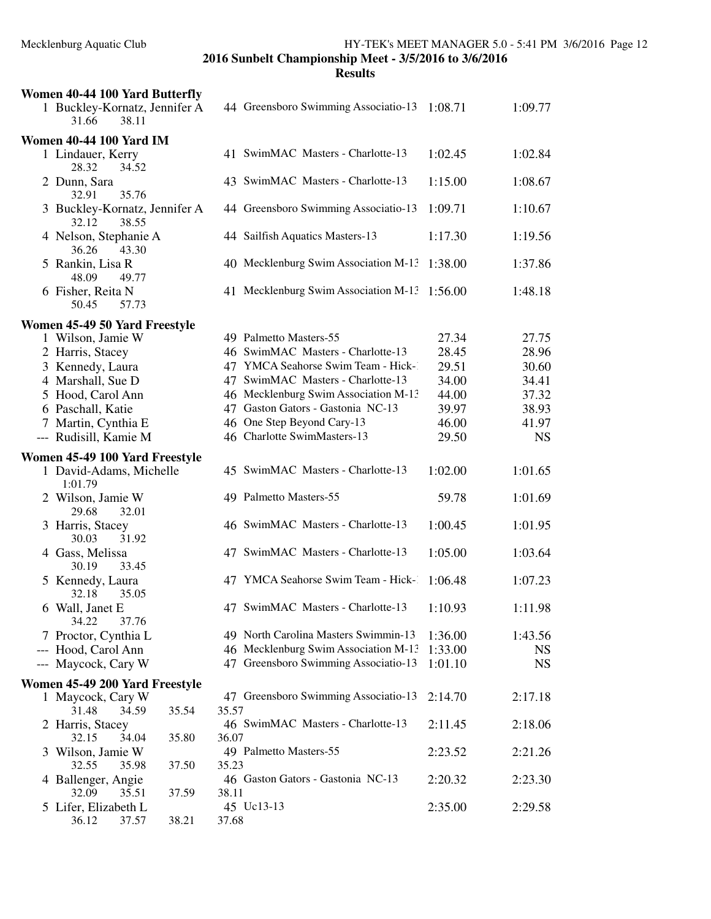| Women 40-44 100 Yard Butterfly                     |       |       |                                                                           |         |           |
|----------------------------------------------------|-------|-------|---------------------------------------------------------------------------|---------|-----------|
| 1 Buckley-Kornatz, Jennifer A<br>38.11<br>31.66    |       |       | 44 Greensboro Swimming Associatio-13                                      | 1:08.71 | 1:09.77   |
| <b>Women 40-44 100 Yard IM</b>                     |       |       |                                                                           |         |           |
| 1 Lindauer, Kerry<br>28.32<br>34.52                |       |       | 41 SwimMAC Masters - Charlotte-13                                         | 1:02.45 | 1:02.84   |
| 2 Dunn, Sara<br>32.91<br>35.76                     |       |       | 43 SwimMAC Masters - Charlotte-13                                         | 1:15.00 | 1:08.67   |
| 3 Buckley-Kornatz, Jennifer A<br>38.55<br>32.12    |       |       | 44 Greensboro Swimming Associatio-13                                      | 1:09.71 | 1:10.67   |
| 4 Nelson, Stephanie A<br>36.26<br>43.30            |       |       | 44 Sailfish Aquatics Masters-13                                           | 1:17.30 | 1:19.56   |
| 5 Rankin, Lisa R<br>48.09<br>49.77                 |       |       | 40 Mecklenburg Swim Association M-13                                      | 1:38.00 | 1:37.86   |
| 6 Fisher, Reita N<br>50.45<br>57.73                |       |       | 41 Mecklenburg Swim Association M-13 1:56.00                              |         | 1:48.18   |
|                                                    |       |       |                                                                           |         |           |
| Women 45-49 50 Yard Freestyle<br>1 Wilson, Jamie W |       |       | 49 Palmetto Masters-55                                                    | 27.34   | 27.75     |
| 2 Harris, Stacey                                   |       |       | 46 SwimMAC Masters - Charlotte-13                                         | 28.45   | 28.96     |
|                                                    |       |       | 47 YMCA Seahorse Swim Team - Hick-1                                       | 29.51   | 30.60     |
| 3 Kennedy, Laura<br>4 Marshall, Sue D              |       |       | 47 SwimMAC Masters - Charlotte-13                                         | 34.00   | 34.41     |
|                                                    |       |       |                                                                           |         |           |
| 5 Hood, Carol Ann                                  |       |       | 46 Mecklenburg Swim Association M-13<br>47 Gaston Gators - Gastonia NC-13 | 44.00   | 37.32     |
| 6 Paschall, Katie                                  |       |       |                                                                           | 39.97   | 38.93     |
| 7 Martin, Cynthia E                                |       |       | 46 One Step Beyond Cary-13<br>46 Charlotte SwimMasters-13                 | 46.00   | 41.97     |
| --- Rudisill, Kamie M                              |       |       |                                                                           | 29.50   | <b>NS</b> |
| Women 45-49 100 Yard Freestyle                     |       |       |                                                                           |         |           |
| 1 David-Adams, Michelle<br>1:01.79                 |       |       | 45 SwimMAC Masters - Charlotte-13                                         | 1:02.00 | 1:01.65   |
| 2 Wilson, Jamie W<br>29.68<br>32.01                |       |       | 49 Palmetto Masters-55                                                    | 59.78   | 1:01.69   |
| 3 Harris, Stacey<br>30.03<br>31.92                 |       |       | 46 SwimMAC Masters - Charlotte-13                                         | 1:00.45 | 1:01.95   |
| 4 Gass, Melissa<br>30.19<br>33.45                  |       |       | 47 SwimMAC Masters - Charlotte-13                                         | 1:05.00 | 1:03.64   |
| 5 Kennedy, Laura<br>32.18<br>35.05                 |       |       | 47 YMCA Seahorse Swim Team - Hick-                                        | 1:06.48 | 1:07.23   |
| 6 Wall, Janet E<br>34.22<br>37.76                  |       |       | 47 SwimMAC Masters - Charlotte-13                                         | 1:10.93 | 1:11.98   |
| 7 Proctor, Cynthia L                               |       |       | 49 North Carolina Masters Swimmin-13                                      | 1:36.00 | 1:43.56   |
| --- Hood, Carol Ann                                |       |       | 46 Mecklenburg Swim Association M-13                                      | 1:33.00 | <b>NS</b> |
| --- Maycock, Cary W                                |       |       | 47 Greensboro Swimming Associatio-13                                      | 1:01.10 | <b>NS</b> |
| Women 45-49 200 Yard Freestyle                     |       |       |                                                                           |         |           |
| 1 Maycock, Cary W                                  |       |       | 47 Greensboro Swimming Associatio-13                                      | 2:14.70 | 2:17.18   |
| 31.48<br>34.59                                     | 35.54 | 35.57 |                                                                           |         |           |
| 2 Harris, Stacey                                   |       |       | 46 SwimMAC Masters - Charlotte-13                                         | 2:11.45 | 2:18.06   |
| 32.15<br>34.04                                     | 35.80 | 36.07 |                                                                           |         |           |
| 3 Wilson, Jamie W                                  |       |       | 49 Palmetto Masters-55                                                    | 2:23.52 | 2:21.26   |
| 32.55<br>35.98                                     | 37.50 | 35.23 |                                                                           |         |           |
| 4 Ballenger, Angie                                 |       |       | 46 Gaston Gators - Gastonia NC-13                                         | 2:20.32 | 2:23.30   |
| 32.09<br>35.51                                     | 37.59 | 38.11 |                                                                           |         |           |
| 5 Lifer, Elizabeth L                               |       |       | 45 Uc13-13                                                                | 2:35.00 | 2:29.58   |
| 36.12<br>37.57                                     | 38.21 | 37.68 |                                                                           |         |           |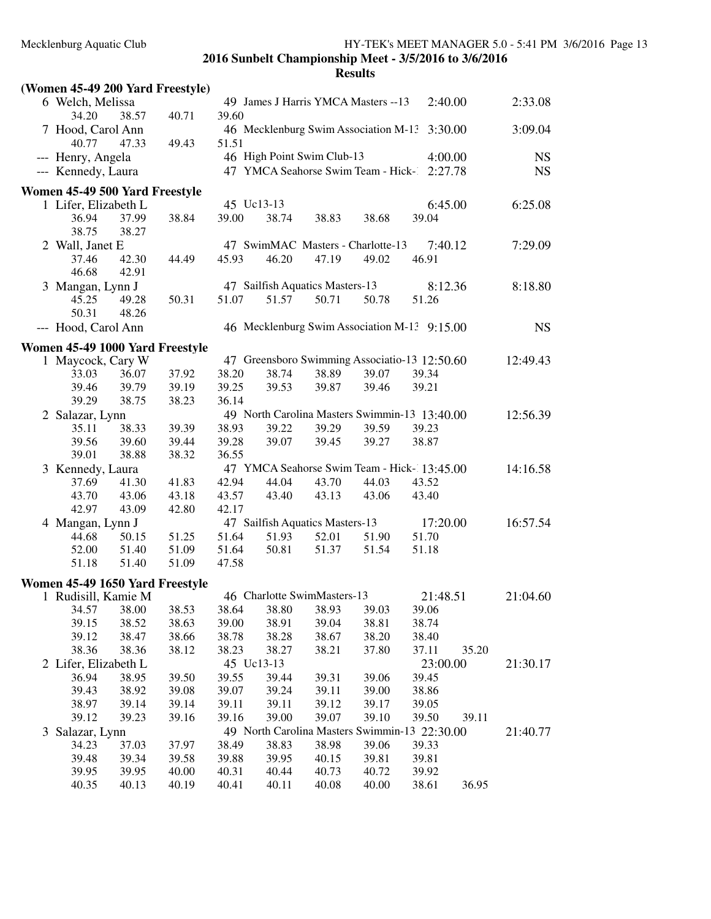| (Women 45-49 200 Yard Freestyle)                       |       |       |            |                                 |       |                                               |          |       |           |
|--------------------------------------------------------|-------|-------|------------|---------------------------------|-------|-----------------------------------------------|----------|-------|-----------|
| 6 Welch, Melissa<br>34.20                              | 38.57 | 40.71 | 39.60      |                                 |       | 49 James J Harris YMCA Masters -- 13          | 2:40.00  |       | 2:33.08   |
| 7 Hood, Carol Ann                                      |       |       |            |                                 |       | 46 Mecklenburg Swim Association M-13 3:30.00  |          |       | 3:09.04   |
| 40.77                                                  | 47.33 | 49.43 | 51.51      |                                 |       |                                               |          |       |           |
| --- Henry, Angela                                      |       |       |            | 46 High Point Swim Club-13      |       |                                               | 4:00.00  |       | <b>NS</b> |
| --- Kennedy, Laura                                     |       |       |            |                                 |       | 47 YMCA Seahorse Swim Team - Hick-            | 2:27.78  |       | <b>NS</b> |
| Women 45-49 500 Yard Freestyle                         |       |       |            |                                 |       |                                               |          |       |           |
| 1 Lifer, Elizabeth L                                   |       |       | 45 Uc13-13 |                                 |       |                                               | 6:45.00  |       | 6:25.08   |
| 36.94                                                  | 37.99 | 38.84 | 39.00      | 38.74                           | 38.83 | 38.68                                         | 39.04    |       |           |
| 38.75                                                  | 38.27 |       |            |                                 |       |                                               |          |       |           |
| 2 Wall, Janet E                                        |       |       |            |                                 |       | 47 SwimMAC Masters - Charlotte-13             | 7:40.12  |       | 7:29.09   |
| 37.46                                                  | 42.30 | 44.49 | 45.93      | 46.20                           | 47.19 | 49.02                                         | 46.91    |       |           |
| 46.68                                                  | 42.91 |       |            |                                 |       |                                               |          |       |           |
| 3 Mangan, Lynn J                                       |       |       |            | 47 Sailfish Aquatics Masters-13 |       |                                               | 8:12.36  |       | 8:18.80   |
| 45.25                                                  | 49.28 | 50.31 | 51.07      | 51.57                           | 50.71 | 50.78                                         | 51.26    |       |           |
| 50.31                                                  | 48.26 |       |            |                                 |       |                                               |          |       |           |
| --- Hood, Carol Ann                                    |       |       |            |                                 |       | 46 Mecklenburg Swim Association M-13 9:15.00  |          |       | <b>NS</b> |
|                                                        |       |       |            |                                 |       |                                               |          |       |           |
| Women 45-49 1000 Yard Freestyle                        |       |       |            |                                 |       |                                               |          |       |           |
| 1 Maycock, Cary W                                      |       |       |            |                                 |       | 47 Greensboro Swimming Associatio-13 12:50.60 |          |       | 12:49.43  |
| 33.03                                                  | 36.07 | 37.92 | 38.20      | 38.74                           | 38.89 | 39.07                                         | 39.34    |       |           |
| 39.46                                                  | 39.79 | 39.19 | 39.25      | 39.53                           | 39.87 | 39.46                                         | 39.21    |       |           |
| 39.29                                                  | 38.75 | 38.23 | 36.14      |                                 |       |                                               |          |       |           |
| 2 Salazar, Lynn                                        |       |       |            |                                 |       | 49 North Carolina Masters Swimmin-13 13:40.00 |          |       | 12:56.39  |
| 35.11                                                  | 38.33 | 39.39 | 38.93      | 39.22                           | 39.29 | 39.59                                         | 39.23    |       |           |
| 39.56                                                  | 39.60 | 39.44 | 39.28      | 39.07                           | 39.45 | 39.27                                         | 38.87    |       |           |
| 39.01                                                  | 38.88 | 38.32 | 36.55      |                                 |       |                                               |          |       |           |
| 3 Kennedy, Laura                                       |       |       |            |                                 |       | 47 YMCA Seahorse Swim Team - Hick-13:45.00    |          |       | 14:16.58  |
| 37.69                                                  | 41.30 | 41.83 | 42.94      | 44.04                           | 43.70 | 44.03                                         | 43.52    |       |           |
| 43.70                                                  | 43.06 | 43.18 | 43.57      | 43.40                           | 43.13 | 43.06                                         | 43.40    |       |           |
| 42.97                                                  | 43.09 | 42.80 | 42.17      |                                 |       |                                               |          |       |           |
| 4 Mangan, Lynn J                                       |       |       |            | 47 Sailfish Aquatics Masters-13 |       |                                               | 17:20.00 |       | 16:57.54  |
| 44.68                                                  | 50.15 | 51.25 | 51.64      | 51.93                           | 52.01 | 51.90                                         | 51.70    |       |           |
| 52.00                                                  | 51.40 | 51.09 | 51.64      | 50.81                           | 51.37 | 51.54                                         | 51.18    |       |           |
| 51.18                                                  | 51.40 | 51.09 | 47.58      |                                 |       |                                               |          |       |           |
|                                                        |       |       |            |                                 |       |                                               |          |       |           |
| Women 45-49 1650 Yard Freestyle<br>1 Rudisill, Kamie M |       |       |            | 46 Charlotte SwimMasters-13     |       |                                               | 21:48.51 |       | 21:04.60  |
| 34.57                                                  | 38.00 | 38.53 | 38.64      | 38.80                           | 38.93 | 39.03                                         |          |       |           |
|                                                        |       |       |            |                                 |       |                                               | 39.06    |       |           |
| 39.15                                                  | 38.52 | 38.63 | 39.00      | 38.91                           | 39.04 | 38.81                                         | 38.74    |       |           |
| 39.12                                                  | 38.47 | 38.66 | 38.78      | 38.28                           | 38.67 | 38.20                                         | 38.40    |       |           |
| 38.36                                                  | 38.36 | 38.12 | 38.23      | 38.27                           | 38.21 | 37.80                                         | 37.11    | 35.20 |           |
| 2 Lifer, Elizabeth L                                   |       |       | 45 Uc13-13 |                                 |       |                                               | 23:00.00 |       | 21:30.17  |
| 36.94                                                  | 38.95 | 39.50 | 39.55      | 39.44                           | 39.31 | 39.06                                         | 39.45    |       |           |
| 39.43                                                  | 38.92 | 39.08 | 39.07      | 39.24                           | 39.11 | 39.00                                         | 38.86    |       |           |
| 38.97                                                  | 39.14 | 39.14 | 39.11      | 39.11                           | 39.12 | 39.17                                         | 39.05    |       |           |
| 39.12                                                  | 39.23 | 39.16 | 39.16      | 39.00                           | 39.07 | 39.10                                         | 39.50    | 39.11 |           |
| 3 Salazar, Lynn                                        |       |       |            |                                 |       | 49 North Carolina Masters Swimmin-13 22:30.00 |          |       | 21:40.77  |
| 34.23                                                  | 37.03 | 37.97 | 38.49      | 38.83                           | 38.98 | 39.06                                         | 39.33    |       |           |
| 39.48                                                  | 39.34 | 39.58 | 39.88      | 39.95                           | 40.15 | 39.81                                         | 39.81    |       |           |
| 39.95                                                  | 39.95 | 40.00 | 40.31      | 40.44                           | 40.73 | 40.72                                         | 39.92    |       |           |
| 40.35                                                  | 40.13 | 40.19 | 40.41      | 40.11                           | 40.08 | 40.00                                         | 38.61    | 36.95 |           |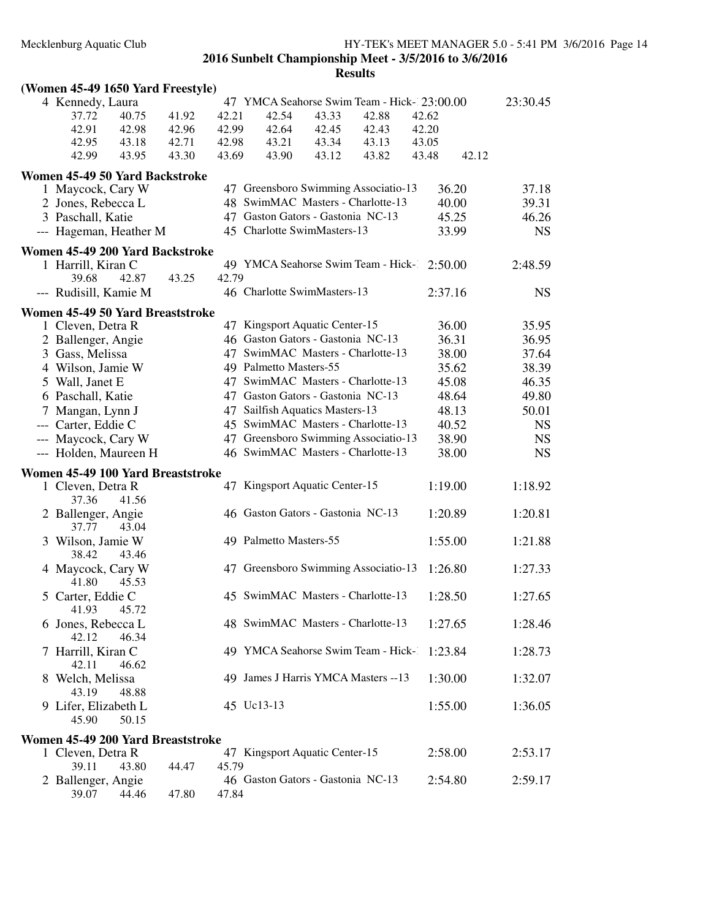## **(Women 45-49 1650 Yard Freestyle)** 4 Kennedy, Laura 47 YMCA Seahorse Swim Team - Hick-123:00.00 23:30.45<br>37.72 40.75 41.92 42.21 42.54 43.33 42.88 42.62 37.72 40.75 41.92 42.21 42.54 43.33 42.88 42.62 42.91 42.98 42.96 42.99 42.64 42.45 42.43 42.20 42.95 43.18 42.71 42.98 43.21 43.34 43.13 43.05 42.99 43.95 43.30 43.69 43.90 43.12 43.82 42.12 43.48 **Women 45-49 50 Yard Backstroke** 1 Maycock, Cary W 47 Greensboro Swimming Associatio-13 36.20 37.18 2 Jones, Rebecca L 48 SwimMAC Masters - Charlotte-13 40.00 39.31 3 Paschall, Katie 47 Gaston Gators - Gastonia NC-13 45.25 46.26<br>-- Hageman, Heather M 45 Charlotte SwimMasters-13 33.99 NS --- Hageman, Heather M 45 Charlotte SwimMasters-13 33.99 NS **Women 45-49 200 Yard Backstroke** 1 Harrill, Kiran C 49 YMCA Seahorse Swim Team - Hick-1 2:50.00 2:48.59 39.68 42.87 43.25 42.79 --- Rudisill, Kamie M 46 Charlotte SwimMasters-13 2:37.16 NS **Women 45-49 50 Yard Breaststroke** 47 Kingsport Aquatic Center-15 36.00 35.95 2 Ballenger, Angie 46 Gaston Gators - Gastonia NC-13 36.31 36.95 3 Gass, Melissa 47 SwimMAC Masters - Charlotte-13 38.00 37.64 4 Wilson, Jamie W 49 Palmetto Masters-55 35.62 38.39<br>5 Wall, Janet E 47 SwimMAC Masters - Charlotte-13 45.08 46.35 47 SwimMAC Masters - Charlotte-13 45.08 46.35 6 Paschall, Katie 47 Gaston Gators - Gastonia NC-13 48.64 49.80 7 Mangan, Lynn J 47 Sailfish Aquatics Masters-13 48.13 50.01 --- Carter, Eddie C 45 SwimMAC Masters - Charlotte-13 40.52 NS<br>--- Maycock, Cary W 47 Greensboro Swimming Associatio-13 38.90 NS 47 Greensboro Swimming Associatio-13 38.90 NS --- Holden, Maureen H 46 SwimMAC Masters - Charlotte-13 38.00 NS **Women 45-49 100 Yard Breaststroke** 1 Cleven, Detra R 47 Kingsport Aquatic Center-15 1:19.00 1:18.92 37.36 41.56 2 Ballenger, Angie 46 Gaston Gators - Gastonia NC-13 1:20.89 1:20.81 37.77 43.04 3 Wilson, Jamie W 49 Palmetto Masters-55 1:55.00 1:21.88<br>38.42 43.46 43.46 4 Maycock, Cary W 47 Greensboro Swimming Associatio-13 1:26.80 1:27.33 41.80 45.53 5 Carter, Eddie C 45 SwimMAC Masters - Charlotte-13 1:28.50 1:27.65 41.93 45.72 6 Jones, Rebecca L 48 SwimMAC Masters - Charlotte-13 1:27.65 1:28.46 42.12 46.34 7 Harrill, Kiran C 49 YMCA Seahorse Swim Team - Hick-1 1:23.84 1:28.73 42.11 46.62 8 Welch, Melissa 49 James J Harris YMCA Masters --13 1:30.00 1:32.07 43.19 48.88 9 Lifer, Elizabeth L 45 Uc13-13 1:55.00 1:36.05 45.90 50.15 **Women 45-49 200 Yard Breaststroke** 47 Kingsport Aquatic Center-15 2:58.00 2:53.17 39.11 43.80 44.47 45.79 2 Ballenger, Angie 46 Gaston Gators - Gastonia NC-13 2:54.80 2:59.17 39.07 44.46 47.80 47.84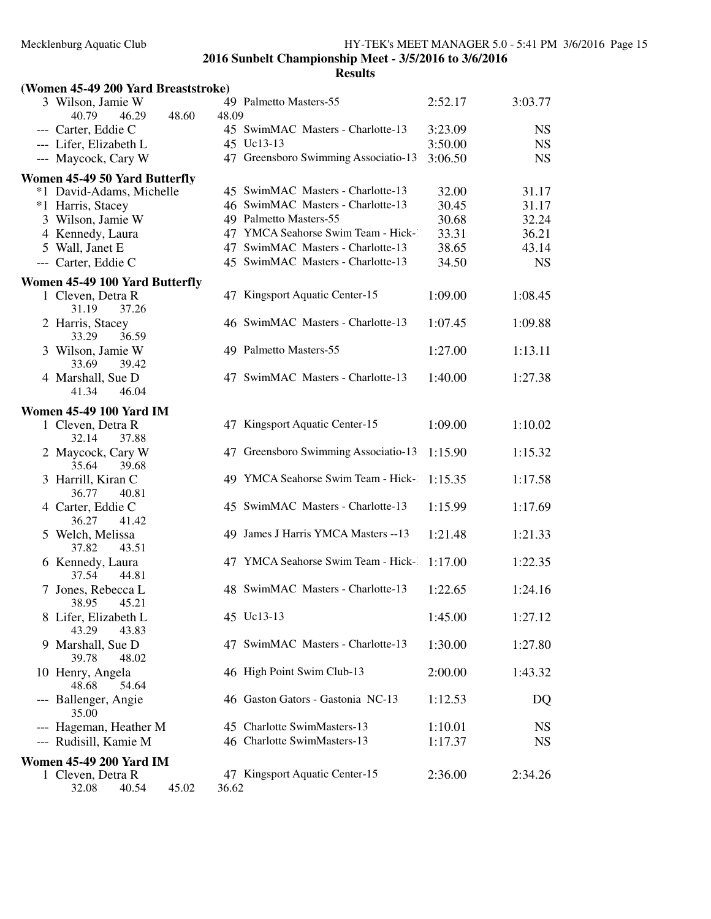| (Women 45-49 200 Yard Breaststroke)    |       |       |                                      |         |           |
|----------------------------------------|-------|-------|--------------------------------------|---------|-----------|
| 3 Wilson, Jamie W<br>40.79<br>46.29    | 48.60 | 48.09 | 49 Palmetto Masters-55               | 2:52.17 | 3:03.77   |
| --- Carter, Eddie C                    |       |       | 45 SwimMAC Masters - Charlotte-13    | 3:23.09 | <b>NS</b> |
| --- Lifer, Elizabeth L                 |       |       | 45 Uc13-13                           | 3:50.00 | <b>NS</b> |
| --- Maycock, Cary W                    |       |       | 47 Greensboro Swimming Associatio-13 | 3:06.50 | <b>NS</b> |
| Women 45-49 50 Yard Butterfly          |       |       |                                      |         |           |
| *1 David-Adams, Michelle               |       |       | 45 SwimMAC Masters - Charlotte-13    | 32.00   | 31.17     |
| *1 Harris, Stacey                      |       |       | 46 SwimMAC Masters - Charlotte-13    | 30.45   | 31.17     |
| 3 Wilson, Jamie W                      |       |       | 49 Palmetto Masters-55               | 30.68   | 32.24     |
| 4 Kennedy, Laura                       |       |       | 47 YMCA Seahorse Swim Team - Hick-1  | 33.31   | 36.21     |
| 5 Wall, Janet E                        |       |       | 47 SwimMAC Masters - Charlotte-13    | 38.65   | 43.14     |
| --- Carter, Eddie C                    |       |       | 45 SwimMAC Masters - Charlotte-13    | 34.50   | <b>NS</b> |
| Women 45-49 100 Yard Butterfly         |       |       |                                      |         |           |
| 1 Cleven, Detra R<br>31.19<br>37.26    |       |       | 47 Kingsport Aquatic Center-15       | 1:09.00 | 1:08.45   |
| 2 Harris, Stacey<br>36.59<br>33.29     |       |       | 46 SwimMAC Masters - Charlotte-13    | 1:07.45 | 1:09.88   |
| 3 Wilson, Jamie W<br>33.69<br>39.42    |       |       | 49 Palmetto Masters-55               | 1:27.00 | 1:13.11   |
| 4 Marshall, Sue D<br>46.04<br>41.34    |       |       | 47 SwimMAC Masters - Charlotte-13    | 1:40.00 | 1:27.38   |
| <b>Women 45-49 100 Yard IM</b>         |       |       |                                      |         |           |
| 1 Cleven, Detra R<br>32.14<br>37.88    |       |       | 47 Kingsport Aquatic Center-15       | 1:09.00 | 1:10.02   |
| 2 Maycock, Cary W<br>35.64<br>39.68    |       |       | 47 Greensboro Swimming Associatio-13 | 1:15.90 | 1:15.32   |
| 3 Harrill, Kiran C<br>36.77<br>40.81   |       |       | 49 YMCA Seahorse Swim Team - Hick-1  | 1:15.35 | 1:17.58   |
| 4 Carter, Eddie C<br>36.27<br>41.42    |       |       | 45 SwimMAC Masters - Charlotte-13    | 1:15.99 | 1:17.69   |
| 5 Welch, Melissa<br>37.82<br>43.51     |       |       | 49 James J Harris YMCA Masters -- 13 | 1:21.48 | 1:21.33   |
| 6 Kennedy, Laura<br>37.54<br>44.81     |       |       | 47 YMCA Seahorse Swim Team - Hick-   | 1:17.00 | 1:22.35   |
| 7 Jones, Rebecca L<br>38.95 45.21      |       |       | 48 SwimMAC Masters - Charlotte-13    | 1:22.65 | 1:24.16   |
| 8 Lifer, Elizabeth L<br>43.29<br>43.83 |       |       | 45 Uc13-13                           | 1:45.00 | 1:27.12   |
| 9 Marshall, Sue D<br>39.78<br>48.02    |       |       | 47 SwimMAC Masters - Charlotte-13    | 1:30.00 | 1:27.80   |
| 10 Henry, Angela<br>48.68<br>54.64     |       |       | 46 High Point Swim Club-13           | 2:00.00 | 1:43.32   |
| --- Ballenger, Angie<br>35.00          |       |       | 46 Gaston Gators - Gastonia NC-13    | 1:12.53 | DQ        |
| --- Hageman, Heather M                 |       |       | 45 Charlotte SwimMasters-13          | 1:10.01 | <b>NS</b> |
| --- Rudisill, Kamie M                  |       |       | 46 Charlotte SwimMasters-13          | 1:17.37 | NS        |
| <b>Women 45-49 200 Yard IM</b>         |       |       |                                      |         |           |
| 1 Cleven, Detra R                      |       |       | 47 Kingsport Aquatic Center-15       | 2:36.00 | 2:34.26   |
| 32.08<br>40.54                         | 45.02 | 36.62 |                                      |         |           |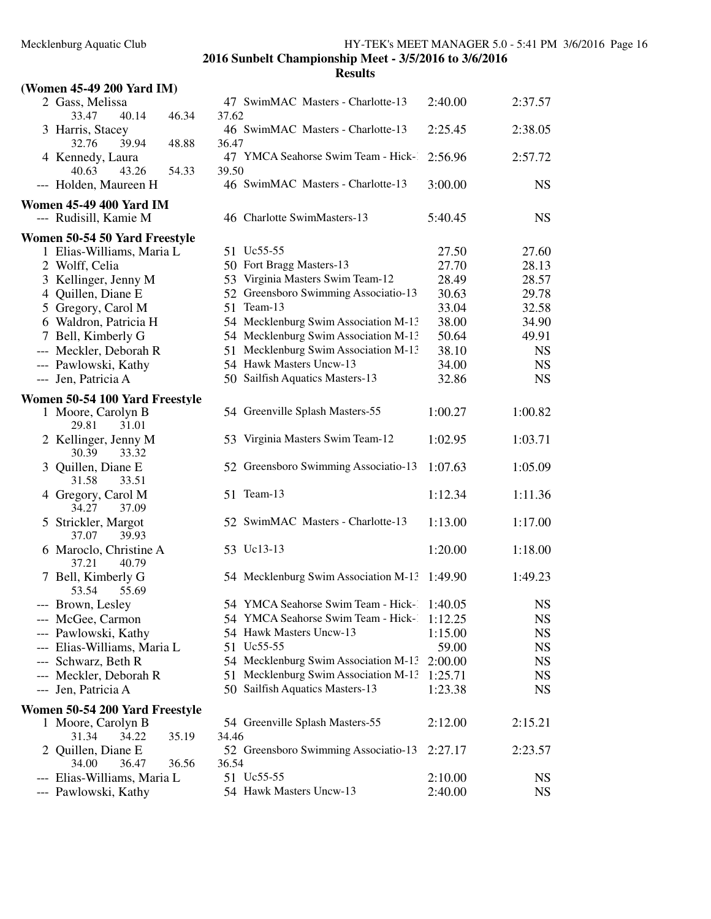| (Women 45-49 200 Yard IM)                               |                |                                              |         |           |
|---------------------------------------------------------|----------------|----------------------------------------------|---------|-----------|
| 2 Gass, Melissa<br>40.14<br>33.47                       | 46.34<br>37.62 | 47 SwimMAC Masters - Charlotte-13            | 2:40.00 | 2:37.57   |
| 3 Harris, Stacey<br>32.76<br>39.94                      | 48.88<br>36.47 | 46 SwimMAC Masters - Charlotte-13            | 2:25.45 | 2:38.05   |
| 4 Kennedy, Laura<br>40.63<br>43.26                      | 54.33<br>39.50 | 47 YMCA Seahorse Swim Team - Hick-           | 2:56.96 | 2:57.72   |
| --- Holden, Maureen H                                   |                | 46 SwimMAC Masters - Charlotte-13            | 3:00.00 | <b>NS</b> |
| <b>Women 45-49 400 Yard IM</b><br>--- Rudisill, Kamie M |                | 46 Charlotte SwimMasters-13                  | 5:40.45 | <b>NS</b> |
| Women 50-54 50 Yard Freestyle                           |                |                                              |         |           |
| 1 Elias-Williams, Maria L                               |                | 51 Uc55-55                                   | 27.50   | 27.60     |
| 2 Wolff, Celia                                          |                | 50 Fort Bragg Masters-13                     | 27.70   | 28.13     |
| 3 Kellinger, Jenny M                                    |                | 53 Virginia Masters Swim Team-12             | 28.49   | 28.57     |
| 4 Quillen, Diane E                                      |                | 52 Greensboro Swimming Associatio-13         | 30.63   | 29.78     |
| 5 Gregory, Carol M                                      |                | 51 Team-13                                   | 33.04   | 32.58     |
| 6 Waldron, Patricia H                                   |                | 54 Mecklenburg Swim Association M-13         | 38.00   | 34.90     |
| 7 Bell, Kimberly G                                      |                | 54 Mecklenburg Swim Association M-13         | 50.64   | 49.91     |
| --- Meckler, Deborah R                                  |                | 51 Mecklenburg Swim Association M-13         | 38.10   | <b>NS</b> |
| --- Pawlowski, Kathy                                    |                | 54 Hawk Masters Uncw-13                      | 34.00   | <b>NS</b> |
| --- Jen, Patricia A                                     |                | 50 Sailfish Aquatics Masters-13              | 32.86   | <b>NS</b> |
| Women 50-54 100 Yard Freestyle                          |                |                                              |         |           |
| 1 Moore, Carolyn B<br>29.81<br>31.01                    |                | 54 Greenville Splash Masters-55              | 1:00.27 | 1:00.82   |
| 2 Kellinger, Jenny M<br>30.39<br>33.32                  |                | 53 Virginia Masters Swim Team-12             | 1:02.95 | 1:03.71   |
| 3 Quillen, Diane E<br>31.58<br>33.51                    |                | 52 Greensboro Swimming Associatio-13         | 1:07.63 | 1:05.09   |
| 4 Gregory, Carol M<br>34.27<br>37.09                    |                | 51 Team-13                                   | 1:12.34 | 1:11.36   |
| 5 Strickler, Margot<br>37.07<br>39.93                   |                | 52 SwimMAC Masters - Charlotte-13            | 1:13.00 | 1:17.00   |
| 6 Maroclo, Christine A<br>37.21<br>40.79                |                | 53 Uc13-13                                   | 1:20.00 | 1:18.00   |
| 7 Bell, Kimberly G<br>55.69<br>53.54                    |                | 54 Mecklenburg Swim Association M-13 1:49.90 |         | 1:49.23   |
| --- Brown, Lesley                                       |                | 54 YMCA Seahorse Swim Team - Hick- 1:40.05   |         | <b>NS</b> |
| --- McGee, Carmon                                       |                | 54 YMCA Seahorse Swim Team - Hick-1:12.25    |         | <b>NS</b> |
| --- Pawlowski, Kathy                                    |                | 54 Hawk Masters Uncw-13                      | 1:15.00 | <b>NS</b> |
| --- Elias-Williams, Maria L                             |                | 51 Uc55-55                                   | 59.00   | <b>NS</b> |
| --- Schwarz, Beth R                                     |                | 54 Mecklenburg Swim Association M-13         | 2:00.00 | <b>NS</b> |
| --- Meckler, Deborah R                                  |                | 51 Mecklenburg Swim Association M-13         | 1:25.71 | <b>NS</b> |
| --- Jen, Patricia A                                     |                | 50 Sailfish Aquatics Masters-13              | 1:23.38 | <b>NS</b> |
| Women 50-54 200 Yard Freestyle                          |                |                                              |         |           |
| 1 Moore, Carolyn B                                      |                | 54 Greenville Splash Masters-55              | 2:12.00 | 2:15.21   |
| 31.34<br>34.22                                          | 35.19<br>34.46 |                                              |         |           |
| 2 Quillen, Diane E<br>34.00<br>36.47                    | 36.56<br>36.54 | 52 Greensboro Swimming Associatio-13         | 2:27.17 | 2:23.57   |
| --- Elias-Williams, Maria L                             |                | 51 Uc55-55                                   | 2:10.00 | <b>NS</b> |
| --- Pawlowski, Kathy                                    |                | 54 Hawk Masters Uncw-13                      | 2:40.00 | <b>NS</b> |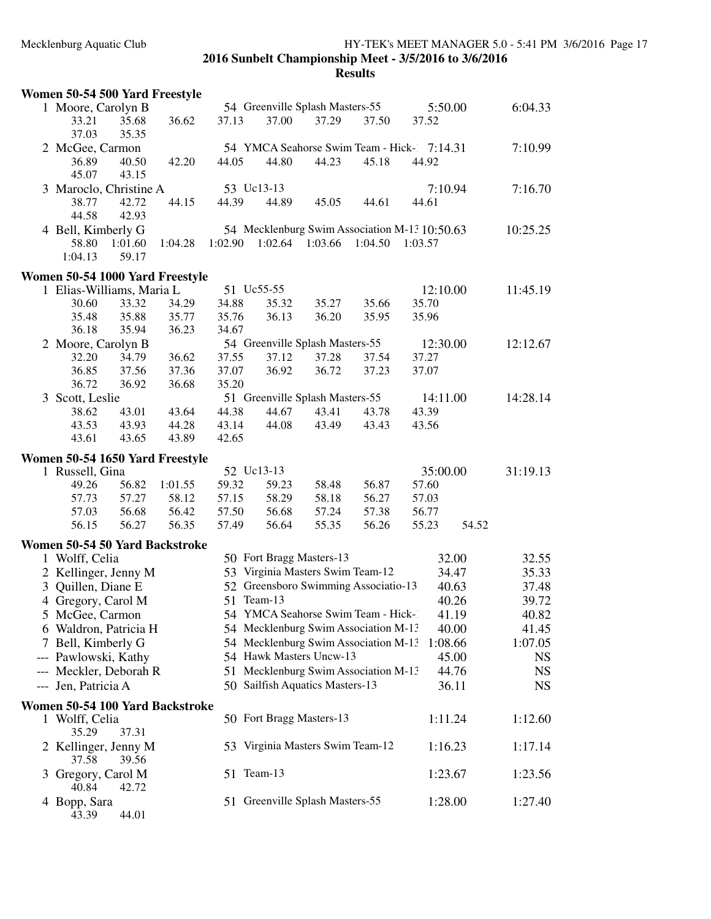| Women 50-54 500 Yard Freestyle  |         |         |         |            |                                  |                                      |                                               |       |           |
|---------------------------------|---------|---------|---------|------------|----------------------------------|--------------------------------------|-----------------------------------------------|-------|-----------|
| 1 Moore, Carolyn B              |         |         |         |            | 54 Greenville Splash Masters-55  |                                      | 5:50.00                                       |       | 6:04.33   |
| 33.21                           | 35.68   | 36.62   | 37.13   | 37.00      | 37.29                            | 37.50                                | 37.52                                         |       |           |
| 37.03                           | 35.35   |         |         |            |                                  |                                      |                                               |       |           |
| 2 McGee, Carmon                 |         |         |         |            |                                  |                                      | 54 YMCA Seahorse Swim Team - Hick- 7:14.31    |       | 7:10.99   |
| 36.89                           | 40.50   | 42.20   | 44.05   | 44.80      | 44.23                            | 45.18                                | 44.92                                         |       |           |
| 45.07                           | 43.15   |         |         |            |                                  |                                      |                                               |       |           |
| 3 Maroclo, Christine A          |         |         |         | 53 Uc13-13 |                                  |                                      | 7:10.94                                       |       | 7:16.70   |
| 38.77                           | 42.72   | 44.15   | 44.39   | 44.89      | 45.05                            | 44.61                                | 44.61                                         |       |           |
| 44.58                           | 42.93   |         |         |            |                                  |                                      |                                               |       |           |
| 4 Bell, Kimberly G              |         |         |         |            |                                  |                                      | 54 Mecklenburg Swim Association M-13 10:50.63 |       | 10:25.25  |
| 58.80                           | 1:01.60 | 1:04.28 | 1:02.90 | 1:02.64    | 1:03.66                          | 1:04.50                              | 1:03.57                                       |       |           |
| 1:04.13                         | 59.17   |         |         |            |                                  |                                      |                                               |       |           |
| Women 50-54 1000 Yard Freestyle |         |         |         |            |                                  |                                      |                                               |       |           |
| 1 Elias-Williams, Maria L       |         |         |         | 51 Uc55-55 |                                  |                                      | 12:10.00                                      |       | 11:45.19  |
| 30.60                           | 33.32   | 34.29   | 34.88   | 35.32      | 35.27                            | 35.66                                | 35.70                                         |       |           |
| 35.48                           | 35.88   | 35.77   | 35.76   | 36.13      | 36.20                            | 35.95                                | 35.96                                         |       |           |
| 36.18                           | 35.94   | 36.23   | 34.67   |            |                                  |                                      |                                               |       |           |
| 2 Moore, Carolyn B              |         |         |         |            | 54 Greenville Splash Masters-55  |                                      | 12:30.00                                      |       | 12:12.67  |
| 32.20                           | 34.79   | 36.62   | 37.55   | 37.12      | 37.28                            | 37.54                                | 37.27                                         |       |           |
| 36.85                           | 37.56   | 37.36   | 37.07   | 36.92      | 36.72                            | 37.23                                | 37.07                                         |       |           |
| 36.72                           | 36.92   | 36.68   | 35.20   |            |                                  |                                      |                                               |       |           |
| 3 Scott, Leslie                 |         |         |         |            | 51 Greenville Splash Masters-55  |                                      | 14:11.00                                      |       | 14:28.14  |
| 38.62                           | 43.01   | 43.64   | 44.38   | 44.67      | 43.41                            | 43.78                                | 43.39                                         |       |           |
| 43.53                           | 43.93   | 44.28   | 43.14   | 44.08      | 43.49                            | 43.43                                | 43.56                                         |       |           |
| 43.61                           | 43.65   | 43.89   | 42.65   |            |                                  |                                      |                                               |       |           |
| Women 50-54 1650 Yard Freestyle |         |         |         |            |                                  |                                      |                                               |       |           |
| 1 Russell, Gina                 |         |         |         | 52 Uc13-13 |                                  |                                      | 35:00.00                                      |       | 31:19.13  |
| 49.26                           | 56.82   | 1:01.55 | 59.32   | 59.23      | 58.48                            | 56.87                                | 57.60                                         |       |           |
| 57.73                           | 57.27   | 58.12   | 57.15   | 58.29      | 58.18                            | 56.27                                | 57.03                                         |       |           |
| 57.03                           | 56.68   | 56.42   | 57.50   | 56.68      | 57.24                            | 57.38                                | 56.77                                         |       |           |
| 56.15                           | 56.27   | 56.35   | 57.49   | 56.64      | 55.35                            | 56.26                                | 55.23                                         | 54.52 |           |
| Women 50-54 50 Yard Backstroke  |         |         |         |            |                                  |                                      |                                               |       |           |
| 1 Wolff, Celia                  |         |         |         |            | 50 Fort Bragg Masters-13         |                                      | 32.00                                         |       | 32.55     |
| 2 Kellinger, Jenny M            |         |         |         |            | 53 Virginia Masters Swim Team-12 |                                      | 34.47                                         |       | 35.33     |
| 3 Quillen, Diane E              |         |         |         |            |                                  | 52 Greensboro Swimming Associatio-13 | 40.63                                         |       | 37.48     |
| 4 Gregory, Carol M              |         |         | 51      | Team-13    |                                  |                                      | 40.26                                         |       | 39.72     |
| 5 McGee, Carmon                 |         |         |         |            |                                  | 54 YMCA Seahorse Swim Team - Hick-1  | 41.19                                         |       | 40.82     |
| 6 Waldron, Patricia H           |         |         |         |            |                                  | 54 Mecklenburg Swim Association M-13 | 40.00                                         |       | 41.45     |
| 7 Bell, Kimberly G              |         |         |         |            |                                  | 54 Mecklenburg Swim Association M-13 | 1:08.66                                       |       | 1:07.05   |
| --- Pawlowski, Kathy            |         |         |         |            | 54 Hawk Masters Uncw-13          |                                      | 45.00                                         |       | <b>NS</b> |
| --- Meckler, Deborah R          |         |         |         |            |                                  | 51 Mecklenburg Swim Association M-13 | 44.76                                         |       | <b>NS</b> |
| --- Jen, Patricia A             |         |         |         |            | 50 Sailfish Aquatics Masters-13  |                                      | 36.11                                         |       | <b>NS</b> |
|                                 |         |         |         |            |                                  |                                      |                                               |       |           |
| Women 50-54 100 Yard Backstroke |         |         |         |            |                                  |                                      |                                               |       |           |
| 1 Wolff, Celia                  | 37.31   |         |         |            | 50 Fort Bragg Masters-13         |                                      | 1:11.24                                       |       | 1:12.60   |
| 35.29                           |         |         |         |            |                                  |                                      |                                               |       |           |
| 2 Kellinger, Jenny M<br>37.58   | 39.56   |         |         |            | 53 Virginia Masters Swim Team-12 |                                      | 1:16.23                                       |       | 1:17.14   |
|                                 |         |         |         | 51 Team-13 |                                  |                                      | 1:23.67                                       |       | 1:23.56   |
| 3 Gregory, Carol M<br>40.84     | 42.72   |         |         |            |                                  |                                      |                                               |       |           |
| 4 Bopp, Sara                    |         |         |         |            | 51 Greenville Splash Masters-55  |                                      | 1:28.00                                       |       | 1:27.40   |
| 43.39                           | 44.01   |         |         |            |                                  |                                      |                                               |       |           |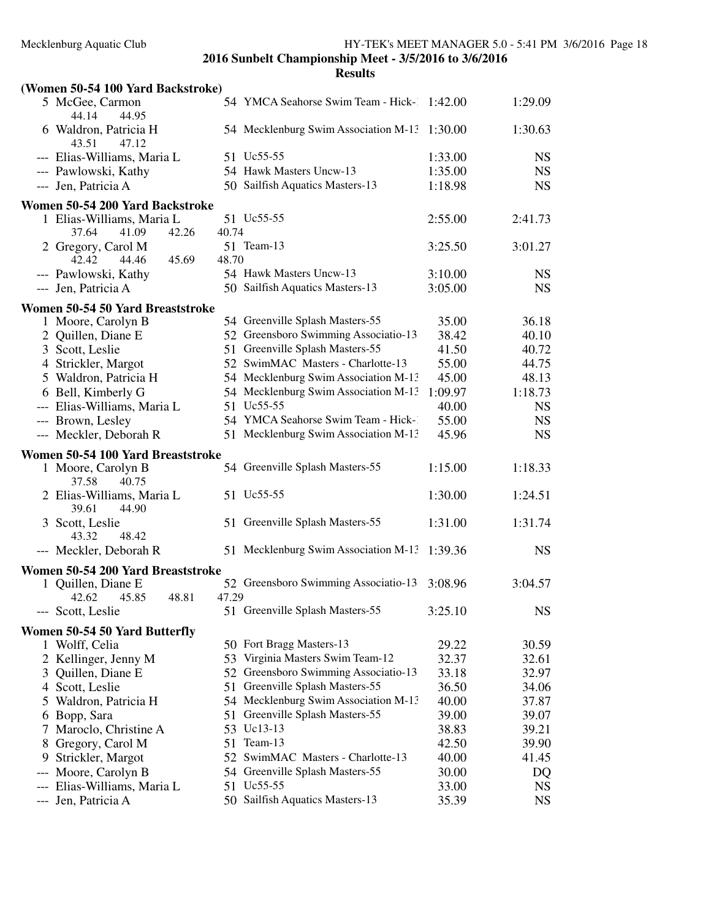|     | (Women 50-54 100 Yard Backstroke)             |       |                                              |         |           |
|-----|-----------------------------------------------|-------|----------------------------------------------|---------|-----------|
|     | 5 McGee, Carmon<br>44.14<br>44.95             |       | 54 YMCA Seahorse Swim Team - Hick-1:42.00    |         | 1:29.09   |
|     | 6 Waldron, Patricia H<br>43.51<br>47.12       |       | 54 Mecklenburg Swim Association M-13 1:30.00 |         | 1:30.63   |
|     | --- Elias-Williams, Maria L                   |       | 51 Uc55-55                                   | 1:33.00 | <b>NS</b> |
|     | --- Pawlowski, Kathy                          |       | 54 Hawk Masters Uncw-13                      | 1:35.00 | <b>NS</b> |
|     | --- Jen, Patricia A                           |       | 50 Sailfish Aquatics Masters-13              | 1:18.98 | <b>NS</b> |
|     | Women 50-54 200 Yard Backstroke               |       |                                              |         |           |
|     | 1 Elias-Williams, Maria L                     |       | 51 Uc55-55                                   | 2:55.00 | 2:41.73   |
|     | 37.64<br>41.09<br>42.26                       | 40.74 |                                              |         |           |
|     | 2 Gregory, Carol M                            |       | 51 Team-13                                   | 3:25.50 | 3:01.27   |
|     | 42.42<br>44.46<br>45.69                       | 48.70 |                                              |         |           |
|     | --- Pawlowski, Kathy                          |       | 54 Hawk Masters Uncw-13                      | 3:10.00 | <b>NS</b> |
|     | --- Jen, Patricia A                           |       | 50 Sailfish Aquatics Masters-13              | 3:05.00 | <b>NS</b> |
|     | Women 50-54 50 Yard Breaststroke              |       |                                              |         |           |
|     | 1 Moore, Carolyn B                            |       | 54 Greenville Splash Masters-55              | 35.00   | 36.18     |
|     | 2 Quillen, Diane E                            |       | 52 Greensboro Swimming Associatio-13         | 38.42   | 40.10     |
|     | 3 Scott, Leslie                               |       | 51 Greenville Splash Masters-55              | 41.50   | 40.72     |
|     | 4 Strickler, Margot                           |       | 52 SwimMAC Masters - Charlotte-13            | 55.00   | 44.75     |
|     | 5 Waldron, Patricia H                         |       | 54 Mecklenburg Swim Association M-13         | 45.00   | 48.13     |
|     | 6 Bell, Kimberly G                            |       | 54 Mecklenburg Swim Association M-13         | 1:09.97 | 1:18.73   |
|     | --- Elias-Williams, Maria L                   |       | 51 Uc55-55                                   | 40.00   | <b>NS</b> |
|     | --- Brown, Lesley                             |       | 54 YMCA Seahorse Swim Team - Hick-1          | 55.00   | <b>NS</b> |
|     | --- Meckler, Deborah R                        |       | 51 Mecklenburg Swim Association M-13         | 45.96   | <b>NS</b> |
|     | Women 50-54 100 Yard Breaststroke             |       |                                              |         |           |
|     | 1 Moore, Carolyn B<br>40.75<br>37.58          |       | 54 Greenville Splash Masters-55              | 1:15.00 | 1:18.33   |
|     | 2 Elias-Williams, Maria L<br>39.61<br>44.90   |       | 51 Uc55-55                                   | 1:30.00 | 1:24.51   |
|     | 3 Scott, Leslie<br>43.32<br>48.42             |       | 51 Greenville Splash Masters-55              | 1:31.00 | 1:31.74   |
|     | --- Meckler, Deborah R                        |       | 51 Mecklenburg Swim Association M-13         | 1:39.36 | <b>NS</b> |
|     | Women 50-54 200 Yard Breaststroke             |       |                                              |         |           |
|     | 1 Quillen, Diane E<br>42.62<br>45.85<br>48.81 | 47.29 | 52 Greensboro Swimming Associatio-13         | 3:08.96 | 3:04.57   |
|     | --- Scott, Leslie                             |       | 51 Greenville Splash Masters-55              | 3:25.10 | <b>NS</b> |
|     | Women 50-54 50 Yard Butterfly                 |       |                                              |         |           |
|     | 1 Wolff, Celia                                |       | 50 Fort Bragg Masters-13                     | 29.22   | 30.59     |
|     | 2 Kellinger, Jenny M                          |       | 53 Virginia Masters Swim Team-12             | 32.37   | 32.61     |
|     | 3 Quillen, Diane E                            |       | 52 Greensboro Swimming Associatio-13         | 33.18   | 32.97     |
|     | 4 Scott, Leslie                               |       | 51 Greenville Splash Masters-55              | 36.50   | 34.06     |
|     | 5 Waldron, Patricia H                         |       | 54 Mecklenburg Swim Association M-13         | 40.00   | 37.87     |
|     | 6 Bopp, Sara                                  | 51    | Greenville Splash Masters-55                 | 39.00   | 39.07     |
| Τ   | Maroclo, Christine A                          |       | 53 Uc13-13                                   | 38.83   | 39.21     |
| 8   | Gregory, Carol M                              | 51    | Team-13                                      | 42.50   | 39.90     |
| 9   | Strickler, Margot                             |       | 52 SwimMAC Masters - Charlotte-13            | 40.00   | 41.45     |
| --- |                                               |       | 54 Greenville Splash Masters-55              | 30.00   | DQ        |
|     |                                               |       |                                              |         |           |
|     | Moore, Carolyn B<br>Elias-Williams, Maria L   |       | 51 Uc55-55                                   | 33.00   | <b>NS</b> |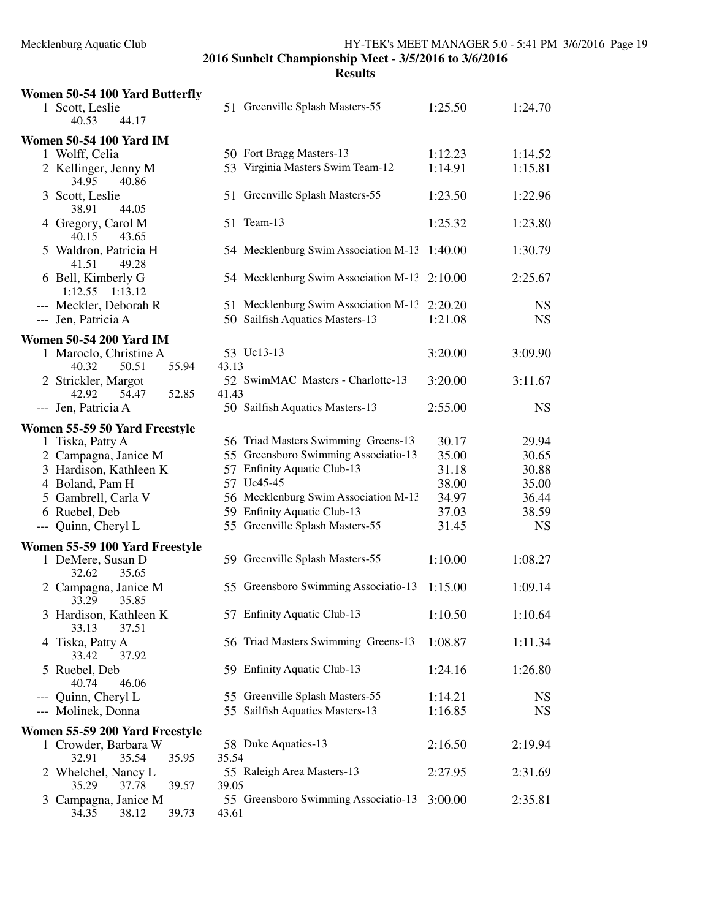| Women 50-54 100 Yard Butterfly<br>1 Scott, Leslie | 51 Greenville Splash Masters-55               | 1:25.50 | 1:24.70   |
|---------------------------------------------------|-----------------------------------------------|---------|-----------|
| 44.17<br>40.53                                    |                                               |         |           |
| <b>Women 50-54 100 Yard IM</b>                    |                                               |         |           |
| 1 Wolff, Celia                                    | 50 Fort Bragg Masters-13                      | 1:12.23 | 1:14.52   |
| 2 Kellinger, Jenny M<br>34.95<br>40.86            | 53 Virginia Masters Swim Team-12              | 1:14.91 | 1:15.81   |
| 3 Scott, Leslie                                   | 51 Greenville Splash Masters-55               | 1:23.50 | 1:22.96   |
| 38.91<br>44.05                                    |                                               |         |           |
| 4 Gregory, Carol M<br>40.15<br>43.65              | 51 Team-13                                    | 1:25.32 | 1:23.80   |
| 5 Waldron, Patricia H<br>41.51<br>49.28           | 54 Mecklenburg Swim Association M-13          | 1:40.00 | 1:30.79   |
| 6 Bell, Kimberly G<br>1:12.55 1:13.12             | 54 Mecklenburg Swim Association M-13          | 2:10.00 | 2:25.67   |
| --- Meckler, Deborah R                            | 51 Mecklenburg Swim Association M-13          | 2:20.20 | <b>NS</b> |
| --- Jen, Patricia A                               | 50 Sailfish Aquatics Masters-13               | 1:21.08 | <b>NS</b> |
| <b>Women 50-54 200 Yard IM</b>                    |                                               |         |           |
| 1 Maroclo, Christine A                            | 53 Uc13-13                                    | 3:20.00 | 3:09.90   |
| 50.51<br>55.94<br>40.32                           | 43.13                                         |         |           |
| 2 Strickler, Margot<br>52.85<br>42.92             | 52 SwimMAC Masters - Charlotte-13<br>41.43    | 3:20.00 | 3:11.67   |
| 54.47<br>--- Jen, Patricia A                      | 50 Sailfish Aquatics Masters-13               | 2:55.00 | <b>NS</b> |
| Women 55-59 50 Yard Freestyle                     |                                               |         |           |
| 1 Tiska, Patty A                                  | 56 Triad Masters Swimming Greens-13           | 30.17   | 29.94     |
| 2 Campagna, Janice M                              | 55 Greensboro Swimming Associatio-13          | 35.00   | 30.65     |
| 3 Hardison, Kathleen K                            | 57 Enfinity Aquatic Club-13                   | 31.18   | 30.88     |
| 4 Boland, Pam H                                   | 57 Uc45-45                                    | 38.00   | 35.00     |
| 5 Gambrell, Carla V                               | 56 Mecklenburg Swim Association M-13          | 34.97   | 36.44     |
| 6 Ruebel, Deb                                     | 59 Enfinity Aquatic Club-13                   | 37.03   | 38.59     |
| --- Quinn, Cheryl L                               | 55 Greenville Splash Masters-55               | 31.45   | <b>NS</b> |
| Women 55-59 100 Yard Freestyle                    |                                               |         |           |
| 1 DeMere, Susan D<br>32.62<br>35.65               | 59 Greenville Splash Masters-55               | 1:10.00 | 1:08.27   |
| 2 Campagna, Janice M<br>33.29<br>35.85            | 55 Greensboro Swimming Associatio-13          | 1:15.00 | 1:09.14   |
| 3 Hardison, Kathleen K<br>33.13<br>37.51          | 57 Enfinity Aquatic Club-13                   | 1:10.50 | 1:10.64   |
| 4 Tiska, Patty A<br>33.42<br>37.92                | 56 Triad Masters Swimming Greens-13           | 1:08.87 | 1:11.34   |
| 5 Ruebel, Deb<br>40.74<br>46.06                   | 59 Enfinity Aquatic Club-13                   | 1:24.16 | 1:26.80   |
| Quinn, Cheryl L<br>---                            | 55 Greenville Splash Masters-55               | 1:14.21 | <b>NS</b> |
| --- Molinek, Donna                                | 55 Sailfish Aquatics Masters-13               | 1:16.85 | <b>NS</b> |
| Women 55-59 200 Yard Freestyle                    |                                               |         |           |
| 1 Crowder, Barbara W                              | 58 Duke Aquatics-13                           | 2:16.50 | 2:19.94   |
| 32.91<br>35.54<br>35.95                           | 35.54                                         |         |           |
| 2 Whelchel, Nancy L<br>35.29<br>37.78<br>39.57    | 55 Raleigh Area Masters-13<br>39.05           | 2:27.95 | 2:31.69   |
| 3 Campagna, Janice M<br>34.35<br>38.12<br>39.73   | 55 Greensboro Swimming Associatio-13<br>43.61 | 3:00.00 | 2:35.81   |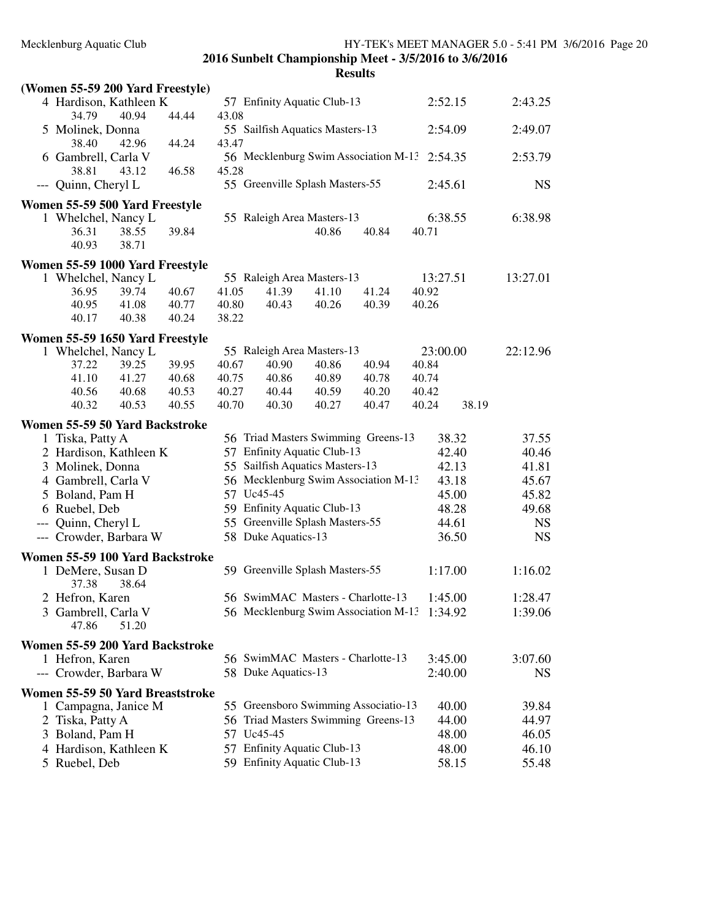| (Women 55-59 200 Yard Freestyle) |       |       |                             |                                                            |       |       |          |         |           |
|----------------------------------|-------|-------|-----------------------------|------------------------------------------------------------|-------|-------|----------|---------|-----------|
| 4 Hardison, Kathleen K           |       |       | 57 Enfinity Aquatic Club-13 |                                                            |       |       | 2:52.15  | 2:43.25 |           |
| 34.79                            | 40.94 | 44.44 | 43.08                       |                                                            |       |       |          |         |           |
| 5 Molinek, Donna<br>38.40        | 42.96 | 44.24 | 43.47                       | 55 Sailfish Aquatics Masters-13                            |       |       |          | 2:54.09 | 2:49.07   |
| 6 Gambrell, Carla V              |       |       |                             | 56 Mecklenburg Swim Association M-13 2:54.35               |       |       |          |         | 2:53.79   |
| 38.81                            | 43.12 | 46.58 | 45.28                       |                                                            |       |       |          |         |           |
| --- Quinn, Cheryl L              |       |       |                             | 55 Greenville Splash Masters-55                            |       |       |          | 2:45.61 | <b>NS</b> |
| Women 55-59 500 Yard Freestyle   |       |       |                             |                                                            |       |       |          |         |           |
| 1 Whelchel, Nancy L              |       |       |                             | 55 Raleigh Area Masters-13                                 |       |       |          | 6:38.55 | 6:38.98   |
| 36.31                            | 38.55 | 39.84 |                             |                                                            | 40.86 | 40.84 | 40.71    |         |           |
| 40.93                            | 38.71 |       |                             |                                                            |       |       |          |         |           |
| Women 55-59 1000 Yard Freestyle  |       |       |                             |                                                            |       |       |          |         |           |
| 1 Whelchel, Nancy L              |       |       |                             | 55 Raleigh Area Masters-13                                 |       |       | 13:27.51 |         | 13:27.01  |
| 36.95                            | 39.74 | 40.67 | 41.05                       | 41.39                                                      | 41.10 | 41.24 | 40.92    |         |           |
| 40.95                            | 41.08 | 40.77 | 40.80                       | 40.43                                                      | 40.26 | 40.39 | 40.26    |         |           |
| 40.17                            | 40.38 | 40.24 | 38.22                       |                                                            |       |       |          |         |           |
| Women 55-59 1650 Yard Freestyle  |       |       |                             |                                                            |       |       |          |         |           |
| 1 Whelchel, Nancy L              |       |       |                             | 55 Raleigh Area Masters-13                                 |       |       | 23:00.00 |         | 22:12.96  |
| 37.22                            | 39.25 | 39.95 | 40.67                       | 40.90                                                      | 40.86 | 40.94 | 40.84    |         |           |
| 41.10                            | 41.27 | 40.68 | 40.75                       | 40.86                                                      | 40.89 | 40.78 | 40.74    |         |           |
| 40.56                            | 40.68 | 40.53 | 40.27                       | 40.44                                                      | 40.59 | 40.20 | 40.42    |         |           |
| 40.32                            | 40.53 | 40.55 | 40.70                       | 40.30                                                      | 40.27 | 40.47 | 40.24    | 38.19   |           |
| Women 55-59 50 Yard Backstroke   |       |       |                             |                                                            |       |       |          |         |           |
| 1 Tiska, Patty A                 |       |       |                             | 56 Triad Masters Swimming Greens-13                        |       |       |          | 38.32   | 37.55     |
| 2 Hardison, Kathleen K           |       |       |                             | 57 Enfinity Aquatic Club-13                                |       |       |          | 42.40   | 40.46     |
| 3 Molinek, Donna                 |       |       |                             | 55 Sailfish Aquatics Masters-13                            |       |       |          | 42.13   | 41.81     |
| 4 Gambrell, Carla V              |       |       |                             | 56 Mecklenburg Swim Association M-13                       |       |       |          | 43.18   | 45.67     |
| 5 Boland, Pam H                  |       |       |                             | 57 Uc45-45                                                 |       |       |          | 45.00   | 45.82     |
| 6 Ruebel, Deb                    |       |       |                             | 59 Enfinity Aquatic Club-13                                |       |       |          | 48.28   | 49.68     |
| --- Quinn, Cheryl L              |       |       |                             | 55 Greenville Splash Masters-55                            |       |       |          | 44.61   | <b>NS</b> |
| --- Crowder, Barbara W           |       |       |                             | 58 Duke Aquatics-13                                        |       |       |          | 36.50   | <b>NS</b> |
| Women 55-59 100 Yard Backstroke  |       |       |                             |                                                            |       |       |          |         |           |
| 1 DeMere, Susan D                |       |       |                             | 59 Greenville Splash Masters-55                            |       |       |          | 1:17.00 | 1:16.02   |
| 37.38                            | 38.64 |       |                             |                                                            |       |       |          |         |           |
| 2 Hefron, Karen                  |       |       |                             | 56 SwimMAC Masters - Charlotte-13                          |       |       |          | 1:45.00 | 1:28.47   |
| 3 Gambrell, Carla V<br>47.86     | 51.20 |       |                             | 56 Mecklenburg Swim Association M-13 1:34.92               |       |       |          |         | 1:39.06   |
|                                  |       |       |                             |                                                            |       |       |          |         |           |
| Women 55-59 200 Yard Backstroke  |       |       |                             | 56 SwimMAC Masters - Charlotte-13                          |       |       |          |         |           |
| 1 Hefron, Karen                  |       |       |                             |                                                            |       |       |          | 3:45.00 | 3:07.60   |
| --- Crowder, Barbara W           |       |       |                             | 58 Duke Aquatics-13                                        |       |       |          | 2:40.00 | NS        |
| Women 55-59 50 Yard Breaststroke |       |       |                             |                                                            |       |       |          |         |           |
| 1 Campagna, Janice M             |       |       |                             | 55 Greensboro Swimming Associatio-13                       |       |       |          | 40.00   | 39.84     |
| 2 Tiska, Patty A                 |       |       |                             | 56 Triad Masters Swimming Greens-13                        |       |       |          | 44.00   | 44.97     |
| 3 Boland, Pam H                  |       |       |                             | 57 Uc45-45                                                 |       |       |          | 48.00   | 46.05     |
| 4 Hardison, Kathleen K           |       |       |                             | 57 Enfinity Aquatic Club-13<br>59 Enfinity Aquatic Club-13 |       |       |          | 48.00   | 46.10     |
| 5 Ruebel, Deb                    |       |       |                             |                                                            |       |       |          | 58.15   | 55.48     |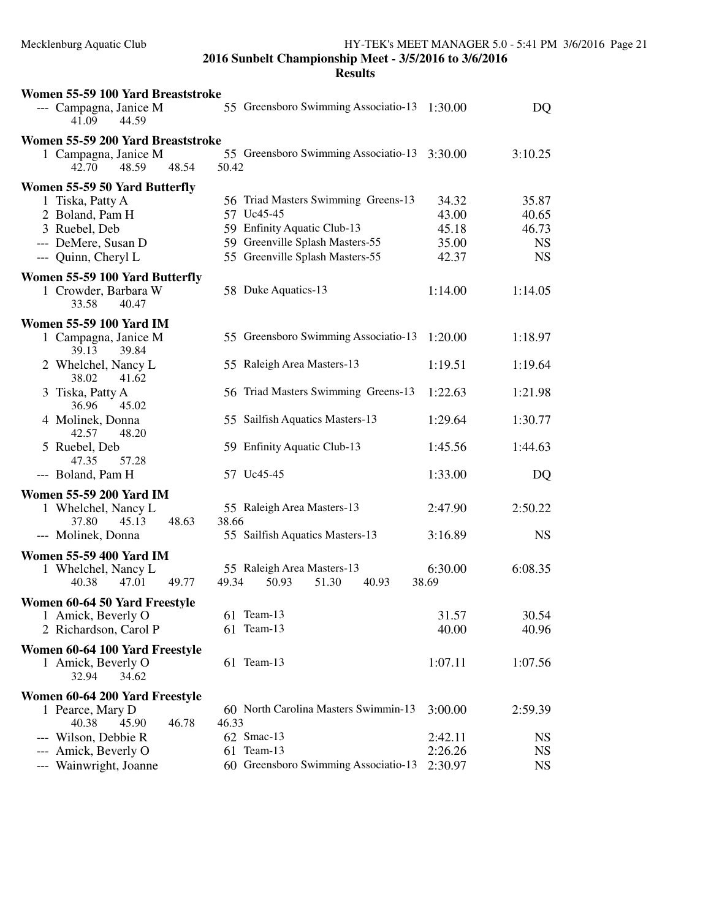| Women 55-59 100 Yard Breaststroke                      |                                              |         |           |
|--------------------------------------------------------|----------------------------------------------|---------|-----------|
| --- Campagna, Janice M<br>44.59<br>41.09               | 55 Greensboro Swimming Associatio-13 1:30.00 |         | DQ        |
| Women 55-59 200 Yard Breaststroke                      |                                              |         |           |
| 1 Campagna, Janice M                                   | 55 Greensboro Swimming Associatio-13         | 3:30.00 | 3:10.25   |
| 42.70<br>48.59<br>48.54                                | 50.42                                        |         |           |
| Women 55-59 50 Yard Butterfly                          |                                              |         |           |
| 1 Tiska, Patty A                                       | 56 Triad Masters Swimming Greens-13          | 34.32   | 35.87     |
| 2 Boland, Pam H                                        | 57 Uc45-45                                   | 43.00   | 40.65     |
| 3 Ruebel, Deb                                          | 59 Enfinity Aquatic Club-13                  | 45.18   | 46.73     |
| --- DeMere, Susan D                                    | 59 Greenville Splash Masters-55              | 35.00   | <b>NS</b> |
| --- Quinn, Cheryl L                                    | 55 Greenville Splash Masters-55              | 42.37   | <b>NS</b> |
| Women 55-59 100 Yard Butterfly<br>1 Crowder, Barbara W | 58 Duke Aquatics-13                          | 1:14.00 | 1:14.05   |
| 33.58<br>40.47                                         |                                              |         |           |
| <b>Women 55-59 100 Yard IM</b>                         |                                              |         |           |
| 1 Campagna, Janice M<br>39.13<br>39.84                 | 55 Greensboro Swimming Associatio-13         | 1:20.00 | 1:18.97   |
| 2 Whelchel, Nancy L<br>38.02<br>41.62                  | 55 Raleigh Area Masters-13                   | 1:19.51 | 1:19.64   |
| 3 Tiska, Patty A<br>36.96<br>45.02                     | 56 Triad Masters Swimming Greens-13          | 1:22.63 | 1:21.98   |
| 4 Molinek, Donna<br>42.57<br>48.20                     | 55 Sailfish Aquatics Masters-13              | 1:29.64 | 1:30.77   |
| 5 Ruebel, Deb<br>47.35<br>57.28                        | 59 Enfinity Aquatic Club-13                  | 1:45.56 | 1:44.63   |
| --- Boland, Pam H                                      | 57 Uc45-45                                   | 1:33.00 | DQ        |
| <b>Women 55-59 200 Yard IM</b>                         |                                              |         |           |
| 1 Whelchel, Nancy L                                    | 55 Raleigh Area Masters-13                   | 2:47.90 | 2:50.22   |
| 45.13<br>48.63<br>37.80                                | 38.66                                        |         |           |
| --- Molinek, Donna                                     | 55 Sailfish Aquatics Masters-13              | 3:16.89 | <b>NS</b> |
| <b>Women 55-59 400 Yard IM</b>                         |                                              |         |           |
| 1 Whelchel, Nancy L                                    | 55 Raleigh Area Masters-13                   | 6:30.00 | 6:08.35   |
| 40.38<br>47.01<br>49.77                                | 49.34<br>50.93<br>51.30<br>40.93             | 38.69   |           |
| Women 60-64 50 Yard Freestyle                          |                                              |         |           |
| 1 Amick, Beverly O                                     | 61 Team-13                                   | 31.57   | 30.54     |
| 2 Richardson, Carol P                                  | 61 Team-13                                   | 40.00   | 40.96     |
| Women 60-64 100 Yard Freestyle                         |                                              |         |           |
| 1 Amick, Beverly O<br>32.94<br>34.62                   | 61 Team-13                                   | 1:07.11 | 1:07.56   |
| Women 60-64 200 Yard Freestyle                         |                                              |         |           |
| 1 Pearce, Mary D                                       | 60 North Carolina Masters Swimmin-13         | 3:00.00 | 2:59.39   |
| 40.38<br>45.90<br>46.78                                | 46.33                                        |         |           |
| --- Wilson, Debbie R                                   | 62 Smac-13                                   | 2:42.11 | <b>NS</b> |
| --- Amick, Beverly O                                   | 61 Team-13                                   | 2:26.26 | <b>NS</b> |
| --- Wainwright, Joanne                                 | 60 Greensboro Swimming Associatio-13         | 2:30.97 | <b>NS</b> |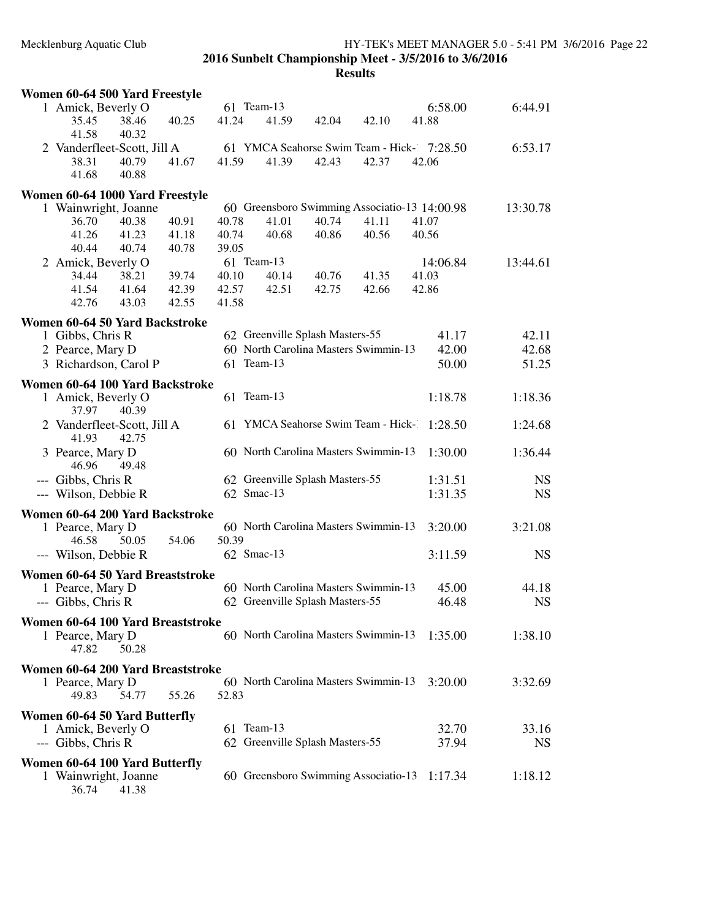| Women 60-64 500 Yard Freestyle            |       |                                                    |                |                |                                               |           |
|-------------------------------------------|-------|----------------------------------------------------|----------------|----------------|-----------------------------------------------|-----------|
| 1 Amick, Beverly O                        |       | 61 Team-13                                         |                |                | 6:58.00                                       | 6:44.91   |
| 40.25<br>35.45<br>38.46                   | 41.24 | 41.59                                              | 42.04          | 42.10          | 41.88                                         |           |
| 41.58<br>40.32                            |       |                                                    |                |                |                                               |           |
| 2 Vanderfleet-Scott, Jill A               |       |                                                    |                |                | 61 YMCA Seahorse Swim Team - Hick- 7:28.50    | 6:53.17   |
| 38.31<br>40.79<br>41.67<br>41.68          | 41.59 | 41.39                                              | 42.43          | 42.37          | 42.06                                         |           |
| 40.88                                     |       |                                                    |                |                |                                               |           |
| Women 60-64 1000 Yard Freestyle           |       |                                                    |                |                |                                               |           |
| 1 Wainwright, Joanne                      |       |                                                    |                |                | 60 Greensboro Swimming Associatio-13 14:00.98 | 13:30.78  |
| 36.70<br>40.38<br>40.91                   | 40.78 | 41.01                                              | 40.74          | 41.11          | 41.07                                         |           |
| 41.26<br>41.23<br>41.18                   | 40.74 | 40.68                                              | 40.86          | 40.56          | 40.56                                         |           |
| 40.74<br>40.44<br>40.78                   | 39.05 |                                                    |                |                |                                               |           |
| 2 Amick, Beverly O<br>38.21               | 40.10 | 61 Team-13<br>40.14                                |                |                | 14:06.84                                      | 13:44.61  |
| 34.44<br>39.74<br>41.54<br>41.64<br>42.39 | 42.57 | 42.51                                              | 40.76<br>42.75 | 41.35<br>42.66 | 41.03<br>42.86                                |           |
| 42.76<br>43.03<br>42.55                   | 41.58 |                                                    |                |                |                                               |           |
|                                           |       |                                                    |                |                |                                               |           |
| Women 60-64 50 Yard Backstroke            |       |                                                    |                |                |                                               |           |
| 1 Gibbs, Chris R                          |       | 62 Greenville Splash Masters-55                    |                |                | 41.17                                         | 42.11     |
| 2 Pearce, Mary D                          |       | 60 North Carolina Masters Swimmin-13<br>61 Team-13 |                |                | 42.00                                         | 42.68     |
| 3 Richardson, Carol P                     |       |                                                    |                |                | 50.00                                         | 51.25     |
| Women 60-64 100 Yard Backstroke           |       |                                                    |                |                |                                               |           |
| 1 Amick, Beverly O                        |       | 61 Team-13                                         |                |                | 1:18.78                                       | 1:18.36   |
| 37.97<br>40.39                            |       |                                                    |                |                |                                               |           |
| 2 Vanderfleet-Scott, Jill A               |       | 61 YMCA Seahorse Swim Team - Hick-1                |                |                | 1:28.50                                       | 1:24.68   |
| 41.93<br>42.75                            |       |                                                    |                |                |                                               |           |
| 3 Pearce, Mary D                          |       | 60 North Carolina Masters Swimmin-13               |                |                | 1:30.00                                       | 1:36.44   |
| 46.96<br>49.48                            |       |                                                    |                |                |                                               |           |
| --- Gibbs, Chris R                        |       | 62 Greenville Splash Masters-55<br>62 Smac-13      |                |                | 1:31.51                                       | <b>NS</b> |
| --- Wilson, Debbie R                      |       |                                                    |                |                | 1:31.35                                       | <b>NS</b> |
| Women 60-64 200 Yard Backstroke           |       |                                                    |                |                |                                               |           |
| 1 Pearce, Mary D                          |       | 60 North Carolina Masters Swimmin-13               |                |                | 3:20.00                                       | 3:21.08   |
| 54.06<br>46.58<br>50.05                   | 50.39 |                                                    |                |                |                                               |           |
| --- Wilson, Debbie R                      |       | 62 Smac-13                                         |                |                | 3:11.59                                       | <b>NS</b> |
| Women 60-64 50 Yard Breaststroke          |       |                                                    |                |                |                                               |           |
| 1 Pearce, Mary D                          |       | 60 North Carolina Masters Swimmin-13               |                |                | 45.00                                         | 44.18     |
| --- Gibbs, Chris R                        |       | 62 Greenville Splash Masters-55                    |                |                | 46.48                                         | <b>NS</b> |
| Women 60-64 100 Yard Breaststroke         |       |                                                    |                |                |                                               |           |
| 1 Pearce, Mary D                          |       | 60 North Carolina Masters Swimmin-13               |                |                | 1:35.00                                       | 1:38.10   |
| 47.82<br>50.28                            |       |                                                    |                |                |                                               |           |
| Women 60-64 200 Yard Breaststroke         |       |                                                    |                |                |                                               |           |
| 1 Pearce, Mary D                          |       | 60 North Carolina Masters Swimmin-13               |                |                | 3:20.00                                       | 3:32.69   |
| 54.77<br>55.26<br>49.83                   | 52.83 |                                                    |                |                |                                               |           |
|                                           |       |                                                    |                |                |                                               |           |
| <b>Women 60-64 50 Yard Butterfly</b>      |       |                                                    |                |                |                                               |           |
| 1 Amick, Beverly O                        |       | 61 Team-13                                         |                |                | 32.70                                         | 33.16     |
| --- Gibbs, Chris R                        |       | 62 Greenville Splash Masters-55                    |                |                | 37.94                                         | <b>NS</b> |
| Women 60-64 100 Yard Butterfly            |       |                                                    |                |                |                                               |           |
| 1 Wainwright, Joanne                      |       | 60 Greensboro Swimming Associatio-13               |                |                | 1:17.34                                       | 1:18.12   |
| 41.38<br>36.74                            |       |                                                    |                |                |                                               |           |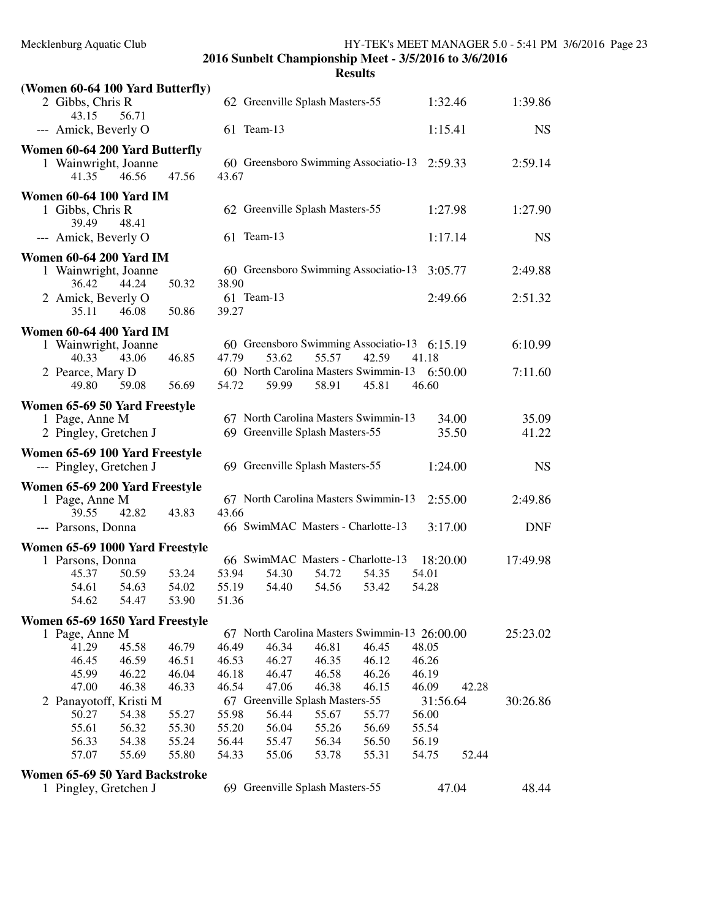| (Women 60-64 100 Yard Butterfly)                          |                                               |                |            |
|-----------------------------------------------------------|-----------------------------------------------|----------------|------------|
| 2 Gibbs, Chris R<br>56.71<br>43.15                        | 62 Greenville Splash Masters-55               | 1:32.46        | 1:39.86    |
| --- Amick, Beverly O                                      | 61 Team-13                                    | 1:15.41        | <b>NS</b>  |
| Women 60-64 200 Yard Butterfly                            |                                               |                |            |
| 1 Wainwright, Joanne                                      | 60 Greensboro Swimming Associatio-13          | 2:59.33        | 2:59.14    |
| 41.35<br>46.56<br>47.56                                   | 43.67                                         |                |            |
| <b>Women 60-64 100 Yard IM</b>                            |                                               |                |            |
| 1 Gibbs, Chris R<br>39.49<br>48.41                        | 62 Greenville Splash Masters-55               | 1:27.98        | 1:27.90    |
| --- Amick, Beverly O                                      | 61 Team-13                                    | 1:17.14        | <b>NS</b>  |
| <b>Women 60-64 200 Yard IM</b>                            |                                               |                |            |
| 1 Wainwright, Joanne                                      | 60 Greensboro Swimming Associatio-13          | 3:05.77        | 2:49.88    |
| 36.42<br>44.24<br>50.32                                   | 38.90                                         |                |            |
| 2 Amick, Beverly O                                        | 61 Team-13                                    | 2:49.66        | 2:51.32    |
| 35.11<br>46.08<br>50.86                                   | 39.27                                         |                |            |
| <b>Women 60-64 400 Yard IM</b>                            |                                               |                |            |
| 1 Wainwright, Joanne                                      | 60 Greensboro Swimming Associatio-13          | 6:15.19        | 6:10.99    |
| 40.33<br>43.06<br>46.85                                   | 47.79<br>53.62<br>55.57<br>42.59              | 41.18          |            |
| 2 Pearce, Mary D                                          | 60 North Carolina Masters Swimmin-13          | 6:50.00        | 7:11.60    |
| 49.80<br>59.08<br>56.69                                   | 45.81<br>54.72<br>59.99<br>58.91              | 46.60          |            |
|                                                           |                                               |                |            |
| Women 65-69 50 Yard Freestyle                             | 67 North Carolina Masters Swimmin-13          | 34.00          | 35.09      |
| 1 Page, Anne M                                            |                                               |                |            |
| 2 Pingley, Gretchen J                                     | 69 Greenville Splash Masters-55               | 35.50          | 41.22      |
| Women 65-69 100 Yard Freestyle<br>--- Pingley, Gretchen J | 69 Greenville Splash Masters-55               | 1:24.00        | <b>NS</b>  |
| Women 65-69 200 Yard Freestyle                            |                                               |                |            |
| 1 Page, Anne M                                            | 67 North Carolina Masters Swimmin-13          | 2:55.00        | 2:49.86    |
| 39.55<br>42.82<br>43.83                                   | 43.66                                         |                |            |
| --- Parsons, Donna                                        | 66 SwimMAC Masters - Charlotte-13             | 3:17.00        | <b>DNF</b> |
| Women 65-69 1000 Yard Freestyle                           |                                               |                |            |
| 1 Parsons, Donna                                          | 66 SwimMAC Masters - Charlotte-13             | 18:20.00       | 17:49.98   |
| 53.24<br>45.37<br>50.59                                   | 53.94<br>54.30<br>54.72<br>54.35              | 54.01          |            |
| 54.61<br>54.63<br>54.02                                   | 55.19<br>54.56<br>53.42<br>54.40              | 54.28          |            |
| 54.62<br>54.47<br>53.90                                   | 51.36                                         |                |            |
| Women 65-69 1650 Yard Freestyle                           |                                               |                |            |
| 1 Page, Anne M                                            | 67 North Carolina Masters Swimmin-13 26:00.00 |                | 25:23.02   |
| 41.29<br>45.58<br>46.79                                   | 46.49<br>46.81<br>46.45<br>46.34              | 48.05          |            |
| 46.45<br>46.59<br>46.51                                   | 46.53<br>46.12<br>46.27<br>46.35              | 46.26          |            |
| 45.99<br>46.22<br>46.04                                   | 46.18<br>46.47<br>46.58<br>46.26              | 46.19          |            |
| 47.00<br>46.38<br>46.33                                   | 46.54<br>47.06<br>46.38<br>46.15              | 42.28<br>46.09 |            |
| 2 Panayotoff, Kristi M                                    | 67 Greenville Splash Masters-55               | 31:56.64       | 30:26.86   |
| 50.27<br>54.38<br>55.27                                   | 55.98<br>56.44<br>55.67<br>55.77              | 56.00          |            |
| 55.61<br>56.32<br>55.30                                   | 55.20<br>56.04<br>55.26<br>56.69              | 55.54          |            |
| 56.33<br>54.38<br>55.24                                   | 56.44<br>55.47<br>56.34<br>56.50              | 56.19          |            |
| 57.07<br>55.69<br>55.80                                   | 54.33<br>55.06<br>53.78<br>55.31              | 52.44<br>54.75 |            |
| Women 65-69 50 Yard Backstroke                            |                                               |                |            |
| 1 Pingley, Gretchen J                                     | 69 Greenville Splash Masters-55               | 47.04          | 48.44      |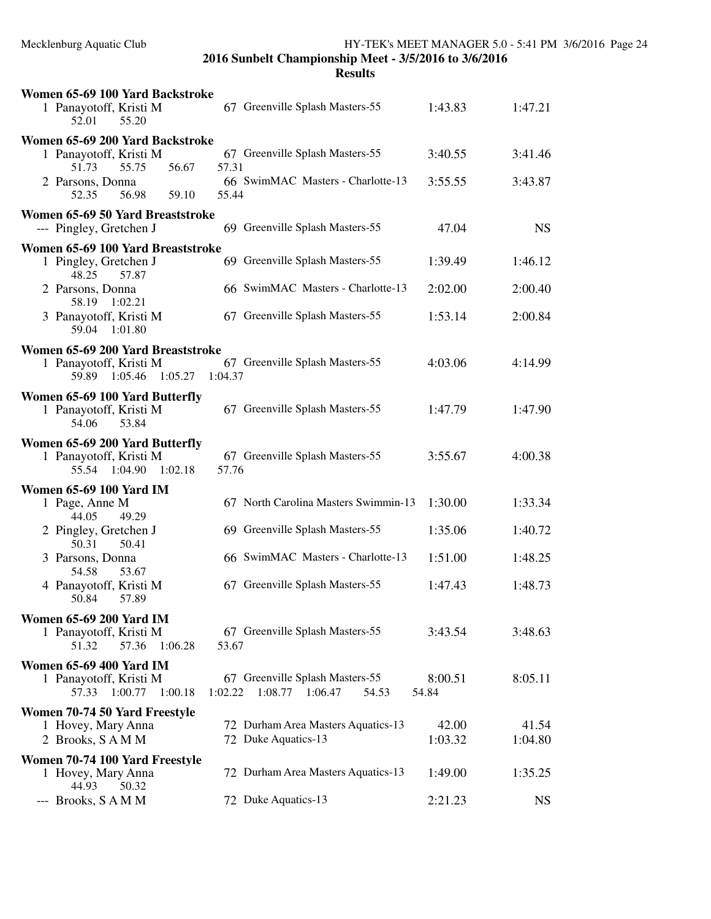| Women 65-69 100 Yard Backstroke                                                       |                                                                        |                  |           |
|---------------------------------------------------------------------------------------|------------------------------------------------------------------------|------------------|-----------|
| 1 Panayotoff, Kristi M<br>55.20<br>52.01                                              | 67 Greenville Splash Masters-55                                        | 1:43.83          | 1:47.21   |
| Women 65-69 200 Yard Backstroke                                                       |                                                                        |                  |           |
| 1 Panayotoff, Kristi M<br>56.67<br>51.73<br>55.75                                     | 67 Greenville Splash Masters-55<br>57.31                               | 3:40.55          | 3:41.46   |
| 2 Parsons, Donna<br>52.35<br>56.98<br>59.10                                           | 66 SwimMAC Masters - Charlotte-13<br>55.44                             | 3:55.55          | 3:43.87   |
| Women 65-69 50 Yard Breaststroke                                                      |                                                                        |                  |           |
| --- Pingley, Gretchen J                                                               | 69 Greenville Splash Masters-55                                        | 47.04            | <b>NS</b> |
| Women 65-69 100 Yard Breaststroke                                                     |                                                                        |                  |           |
| 1 Pingley, Gretchen J<br>57.87<br>48.25                                               | 69 Greenville Splash Masters-55                                        | 1:39.49          | 1:46.12   |
| 2 Parsons, Donna<br>58.19<br>1:02.21                                                  | 66 SwimMAC Masters - Charlotte-13                                      | 2:02.00          | 2:00.40   |
| 3 Panayotoff, Kristi M<br>59.04<br>1:01.80                                            | 67 Greenville Splash Masters-55                                        | 1:53.14          | 2:00.84   |
| Women 65-69 200 Yard Breaststroke                                                     |                                                                        |                  |           |
| 1 Panayotoff, Kristi M<br>59.89 1:05.46<br>1:05.27                                    | 67 Greenville Splash Masters-55<br>1:04.37                             | 4:03.06          | 4:14.99   |
| Women 65-69 100 Yard Butterfly                                                        |                                                                        |                  |           |
| 1 Panayotoff, Kristi M<br>53.84<br>54.06                                              | 67 Greenville Splash Masters-55                                        | 1:47.79          | 1:47.90   |
| Women 65-69 200 Yard Butterfly                                                        |                                                                        |                  |           |
| 1 Panayotoff, Kristi M<br>55.54 1:04.90<br>1:02.18                                    | 67 Greenville Splash Masters-55<br>57.76                               | 3:55.67          | 4:00.38   |
| <b>Women 65-69 100 Yard IM</b>                                                        |                                                                        |                  |           |
| 1 Page, Anne M<br>44.05<br>49.29                                                      | 67 North Carolina Masters Swimmin-13                                   | 1:30.00          | 1:33.34   |
| 2 Pingley, Gretchen J<br>50.31<br>50.41                                               | 69 Greenville Splash Masters-55                                        | 1:35.06          | 1:40.72   |
| 3 Parsons, Donna<br>54.58<br>53.67                                                    | 66 SwimMAC Masters - Charlotte-13                                      | 1:51.00          | 1:48.25   |
| 4 Panayotoff, Kristi M<br>50.84<br>57.89                                              | 67 Greenville Splash Masters-55                                        | 1:47.43          | 1:48.73   |
|                                                                                       |                                                                        |                  |           |
| <b>Women 65-69 200 Yard IM</b><br>1 Panayotoff, Kristi M<br>57.36<br>51.32<br>1:06.28 | 67 Greenville Splash Masters-55<br>53.67                               | 3:43.54          | 3:48.63   |
| <b>Women 65-69 400 Yard IM</b>                                                        |                                                                        |                  |           |
| 1 Panayotoff, Kristi M<br>57.33 1:00.77<br>1:00.18                                    | 67 Greenville Splash Masters-55<br>1:08.77 1:06.47<br>1:02.22<br>54.53 | 8:00.51<br>54.84 | 8:05.11   |
| Women 70-74 50 Yard Freestyle                                                         |                                                                        |                  |           |
| 1 Hovey, Mary Anna                                                                    | 72 Durham Area Masters Aquatics-13                                     | 42.00            | 41.54     |
| 2 Brooks, SAMM                                                                        | 72 Duke Aquatics-13                                                    | 1:03.32          | 1:04.80   |
| Women 70-74 100 Yard Freestyle                                                        |                                                                        |                  |           |
| 1 Hovey, Mary Anna<br>44.93<br>50.32                                                  | 72 Durham Area Masters Aquatics-13                                     | 1:49.00          | 1:35.25   |
| --- Brooks, SAMM                                                                      | 72 Duke Aquatics-13                                                    | 2:21.23          | <b>NS</b> |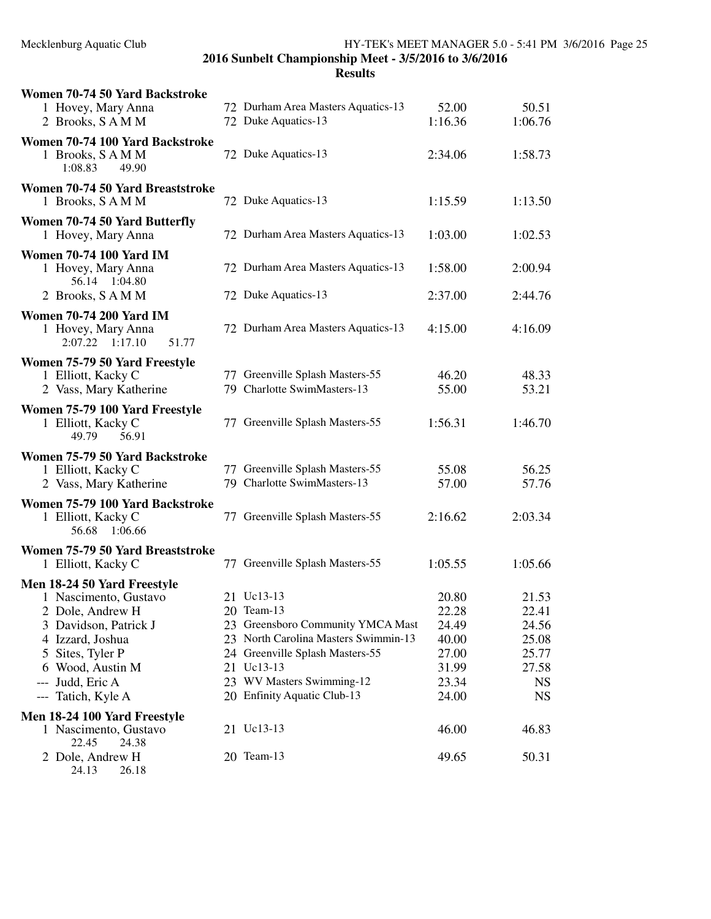| Women 70-74 50 Yard Backstroke<br>1 Hovey, Mary Anna<br>2 Brooks, SAMM                                                                                                                 | 72 Durham Area Masters Aquatics-13<br>72 Duke Aquatics-13                                                                                                                           | 52.00<br>1:16.36                                            | 50.51<br>1:06.76                                                |
|----------------------------------------------------------------------------------------------------------------------------------------------------------------------------------------|-------------------------------------------------------------------------------------------------------------------------------------------------------------------------------------|-------------------------------------------------------------|-----------------------------------------------------------------|
| Women 70-74 100 Yard Backstroke<br>1 Brooks, SAMM<br>1:08.83<br>49.90                                                                                                                  | 72 Duke Aquatics-13                                                                                                                                                                 | 2:34.06                                                     | 1:58.73                                                         |
| Women 70-74 50 Yard Breaststroke<br>1 Brooks, SAMM                                                                                                                                     | 72 Duke Aquatics-13                                                                                                                                                                 | 1:15.59                                                     | 1:13.50                                                         |
| Women 70-74 50 Yard Butterfly<br>1 Hovey, Mary Anna                                                                                                                                    | 72 Durham Area Masters Aquatics-13                                                                                                                                                  | 1:03.00                                                     | 1:02.53                                                         |
| <b>Women 70-74 100 Yard IM</b><br>1 Hovey, Mary Anna<br>56.14 1:04.80                                                                                                                  | 72 Durham Area Masters Aquatics-13                                                                                                                                                  | 1:58.00                                                     | 2:00.94                                                         |
| 2 Brooks, SAMM                                                                                                                                                                         | 72 Duke Aquatics-13                                                                                                                                                                 | 2:37.00                                                     | 2:44.76                                                         |
| <b>Women 70-74 200 Yard IM</b><br>1 Hovey, Mary Anna<br>2:07.22<br>1:17.10<br>51.77                                                                                                    | 72 Durham Area Masters Aquatics-13                                                                                                                                                  | 4:15.00                                                     | 4:16.09                                                         |
| Women 75-79 50 Yard Freestyle<br>1 Elliott, Kacky C<br>2 Vass, Mary Katherine                                                                                                          | 77 Greenville Splash Masters-55<br>79 Charlotte SwimMasters-13                                                                                                                      | 46.20<br>55.00                                              | 48.33<br>53.21                                                  |
| Women 75-79 100 Yard Freestyle<br>1 Elliott, Kacky C<br>49.79<br>56.91                                                                                                                 | 77 Greenville Splash Masters-55                                                                                                                                                     | 1:56.31                                                     | 1:46.70                                                         |
| Women 75-79 50 Yard Backstroke<br>1 Elliott, Kacky C<br>2 Vass, Mary Katherine                                                                                                         | 77 Greenville Splash Masters-55<br>79 Charlotte SwimMasters-13                                                                                                                      | 55.08<br>57.00                                              | 56.25<br>57.76                                                  |
| Women 75-79 100 Yard Backstroke<br>1 Elliott, Kacky C<br>56.68<br>1:06.66                                                                                                              | 77 Greenville Splash Masters-55                                                                                                                                                     | 2:16.62                                                     | 2:03.34                                                         |
| Women 75-79 50 Yard Breaststroke<br>1 Elliott, Kacky C                                                                                                                                 | 77 Greenville Splash Masters-55                                                                                                                                                     | 1:05.55                                                     | 1:05.66                                                         |
| Men 18-24 50 Yard Freestyle<br>1 Nascimento, Gustavo<br>2 Dole, Andrew H<br>3 Davidson, Patrick J<br>4 Izzard, Joshua<br>5 Sites, Tyler P<br>6 Wood, Austin M<br>Judd, Eric A<br>$---$ | 21 Uc13-13<br>20 Team-13<br>23 Greensboro Community YMCA Mast<br>23 North Carolina Masters Swimmin-13<br>24 Greenville Splash Masters-55<br>21 Uc13-13<br>23 WV Masters Swimming-12 | 20.80<br>22.28<br>24.49<br>40.00<br>27.00<br>31.99<br>23.34 | 21.53<br>22.41<br>24.56<br>25.08<br>25.77<br>27.58<br><b>NS</b> |
| Tatich, Kyle A<br>$---$                                                                                                                                                                | 20 Enfinity Aquatic Club-13                                                                                                                                                         | 24.00                                                       | <b>NS</b>                                                       |
| Men 18-24 100 Yard Freestyle                                                                                                                                                           |                                                                                                                                                                                     |                                                             |                                                                 |
| 1 Nascimento, Gustavo<br>22.45<br>24.38                                                                                                                                                | 21 Uc13-13                                                                                                                                                                          | 46.00                                                       | 46.83                                                           |
| 2 Dole, Andrew H                                                                                                                                                                       | 20 Team-13                                                                                                                                                                          | 49.65                                                       | 50.31                                                           |

24.13 26.18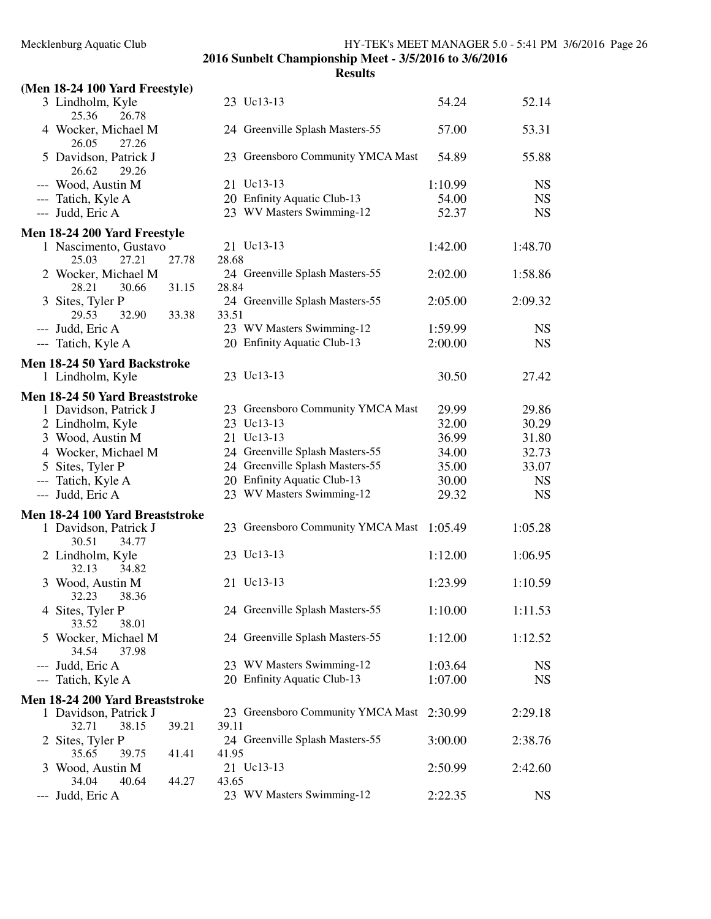|                                         |       |       | 2016 Sunbelt Championship Meet - 3/5/2016 to 3/6/2016<br><b>Results</b> |         |           |
|-----------------------------------------|-------|-------|-------------------------------------------------------------------------|---------|-----------|
| (Men 18-24 100 Yard Freestyle)          |       |       |                                                                         |         |           |
| 3 Lindholm, Kyle<br>25.36<br>26.78      |       |       | 23 Uc13-13                                                              | 54.24   | 52.14     |
| 4 Wocker, Michael M<br>26.05<br>27.26   |       |       | 24 Greenville Splash Masters-55                                         | 57.00   | 53.31     |
| 5 Davidson, Patrick J<br>26.62<br>29.26 |       |       | 23 Greensboro Community YMCA Mast                                       | 54.89   | 55.88     |
| --- Wood, Austin M                      |       |       | 21 Uc13-13                                                              | 1:10.99 | <b>NS</b> |
| --- Tatich, Kyle A                      |       |       | 20 Enfinity Aquatic Club-13                                             | 54.00   | <b>NS</b> |
| --- Judd, Eric A                        |       |       | 23 WV Masters Swimming-12                                               | 52.37   | <b>NS</b> |
| Men 18-24 200 Yard Freestyle            |       |       |                                                                         |         |           |
| 1 Nascimento, Gustavo                   |       |       | 21 Uc13-13                                                              | 1:42.00 | 1:48.70   |
| 25.03<br>27.21                          | 27.78 | 28.68 |                                                                         |         |           |
| 2 Wocker, Michael M<br>28.21<br>30.66   | 31.15 | 28.84 | 24 Greenville Splash Masters-55                                         | 2:02.00 | 1:58.86   |
| 3 Sites, Tyler P                        |       |       | 24 Greenville Splash Masters-55                                         | 2:05.00 | 2:09.32   |
| 29.53<br>32.90                          | 33.38 | 33.51 |                                                                         |         |           |
| --- Judd, Eric A                        |       |       | 23 WV Masters Swimming-12                                               | 1:59.99 | <b>NS</b> |
| --- Tatich, Kyle A                      |       |       | 20 Enfinity Aquatic Club-13                                             | 2:00.00 | <b>NS</b> |
| Men 18-24 50 Yard Backstroke            |       |       |                                                                         |         |           |
| 1 Lindholm, Kyle                        |       |       | 23 Uc13-13                                                              | 30.50   | 27.42     |
|                                         |       |       |                                                                         |         |           |
| Men 18-24 50 Yard Breaststroke          |       |       |                                                                         |         |           |
| 1 Davidson, Patrick J                   |       |       | 23 Greensboro Community YMCA Mast                                       | 29.99   | 29.86     |
| 2 Lindholm, Kyle                        |       |       | 23 Uc13-13                                                              | 32.00   | 30.29     |
| 3 Wood, Austin M                        |       |       | 21 Uc13-13                                                              | 36.99   | 31.80     |
| 4 Wocker, Michael M                     |       |       | 24 Greenville Splash Masters-55                                         | 34.00   | 32.73     |
| 5 Sites, Tyler P                        |       |       | 24 Greenville Splash Masters-55                                         | 35.00   | 33.07     |
| --- Tatich, Kyle A                      |       |       | 20 Enfinity Aquatic Club-13                                             | 30.00   | <b>NS</b> |
| --- Judd, Eric A                        |       |       | 23 WV Masters Swimming-12                                               | 29.32   | <b>NS</b> |
| Men 18-24 100 Yard Breaststroke         |       |       |                                                                         |         |           |
| 1 Davidson, Patrick J<br>34.77<br>30.51 |       |       | 23 Greensboro Community YMCA Mast                                       | 1:05.49 | 1:05.28   |
| 2 Lindholm, Kyle<br>32.13<br>34.82      |       |       | 23 Uc13-13                                                              | 1:12.00 | 1:06.95   |
| 3 Wood, Austin M<br>32.23<br>38.36      |       |       | 21 Uc13-13                                                              | 1:23.99 | 1:10.59   |
| 4 Sites, Tyler P<br>33.52<br>38.01      |       |       | 24 Greenville Splash Masters-55                                         | 1:10.00 | 1:11.53   |
| 5 Wocker, Michael M<br>34.54<br>37.98   |       |       | 24 Greenville Splash Masters-55                                         | 1:12.00 | 1:12.52   |
| --- Judd, Eric A                        |       |       | 23 WV Masters Swimming-12                                               | 1:03.64 | <b>NS</b> |
| --- Tatich, Kyle A                      |       |       | 20 Enfinity Aquatic Club-13                                             | 1:07.00 | <b>NS</b> |
| Men 18-24 200 Yard Breaststroke         |       |       |                                                                         |         |           |
| 1 Davidson, Patrick J                   |       |       | 23 Greensboro Community YMCA Mast                                       | 2:30.99 | 2:29.18   |
| 32.71<br>38.15                          | 39.21 | 39.11 |                                                                         |         |           |
| 2 Sites, Tyler P                        |       |       | 24 Greenville Splash Masters-55                                         | 3:00.00 | 2:38.76   |
| 35.65<br>39.75                          | 41.41 | 41.95 |                                                                         |         |           |
| 3 Wood, Austin M                        |       |       | 21 Uc13-13                                                              | 2:50.99 | 2:42.60   |
| 34.04<br>40.64                          | 44.27 | 43.65 |                                                                         |         |           |
| --- Judd, Eric A                        |       |       | 23 WV Masters Swimming-12                                               | 2:22.35 | <b>NS</b> |
|                                         |       |       |                                                                         |         |           |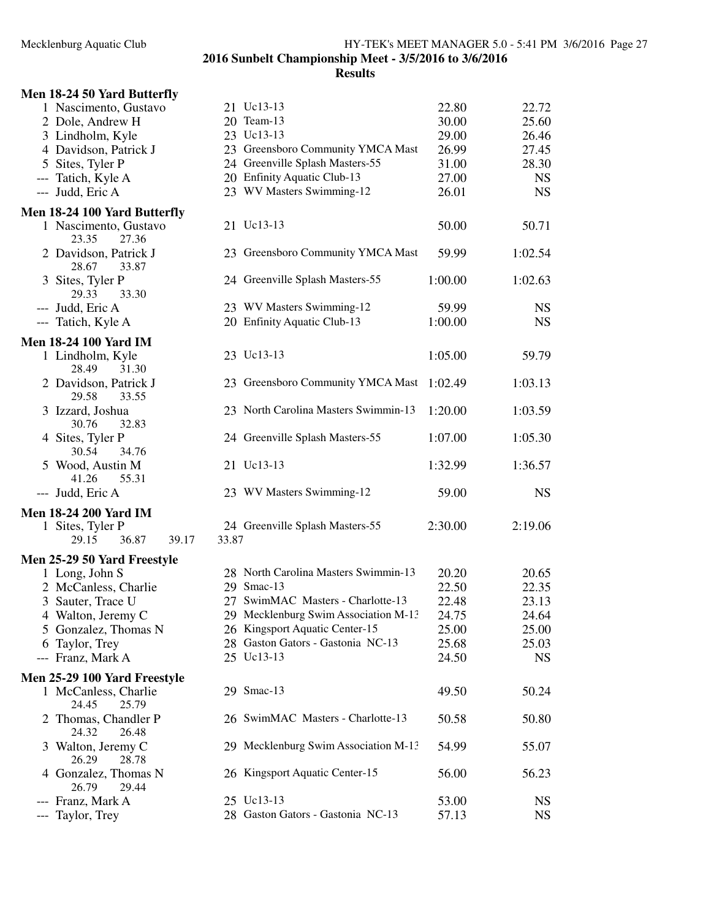| Men 18-24 50 Yard Butterfly                                             |                                                                           |                |                |
|-------------------------------------------------------------------------|---------------------------------------------------------------------------|----------------|----------------|
| 1 Nascimento, Gustavo                                                   | 21 Uc13-13                                                                | 22.80          | 22.72          |
| 2 Dole, Andrew H                                                        | 20 Team-13                                                                | 30.00          | 25.60          |
| 3 Lindholm, Kyle                                                        | 23 Uc13-13                                                                | 29.00          | 26.46          |
| 4 Davidson, Patrick J                                                   | 23 Greensboro Community YMCA Mast                                         | 26.99          | 27.45          |
| 5 Sites, Tyler P                                                        | 24 Greenville Splash Masters-55                                           | 31.00          | 28.30          |
| --- Tatich, Kyle A                                                      | 20 Enfinity Aquatic Club-13                                               | 27.00          | <b>NS</b>      |
| --- Judd, Eric A                                                        | 23 WV Masters Swimming-12                                                 | 26.01          | <b>NS</b>      |
| Men 18-24 100 Yard Butterfly<br>1 Nascimento, Gustavo<br>27.36<br>23.35 | 21 Uc13-13                                                                | 50.00          | 50.71          |
| 2 Davidson, Patrick J<br>28.67<br>33.87                                 | 23 Greensboro Community YMCA Mast                                         | 59.99          | 1:02.54        |
| 3 Sites, Tyler P<br>29.33<br>33.30                                      | 24 Greenville Splash Masters-55                                           | 1:00.00        | 1:02.63        |
| --- Judd, Eric A                                                        | 23 WV Masters Swimming-12                                                 | 59.99          | <b>NS</b>      |
| --- Tatich, Kyle A                                                      | 20 Enfinity Aquatic Club-13                                               | 1:00.00        | <b>NS</b>      |
| <b>Men 18-24 100 Yard IM</b>                                            |                                                                           |                |                |
| 1 Lindholm, Kyle<br>28.49<br>31.30                                      | 23 Uc13-13                                                                | 1:05.00        | 59.79          |
| 2 Davidson, Patrick J<br>29.58<br>33.55                                 | 23 Greensboro Community YMCA Mast                                         | 1:02.49        | 1:03.13        |
| 3 Izzard, Joshua<br>32.83<br>30.76                                      | 23 North Carolina Masters Swimmin-13                                      | 1:20.00        | 1:03.59        |
| 4 Sites, Tyler P<br>30.54<br>34.76                                      | 24 Greenville Splash Masters-55                                           | 1:07.00        | 1:05.30        |
| 5 Wood, Austin M<br>55.31<br>41.26                                      | 21 Uc13-13                                                                | 1:32.99        | 1:36.57        |
| --- Judd, Eric A                                                        | 23 WV Masters Swimming-12                                                 | 59.00          | <b>NS</b>      |
| <b>Men 18-24 200 Yard IM</b>                                            |                                                                           |                |                |
| 1 Sites, Tyler P<br>36.87<br>29.15<br>39.17                             | 24 Greenville Splash Masters-55<br>33.87                                  | 2:30.00        | 2:19.06        |
| Men 25-29 50 Yard Freestyle                                             |                                                                           |                |                |
| 1 Long, John S                                                          | 28 North Carolina Masters Swimmin-13                                      | 20.20          | 20.65          |
| 2 McCanless, Charlie                                                    | 29 Smac-13                                                                | 22.50          | 22.35          |
| 3 Sauter, Trace U<br>4 Walton, Jeremy C                                 | 27 SwimMAC Masters - Charlotte-13<br>29 Mecklenburg Swim Association M-13 | 22.48<br>24.75 | 23.13<br>24.64 |
| Gonzalez, Thomas N<br>$\mathcal{L}$                                     | 26 Kingsport Aquatic Center-15                                            | 25.00          | 25.00          |
| Taylor, Trey<br>6                                                       | 28 Gaston Gators - Gastonia NC-13                                         | 25.68          | 25.03          |
| --- Franz, Mark A                                                       | 25 Uc13-13                                                                | 24.50          | <b>NS</b>      |
| Men 25-29 100 Yard Freestyle                                            |                                                                           |                |                |
| 1 McCanless, Charlie<br>24.45<br>25.79                                  | 29 Smac-13                                                                | 49.50          | 50.24          |
| 2 Thomas, Chandler P<br>24.32<br>26.48                                  | 26 SwimMAC Masters - Charlotte-13                                         | 50.58          | 50.80          |
| 3 Walton, Jeremy C<br>26.29<br>28.78                                    | 29 Mecklenburg Swim Association M-13                                      | 54.99          | 55.07          |
| 4 Gonzalez, Thomas N<br>26.79<br>29.44                                  | 26 Kingsport Aquatic Center-15                                            | 56.00          | 56.23          |
| --- Franz, Mark A                                                       | 25 Uc13-13                                                                | 53.00          | <b>NS</b>      |
| --- Taylor, Trey                                                        | 28 Gaston Gators - Gastonia NC-13                                         | 57.13          | <b>NS</b>      |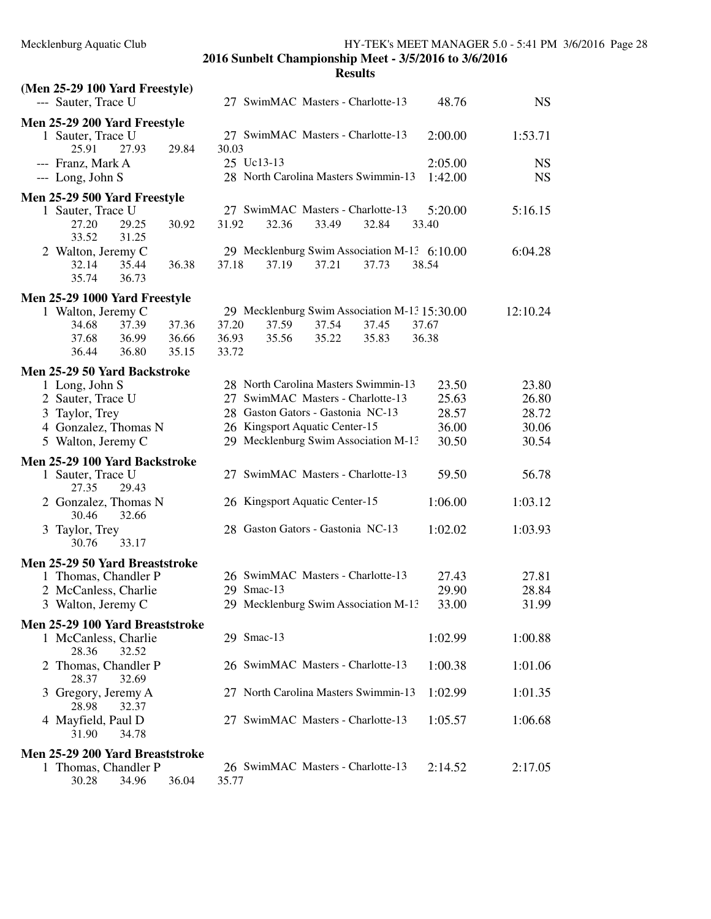| (Men 25-29 100 Yard Freestyle)                  |                                                 |           |
|-------------------------------------------------|-------------------------------------------------|-----------|
| --- Sauter, Trace U                             | 27 SwimMAC Masters - Charlotte-13<br>48.76      | <b>NS</b> |
| Men 25-29 200 Yard Freestyle                    |                                                 |           |
| 1 Sauter, Trace U                               | 27 SwimMAC Masters - Charlotte-13<br>2:00.00    | 1:53.71   |
| 25.91<br>27.93<br>29.84                         | 30.03                                           |           |
| --- Franz, Mark A                               | 25 Uc13-13<br>2:05.00                           | <b>NS</b> |
| --- Long, John S                                | 28 North Carolina Masters Swimmin-13<br>1:42.00 | <b>NS</b> |
| Men 25-29 500 Yard Freestyle                    |                                                 |           |
| 1 Sauter, Trace U                               | 27 SwimMAC Masters - Charlotte-13<br>5:20.00    | 5:16.15   |
| 30.92<br>27.20<br>29.25                         | 31.92<br>32.36<br>33.49<br>32.84<br>33.40       |           |
| 33.52<br>31.25                                  |                                                 |           |
| 2 Walton, Jeremy C                              | 29 Mecklenburg Swim Association M-13 6:10.00    | 6:04.28   |
| 32.14<br>35.44<br>36.38                         | 37.18<br>37.19<br>37.21<br>37.73<br>38.54       |           |
| 35.74<br>36.73                                  |                                                 |           |
| Men 25-29 1000 Yard Freestyle                   |                                                 |           |
| 1 Walton, Jeremy C                              | 29 Mecklenburg Swim Association M-13 15:30.00   | 12:10.24  |
| 37.39<br>37.36<br>34.68                         | 37.20<br>37.59<br>37.54<br>37.45<br>37.67       |           |
| 37.68<br>36.99<br>36.66                         | 35.83<br>36.93<br>35.56<br>35.22<br>36.38       |           |
| 36.44<br>36.80<br>35.15                         | 33.72                                           |           |
| Men 25-29 50 Yard Backstroke                    |                                                 |           |
| 1 Long, John S                                  | 28 North Carolina Masters Swimmin-13<br>23.50   | 23.80     |
| 2 Sauter, Trace U                               | 27 SwimMAC Masters - Charlotte-13<br>25.63      | 26.80     |
| 3 Taylor, Trey                                  | 28 Gaston Gators - Gastonia NC-13<br>28.57      | 28.72     |
| 4 Gonzalez, Thomas N                            | 26 Kingsport Aquatic Center-15<br>36.00         | 30.06     |
| 5 Walton, Jeremy C                              | 29 Mecklenburg Swim Association M-13<br>30.50   | 30.54     |
|                                                 |                                                 |           |
| Men 25-29 100 Yard Backstroke                   | 27 SwimMAC Masters - Charlotte-13<br>59.50      | 56.78     |
| 1 Sauter, Trace U<br>27.35<br>29.43             |                                                 |           |
| 2 Gonzalez, Thomas N                            | 26 Kingsport Aquatic Center-15<br>1:06.00       | 1:03.12   |
| 30.46<br>32.66                                  |                                                 |           |
| 3 Taylor, Trey                                  | 28 Gaston Gators - Gastonia NC-13<br>1:02.02    | 1:03.93   |
| 30.76<br>33.17                                  |                                                 |           |
| Men 25-29 50 Yard Breaststroke                  |                                                 |           |
| 1 Thomas, Chandler P                            | 26 SwimMAC Masters - Charlotte-13<br>27.43      | 27.81     |
| 2 McCanless, Charlie                            | 29 Smac-13<br>29.90                             | 28.84     |
| 3 Walton, Jeremy C                              | 29 Mecklenburg Swim Association M-13<br>33.00   | 31.99     |
|                                                 |                                                 |           |
| Men 25-29 100 Yard Breaststroke                 | 29 Smac-13                                      |           |
| 1 McCanless, Charlie<br>28.36<br>32.52          | 1:02.99                                         | 1:00.88   |
| 2 Thomas, Chandler P                            | 26 SwimMAC Masters - Charlotte-13<br>1:00.38    | 1:01.06   |
| 28.37<br>32.69                                  |                                                 |           |
| 3 Gregory, Jeremy A                             | 27 North Carolina Masters Swimmin-13<br>1:02.99 | 1:01.35   |
| 28.98<br>32.37                                  |                                                 |           |
| 4 Mayfield, Paul D                              | 27 SwimMAC Masters - Charlotte-13<br>1:05.57    | 1:06.68   |
| 31.90<br>34.78                                  |                                                 |           |
|                                                 |                                                 |           |
| Men 25-29 200 Yard Breaststroke                 |                                                 |           |
| 1 Thomas, Chandler P<br>30.28<br>34.96<br>36.04 | 26 SwimMAC Masters - Charlotte-13<br>2:14.52    | 2:17.05   |
|                                                 | 35.77                                           |           |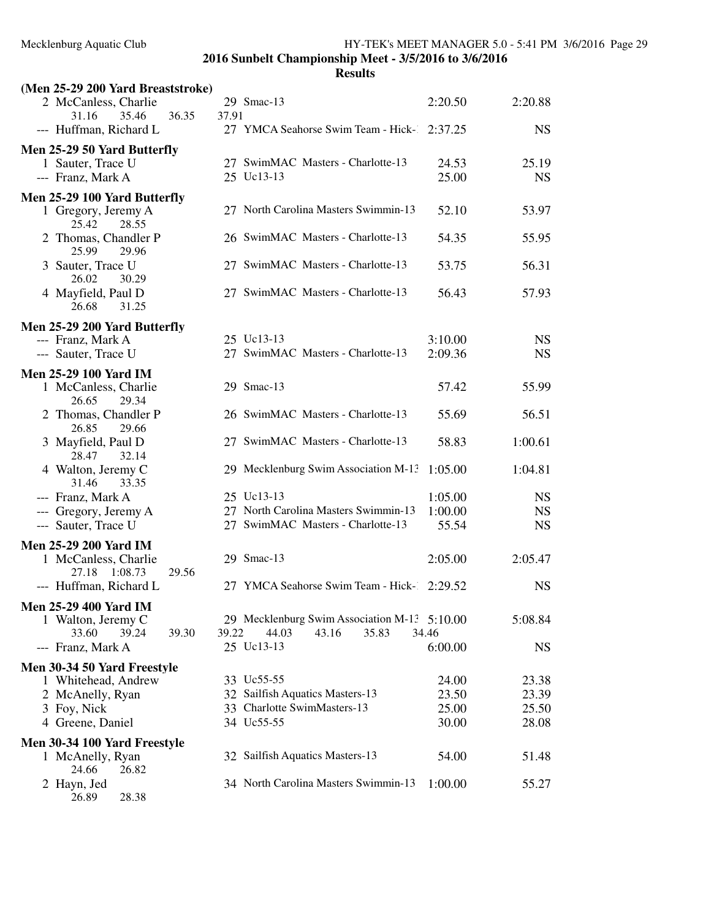26.89 28.38

**2016 Sunbelt Championship Meet - 3/5/2016 to 3/6/2016**

| (Men 25-29 200 Yard Breaststroke)                 |                                              |         |           |
|---------------------------------------------------|----------------------------------------------|---------|-----------|
| 2 McCanless, Charlie                              | 29 Smac-13                                   | 2:20.50 | 2:20.88   |
| 35.46<br>36.35<br>31.16                           | 37.91                                        |         |           |
| --- Huffman, Richard L                            | 27 YMCA Seahorse Swim Team - Hick- 2:37.25   |         | <b>NS</b> |
| Men 25-29 50 Yard Butterfly                       |                                              |         |           |
| 1 Sauter, Trace U                                 | 27 SwimMAC Masters - Charlotte-13            | 24.53   | 25.19     |
| --- Franz, Mark A                                 | 25 Uc13-13                                   | 25.00   | <b>NS</b> |
| Men 25-29 100 Yard Butterfly                      |                                              |         |           |
| 1 Gregory, Jeremy A<br>25.42<br>28.55             | 27 North Carolina Masters Swimmin-13         | 52.10   | 53.97     |
| 2 Thomas, Chandler P<br>25.99<br>29.96            | 26 SwimMAC Masters - Charlotte-13            | 54.35   | 55.95     |
| 3 Sauter, Trace U<br>26.02<br>30.29               | 27 SwimMAC Masters - Charlotte-13            | 53.75   | 56.31     |
| 4 Mayfield, Paul D<br>26.68<br>31.25              | 27 SwimMAC Masters - Charlotte-13            | 56.43   | 57.93     |
| Men 25-29 200 Yard Butterfly                      |                                              |         |           |
| --- Franz, Mark A                                 | 25 Uc13-13                                   | 3:10.00 | <b>NS</b> |
| --- Sauter, Trace U                               | 27 SwimMAC Masters - Charlotte-13            | 2:09.36 | <b>NS</b> |
| Men 25-29 100 Yard IM                             |                                              |         |           |
| 1 McCanless, Charlie<br>26.65<br>29.34            | 29 Smac-13                                   | 57.42   | 55.99     |
| 2 Thomas, Chandler P<br>26.85<br>29.66            | 26 SwimMAC Masters - Charlotte-13            | 55.69   | 56.51     |
| 3 Mayfield, Paul D<br>28.47<br>32.14              | 27 SwimMAC Masters - Charlotte-13            | 58.83   | 1:00.61   |
| 4 Walton, Jeremy C<br>31.46<br>33.35              | 29 Mecklenburg Swim Association M-13         | 1:05.00 | 1:04.81   |
| --- Franz, Mark A                                 | 25 Uc13-13                                   | 1:05.00 | <b>NS</b> |
| --- Gregory, Jeremy A                             | 27 North Carolina Masters Swimmin-13         | 1:00.00 | <b>NS</b> |
| --- Sauter, Trace U                               | 27 SwimMAC Masters - Charlotte-13            | 55.54   | <b>NS</b> |
| <b>Men 25-29 200 Yard IM</b>                      |                                              |         |           |
| 1 McCanless, Charlie<br>1:08.73<br>27.18<br>29.56 | 29 Smac-13                                   | 2:05.00 | 2:05.47   |
| --- Huffman, Richard L                            | 27 YMCA Seahorse Swim Team - Hick- 2:29.52   |         | <b>NS</b> |
| <b>Men 25-29 400 Yard IM</b>                      |                                              |         |           |
| 1 Walton, Jeremy C                                | 29 Mecklenburg Swim Association M-13 5:10.00 |         | 5:08.84   |
| 33.60<br>39.24<br>39.30                           | 44.03<br>43.16<br>35.83<br>39.22             | 34.46   |           |
| --- Franz, Mark A                                 | 25 Uc13-13                                   | 6:00.00 | <b>NS</b> |
| Men 30-34 50 Yard Freestyle                       |                                              |         |           |
| 1 Whitehead, Andrew                               | 33 Uc55-55                                   | 24.00   | 23.38     |
| 2 McAnelly, Ryan                                  | 32 Sailfish Aquatics Masters-13              | 23.50   | 23.39     |
| 3 Foy, Nick                                       | 33 Charlotte SwimMasters-13                  | 25.00   | 25.50     |
| 4 Greene, Daniel                                  | 34 Uc55-55                                   | 30.00   | 28.08     |
| Men 30-34 100 Yard Freestyle                      |                                              |         |           |
| 1 McAnelly, Ryan<br>24.66<br>26.82                | 32 Sailfish Aquatics Masters-13              | 54.00   | 51.48     |
| 2 Hayn, Jed                                       | 34 North Carolina Masters Swimmin-13         | 1:00.00 | 55.27     |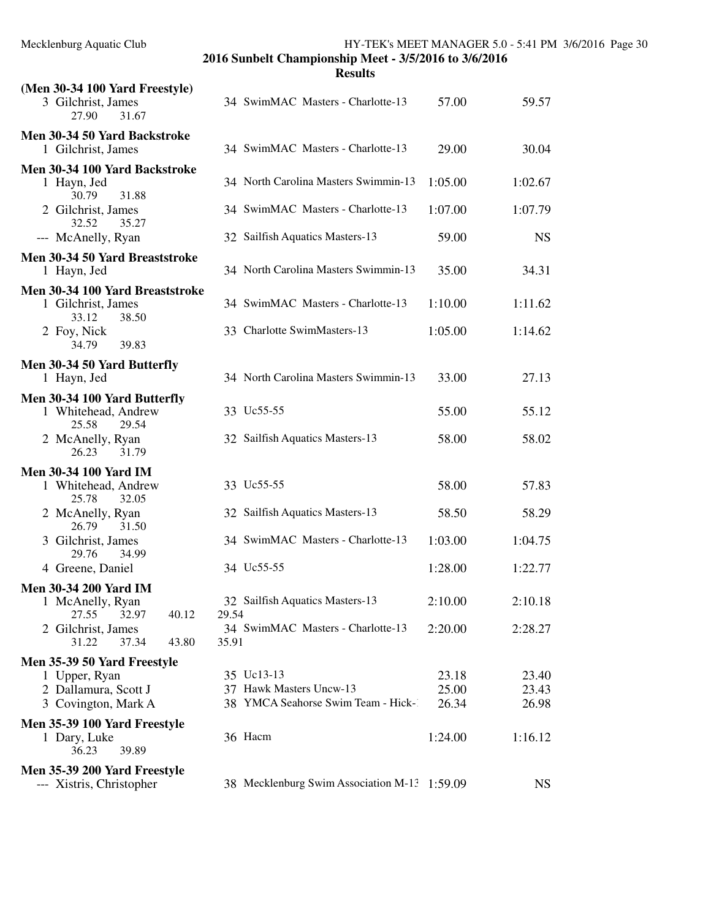| Mecklenburg Aquatic Club |  |  |
|--------------------------|--|--|
|--------------------------|--|--|

| <b>Results</b> |  |
|----------------|--|
|                |  |

| (Men 30-34 100 Yard Freestyle)<br>3 Gilchrist, James<br>27.90<br>31.67  | 34 SwimMAC Masters - Charlotte-13            | 57.00   | 59.57     |
|-------------------------------------------------------------------------|----------------------------------------------|---------|-----------|
| Men 30-34 50 Yard Backstroke<br>1 Gilchrist, James                      | 34 SwimMAC Masters - Charlotte-13            | 29.00   | 30.04     |
| Men 30-34 100 Yard Backstroke<br>1 Hayn, Jed<br>31.88<br>30.79          | 34 North Carolina Masters Swimmin-13         | 1:05.00 | 1:02.67   |
| 2 Gilchrist, James<br>32.52<br>35.27                                    | 34 SwimMAC Masters - Charlotte-13            | 1:07.00 | 1:07.79   |
| --- McAnelly, Ryan                                                      | 32 Sailfish Aquatics Masters-13              | 59.00   | <b>NS</b> |
| Men 30-34 50 Yard Breaststroke<br>1 Hayn, Jed                           | 34 North Carolina Masters Swimmin-13         | 35.00   | 34.31     |
| Men 30-34 100 Yard Breaststroke<br>1 Gilchrist, James<br>33.12<br>38.50 | 34 SwimMAC Masters - Charlotte-13            | 1:10.00 | 1:11.62   |
| 2 Foy, Nick<br>34.79<br>39.83                                           | 33 Charlotte SwimMasters-13                  | 1:05.00 | 1:14.62   |
| Men 30-34 50 Yard Butterfly<br>1 Hayn, Jed                              | 34 North Carolina Masters Swimmin-13         | 33.00   | 27.13     |
| Men 30-34 100 Yard Butterfly<br>1 Whitehead, Andrew<br>25.58<br>29.54   | 33 Uc55-55                                   | 55.00   | 55.12     |
| 2 McAnelly, Ryan<br>26.23<br>31.79                                      | 32 Sailfish Aquatics Masters-13              | 58.00   | 58.02     |
| <b>Men 30-34 100 Yard IM</b>                                            |                                              |         |           |
| 1 Whitehead, Andrew<br>25.78<br>32.05                                   | 33 Uc55-55                                   | 58.00   | 57.83     |
| 2 McAnelly, Ryan<br>26.79<br>31.50                                      | 32 Sailfish Aquatics Masters-13              | 58.50   | 58.29     |
| 3 Gilchrist, James<br>29.76<br>34.99                                    | 34 SwimMAC Masters - Charlotte-13            | 1:03.00 | 1:04.75   |
| 4 Greene, Daniel                                                        | 34 Uc55-55                                   | 1:28.00 | 1:22.77   |
| <b>Men 30-34 200 Yard IM</b>                                            |                                              |         |           |
| 1 McAnelly, Ryan<br>27.55<br>32.97<br>40.12                             | 32 Sailfish Aquatics Masters-13<br>29.54     | 2:10.00 | 2:10.18   |
| 2 Gilchrist, James<br>31.22<br>37.34<br>43.80                           | 34 SwimMAC Masters - Charlotte-13<br>35.91   | 2:20.00 | 2:28.27   |
| Men 35-39 50 Yard Freestyle                                             |                                              |         |           |
| 1 Upper, Ryan                                                           | 35 Uc13-13                                   | 23.18   | 23.40     |
| 2 Dallamura, Scott J                                                    | 37 Hawk Masters Uncw-13                      | 25.00   | 23.43     |
| 3 Covington, Mark A                                                     | 38 YMCA Seahorse Swim Team - Hick-1          | 26.34   | 26.98     |
| Men 35-39 100 Yard Freestyle<br>1 Dary, Luke<br>36.23<br>39.89          | 36 Hacm                                      | 1:24.00 | 1:16.12   |
| Men 35-39 200 Yard Freestyle<br>--- Xistris, Christopher                | 38 Mecklenburg Swim Association M-13 1:59.09 |         | <b>NS</b> |
|                                                                         |                                              |         |           |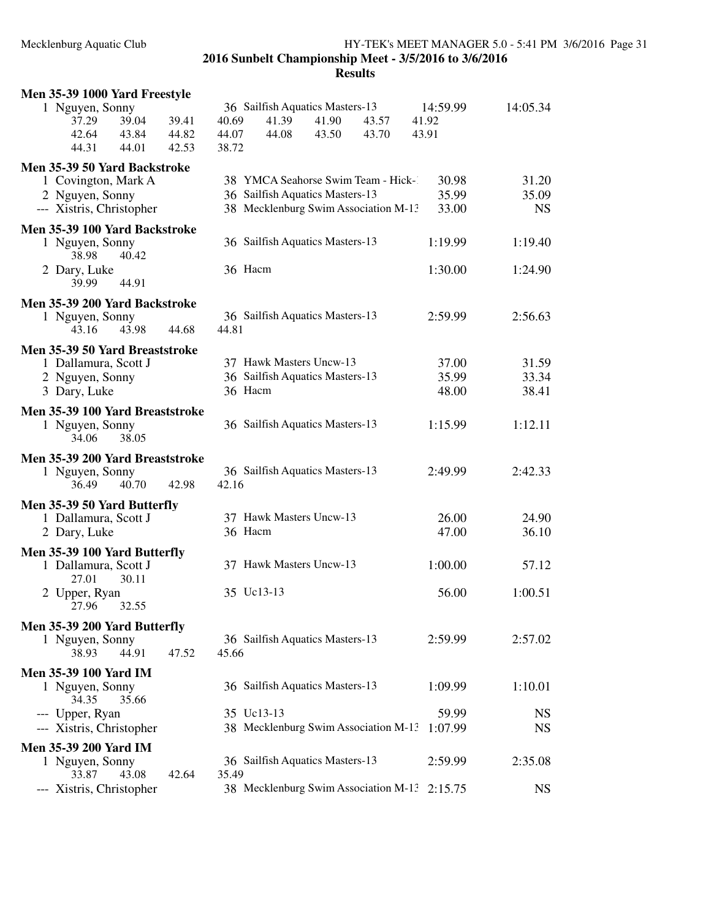## Mecklenburg Aquatic Club HY-TEK's MEET MANAGER 5.0 - 5:41 PM 3/6/2016 Page 31 **2016 Sunbelt Championship Meet - 3/5/2016 to 3/6/2016 Results**

| Men 35-39 1000 Yard Freestyle                        |                                              |                      |           |
|------------------------------------------------------|----------------------------------------------|----------------------|-----------|
| 1 Nguyen, Sonny                                      | 36 Sailfish Aquatics Masters-13              | 14:59.99<br>14:05.34 |           |
| 39.04<br>37.29<br>39.41                              | 40.69<br>41.39<br>41.90<br>43.57             | 41.92                |           |
| 42.64<br>43.84<br>44.82                              | 44.07<br>44.08<br>43.50<br>43.70             | 43.91                |           |
| 44.31<br>44.01<br>42.53                              | 38.72                                        |                      |           |
| Men 35-39 50 Yard Backstroke                         |                                              |                      |           |
| 1 Covington, Mark A                                  | 38 YMCA Seahorse Swim Team - Hick-1          | 30.98                | 31.20     |
| 2 Nguyen, Sonny                                      | 36 Sailfish Aquatics Masters-13              | 35.99                | 35.09     |
| --- Xistris, Christopher                             | 38 Mecklenburg Swim Association M-13         | 33.00                | <b>NS</b> |
| Men 35-39 100 Yard Backstroke                        |                                              |                      |           |
| 1 Nguyen, Sonny                                      | 36 Sailfish Aquatics Masters-13              | 1:19.40<br>1:19.99   |           |
| 38.98<br>40.42                                       |                                              |                      |           |
| 2 Dary, Luke                                         | 36 Hacm                                      | 1:30.00<br>1:24.90   |           |
| 39.99<br>44.91                                       |                                              |                      |           |
| Men 35-39 200 Yard Backstroke                        |                                              |                      |           |
| 1 Nguyen, Sonny                                      | 36 Sailfish Aquatics Masters-13              | 2:56.63<br>2:59.99   |           |
| 43.16<br>43.98<br>44.68                              | 44.81                                        |                      |           |
| Men 35-39 50 Yard Breaststroke                       |                                              |                      |           |
| 1 Dallamura, Scott J                                 | 37 Hawk Masters Uncw-13                      | 37.00                | 31.59     |
| 2 Nguyen, Sonny                                      | 36 Sailfish Aquatics Masters-13              | 35.99                | 33.34     |
| 3 Dary, Luke                                         | 36 Hacm                                      | 48.00                | 38.41     |
| Men 35-39 100 Yard Breaststroke                      |                                              |                      |           |
| 1 Nguyen, Sonny                                      | 36 Sailfish Aquatics Masters-13              | 1:12.11<br>1:15.99   |           |
| 38.05<br>34.06                                       |                                              |                      |           |
| Men 35-39 200 Yard Breaststroke                      |                                              |                      |           |
| 1 Nguyen, Sonny                                      | 36 Sailfish Aquatics Masters-13              | 2:42.33<br>2:49.99   |           |
| 36.49<br>40.70<br>42.98                              | 42.16                                        |                      |           |
| Men 35-39 50 Yard Butterfly                          |                                              |                      |           |
| 1 Dallamura, Scott J                                 | 37 Hawk Masters Uncw-13                      | 26.00                | 24.90     |
| 2 Dary, Luke                                         | 36 Hacm                                      | 47.00                | 36.10     |
|                                                      |                                              |                      |           |
| Men 35-39 100 Yard Butterfly<br>1 Dallamura, Scott J | 37 Hawk Masters Uncw-13                      | 1:00.00              | 57.12     |
| 27.01<br>30.11                                       |                                              |                      |           |
| 2 Upper, Ryan                                        | 35 Uc13-13                                   | 1:00.51<br>56.00     |           |
| 32.55<br>27.96                                       |                                              |                      |           |
|                                                      |                                              |                      |           |
| Men 35-39 200 Yard Butterfly<br>1 Nguyen, Sonny      | 36 Sailfish Aquatics Masters-13              | 2:59.99<br>2:57.02   |           |
| 44.91<br>38.93<br>47.52                              | 45.66                                        |                      |           |
|                                                      |                                              |                      |           |
| <b>Men 35-39 100 Yard IM</b><br>1 Nguyen, Sonny      | 36 Sailfish Aquatics Masters-13              | 1:09.99<br>1:10.01   |           |
| 34.35<br>35.66                                       |                                              |                      |           |
| --- Upper, Ryan                                      | 35 Uc13-13                                   | 59.99                | <b>NS</b> |
| --- Xistris, Christopher                             | 38 Mecklenburg Swim Association M-13         | 1:07.99              | <b>NS</b> |
| <b>Men 35-39 200 Yard IM</b>                         |                                              |                      |           |
| 1 Nguyen, Sonny                                      | 36 Sailfish Aquatics Masters-13              | 2:35.08<br>2:59.99   |           |
| 43.08<br>42.64<br>33.87                              | 35.49                                        |                      |           |
| --- Xistris, Christopher                             | 38 Mecklenburg Swim Association M-13 2:15.75 |                      | <b>NS</b> |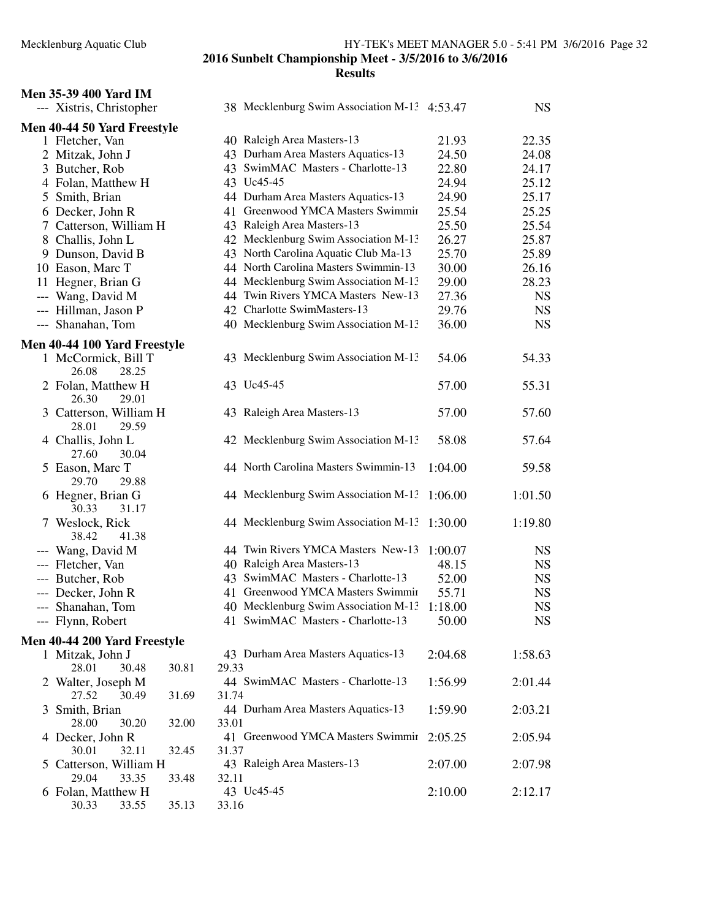## **Men 35-39 400 Yard IM** --- Xistris, Christ

|   | --- Xistris, Christopher                 |                | 38 Mecklenburg Swim Association M-13 4:53.47 |         | <b>NS</b>   |
|---|------------------------------------------|----------------|----------------------------------------------|---------|-------------|
|   | Men 40-44 50 Yard Freestyle              |                |                                              |         |             |
|   | 1 Fletcher, Van                          |                | 40 Raleigh Area Masters-13                   | 21.93   | 22.35       |
|   | 2 Mitzak, John J                         |                | 43 Durham Area Masters Aquatics-13           | 24.50   | 24.08       |
|   | 3 Butcher, Rob                           |                | 43 SwimMAC Masters - Charlotte-13            | 22.80   | 24.17       |
|   | 4 Folan, Matthew H                       |                | 43 Uc45-45                                   | 24.94   | 25.12       |
| 5 | Smith, Brian                             |                | 44 Durham Area Masters Aquatics-13           | 24.90   | 25.17       |
|   | 6 Decker, John R                         |                | 41 Greenwood YMCA Masters Swimmir            | 25.54   | 25.25       |
|   | 7 Catterson, William H                   |                | 43 Raleigh Area Masters-13                   | 25.50   | 25.54       |
|   | 8 Challis, John L                        |                | 42 Mecklenburg Swim Association M-13         | 26.27   | 25.87       |
|   | 9 Dunson, David B                        |                | 43 North Carolina Aquatic Club Ma-13         | 25.70   | 25.89       |
|   | 10 Eason, Marc T                         |                | 44 North Carolina Masters Swimmin-13         | 30.00   | 26.16       |
|   | 11 Hegner, Brian G                       |                | 44 Mecklenburg Swim Association M-13         | 29.00   | 28.23       |
|   | --- Wang, David M                        |                | 44 Twin Rivers YMCA Masters New-13           | 27.36   | <b>NS</b>   |
|   | --- Hillman, Jason P                     |                | 42 Charlotte SwimMasters-13                  | 29.76   | <b>NS</b>   |
|   | --- Shanahan, Tom                        |                | 40 Mecklenburg Swim Association M-13         | 36.00   | <b>NS</b>   |
|   | Men 40-44 100 Yard Freestyle             |                |                                              |         |             |
|   | 1 McCormick, Bill T<br>26.08<br>28.25    |                | 43 Mecklenburg Swim Association M-13         | 54.06   | 54.33       |
|   | 2 Folan, Matthew H<br>26.30<br>29.01     |                | 43 Uc45-45                                   | 57.00   | 55.31       |
|   | 3 Catterson, William H<br>28.01<br>29.59 |                | 43 Raleigh Area Masters-13                   | 57.00   | 57.60       |
|   | 4 Challis, John L<br>27.60<br>30.04      |                | 42 Mecklenburg Swim Association M-13         | 58.08   | 57.64       |
|   | 5 Eason, Marc T<br>29.70<br>29.88        |                | 44 North Carolina Masters Swimmin-13         | 1:04.00 | 59.58       |
|   | 6 Hegner, Brian G<br>30.33<br>31.17      |                | 44 Mecklenburg Swim Association M-13         | 1:06.00 | 1:01.50     |
|   | 7 Weslock, Rick<br>38.42<br>41.38        |                | 44 Mecklenburg Swim Association M-13 1:30.00 |         | 1:19.80     |
|   | --- Wang, David M                        |                | 44 Twin Rivers YMCA Masters New-13           | 1:00.07 | <b>NS</b>   |
|   | --- Fletcher, Van                        |                | 40 Raleigh Area Masters-13                   | 48.15   | <b>NS</b>   |
|   | --- Butcher, Rob                         |                | 43 SwimMAC Masters - Charlotte-13            | 52.00   | <b>NS</b>   |
|   | --- Decker, John R                       |                | 41 Greenwood YMCA Masters Swimmir            | 55.71   | <b>NS</b>   |
|   | --- Shanahan, Tom                        |                | 40 Mecklenburg Swim Association M-13         | 1:18.00 | <b>NS</b>   |
|   | --- Flynn, Robert                        |                | 41 SwimMAC Masters - Charlotte-13            | 50.00   | $_{\rm NS}$ |
|   | Men 40-44 200 Yard Freestyle             |                |                                              |         |             |
|   | 1 Mitzak, John J                         |                | 43 Durham Area Masters Aquatics-13           | 2:04.68 | 1:58.63     |
|   | 28.01<br>30.48                           | 30.81<br>29.33 |                                              |         |             |
|   | 2 Walter, Joseph M                       |                | 44 SwimMAC Masters - Charlotte-13            | 1:56.99 | 2:01.44     |
|   | 27.52<br>30.49                           | 31.74<br>31.69 |                                              |         |             |
| 3 | Smith, Brian                             |                | 44 Durham Area Masters Aquatics-13           | 1:59.90 | 2:03.21     |
|   | 30.20<br>28.00                           | 32.00<br>33.01 |                                              |         |             |
|   | 4 Decker, John R<br>30.01<br>32.11       | 32.45<br>31.37 | 41 Greenwood YMCA Masters Swimmir            | 2:05.25 | 2:05.94     |
| 5 | Catterson, William H                     |                | 43 Raleigh Area Masters-13                   | 2:07.00 | 2:07.98     |
|   | 29.04<br>33.35                           | 33.48<br>32.11 |                                              |         |             |
|   | 6 Folan, Matthew H                       |                | 43 Uc45-45                                   | 2:10.00 | 2:12.17     |
|   | 30.33<br>33.55                           | 35.13<br>33.16 |                                              |         |             |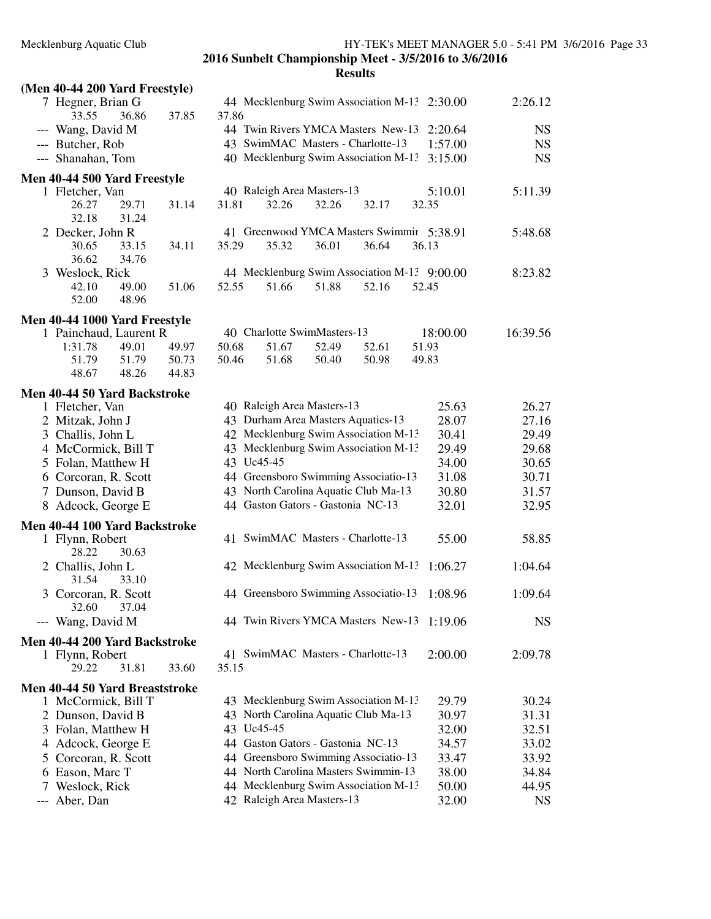| (Men 40-44 200 Yard Freestyle)                                                                                                                                                                                                                                      |                         |                |                                                                                                                                                                                                                                                                                                                                                    |                |                |                                                                                          |                                                                                          |
|---------------------------------------------------------------------------------------------------------------------------------------------------------------------------------------------------------------------------------------------------------------------|-------------------------|----------------|----------------------------------------------------------------------------------------------------------------------------------------------------------------------------------------------------------------------------------------------------------------------------------------------------------------------------------------------------|----------------|----------------|------------------------------------------------------------------------------------------|------------------------------------------------------------------------------------------|
| 7 Hegner, Brian G<br>33.55<br>36.86                                                                                                                                                                                                                                 | 37.85                   | 37.86          |                                                                                                                                                                                                                                                                                                                                                    |                |                | 44 Mecklenburg Swim Association M-13 2:30.00                                             | 2:26.12                                                                                  |
| --- Wang, David M<br>--- Butcher, Rob<br>--- Shanahan, Tom                                                                                                                                                                                                          |                         |                | 44 Twin Rivers YMCA Masters New-13<br>43 SwimMAC Masters - Charlotte-13<br>40 Mecklenburg Swim Association M-13                                                                                                                                                                                                                                    |                |                | 2:20.64<br>1:57.00<br>3:15.00                                                            | <b>NS</b><br><b>NS</b><br><b>NS</b>                                                      |
| <b>Men 40-44 500 Yard Freestyle</b>                                                                                                                                                                                                                                 |                         |                |                                                                                                                                                                                                                                                                                                                                                    |                |                |                                                                                          |                                                                                          |
| 1 Fletcher, Van<br>26.27<br>29.71<br>32.18<br>31.24                                                                                                                                                                                                                 | 31.14                   | 31.81          | 40 Raleigh Area Masters-13<br>32.26                                                                                                                                                                                                                                                                                                                | 32.26          | 32.17          | 5:10.01<br>32.35                                                                         | 5:11.39                                                                                  |
| 2 Decker, John R<br>33.15<br>30.65                                                                                                                                                                                                                                  | 34.11                   | 35.29          | 35.32                                                                                                                                                                                                                                                                                                                                              | 36.01          | 36.64          | 41 Greenwood YMCA Masters Swimmir 5:38.91<br>36.13                                       | 5:48.68                                                                                  |
| 36.62<br>34.76                                                                                                                                                                                                                                                      |                         |                |                                                                                                                                                                                                                                                                                                                                                    |                |                |                                                                                          |                                                                                          |
| 3 Weslock, Rick<br>42.10<br>49.00<br>52.00<br>48.96                                                                                                                                                                                                                 | 51.06                   | 52.55          | 51.66                                                                                                                                                                                                                                                                                                                                              | 51.88          | 52.16          | 44 Mecklenburg Swim Association M-13 9:00.00<br>52.45                                    | 8:23.82                                                                                  |
| Men 40-44 1000 Yard Freestyle                                                                                                                                                                                                                                       |                         |                |                                                                                                                                                                                                                                                                                                                                                    |                |                |                                                                                          |                                                                                          |
| 1 Painchaud, Laurent R<br>1:31.78<br>49.01<br>51.79<br>51.79<br>48.67<br>48.26                                                                                                                                                                                      | 49.97<br>50.73<br>44.83 | 50.68<br>50.46 | 40 Charlotte SwimMasters-13<br>51.67<br>51.68                                                                                                                                                                                                                                                                                                      | 52.49<br>50.40 | 52.61<br>50.98 | 18:00.00<br>51.93<br>49.83                                                               | 16:39.56                                                                                 |
| Men 40-44 50 Yard Backstroke                                                                                                                                                                                                                                        |                         |                |                                                                                                                                                                                                                                                                                                                                                    |                |                |                                                                                          |                                                                                          |
| 1 Fletcher, Van<br>2 Mitzak, John J<br>3 Challis, John L<br>4 McCormick, Bill T<br>5 Folan, Matthew H<br>6 Corcoran, R. Scott<br>7 Dunson, David B<br>8 Adcock, George E<br>Men 40-44 100 Yard Backstroke<br>1 Flynn, Robert<br>28.22<br>30.63<br>2 Challis, John L |                         | 43 Uc45-45     | 40 Raleigh Area Masters-13<br>43 Durham Area Masters Aquatics-13<br>42 Mecklenburg Swim Association M-13<br>43 Mecklenburg Swim Association M-13<br>44 Greensboro Swimming Associatio-13<br>43 North Carolina Aquatic Club Ma-13<br>44 Gaston Gators - Gastonia NC-13<br>41 SwimMAC Masters - Charlotte-13<br>42 Mecklenburg Swim Association M-13 |                |                | 25.63<br>28.07<br>30.41<br>29.49<br>34.00<br>31.08<br>30.80<br>32.01<br>55.00<br>1:06.27 | 26.27<br>27.16<br>29.49<br>29.68<br>30.65<br>30.71<br>31.57<br>32.95<br>58.85<br>1:04.64 |
| 31.54<br>33.10<br>3 Corcoran, R. Scott<br>32.60<br>37.04                                                                                                                                                                                                            |                         |                | 44 Greensboro Swimming Associatio-13                                                                                                                                                                                                                                                                                                               |                |                | 1:08.96                                                                                  | 1:09.64                                                                                  |
| --- Wang, David M                                                                                                                                                                                                                                                   |                         |                |                                                                                                                                                                                                                                                                                                                                                    |                |                | 44 Twin Rivers YMCA Masters New-13 1:19.06                                               | <b>NS</b>                                                                                |
| Men 40-44 200 Yard Backstroke<br>1 Flynn, Robert<br>29.22<br>31.81                                                                                                                                                                                                  | 33.60                   | 35.15          | 41 SwimMAC Masters - Charlotte-13                                                                                                                                                                                                                                                                                                                  |                |                | 2:00.00                                                                                  | 2:09.78                                                                                  |
| Men 40-44 50 Yard Breaststroke<br>1 McCormick, Bill T<br>2 Dunson, David B<br>3 Folan, Matthew H<br>4 Adcock, George E<br>5 Corcoran, R. Scott<br>6 Eason, Marc T<br>7 Weslock, Rick<br>--- Aber, Dan                                                               |                         | 43 Uc45-45     | 43 Mecklenburg Swim Association M-13<br>43 North Carolina Aquatic Club Ma-13<br>44 Gaston Gators - Gastonia NC-13<br>44 Greensboro Swimming Associatio-13<br>44 North Carolina Masters Swimmin-13<br>44 Mecklenburg Swim Association M-13<br>42 Raleigh Area Masters-13                                                                            |                |                | 29.79<br>30.97<br>32.00<br>34.57<br>33.47<br>38.00<br>50.00<br>32.00                     | 30.24<br>31.31<br>32.51<br>33.02<br>33.92<br>34.84<br>44.95<br><b>NS</b>                 |
|                                                                                                                                                                                                                                                                     |                         |                |                                                                                                                                                                                                                                                                                                                                                    |                |                |                                                                                          |                                                                                          |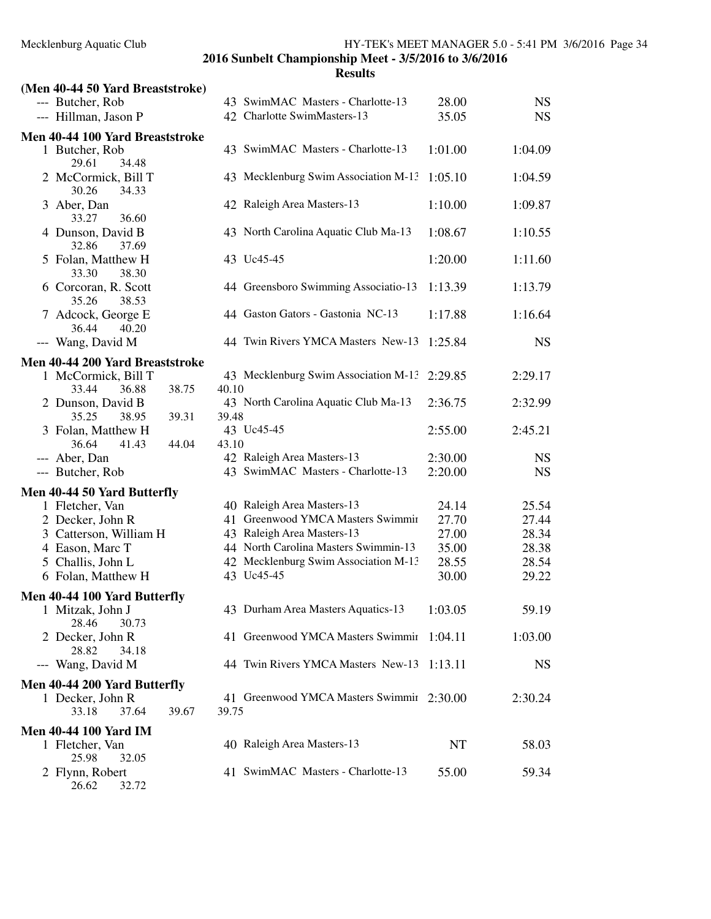| (Men 40-44 50 Yard Breaststroke)                                                  |                                                    |         |           |
|-----------------------------------------------------------------------------------|----------------------------------------------------|---------|-----------|
| --- Butcher, Rob                                                                  | 43 SwimMAC Masters - Charlotte-13                  | 28.00   | <b>NS</b> |
| --- Hillman, Jason P                                                              | 42 Charlotte SwimMasters-13                        | 35.05   | <b>NS</b> |
|                                                                                   |                                                    |         |           |
| Men 40-44 100 Yard Breaststroke<br>1 Butcher, Rob                                 | 43 SwimMAC Masters - Charlotte-13                  | 1:01.00 | 1:04.09   |
| 29.61<br>34.48                                                                    |                                                    |         |           |
| 2 McCormick, Bill T<br>30.26<br>34.33                                             | 43 Mecklenburg Swim Association M-13               | 1:05.10 | 1:04.59   |
| 3 Aber, Dan<br>33.27<br>36.60                                                     | 42 Raleigh Area Masters-13                         | 1:10.00 | 1:09.87   |
| 4 Dunson, David B<br>32.86<br>37.69                                               | 43 North Carolina Aquatic Club Ma-13               | 1:08.67 | 1:10.55   |
| 5 Folan, Matthew H<br>33.30<br>38.30                                              | 43 Uc45-45                                         | 1:20.00 | 1:11.60   |
| 6 Corcoran, R. Scott<br>35.26<br>38.53                                            | 44 Greensboro Swimming Associatio-13               | 1:13.39 | 1:13.79   |
| 7 Adcock, George E<br>40.20<br>36.44                                              | 44 Gaston Gators - Gastonia NC-13                  | 1:17.88 | 1:16.64   |
| --- Wang, David M                                                                 | 44 Twin Rivers YMCA Masters New-13                 | 1:25.84 | <b>NS</b> |
| Men 40-44 200 Yard Breaststroke<br>1 McCormick, Bill T<br>33.44<br>36.88<br>38.75 | 43 Mecklenburg Swim Association M-13<br>40.10      | 2:29.85 | 2:29.17   |
| 2 Dunson, David B<br>39.31<br>35.25<br>38.95                                      | 43 North Carolina Aquatic Club Ma-13<br>39.48      | 2:36.75 | 2:32.99   |
| 3 Folan, Matthew H<br>36.64<br>41.43<br>44.04                                     | 43 Uc45-45<br>43.10                                | 2:55.00 | 2:45.21   |
| --- Aber, Dan                                                                     | 42 Raleigh Area Masters-13                         | 2:30.00 | <b>NS</b> |
| --- Butcher, Rob                                                                  | 43 SwimMAC Masters - Charlotte-13                  | 2:20.00 | <b>NS</b> |
| Men 40-44 50 Yard Butterfly                                                       |                                                    |         |           |
| 1 Fletcher, Van                                                                   | 40 Raleigh Area Masters-13                         | 24.14   | 25.54     |
| 2 Decker, John R                                                                  | 41 Greenwood YMCA Masters Swimmir                  | 27.70   | 27.44     |
| 3 Catterson, William H                                                            | 43 Raleigh Area Masters-13                         | 27.00   | 28.34     |
| 4 Eason, Marc T                                                                   | 44 North Carolina Masters Swimmin-13               | 35.00   | 28.38     |
| 5 Challis, John L                                                                 | 42 Mecklenburg Swim Association M-13               | 28.55   | 28.54     |
| 6 Folan, Matthew H                                                                | 43 Uc45-45                                         | 30.00   | 29.22     |
|                                                                                   |                                                    |         |           |
| Men 40-44 100 Yard Butterfly<br>1 Mitzak, John J<br>28.46<br>30.73                | 43 Durham Area Masters Aquatics-13                 | 1:03.05 | 59.19     |
| 2 Decker, John R<br>28.82<br>34.18                                                | 41 Greenwood YMCA Masters Swimmir                  | 1:04.11 | 1:03.00   |
| --- Wang, David M                                                                 | 44 Twin Rivers YMCA Masters New-13                 | 1:13.11 | <b>NS</b> |
| Men 40-44 200 Yard Butterfly                                                      |                                                    |         |           |
| 1 Decker, John R<br>33.18<br>37.64<br>39.67                                       | 41 Greenwood YMCA Masters Swimmir 2:30.00<br>39.75 |         | 2:30.24   |
| <b>Men 40-44 100 Yard IM</b>                                                      |                                                    |         |           |
| 1 Fletcher, Van<br>25.98<br>32.05                                                 | 40 Raleigh Area Masters-13                         | NT      | 58.03     |
| 2 Flynn, Robert<br>26.62<br>32.72                                                 | 41 SwimMAC Masters - Charlotte-13                  | 55.00   | 59.34     |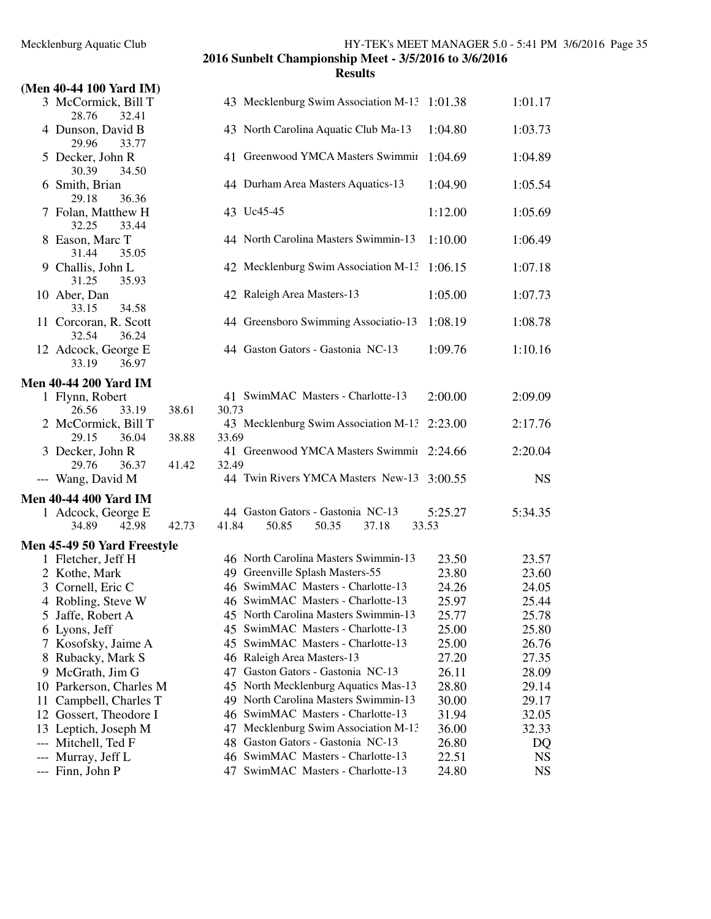## **(Men 40-44 100 Yard IM)** 3 McCormick, Bill T<br>28.76 32.41 43 Mecklenburg Swim Association M-13 1:01.38 1:01.17 28.76 32.41<br>4 Dunson, David B 43 North Carolina Aquatic Club Ma-13 1:04.80 1:03.73 29.96 33.77 30.39 34.50 6 Smith, Brian<br>29.18 36.36 29.18 7 Folan, Matthew H 32.25 33.44 8 Eason, Marc T 31.44 35.05 31.25 35.93 10 Aber, Dan 33.15 34.58 33.15 32.54 36.24 33.19 **Men 40-44 200 Yard IM** 1 Flynn, Robert 26.56 33.19 38. 2 McCormick, Bill T 29.15 36.04 38. 3 Decker, John R 29.76 36.37 41 --- Wang, David M **Men 40-44 400 Yard IM Men 45-49 50 Yard Freestyle** 1 Fletcher, Jeff H 2 Kothe, Mark 3 Cornell, Eric C 4 Robling, Steve W 5 Jaffe, Robert A 6 Lyons, Jeff 7 Kosofsky, Jaime A 8 Rubacky, Mark S 9 McGrath, Jim G 10 Parkerson, Charles M 11 Campbell, Charles T 12 Gossert, Theodore I 13 Leptich, Joseph M

| 5 Decker, John R<br>30.39<br>34.50<br>6 Smith, Brian<br>29.18<br>36.36<br>7 Folan, Matthew H<br>32.25<br>33.44<br>8 Eason, Marc T<br>31.44<br>35.05<br>9 Challis, John L<br>31.25<br>35.93<br>10 Aber, Dan<br>33.15<br>34.58<br>11 Corcoran, R. Scott<br>32.54<br>36.24<br>12 Adcock, George E<br>33.19<br>36.97 | 41 Greenwood YMCA Masters Swimmir 1:04.69<br>44 Durham Area Masters Aquatics-13<br>43 Uc45-45<br>44 North Carolina Masters Swimmin-13<br>42 Mecklenburg Swim Association M-13<br>42 Raleigh Area Masters-13<br>44 Greensboro Swimming Associatio-13<br>44 Gaston Gators - Gastonia NC-13                                                                                                                                                 | 1:04.90<br>1:12.00<br>1:10.00<br>1:06.15<br>1:05.00<br>1:08.19                                                                                                                                                                                                                                                                                                                                                                                                                                                                                                                              | 1:04.89<br>1:05.54<br>1:05.69<br>1:06.49<br>1:07.18<br>1:07.73<br>1:08.78                                                                                                                       |
|------------------------------------------------------------------------------------------------------------------------------------------------------------------------------------------------------------------------------------------------------------------------------------------------------------------|------------------------------------------------------------------------------------------------------------------------------------------------------------------------------------------------------------------------------------------------------------------------------------------------------------------------------------------------------------------------------------------------------------------------------------------|---------------------------------------------------------------------------------------------------------------------------------------------------------------------------------------------------------------------------------------------------------------------------------------------------------------------------------------------------------------------------------------------------------------------------------------------------------------------------------------------------------------------------------------------------------------------------------------------|-------------------------------------------------------------------------------------------------------------------------------------------------------------------------------------------------|
|                                                                                                                                                                                                                                                                                                                  |                                                                                                                                                                                                                                                                                                                                                                                                                                          |                                                                                                                                                                                                                                                                                                                                                                                                                                                                                                                                                                                             |                                                                                                                                                                                                 |
|                                                                                                                                                                                                                                                                                                                  |                                                                                                                                                                                                                                                                                                                                                                                                                                          |                                                                                                                                                                                                                                                                                                                                                                                                                                                                                                                                                                                             |                                                                                                                                                                                                 |
|                                                                                                                                                                                                                                                                                                                  |                                                                                                                                                                                                                                                                                                                                                                                                                                          |                                                                                                                                                                                                                                                                                                                                                                                                                                                                                                                                                                                             |                                                                                                                                                                                                 |
|                                                                                                                                                                                                                                                                                                                  |                                                                                                                                                                                                                                                                                                                                                                                                                                          |                                                                                                                                                                                                                                                                                                                                                                                                                                                                                                                                                                                             |                                                                                                                                                                                                 |
|                                                                                                                                                                                                                                                                                                                  |                                                                                                                                                                                                                                                                                                                                                                                                                                          |                                                                                                                                                                                                                                                                                                                                                                                                                                                                                                                                                                                             |                                                                                                                                                                                                 |
|                                                                                                                                                                                                                                                                                                                  |                                                                                                                                                                                                                                                                                                                                                                                                                                          |                                                                                                                                                                                                                                                                                                                                                                                                                                                                                                                                                                                             |                                                                                                                                                                                                 |
|                                                                                                                                                                                                                                                                                                                  |                                                                                                                                                                                                                                                                                                                                                                                                                                          |                                                                                                                                                                                                                                                                                                                                                                                                                                                                                                                                                                                             |                                                                                                                                                                                                 |
|                                                                                                                                                                                                                                                                                                                  |                                                                                                                                                                                                                                                                                                                                                                                                                                          | 1:09.76                                                                                                                                                                                                                                                                                                                                                                                                                                                                                                                                                                                     | 1:10.16                                                                                                                                                                                         |
|                                                                                                                                                                                                                                                                                                                  |                                                                                                                                                                                                                                                                                                                                                                                                                                          |                                                                                                                                                                                                                                                                                                                                                                                                                                                                                                                                                                                             |                                                                                                                                                                                                 |
| 1 Flynn, Robert                                                                                                                                                                                                                                                                                                  | 41 SwimMAC Masters - Charlotte-13                                                                                                                                                                                                                                                                                                                                                                                                        | 2:00.00                                                                                                                                                                                                                                                                                                                                                                                                                                                                                                                                                                                     | 2:09.09                                                                                                                                                                                         |
|                                                                                                                                                                                                                                                                                                                  |                                                                                                                                                                                                                                                                                                                                                                                                                                          |                                                                                                                                                                                                                                                                                                                                                                                                                                                                                                                                                                                             | 2:17.76                                                                                                                                                                                         |
| 36.04                                                                                                                                                                                                                                                                                                            |                                                                                                                                                                                                                                                                                                                                                                                                                                          |                                                                                                                                                                                                                                                                                                                                                                                                                                                                                                                                                                                             |                                                                                                                                                                                                 |
| 3 Decker, John R                                                                                                                                                                                                                                                                                                 |                                                                                                                                                                                                                                                                                                                                                                                                                                          |                                                                                                                                                                                                                                                                                                                                                                                                                                                                                                                                                                                             | 2:20.04                                                                                                                                                                                         |
| 29.76<br>36.37                                                                                                                                                                                                                                                                                                   | 32.49                                                                                                                                                                                                                                                                                                                                                                                                                                    |                                                                                                                                                                                                                                                                                                                                                                                                                                                                                                                                                                                             |                                                                                                                                                                                                 |
|                                                                                                                                                                                                                                                                                                                  |                                                                                                                                                                                                                                                                                                                                                                                                                                          |                                                                                                                                                                                                                                                                                                                                                                                                                                                                                                                                                                                             | <b>NS</b>                                                                                                                                                                                       |
| en 40-44 400 Yard IM                                                                                                                                                                                                                                                                                             |                                                                                                                                                                                                                                                                                                                                                                                                                                          |                                                                                                                                                                                                                                                                                                                                                                                                                                                                                                                                                                                             |                                                                                                                                                                                                 |
|                                                                                                                                                                                                                                                                                                                  |                                                                                                                                                                                                                                                                                                                                                                                                                                          |                                                                                                                                                                                                                                                                                                                                                                                                                                                                                                                                                                                             | 5:34.35                                                                                                                                                                                         |
|                                                                                                                                                                                                                                                                                                                  |                                                                                                                                                                                                                                                                                                                                                                                                                                          |                                                                                                                                                                                                                                                                                                                                                                                                                                                                                                                                                                                             |                                                                                                                                                                                                 |
|                                                                                                                                                                                                                                                                                                                  |                                                                                                                                                                                                                                                                                                                                                                                                                                          |                                                                                                                                                                                                                                                                                                                                                                                                                                                                                                                                                                                             | 23.57                                                                                                                                                                                           |
|                                                                                                                                                                                                                                                                                                                  |                                                                                                                                                                                                                                                                                                                                                                                                                                          |                                                                                                                                                                                                                                                                                                                                                                                                                                                                                                                                                                                             | 23.60                                                                                                                                                                                           |
|                                                                                                                                                                                                                                                                                                                  |                                                                                                                                                                                                                                                                                                                                                                                                                                          |                                                                                                                                                                                                                                                                                                                                                                                                                                                                                                                                                                                             | 24.05                                                                                                                                                                                           |
|                                                                                                                                                                                                                                                                                                                  |                                                                                                                                                                                                                                                                                                                                                                                                                                          |                                                                                                                                                                                                                                                                                                                                                                                                                                                                                                                                                                                             | 25.44                                                                                                                                                                                           |
|                                                                                                                                                                                                                                                                                                                  |                                                                                                                                                                                                                                                                                                                                                                                                                                          |                                                                                                                                                                                                                                                                                                                                                                                                                                                                                                                                                                                             | 25.78                                                                                                                                                                                           |
|                                                                                                                                                                                                                                                                                                                  |                                                                                                                                                                                                                                                                                                                                                                                                                                          |                                                                                                                                                                                                                                                                                                                                                                                                                                                                                                                                                                                             | 25.80                                                                                                                                                                                           |
|                                                                                                                                                                                                                                                                                                                  |                                                                                                                                                                                                                                                                                                                                                                                                                                          |                                                                                                                                                                                                                                                                                                                                                                                                                                                                                                                                                                                             | 26.76                                                                                                                                                                                           |
|                                                                                                                                                                                                                                                                                                                  |                                                                                                                                                                                                                                                                                                                                                                                                                                          |                                                                                                                                                                                                                                                                                                                                                                                                                                                                                                                                                                                             | 27.35                                                                                                                                                                                           |
|                                                                                                                                                                                                                                                                                                                  |                                                                                                                                                                                                                                                                                                                                                                                                                                          |                                                                                                                                                                                                                                                                                                                                                                                                                                                                                                                                                                                             | 28.09                                                                                                                                                                                           |
|                                                                                                                                                                                                                                                                                                                  |                                                                                                                                                                                                                                                                                                                                                                                                                                          |                                                                                                                                                                                                                                                                                                                                                                                                                                                                                                                                                                                             | 29.14                                                                                                                                                                                           |
|                                                                                                                                                                                                                                                                                                                  | 49 North Carolina Masters Swimmin-13                                                                                                                                                                                                                                                                                                                                                                                                     |                                                                                                                                                                                                                                                                                                                                                                                                                                                                                                                                                                                             | 29.17                                                                                                                                                                                           |
|                                                                                                                                                                                                                                                                                                                  | 46 SwimMAC Masters - Charlotte-13                                                                                                                                                                                                                                                                                                                                                                                                        |                                                                                                                                                                                                                                                                                                                                                                                                                                                                                                                                                                                             | 32.05                                                                                                                                                                                           |
| 13 Leptich, Joseph M                                                                                                                                                                                                                                                                                             | Mecklenburg Swim Association M-13<br>47                                                                                                                                                                                                                                                                                                                                                                                                  | 36.00                                                                                                                                                                                                                                                                                                                                                                                                                                                                                                                                                                                       | 32.33                                                                                                                                                                                           |
| --- Mitchell, Ted F                                                                                                                                                                                                                                                                                              | Gaston Gators - Gastonia NC-13<br>48                                                                                                                                                                                                                                                                                                                                                                                                     | 26.80                                                                                                                                                                                                                                                                                                                                                                                                                                                                                                                                                                                       | DQ                                                                                                                                                                                              |
| Murray, Jeff L                                                                                                                                                                                                                                                                                                   | 46 SwimMAC Masters - Charlotte-13                                                                                                                                                                                                                                                                                                                                                                                                        | 22.51                                                                                                                                                                                                                                                                                                                                                                                                                                                                                                                                                                                       | <b>NS</b>                                                                                                                                                                                       |
| --- Finn, John P                                                                                                                                                                                                                                                                                                 | 47 SwimMAC Masters - Charlotte-13                                                                                                                                                                                                                                                                                                                                                                                                        | 24.80                                                                                                                                                                                                                                                                                                                                                                                                                                                                                                                                                                                       | <b>NS</b>                                                                                                                                                                                       |
|                                                                                                                                                                                                                                                                                                                  | en 40-44 200 Yard IM<br>26.56<br>33.19<br>2 McCormick, Bill T<br>29.15<br>--- Wang, David M<br>1 Adcock, George E<br>34.89<br>42.98<br>en 45-49 50 Yard Freestyle<br>1 Fletcher, Jeff H<br>2 Kothe, Mark<br>3 Cornell, Eric C<br>4 Robling, Steve W<br>5 Jaffe, Robert A<br>6 Lyons, Jeff<br>7 Kosofsky, Jaime A<br>8 Rubacky, Mark S<br>9 McGrath, Jim G<br>10 Parkerson, Charles M<br>11 Campbell, Charles T<br>12 Gossert, Theodore I | 38.61<br>30.73<br>43 Mecklenburg Swim Association M-13<br>38.88<br>33.69<br>41.42<br>44 Twin Rivers YMCA Masters New-13<br>44 Gaston Gators - Gastonia NC-13<br>41.84<br>42.73<br>50.85<br>50.35<br>37.18<br>46 North Carolina Masters Swimmin-13<br>49 Greenville Splash Masters-55<br>46 SwimMAC Masters - Charlotte-13<br>46 SwimMAC Masters - Charlotte-13<br>45 North Carolina Masters Swimmin-13<br>45 SwimMAC Masters - Charlotte-13<br>45 SwimMAC Masters - Charlotte-13<br>46 Raleigh Area Masters-13<br>47 Gaston Gators - Gastonia NC-13<br>45 North Mecklenburg Aquatics Mas-13 | 2:23.00<br>41 Greenwood YMCA Masters Swimmir 2:24.66<br>3:00.55<br>5:25.27<br>33.53<br>23.50<br>23.80<br>24.26<br>25.97<br>25.77<br>25.00<br>25.00<br>27.20<br>26.11<br>28.80<br>30.00<br>31.94 |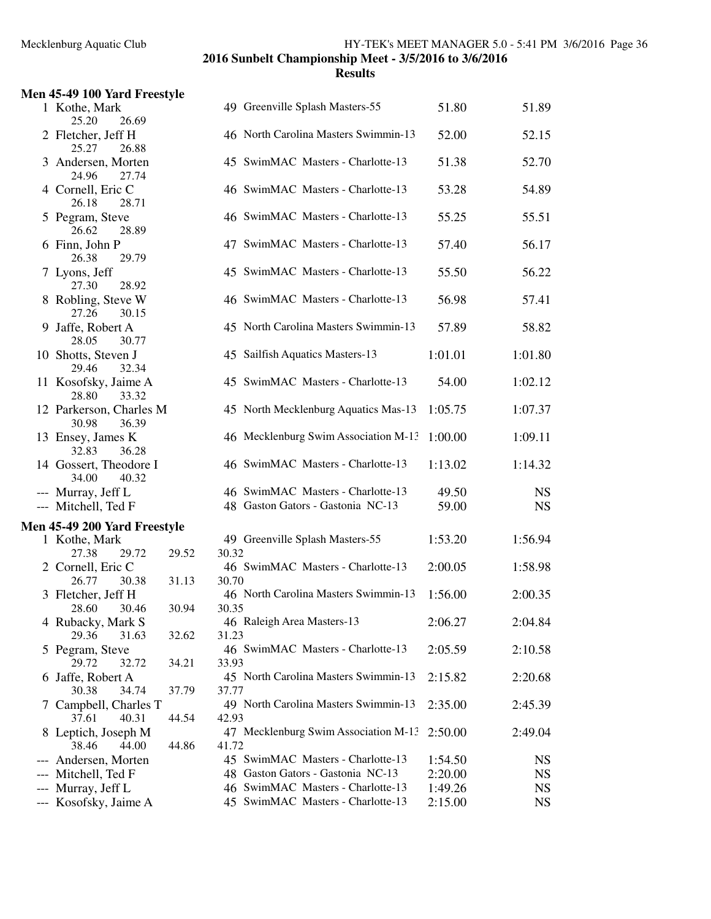| Men 45-49 100 Yard Freestyle                                                               |                                                                                                                                                  |                                          |                                           |
|--------------------------------------------------------------------------------------------|--------------------------------------------------------------------------------------------------------------------------------------------------|------------------------------------------|-------------------------------------------|
| 1 Kothe, Mark<br>25.20<br>26.69                                                            | 49 Greenville Splash Masters-55                                                                                                                  | 51.80                                    | 51.89                                     |
| 2 Fletcher, Jeff H<br>25.27<br>26.88                                                       | 46 North Carolina Masters Swimmin-13                                                                                                             | 52.00                                    | 52.15                                     |
| 3 Andersen, Morten<br>24.96<br>27.74                                                       | 45 SwimMAC Masters - Charlotte-13                                                                                                                | 51.38                                    | 52.70                                     |
| 4 Cornell, Eric C<br>26.18<br>28.71                                                        | 46 SwimMAC Masters - Charlotte-13                                                                                                                | 53.28                                    | 54.89                                     |
| 5 Pegram, Steve<br>26.62<br>28.89                                                          | 46 SwimMAC Masters - Charlotte-13                                                                                                                | 55.25                                    | 55.51                                     |
| 6 Finn, John P<br>26.38<br>29.79                                                           | 47 SwimMAC Masters - Charlotte-13                                                                                                                | 57.40                                    | 56.17                                     |
| 7 Lyons, Jeff<br>27.30<br>28.92                                                            | 45 SwimMAC Masters - Charlotte-13                                                                                                                | 55.50                                    | 56.22                                     |
| 8 Robling, Steve W<br>27.26<br>30.15                                                       | 46 SwimMAC Masters - Charlotte-13                                                                                                                | 56.98                                    | 57.41                                     |
| 9 Jaffe, Robert A<br>28.05<br>30.77                                                        | 45 North Carolina Masters Swimmin-13                                                                                                             | 57.89                                    | 58.82                                     |
| 10 Shotts, Steven J<br>29.46<br>32.34                                                      | 45 Sailfish Aquatics Masters-13                                                                                                                  | 1:01.01                                  | 1:01.80                                   |
| 11 Kosofsky, Jaime A<br>28.80<br>33.32                                                     | 45 SwimMAC Masters - Charlotte-13                                                                                                                | 54.00                                    | 1:02.12                                   |
| 12 Parkerson, Charles M<br>30.98<br>36.39                                                  | 45 North Mecklenburg Aquatics Mas-13                                                                                                             | 1:05.75                                  | 1:07.37                                   |
| 13 Ensey, James K<br>36.28<br>32.83                                                        | 46 Mecklenburg Swim Association M-13                                                                                                             | 1:00.00                                  | 1:09.11                                   |
| 14 Gossert, Theodore I<br>34.00<br>40.32                                                   | 46 SwimMAC Masters - Charlotte-13                                                                                                                | 1:13.02                                  | 1:14.32                                   |
| --- Murray, Jeff L<br>--- Mitchell, Ted F                                                  | 46 SwimMAC Masters - Charlotte-13<br>48 Gaston Gators - Gastonia NC-13                                                                           | 49.50<br>59.00                           | <b>NS</b><br><b>NS</b>                    |
| Men 45-49 200 Yard Freestyle                                                               |                                                                                                                                                  |                                          |                                           |
| 1 Kothe, Mark<br>27.38<br>29.72<br>29.52                                                   | 49 Greenville Splash Masters-55<br>30.32                                                                                                         | 1:53.20                                  | 1:56.94                                   |
| 2 Cornell, Eric C<br>26.77<br>30.38<br>31.13                                               | 46 SwimMAC Masters - Charlotte-13<br>30.70                                                                                                       | 2:00.05                                  | 1:58.98                                   |
| 3 Fletcher, Jeff H<br>28.60 30.46<br>30.94                                                 | 46 North Carolina Masters Swimmin-13<br>30.35                                                                                                    | 1:56.00                                  | 2:00.35                                   |
| 4 Rubacky, Mark S<br>29.36<br>31.63<br>32.62                                               | 46 Raleigh Area Masters-13<br>31.23                                                                                                              | 2:06.27                                  | 2:04.84                                   |
| 5 Pegram, Steve<br>29.72<br>32.72<br>34.21                                                 | 46 SwimMAC Masters - Charlotte-13<br>33.93                                                                                                       | 2:05.59                                  | 2:10.58                                   |
| 6 Jaffe, Robert A<br>30.38<br>37.79<br>34.74                                               | 45 North Carolina Masters Swimmin-13<br>37.77                                                                                                    | 2:15.82                                  | 2:20.68                                   |
| 7 Campbell, Charles T<br>37.61<br>40.31<br>44.54                                           | 49 North Carolina Masters Swimmin-13<br>42.93                                                                                                    | 2:35.00                                  | 2:45.39                                   |
| 8 Leptich, Joseph M<br>38.46<br>44.00<br>44.86                                             | 47 Mecklenburg Swim Association M-13<br>41.72                                                                                                    | 2:50.00                                  | 2:49.04                                   |
| --- Andersen, Morten<br>--- Mitchell, Ted F<br>--- Murray, Jeff L<br>--- Kosofsky, Jaime A | 45 SwimMAC Masters - Charlotte-13<br>48 Gaston Gators - Gastonia NC-13<br>46 SwimMAC Masters - Charlotte-13<br>45 SwimMAC Masters - Charlotte-13 | 1:54.50<br>2:20.00<br>1:49.26<br>2:15.00 | <b>NS</b><br>NS<br><b>NS</b><br><b>NS</b> |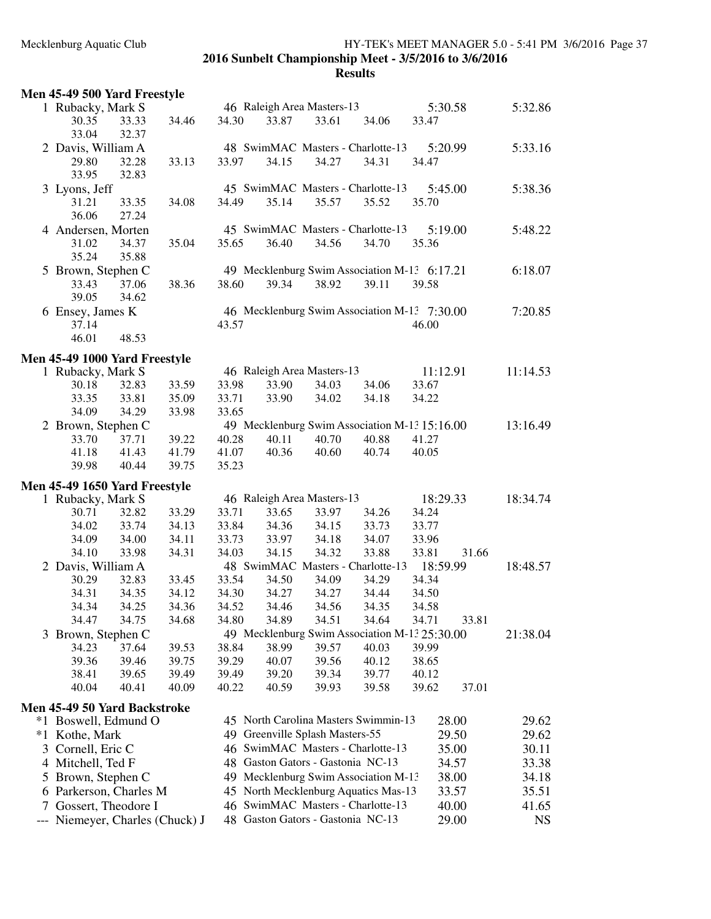# Mecklenburg Aquatic Club HY-TEK's MEET MANAGER 5.0 - 5:41 PM 3/6/2016 Page 37

**2016 Sunbelt Championship Meet - 3/5/2016 to 3/6/2016 Results**

|     | Men 45-49 500 Yard Freestyle  |                |       |       |                                   |       |                                               |          |       |           |
|-----|-------------------------------|----------------|-------|-------|-----------------------------------|-------|-----------------------------------------------|----------|-------|-----------|
|     | 1 Rubacky, Mark S             |                |       |       | 46 Raleigh Area Masters-13        |       |                                               | 5:30.58  |       | 5:32.86   |
|     | 30.35<br>33.04                | 33.33<br>32.37 | 34.46 | 34.30 | 33.87                             | 33.61 | 34.06                                         | 33.47    |       |           |
|     | 2 Davis, William A            |                |       |       |                                   |       | 48 SwimMAC Masters - Charlotte-13             | 5:20.99  |       | 5:33.16   |
|     | 29.80<br>33.95                | 32.28<br>32.83 | 33.13 | 33.97 | 34.15                             | 34.27 | 34.31                                         | 34.47    |       |           |
|     | 3 Lyons, Jeff                 |                |       |       |                                   |       | 45 SwimMAC Masters - Charlotte-13             | 5:45.00  |       | 5:38.36   |
|     | 31.21                         | 33.35          | 34.08 | 34.49 | 35.14                             | 35.57 | 35.52                                         | 35.70    |       |           |
|     | 36.06                         | 27.24          |       |       |                                   |       |                                               |          |       |           |
|     | 4 Andersen, Morten            |                |       |       |                                   |       | 45 SwimMAC Masters - Charlotte-13             | 5:19.00  |       | 5:48.22   |
|     | 31.02                         | 34.37          | 35.04 | 35.65 | 36.40                             | 34.56 | 34.70                                         | 35.36    |       |           |
|     | 35.24                         | 35.88          |       |       |                                   |       |                                               |          |       |           |
|     | 5 Brown, Stephen C            |                |       |       |                                   |       | 49 Mecklenburg Swim Association M-13 6:17.21  |          |       | 6:18.07   |
|     | 33.43                         | 37.06          | 38.36 | 38.60 | 39.34                             | 38.92 | 39.11                                         | 39.58    |       |           |
|     | 39.05                         | 34.62          |       |       |                                   |       |                                               |          |       |           |
|     | 6 Ensey, James K              |                |       |       |                                   |       | 46 Mecklenburg Swim Association M-13 7:30.00  |          |       | 7:20.85   |
|     | 37.14                         |                |       | 43.57 |                                   |       |                                               | 46.00    |       |           |
|     | 46.01                         | 48.53          |       |       |                                   |       |                                               |          |       |           |
|     | Men 45-49 1000 Yard Freestyle |                |       |       |                                   |       |                                               |          |       |           |
|     | 1 Rubacky, Mark S             |                |       |       | 46 Raleigh Area Masters-13        |       |                                               | 11:12.91 |       | 11:14.53  |
|     | 30.18                         | 32.83          | 33.59 | 33.98 | 33.90                             | 34.03 | 34.06                                         | 33.67    |       |           |
|     | 33.35                         | 33.81          | 35.09 | 33.71 | 33.90                             | 34.02 | 34.18                                         | 34.22    |       |           |
|     | 34.09                         | 34.29          | 33.98 | 33.65 |                                   |       |                                               |          |       |           |
|     | 2 Brown, Stephen C            |                |       |       |                                   |       | 49 Mecklenburg Swim Association M-13 15:16.00 |          |       | 13:16.49  |
|     | 33.70                         | 37.71          | 39.22 | 40.28 | 40.11                             | 40.70 | 40.88                                         | 41.27    |       |           |
|     | 41.18                         | 41.43          | 41.79 | 41.07 | 40.36                             | 40.60 | 40.74                                         | 40.05    |       |           |
|     | 39.98                         | 40.44          | 39.75 | 35.23 |                                   |       |                                               |          |       |           |
|     | Men 45-49 1650 Yard Freestyle |                |       |       |                                   |       |                                               |          |       |           |
|     | 1 Rubacky, Mark S             |                |       |       | 46 Raleigh Area Masters-13        |       |                                               | 18:29.33 |       | 18:34.74  |
|     | 30.71                         | 32.82          | 33.29 | 33.71 | 33.65                             | 33.97 | 34.26                                         | 34.24    |       |           |
|     | 34.02                         | 33.74          | 34.13 | 33.84 | 34.36                             | 34.15 | 33.73                                         | 33.77    |       |           |
|     | 34.09                         | 34.00          | 34.11 | 33.73 | 33.97                             | 34.18 | 34.07                                         | 33.96    |       |           |
|     | 34.10                         | 33.98          | 34.31 | 34.03 | 34.15                             | 34.32 | 33.88                                         | 33.81    | 31.66 |           |
|     | 2 Davis, William A            |                |       |       |                                   |       | 48 SwimMAC Masters - Charlotte-13 18:59.99    |          |       | 18:48.57  |
|     | 30.29                         | 32.83          | 33.45 | 33.54 | 34.50                             | 34.09 | 34.29                                         | 34.34    |       |           |
|     | 34.31                         | 34.35          | 34.12 | 34.30 | 34.27                             | 34.27 | 34.44                                         | 34.50    |       |           |
|     | 34.34                         | 34.25          | 34.36 | 34.52 | 34.46                             | 34.56 | 34.35                                         | 34.58    |       |           |
|     | 34.47                         | 34.75          | 34.68 | 34.80 | 34.89                             | 34.51 | 34.64                                         | 34.71    | 33.81 |           |
|     | 3 Brown, Stephen C            |                |       |       |                                   |       | 49 Mecklenburg Swim Association M-13 25:30.00 |          |       | 21:38.04  |
|     | 34.23                         | 37.64          | 39.53 | 38.84 | 38.99                             | 39.57 | 40.03                                         | 39.99    |       |           |
|     | 39.36                         | 39.46          | 39.75 | 39.29 | 40.07                             | 39.56 | 40.12                                         | 38.65    |       |           |
|     | 38.41                         | 39.65          | 39.49 | 39.49 | 39.20                             | 39.34 | 39.77                                         | 40.12    |       |           |
|     | 40.04                         | 40.41          | 40.09 | 40.22 | 40.59                             | 39.93 | 39.58                                         | 39.62    | 37.01 |           |
|     | Men 45-49 50 Yard Backstroke  |                |       |       |                                   |       |                                               |          |       |           |
|     | *1 Boswell, Edmund O          |                |       |       |                                   |       | 45 North Carolina Masters Swimmin-13          |          | 28.00 | 29.62     |
|     | *1 Kothe, Mark                |                |       |       | 49 Greenville Splash Masters-55   |       |                                               |          | 29.50 | 29.62     |
|     | 3 Cornell, Eric C             |                |       |       |                                   |       | 46 SwimMAC Masters - Charlotte-13             |          | 35.00 | 30.11     |
|     | 4 Mitchell, Ted F             |                |       |       | 48 Gaston Gators - Gastonia NC-13 |       |                                               |          | 34.57 | 33.38     |
|     | 5 Brown, Stephen C            |                |       |       |                                   |       | 49 Mecklenburg Swim Association M-13          |          | 38.00 | 34.18     |
|     | 6 Parkerson, Charles M        |                |       |       |                                   |       | 45 North Mecklenburg Aquatics Mas-13          |          | 33.57 | 35.51     |
|     | 7 Gossert, Theodore I         |                |       |       |                                   |       | 46 SwimMAC Masters - Charlotte-13             |          | 40.00 | 41.65     |
| --- | Niemeyer, Charles (Chuck) J   |                |       |       | 48 Gaston Gators - Gastonia NC-13 |       |                                               |          | 29.00 | <b>NS</b> |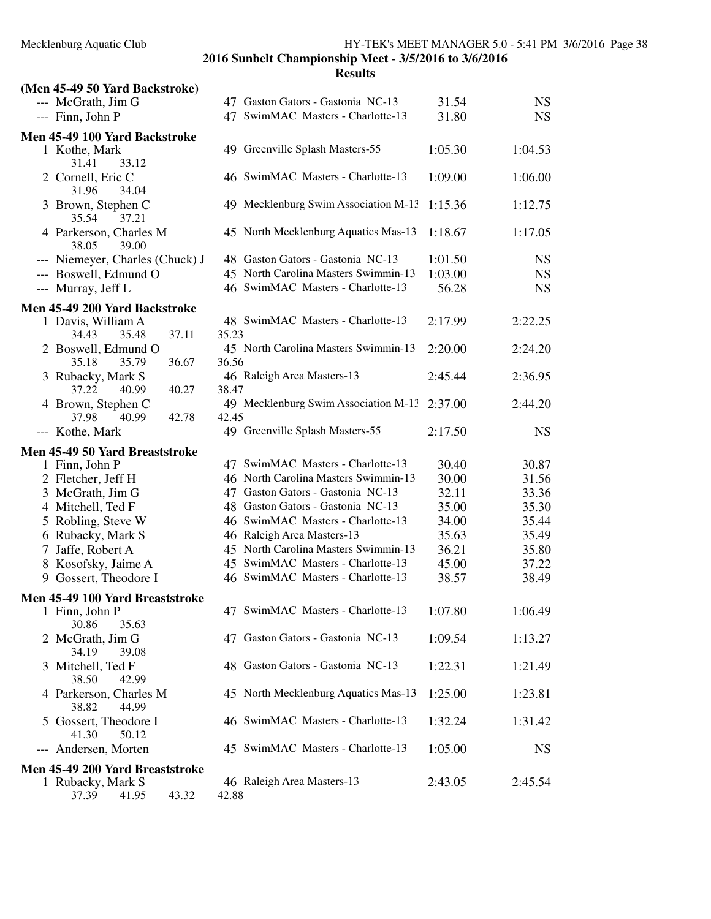| (Men 45-49 50 Yard Backstroke)                 |                                               |         |           |
|------------------------------------------------|-----------------------------------------------|---------|-----------|
| --- McGrath, Jim G                             | 47 Gaston Gators - Gastonia NC-13             | 31.54   | <b>NS</b> |
| --- Finn, John P                               | 47 SwimMAC Masters - Charlotte-13             | 31.80   | <b>NS</b> |
| Men 45-49 100 Yard Backstroke                  |                                               |         |           |
| 1 Kothe, Mark<br>31.41<br>33.12                | 49 Greenville Splash Masters-55               | 1:05.30 | 1:04.53   |
| 2 Cornell, Eric C<br>31.96<br>34.04            | 46 SwimMAC Masters - Charlotte-13             | 1:09.00 | 1:06.00   |
| 3 Brown, Stephen C<br>35.54<br>37.21           | 49 Mecklenburg Swim Association M-13          | 1:15.36 | 1:12.75   |
| 4 Parkerson, Charles M<br>38.05<br>39.00       | 45 North Mecklenburg Aquatics Mas-13          | 1:18.67 | 1:17.05   |
| --- Niemeyer, Charles (Chuck) J                | 48 Gaston Gators - Gastonia NC-13             | 1:01.50 | <b>NS</b> |
| --- Boswell, Edmund O                          | 45 North Carolina Masters Swimmin-13          | 1:03.00 | <b>NS</b> |
| --- Murray, Jeff L                             | 46 SwimMAC Masters - Charlotte-13             | 56.28   | <b>NS</b> |
| Men 45-49 200 Yard Backstroke                  |                                               |         |           |
| 1 Davis, William A                             | 48 SwimMAC Masters - Charlotte-13             | 2:17.99 | 2:22.25   |
| 37.11<br>34.43<br>35.48                        | 35.23                                         |         |           |
| 2 Boswell, Edmund O<br>36.67<br>35.18<br>35.79 | 45 North Carolina Masters Swimmin-13<br>36.56 | 2:20.00 | 2:24.20   |
| 3 Rubacky, Mark S                              | 46 Raleigh Area Masters-13                    | 2:45.44 | 2:36.95   |
| 37.22<br>40.99<br>40.27                        | 38.47                                         |         |           |
| 4 Brown, Stephen C                             | 49 Mecklenburg Swim Association M-13          | 2:37.00 | 2:44.20   |
| 37.98<br>40.99<br>42.78                        | 42.45                                         |         |           |
| --- Kothe, Mark                                | 49 Greenville Splash Masters-55               | 2:17.50 | <b>NS</b> |
| Men 45-49 50 Yard Breaststroke                 |                                               |         |           |
| 1 Finn, John P                                 | 47 SwimMAC Masters - Charlotte-13             | 30.40   | 30.87     |
| 2 Fletcher, Jeff H                             | 46 North Carolina Masters Swimmin-13          | 30.00   | 31.56     |
| 3 McGrath, Jim G                               | 47 Gaston Gators - Gastonia NC-13             | 32.11   | 33.36     |
| 4 Mitchell, Ted F                              | 48 Gaston Gators - Gastonia NC-13             | 35.00   | 35.30     |
| 5 Robling, Steve W                             | 46 SwimMAC Masters - Charlotte-13             | 34.00   | 35.44     |
| 6 Rubacky, Mark S                              | 46 Raleigh Area Masters-13                    | 35.63   | 35.49     |
| 7 Jaffe, Robert A                              | 45 North Carolina Masters Swimmin-13          | 36.21   | 35.80     |
| 8 Kosofsky, Jaime A                            | 45 SwimMAC Masters - Charlotte-13             | 45.00   | 37.22     |
| 9 Gossert, Theodore I                          | 46 SwimMAC Masters - Charlotte-13             | 38.57   | 38.49     |
| Men 45-49 100 Yard Breaststroke                |                                               |         |           |
| 1 Finn, John P<br>30.86<br>35.63               | 47 SwimMAC Masters - Charlotte-13             | 1:07.80 | 1:06.49   |
| 2 McGrath, Jim G<br>34.19<br>39.08             | 47 Gaston Gators - Gastonia NC-13             | 1:09.54 | 1:13.27   |
| 3 Mitchell, Ted F<br>38.50<br>42.99            | 48 Gaston Gators - Gastonia NC-13             | 1:22.31 | 1:21.49   |
| 4 Parkerson, Charles M<br>38.82<br>44.99       | 45 North Mecklenburg Aquatics Mas-13          | 1:25.00 | 1:23.81   |
| 5 Gossert, Theodore I<br>41.30<br>50.12        | 46 SwimMAC Masters - Charlotte-13             | 1:32.24 | 1:31.42   |
| Andersen, Morten                               | 45 SwimMAC Masters - Charlotte-13             | 1:05.00 | <b>NS</b> |
| Men 45-49 200 Yard Breaststroke                |                                               |         |           |
| 1 Rubacky, Mark S<br>37.39<br>41.95<br>43.32   | 46 Raleigh Area Masters-13<br>42.88           | 2:43.05 | 2:45.54   |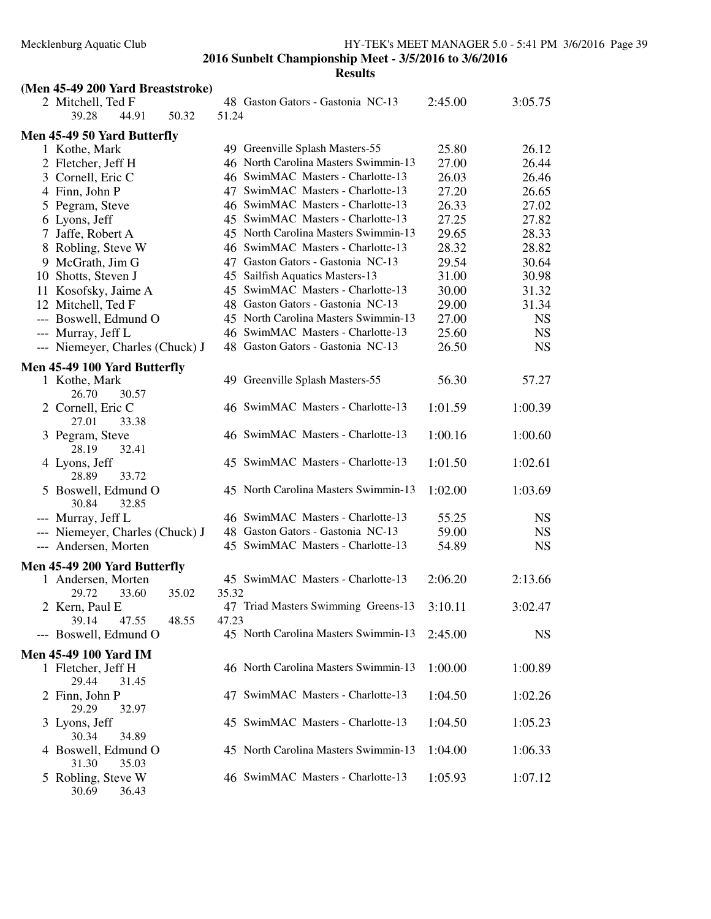**Results**

| (Men 45-49 200 Yard Breaststroke)     |       |       |                                      |         |           |
|---------------------------------------|-------|-------|--------------------------------------|---------|-----------|
| 2 Mitchell, Ted F                     |       |       | 48 Gaston Gators - Gastonia NC-13    | 2:45.00 | 3:05.75   |
| 39.28<br>44.91                        | 50.32 | 51.24 |                                      |         |           |
| Men 45-49 50 Yard Butterfly           |       |       |                                      |         |           |
| 1 Kothe, Mark                         |       |       | 49 Greenville Splash Masters-55      | 25.80   | 26.12     |
| 2 Fletcher, Jeff H                    |       |       | 46 North Carolina Masters Swimmin-13 | 27.00   | 26.44     |
| 3 Cornell, Eric C                     |       |       | 46 SwimMAC Masters - Charlotte-13    | 26.03   | 26.46     |
| 4 Finn, John P                        |       |       | 47 SwimMAC Masters - Charlotte-13    | 27.20   | 26.65     |
| 5 Pegram, Steve                       |       |       | 46 SwimMAC Masters - Charlotte-13    | 26.33   | 27.02     |
| 6 Lyons, Jeff                         |       |       | 45 SwimMAC Masters - Charlotte-13    | 27.25   | 27.82     |
| 7 Jaffe, Robert A                     |       |       | 45 North Carolina Masters Swimmin-13 | 29.65   | 28.33     |
| 8 Robling, Steve W                    |       |       | 46 SwimMAC Masters - Charlotte-13    | 28.32   | 28.82     |
| 9 McGrath, Jim G                      |       |       | 47 Gaston Gators - Gastonia NC-13    | 29.54   | 30.64     |
| 10 Shotts, Steven J                   |       |       | 45 Sailfish Aquatics Masters-13      | 31.00   | 30.98     |
| 11 Kosofsky, Jaime A                  |       |       | 45 SwimMAC Masters - Charlotte-13    | 30.00   | 31.32     |
| 12 Mitchell, Ted F                    |       |       | 48 Gaston Gators - Gastonia NC-13    | 29.00   | 31.34     |
| --- Boswell, Edmund O                 |       |       | 45 North Carolina Masters Swimmin-13 | 27.00   | <b>NS</b> |
| --- Murray, Jeff L                    |       |       | 46 SwimMAC Masters - Charlotte-13    | 25.60   | <b>NS</b> |
| --- Niemeyer, Charles (Chuck) J       |       |       | 48 Gaston Gators - Gastonia NC-13    | 26.50   | <b>NS</b> |
|                                       |       |       |                                      |         |           |
| Men 45-49 100 Yard Butterfly          |       |       |                                      |         |           |
| 1 Kothe, Mark<br>26.70<br>30.57       |       |       | 49 Greenville Splash Masters-55      | 56.30   | 57.27     |
| 2 Cornell, Eric C<br>27.01<br>33.38   |       |       | 46 SwimMAC Masters - Charlotte-13    | 1:01.59 | 1:00.39   |
| 3 Pegram, Steve<br>28.19<br>32.41     |       |       | 46 SwimMAC Masters - Charlotte-13    | 1:00.16 | 1:00.60   |
| 4 Lyons, Jeff<br>28.89<br>33.72       |       |       | 45 SwimMAC Masters - Charlotte-13    | 1:01.50 | 1:02.61   |
| 5 Boswell, Edmund O<br>30.84<br>32.85 |       |       | 45 North Carolina Masters Swimmin-13 | 1:02.00 | 1:03.69   |
| --- Murray, Jeff L                    |       |       | 46 SwimMAC Masters - Charlotte-13    | 55.25   | <b>NS</b> |
| --- Niemeyer, Charles (Chuck) J       |       |       | 48 Gaston Gators - Gastonia NC-13    | 59.00   | <b>NS</b> |
| --- Andersen, Morten                  |       |       | 45 SwimMAC Masters - Charlotte-13    | 54.89   | <b>NS</b> |
|                                       |       |       |                                      |         |           |
| Men 45-49 200 Yard Butterfly          |       |       |                                      |         |           |
| 1 Andersen, Morten                    |       |       | 45 SwimMAC Masters - Charlotte-13    | 2:06.20 | 2:13.66   |
| 29.72<br>33.60                        | 35.02 | 35.32 |                                      |         |           |
| 2 Kern, Paul E                        |       |       | 47 Triad Masters Swimming Greens-13  | 3:10.11 | 3:02.47   |
| 39.14<br>47.55                        | 48.55 | 47.23 |                                      |         |           |
| --- Boswell, Edmund O                 |       |       | 45 North Carolina Masters Swimmin-13 | 2:45.00 | <b>NS</b> |
| <b>Men 45-49 100 Yard IM</b>          |       |       |                                      |         |           |
| 1 Fletcher, Jeff H                    |       |       | 46 North Carolina Masters Swimmin-13 | 1:00.00 | 1:00.89   |
| 29.44<br>31.45                        |       |       |                                      |         |           |
| 2 Finn, John P                        |       |       | 47 SwimMAC Masters - Charlotte-13    | 1:04.50 | 1:02.26   |
| 29.29<br>32.97                        |       |       |                                      |         |           |
| 3 Lyons, Jeff<br>30.34<br>34.89       |       |       | 45 SwimMAC Masters - Charlotte-13    | 1:04.50 | 1:05.23   |
| 4 Boswell, Edmund O                   |       |       | 45 North Carolina Masters Swimmin-13 | 1:04.00 | 1:06.33   |
| 31.30<br>35.03                        |       |       |                                      |         |           |
| 5 Robling, Steve W                    |       |       | 46 SwimMAC Masters - Charlotte-13    | 1:05.93 | 1:07.12   |

30.69 36.43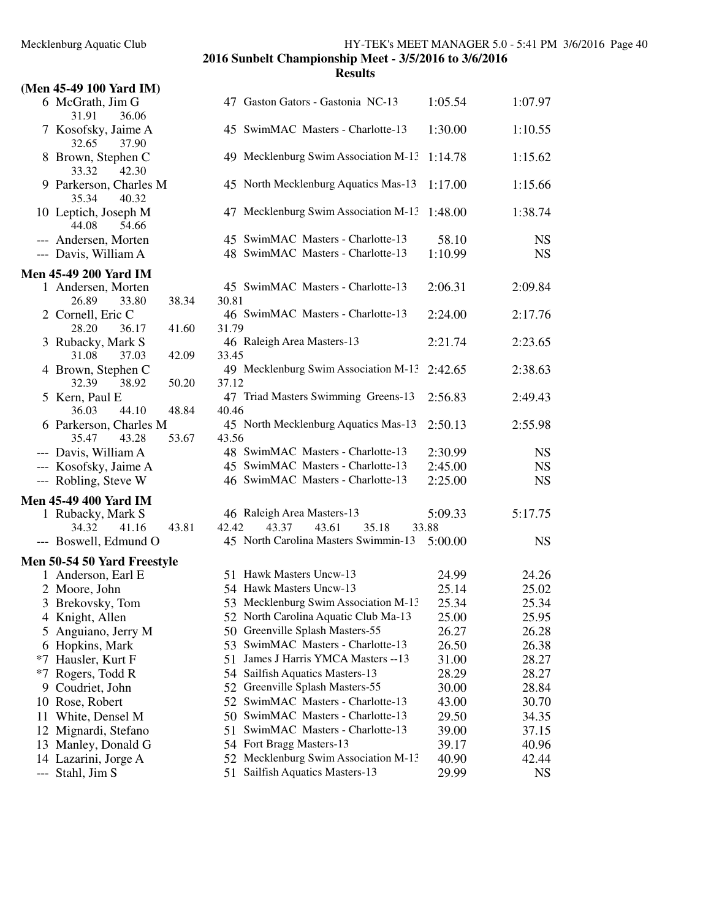# **(Men 45-49 100 Yard IM)** 6 McGrath, Jim G 47 Gaston Gators - Gastonia NC-13 1:05.54 1:07.97 31.91 36.0 32.65 37.90 33.32 42.30 35.34 40.32 44.08 54.6 **Men 45-49 200 Yard I** 26.89 28.20 36.1 31.08 37.0 32.39  $36.03$  44.1 35.47 43.2 --- Kosofsky, Jaime **Men 45-49 400 Yard I** 34.32 41.16 43.81 42.42 43.37 43.61 35.18 33.88 **Men 50-54 50 Yard Free** 5 Anguiano, Jerry  $*7$  Rogers, Todd R

| $-220$ m $-20$ m $-20$ |
|------------------------|
| 9 Coudriet, John       |
| 10 Rose, Robert        |
| 11 White, Densel M     |

- 
- 
- 14 Lazarini, Jorge A 52 Mecklenburg Swim Association M-13 40.90 42.44<br>
--- Stahl, Jim S 51 Sailfish Aquatics Masters-13 29.99 NS
- 

**Results**

| 31.91<br>36.06                                             |                |                                                                          |                  |           |
|------------------------------------------------------------|----------------|--------------------------------------------------------------------------|------------------|-----------|
| 7 Kosofsky, Jaime A<br>32.65<br>37.90                      |                | 45 SwimMAC Masters - Charlotte-13                                        | 1:30.00          | 1:10.55   |
| 8 Brown, Stephen C<br>33.32<br>42.30                       |                | 49 Mecklenburg Swim Association M-13                                     | 1:14.78          | 1:15.62   |
| 9 Parkerson, Charles M<br>35.34<br>40.32                   |                | 45 North Mecklenburg Aquatics Mas-13                                     | 1:17.00          | 1:15.66   |
| 10 Leptich, Joseph M<br>44.08<br>54.66                     |                | 47 Mecklenburg Swim Association M-13                                     | 1:48.00          | 1:38.74   |
| --- Andersen, Morten                                       |                | 45 SwimMAC Masters - Charlotte-13                                        | 58.10            | <b>NS</b> |
| --- Davis, William A                                       |                | 48 SwimMAC Masters - Charlotte-13                                        | 1:10.99          | <b>NS</b> |
| en 45-49 200 Yard IM                                       |                |                                                                          |                  |           |
| 1 Andersen, Morten<br>26.89<br>33.80                       | 38.34          | 45 SwimMAC Masters - Charlotte-13<br>30.81                               | 2:06.31          | 2:09.84   |
| 2 Cornell, Eric C<br>28.20<br>36.17                        | 41.60          | 46 SwimMAC Masters - Charlotte-13<br>31.79                               | 2:24.00          | 2:17.76   |
| 3 Rubacky, Mark S<br>31.08<br>37.03                        |                | 46 Raleigh Area Masters-13<br>33.45                                      | 2:21.74          | 2:23.65   |
| 4 Brown, Stephen C                                         | 42.09          | 49 Mecklenburg Swim Association M-13                                     | 2:42.65          | 2:38.63   |
| 32.39<br>38.92<br>5 Kern, Paul E                           | 50.20          | 37.12<br>47 Triad Masters Swimming Greens-13                             | 2:56.83          | 2:49.43   |
| 36.03<br>44.10<br>6 Parkerson, Charles M<br>35.47<br>43.28 | 48.84<br>53.67 | 40.46<br>45 North Mecklenburg Aquatics Mas-13<br>43.56                   | 2:50.13          | 2:55.98   |
| --- Davis, William A                                       |                | 48 SwimMAC Masters - Charlotte-13                                        | 2:30.99          | <b>NS</b> |
| --- Kosofsky, Jaime A                                      |                | 45 SwimMAC Masters - Charlotte-13                                        | 2:45.00          | <b>NS</b> |
| --- Robling, Steve W                                       |                | 46 SwimMAC Masters - Charlotte-13                                        | 2:25.00          | <b>NS</b> |
| en 45-49 400 Yard IM                                       |                |                                                                          |                  |           |
| 1 Rubacky, Mark S                                          |                | 46 Raleigh Area Masters-13                                               | 5:09.33          | 5:17.75   |
| 34.32<br>41.16<br>--- Boswell, Edmund O                    | 43.81          | 43.61<br>42.42<br>43.37<br>35.18<br>45 North Carolina Masters Swimmin-13 | 33.88<br>5:00.00 | <b>NS</b> |
| en 50-54 50 Yard Freestyle                                 |                |                                                                          |                  |           |
| 1 Anderson, Earl E                                         |                | 51 Hawk Masters Uncw-13                                                  | 24.99            | 24.26     |
| 2 Moore, John                                              |                | 54 Hawk Masters Uncw-13                                                  | 25.14            | 25.02     |
| 3 Brekovsky, Tom                                           |                | 53 Mecklenburg Swim Association M-13                                     | 25.34            | 25.34     |
| 4 Knight, Allen                                            |                | 52 North Carolina Aquatic Club Ma-13                                     | 25.00            | 25.95     |
| 5 Anguiano, Jerry M                                        |                | 50 Greenville Splash Masters-55                                          | 26.27            | 26.28     |
| 6 Hopkins, Mark                                            |                | 53 SwimMAC Masters - Charlotte-13                                        | 26.50            | 26.38     |
| *7 Hausler, Kurt F                                         |                | James J Harris YMCA Masters --13<br>51                                   | 31.00            | 28.27     |
| *7 Rogers, Todd R                                          |                | 54 Sailfish Aquatics Masters-13                                          | 28.29            | 28.27     |
| 9 Coudriet, John                                           |                | 52 Greenville Splash Masters-55                                          | 30.00            | 28.84     |
| 10 Rose, Robert                                            |                | 52 SwimMAC Masters - Charlotte-13                                        | 43.00            | 30.70     |
| 11 White, Densel M                                         |                | 50 SwimMAC Masters - Charlotte-13                                        | 29.50            | 34.35     |
| 12 Mignardi, Stefano                                       |                | 51 SwimMAC Masters - Charlotte-13                                        | 39.00            | 37.15     |
| 13 Manley, Donald G                                        |                | 54 Fort Bragg Masters-13                                                 | 39.17            | 40.96     |
| 14 Lazarini, Jorge A                                       |                | 52 Mecklenburg Swim Association M-13                                     | 40.90            | 42.44     |

51 Sailfish Aquatics Masters-13 29.99 NS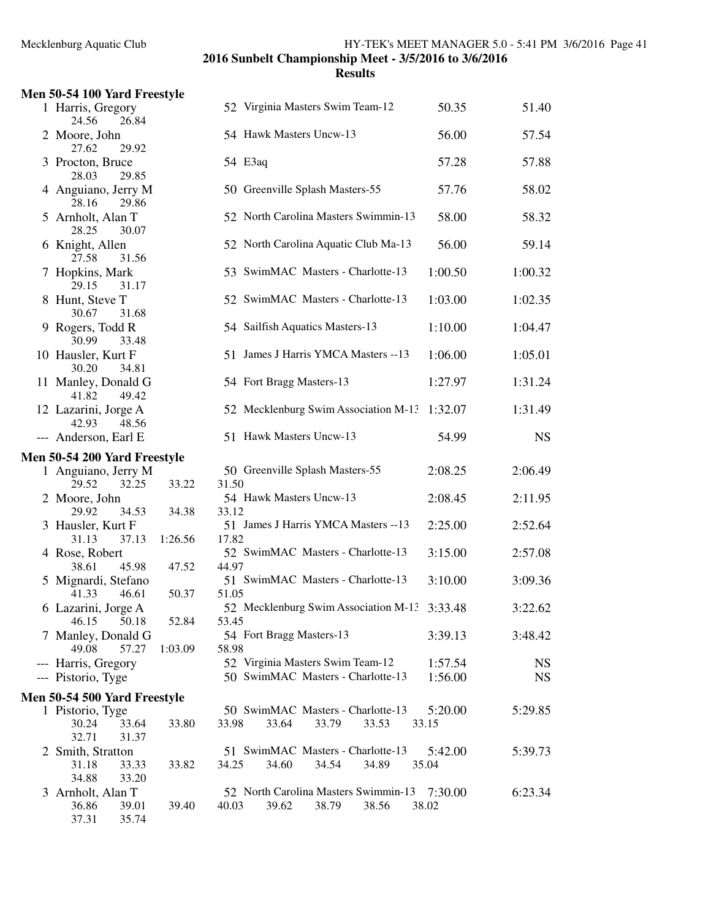| Men 50-54 100 Yard Freestyle                            |         |                                              |         |           |
|---------------------------------------------------------|---------|----------------------------------------------|---------|-----------|
| 1 Harris, Gregory<br>24.56<br>26.84                     |         | 52 Virginia Masters Swim Team-12             | 50.35   | 51.40     |
| 2 Moore, John<br>27.62<br>29.92                         |         | 54 Hawk Masters Uncw-13                      | 56.00   | 57.54     |
| 3 Procton, Bruce<br>28.03<br>29.85                      |         | 54 E3aq                                      | 57.28   | 57.88     |
| 4 Anguiano, Jerry M<br>28.16<br>29.86                   |         | 50 Greenville Splash Masters-55              | 57.76   | 58.02     |
| 5 Arnholt, Alan T<br>28.25                              |         | 52 North Carolina Masters Swimmin-13         | 58.00   | 58.32     |
| 30.07<br>6 Knight, Allen                                |         | 52 North Carolina Aquatic Club Ma-13         | 56.00   | 59.14     |
| 31.56<br>27.58<br>7 Hopkins, Mark                       |         | 53 SwimMAC Masters - Charlotte-13            | 1:00.50 | 1:00.32   |
| 29.15<br>31.17<br>8 Hunt, Steve T                       |         | 52 SwimMAC Masters - Charlotte-13            | 1:03.00 | 1:02.35   |
| 31.68<br>30.67<br>9 Rogers, Todd R                      |         | 54 Sailfish Aquatics Masters-13              | 1:10.00 | 1:04.47   |
| 30.99<br>33.48<br>10 Hausler, Kurt F                    |         | 51 James J Harris YMCA Masters -- 13         | 1:06.00 | 1:05.01   |
| 30.20<br>34.81<br>11 Manley, Donald G<br>41.82<br>49.42 |         | 54 Fort Bragg Masters-13                     | 1:27.97 | 1:31.24   |
| 12 Lazarini, Jorge A<br>42.93                           |         | 52 Mecklenburg Swim Association M-13 1:32.07 |         | 1:31.49   |
| 48.56<br>--- Anderson, Earl E                           |         | 51 Hawk Masters Uncw-13                      | 54.99   | <b>NS</b> |
| Men 50-54 200 Yard Freestyle                            |         |                                              |         |           |
| 1 Anguiano, Jerry M                                     |         | 50 Greenville Splash Masters-55              | 2:08.25 | 2:06.49   |
| 29.52<br>32.25                                          | 33.22   | 31.50                                        |         |           |
| 2 Moore, John                                           |         | 54 Hawk Masters Uncw-13                      | 2:08.45 | 2:11.95   |
| 29.92<br>34.53                                          | 34.38   | 33.12                                        |         |           |
| 3 Hausler, Kurt F                                       |         | 51 James J Harris YMCA Masters -- 13         | 2:25.00 | 2:52.64   |
| 37.13<br>31.13                                          | 1:26.56 | 17.82                                        |         |           |
| 4 Rose, Robert                                          |         | 52 SwimMAC Masters - Charlotte-13            | 3:15.00 | 2:57.08   |
| 38.61<br>45.98<br>5 Mignardi, Stefano                   | 47.52   | 44.97<br>51 SwimMAC Masters - Charlotte-13   | 3:10.00 | 3:09.36   |
| 41.33<br>46.61                                          | 50.37   | 51.05                                        |         |           |
| 6 Lazarini, Jorge A                                     |         | 52 Mecklenburg Swim Association M-13 3:33.48 |         | 3:22.62   |
| 46.15<br>50.18                                          | 52.84   | 53.45                                        |         |           |
| 7 Manley, Donald G                                      |         | 54 Fort Bragg Masters-13                     | 3:39.13 | 3:48.42   |
| 49.08<br>57.27                                          | 1:03.09 | 58.98                                        |         |           |
| --- Harris, Gregory                                     |         | 52 Virginia Masters Swim Team-12             | 1:57.54 | <b>NS</b> |
| --- Pistorio, Tyge                                      |         | 50 SwimMAC Masters - Charlotte-13            | 1:56.00 | <b>NS</b> |
| Men 50-54 500 Yard Freestyle                            |         |                                              |         |           |
| 1 Pistorio, Tyge                                        |         | 50 SwimMAC Masters - Charlotte-13            | 5:20.00 | 5:29.85   |
| 30.24<br>33.64<br>32.71<br>31.37                        | 33.80   | 33.98<br>33.64<br>33.79<br>33.53             | 33.15   |           |
| 2 Smith, Stratton                                       |         | 51 SwimMAC Masters - Charlotte-13            | 5:42.00 | 5:39.73   |
| 31.18<br>33.33                                          | 33.82   | 34.25<br>34.60<br>34.54<br>34.89             | 35.04   |           |
| 34.88<br>33.20                                          |         |                                              |         |           |
| 3 Arnholt, Alan T                                       |         | 52 North Carolina Masters Swimmin-13         | 7:30.00 | 6:23.34   |
| 36.86<br>39.01                                          | 39.40   | 40.03<br>39.62<br>38.79<br>38.56             | 38.02   |           |
| 37.31<br>35.74                                          |         |                                              |         |           |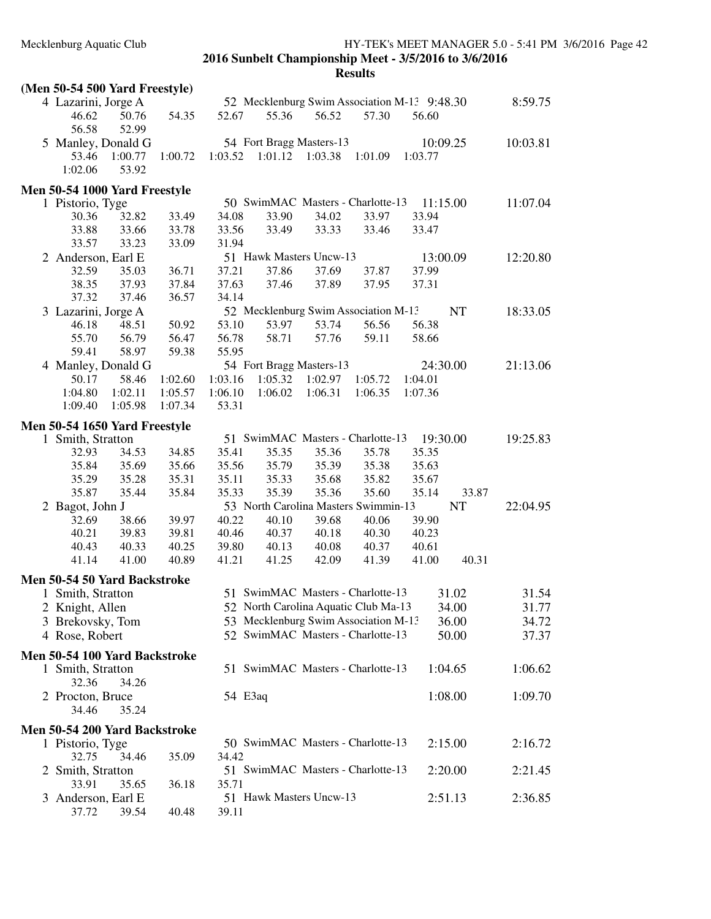| (Men 50-54 500 Yard Freestyle)                     |         |         |         |                                      |         |                                              |          |
|----------------------------------------------------|---------|---------|---------|--------------------------------------|---------|----------------------------------------------|----------|
| 4 Lazarini, Jorge A                                |         |         |         |                                      |         | 52 Mecklenburg Swim Association M-13 9:48.30 | 8:59.75  |
| 50.76<br>46.62                                     | 54.35   | 52.67   | 55.36   | 56.52                                | 57.30   | 56.60                                        |          |
| 56.58<br>52.99                                     |         |         |         |                                      |         |                                              |          |
| 5 Manley, Donald G                                 |         |         |         | 54 Fort Bragg Masters-13             |         | 10:09.25                                     | 10:03.81 |
| 53.46<br>1:00.77                                   | 1:00.72 | 1:03.52 | 1:01.12 | 1:03.38                              | 1:01.09 | 1:03.77                                      |          |
| 1:02.06<br>53.92                                   |         |         |         |                                      |         |                                              |          |
| Men 50-54 1000 Yard Freestyle                      |         |         |         |                                      |         |                                              |          |
| 1 Pistorio, Tyge                                   |         |         |         | 50 SwimMAC Masters - Charlotte-13    |         | 11:15.00                                     | 11:07.04 |
| 30.36<br>32.82                                     | 33.49   | 34.08   | 33.90   | 34.02                                | 33.97   | 33.94                                        |          |
| 33.88<br>33.66                                     | 33.78   | 33.56   | 33.49   | 33.33                                | 33.46   | 33.47                                        |          |
| 33.23<br>33.57                                     | 33.09   | 31.94   |         |                                      |         |                                              |          |
| 2 Anderson, Earl E                                 |         |         |         | 51 Hawk Masters Uncw-13              |         | 13:00.09                                     | 12:20.80 |
| 32.59<br>35.03                                     | 36.71   | 37.21   | 37.86   | 37.69                                | 37.87   | 37.99                                        |          |
| 38.35<br>37.93                                     | 37.84   | 37.63   | 37.46   | 37.89                                | 37.95   | 37.31                                        |          |
| 37.32<br>37.46                                     | 36.57   | 34.14   |         |                                      |         |                                              |          |
| 3 Lazarini, Jorge A                                |         |         |         | 52 Mecklenburg Swim Association M-13 |         | <b>NT</b>                                    | 18:33.05 |
| 46.18<br>48.51                                     | 50.92   | 53.10   | 53.97   | 53.74                                | 56.56   | 56.38                                        |          |
| 55.70<br>56.79                                     | 56.47   | 56.78   | 58.71   | 57.76                                | 59.11   | 58.66                                        |          |
| 59.41<br>58.97                                     | 59.38   | 55.95   |         |                                      |         |                                              |          |
| 4 Manley, Donald G                                 |         |         |         | 54 Fort Bragg Masters-13             |         | 24:30.00                                     | 21:13.06 |
| 50.17<br>58.46                                     | 1:02.60 | 1:03.16 | 1:05.32 | 1:02.97                              | 1:05.72 | 1:04.01                                      |          |
| 1:04.80<br>1:02.11                                 | 1:05.57 | 1:06.10 | 1:06.02 | 1:06.31                              | 1:06.35 | 1:07.36                                      |          |
| 1:09.40<br>1:05.98                                 | 1:07.34 | 53.31   |         |                                      |         |                                              |          |
|                                                    |         |         |         |                                      |         |                                              |          |
| Men 50-54 1650 Yard Freestyle<br>1 Smith, Stratton |         |         |         | 51 SwimMAC Masters - Charlotte-13    |         | 19:30.00                                     | 19:25.83 |
| 32.93<br>34.53                                     | 34.85   | 35.41   | 35.35   | 35.36                                | 35.78   | 35.35                                        |          |
| 35.84<br>35.69                                     | 35.66   | 35.56   | 35.79   | 35.39                                | 35.38   | 35.63                                        |          |
| 35.29<br>35.28                                     | 35.31   | 35.11   | 35.33   | 35.68                                | 35.82   | 35.67                                        |          |
| 35.87<br>35.44                                     | 35.84   | 35.33   | 35.39   | 35.36                                | 35.60   | 35.14                                        | 33.87    |
| 2 Bagot, John J                                    |         |         |         | 53 North Carolina Masters Swimmin-13 |         | <b>NT</b>                                    | 22:04.95 |
| 32.69<br>38.66                                     | 39.97   | 40.22   | 40.10   | 39.68                                | 40.06   | 39.90                                        |          |
| 40.21<br>39.83                                     | 39.81   | 40.46   | 40.37   | 40.18                                | 40.30   | 40.23                                        |          |
| 40.43<br>40.33                                     | 40.25   | 39.80   | 40.13   | 40.08                                | 40.37   | 40.61                                        |          |
| 41.14<br>41.00                                     | 40.89   | 41.21   | 41.25   | 42.09                                | 41.39   | 41.00                                        | 40.31    |
|                                                    |         |         |         |                                      |         |                                              |          |
| Men 50-54 50 Yard Backstroke                       |         |         |         |                                      |         |                                              |          |
| 1 Smith, Stratton                                  |         |         |         | 51 SwimMAC Masters - Charlotte-13    |         | 31.02                                        | 31.54    |
| 2 Knight, Allen                                    |         |         |         | 52 North Carolina Aquatic Club Ma-13 |         | 34.00                                        | 31.77    |
| 3 Brekovsky, Tom                                   |         |         |         | 53 Mecklenburg Swim Association M-13 |         | 36.00                                        | 34.72    |
| 4 Rose, Robert                                     |         |         |         | 52 SwimMAC Masters - Charlotte-13    |         | 50.00                                        | 37.37    |
| Men 50-54 100 Yard Backstroke                      |         |         |         |                                      |         |                                              |          |
| 1 Smith, Stratton                                  |         |         |         | 51 SwimMAC Masters - Charlotte-13    |         | 1:04.65                                      | 1:06.62  |
| 32.36<br>34.26                                     |         |         |         |                                      |         |                                              |          |
| 2 Procton, Bruce                                   |         | 54 E3aq |         |                                      |         | 1:08.00                                      | 1:09.70  |
| 34.46<br>35.24                                     |         |         |         |                                      |         |                                              |          |
|                                                    |         |         |         |                                      |         |                                              |          |
| Men 50-54 200 Yard Backstroke                      |         |         |         | 50 SwimMAC Masters - Charlotte-13    |         | 2:15.00                                      | 2:16.72  |
| 1 Pistorio, Tyge<br>32.75<br>34.46                 | 35.09   | 34.42   |         |                                      |         |                                              |          |
| 2 Smith, Stratton                                  |         |         |         | 51 SwimMAC Masters - Charlotte-13    |         | 2:20.00                                      | 2:21.45  |
| 33.91<br>35.65                                     | 36.18   | 35.71   |         |                                      |         |                                              |          |
| 3 Anderson, Earl E                                 |         |         |         | 51 Hawk Masters Uncw-13              |         | 2:51.13                                      | 2:36.85  |
| 37.72<br>39.54                                     | 40.48   | 39.11   |         |                                      |         |                                              |          |
|                                                    |         |         |         |                                      |         |                                              |          |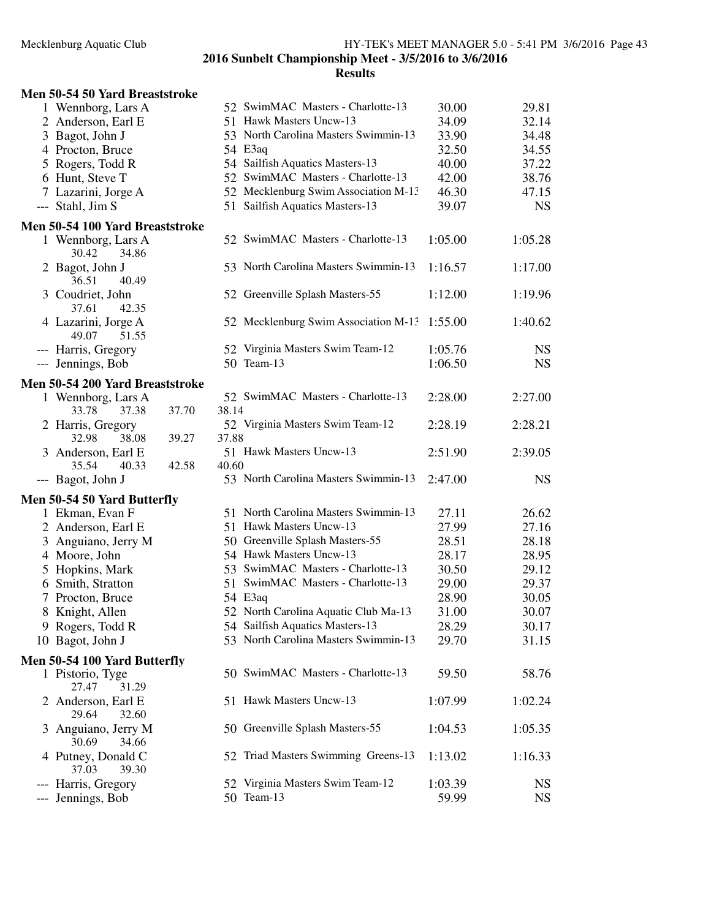## **Men 50-54 50 Yard Breaststroke**

|     | 1 Wennborg, Lars A                       |       |       | 52 SwimMAC Masters - Charlotte-13              | 30.00              | 29.81                  |
|-----|------------------------------------------|-------|-------|------------------------------------------------|--------------------|------------------------|
|     | 2 Anderson, Earl E                       |       |       | 51 Hawk Masters Uncw-13                        | 34.09              | 32.14                  |
|     | 3 Bagot, John J                          |       |       | 53 North Carolina Masters Swimmin-13           | 33.90              | 34.48                  |
|     | 4 Procton, Bruce                         |       |       | 54 E3aq                                        | 32.50              | 34.55                  |
|     | 5 Rogers, Todd R                         |       |       | 54 Sailfish Aquatics Masters-13                | 40.00              | 37.22                  |
|     | 6 Hunt, Steve T                          |       |       | 52 SwimMAC Masters - Charlotte-13              | 42.00              | 38.76                  |
|     | 7 Lazarini, Jorge A                      |       |       | 52 Mecklenburg Swim Association M-13           | 46.30              | 47.15                  |
|     | --- Stahl, Jim S                         |       |       | 51 Sailfish Aquatics Masters-13                | 39.07              | <b>NS</b>              |
|     | Men 50-54 100 Yard Breaststroke          |       |       |                                                |                    |                        |
|     | 1 Wennborg, Lars A<br>30.42<br>34.86     |       |       | 52 SwimMAC Masters - Charlotte-13              | 1:05.00            | 1:05.28                |
|     | 2 Bagot, John J<br>36.51<br>40.49        |       |       | 53 North Carolina Masters Swimmin-13           | 1:16.57            | 1:17.00                |
|     | 3 Coudriet, John<br>37.61<br>42.35       |       |       | 52 Greenville Splash Masters-55                | 1:12.00            | 1:19.96                |
|     | 4 Lazarini, Jorge A<br>49.07<br>51.55    |       |       | 52 Mecklenburg Swim Association M-13           | 1:55.00            | 1:40.62                |
|     | --- Harris, Gregory<br>--- Jennings, Bob |       |       | 52 Virginia Masters Swim Team-12<br>50 Team-13 | 1:05.76<br>1:06.50 | <b>NS</b><br><b>NS</b> |
|     | Men 50-54 200 Yard Breaststroke          |       |       |                                                |                    |                        |
|     | 1 Wennborg, Lars A<br>33.78<br>37.38     | 37.70 | 38.14 | 52 SwimMAC Masters - Charlotte-13              | 2:28.00            | 2:27.00                |
|     | 2 Harris, Gregory<br>32.98<br>38.08      | 39.27 | 37.88 | 52 Virginia Masters Swim Team-12               | 2:28.19            | 2:28.21                |
|     | 3 Anderson, Earl E<br>40.33<br>35.54     | 42.58 | 40.60 | 51 Hawk Masters Uncw-13                        | 2:51.90            | 2:39.05                |
|     | --- Bagot, John J                        |       |       | 53 North Carolina Masters Swimmin-13           | 2:47.00            | <b>NS</b>              |
|     | Men 50-54 50 Yard Butterfly              |       |       |                                                |                    |                        |
|     | 1 Ekman, Evan F                          |       |       | 51 North Carolina Masters Swimmin-13           | 27.11              | 26.62                  |
|     | 2 Anderson, Earl E                       |       |       | 51 Hawk Masters Uncw-13                        | 27.99              | 27.16                  |
|     | 3 Anguiano, Jerry M                      |       |       | 50 Greenville Splash Masters-55                | 28.51              | 28.18                  |
|     | 4 Moore, John                            |       |       | 54 Hawk Masters Uncw-13                        | 28.17              | 28.95                  |
|     | 5 Hopkins, Mark                          |       |       | 53 SwimMAC Masters - Charlotte-13              | 30.50              | 29.12                  |
|     | 6 Smith, Stratton                        |       |       | 51 SwimMAC Masters - Charlotte-13              | 29.00              | 29.37                  |
|     | 7 Procton, Bruce                         |       |       | 54 E3aq                                        | 28.90              | 30.05                  |
|     | 8 Knight, Allen                          |       |       | 52 North Carolina Aquatic Club Ma-13           | 31.00              | 30.07                  |
|     | 9 Rogers, Todd R                         |       |       | 54 Sailfish Aquatics Masters-13                | 28.29              | 30.17                  |
|     | 10 Bagot, John J                         |       |       | 53 North Carolina Masters Swimmin-13           | 29.70              | 31.15                  |
|     | Men 50-54 100 Yard Butterfly             |       |       |                                                |                    |                        |
|     | 1 Pistorio, Tyge<br>27.47<br>31.29       |       |       | 50 SwimMAC Masters - Charlotte-13              | 59.50              | 58.76                  |
|     | 2 Anderson, Earl E<br>29.64<br>32.60     |       |       | 51 Hawk Masters Uncw-13                        | 1:07.99            | 1:02.24                |
|     | 3 Anguiano, Jerry M<br>30.69<br>34.66    |       |       | 50 Greenville Splash Masters-55                | 1:04.53            | 1:05.35                |
|     | 4 Putney, Donald C<br>37.03<br>39.30     |       |       | 52 Triad Masters Swimming Greens-13            | 1:13.02            | 1:16.33                |
|     | --- Harris, Gregory                      |       |       | 52 Virginia Masters Swim Team-12               | 1:03.39            | <b>NS</b>              |
| --- | Jennings, Bob                            |       |       | 50 Team-13                                     | 59.99              | <b>NS</b>              |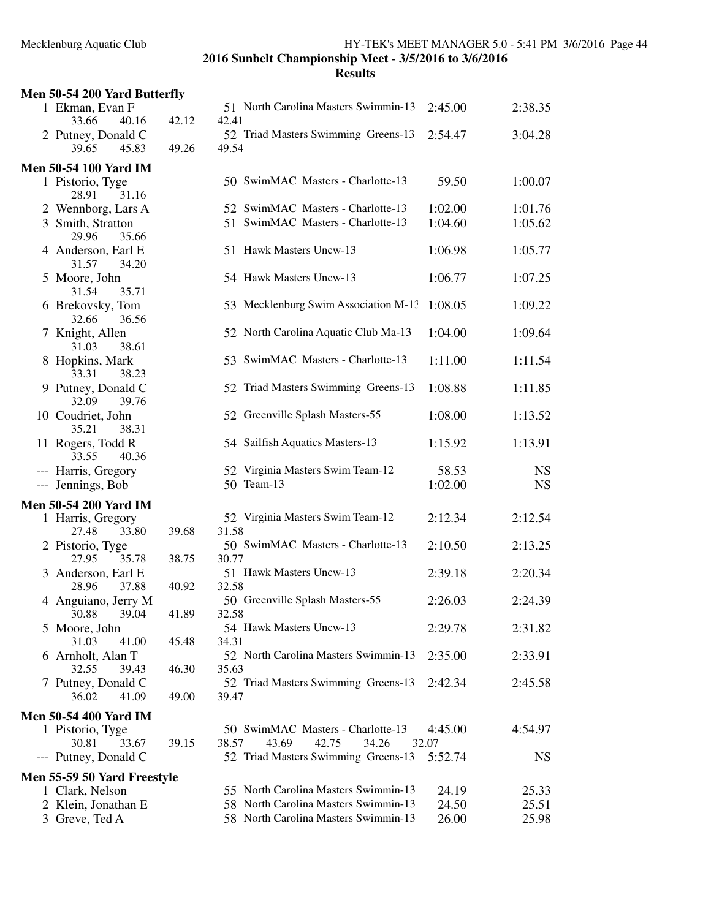| Men 50-54 200 Yard Butterfly          |       |                                               |         |           |
|---------------------------------------|-------|-----------------------------------------------|---------|-----------|
| 1 Ekman, Evan F<br>33.66<br>40.16     | 42.12 | 51 North Carolina Masters Swimmin-13<br>42.41 | 2:45.00 | 2:38.35   |
| 2 Putney, Donald C<br>39.65<br>45.83  | 49.26 | 52 Triad Masters Swimming Greens-13<br>49.54  | 2:54.47 | 3:04.28   |
| <b>Men 50-54 100 Yard IM</b>          |       |                                               |         |           |
| 1 Pistorio, Tyge<br>28.91<br>31.16    |       | 50 SwimMAC Masters - Charlotte-13             | 59.50   | 1:00.07   |
| 2 Wennborg, Lars A                    |       | 52 SwimMAC Masters - Charlotte-13             | 1:02.00 | 1:01.76   |
| 3 Smith, Stratton<br>29.96<br>35.66   |       | 51 SwimMAC Masters - Charlotte-13             | 1:04.60 | 1:05.62   |
| 4 Anderson, Earl E<br>31.57<br>34.20  |       | 51 Hawk Masters Uncw-13                       | 1:06.98 | 1:05.77   |
| 5 Moore, John<br>31.54<br>35.71       |       | 54 Hawk Masters Uncw-13                       | 1:06.77 | 1:07.25   |
| 6 Brekovsky, Tom<br>32.66<br>36.56    |       | 53 Mecklenburg Swim Association M-13          | 1:08.05 | 1:09.22   |
| 7 Knight, Allen<br>31.03<br>38.61     |       | 52 North Carolina Aquatic Club Ma-13          | 1:04.00 | 1:09.64   |
| 8 Hopkins, Mark<br>33.31<br>38.23     |       | 53 SwimMAC Masters - Charlotte-13             | 1:11.00 | 1:11.54   |
| 9 Putney, Donald C<br>32.09<br>39.76  |       | 52 Triad Masters Swimming Greens-13           | 1:08.88 | 1:11.85   |
| 10 Coudriet, John<br>38.31<br>35.21   |       | 52 Greenville Splash Masters-55               | 1:08.00 | 1:13.52   |
| 11 Rogers, Todd R<br>33.55<br>40.36   |       | 54 Sailfish Aquatics Masters-13               | 1:15.92 | 1:13.91   |
| --- Harris, Gregory                   |       | 52 Virginia Masters Swim Team-12              | 58.53   | <b>NS</b> |
| --- Jennings, Bob                     |       | 50 Team-13                                    | 1:02.00 | <b>NS</b> |
| <b>Men 50-54 200 Yard IM</b>          |       |                                               |         |           |
| 1 Harris, Gregory                     |       | 52 Virginia Masters Swim Team-12              | 2:12.34 | 2:12.54   |
| 27.48<br>33.80                        | 39.68 | 31.58                                         |         |           |
| 2 Pistorio, Tyge<br>27.95<br>35.78    | 38.75 | 50 SwimMAC Masters - Charlotte-13<br>30.77    | 2:10.50 | 2:13.25   |
|                                       |       | 51 Hawk Masters Uncw-13                       | 2:39.18 | 2:20.34   |
| 3 Anderson, Earl E<br>28.96<br>37.88  | 40.92 | 32.58                                         |         |           |
| 4 Anguiano, Jerry M<br>30.88<br>39.04 | 41.89 | 50 Greenville Splash Masters-55<br>32.58      | 2:26.03 | 2:24.39   |
| 5 Moore, John                         |       | 54 Hawk Masters Uncw-13                       | 2:29.78 | 2:31.82   |
| 41.00<br>31.03                        | 45.48 | 34.31                                         |         |           |
| 6 Arnholt, Alan T                     |       | 52 North Carolina Masters Swimmin-13          | 2:35.00 | 2:33.91   |
| 32.55<br>39.43                        | 46.30 | 35.63                                         |         |           |
| 7 Putney, Donald C                    |       | 52 Triad Masters Swimming Greens-13           | 2:42.34 | 2:45.58   |
| 36.02<br>41.09                        | 49.00 | 39.47                                         |         |           |
| Men 50-54 400 Yard IM                 |       |                                               |         |           |
| 1 Pistorio, Tyge                      |       | 50 SwimMAC Masters - Charlotte-13             | 4:45.00 | 4:54.97   |
| 30.81<br>33.67                        | 39.15 | 38.57<br>43.69<br>42.75<br>34.26              | 32.07   |           |
| --- Putney, Donald C                  |       | 52 Triad Masters Swimming Greens-13           | 5:52.74 | <b>NS</b> |
| Men 55-59 50 Yard Freestyle           |       |                                               |         |           |
| 1 Clark, Nelson                       |       | 55 North Carolina Masters Swimmin-13          | 24.19   | 25.33     |
| 2 Klein, Jonathan E                   |       | 58 North Carolina Masters Swimmin-13          | 24.50   | 25.51     |
| 3 Greve, Ted A                        |       | 58 North Carolina Masters Swimmin-13          | 26.00   | 25.98     |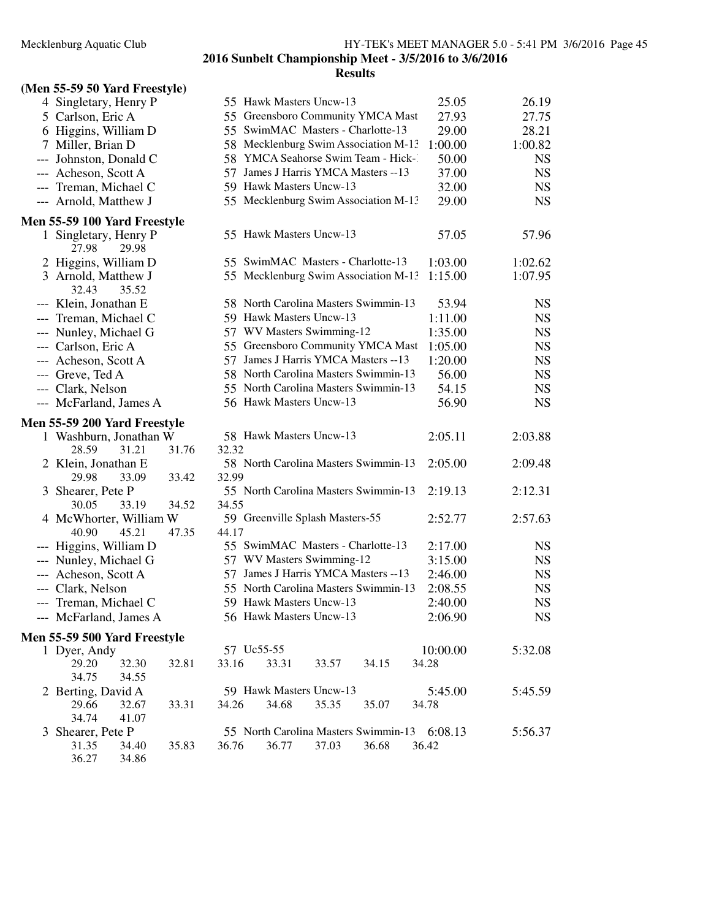## **(Men 55-59 50 Yard Freestyle)**

| 4 Singletary, Henry P                   |       |       | 55 Hawk Masters Uncw-13                      |       |       | 25.05    | 26.19     |
|-----------------------------------------|-------|-------|----------------------------------------------|-------|-------|----------|-----------|
| 5 Carlson, Eric A                       |       |       | 55 Greensboro Community YMCA Mast            |       |       | 27.93    | 27.75     |
| 6 Higgins, William D                    |       |       | 55 SwimMAC Masters - Charlotte-13            |       |       | 29.00    | 28.21     |
| 7 Miller, Brian D                       |       |       | 58 Mecklenburg Swim Association M-13         |       |       | 1:00.00  | 1:00.82   |
| --- Johnston, Donald C                  |       |       | 58 YMCA Seahorse Swim Team - Hick-1          |       |       | 50.00    | <b>NS</b> |
| --- Acheson, Scott A                    |       |       | 57 James J Harris YMCA Masters -- 13         |       |       | 37.00    | <b>NS</b> |
| --- Treman, Michael C                   |       |       | 59 Hawk Masters Uncw-13                      |       |       | 32.00    | <b>NS</b> |
| --- Arnold, Matthew J                   |       |       | 55 Mecklenburg Swim Association M-13         |       |       | 29.00    | <b>NS</b> |
| <b>Men 55-59 100 Yard Freestyle</b>     |       |       |                                              |       |       |          |           |
| 1 Singletary, Henry P<br>27.98<br>29.98 |       |       | 55 Hawk Masters Uncw-13                      |       |       | 57.05    | 57.96     |
| 2 Higgins, William D                    |       |       | 55 SwimMAC Masters - Charlotte-13            |       |       | 1:03.00  | 1:02.62   |
| 3 Arnold, Matthew J<br>32.43<br>35.52   |       |       | 55 Mecklenburg Swim Association M-13         |       |       | 1:15.00  | 1:07.95   |
| --- Klein, Jonathan E                   |       |       | 58 North Carolina Masters Swimmin-13         |       |       | 53.94    | <b>NS</b> |
| --- Treman, Michael C                   |       |       | 59 Hawk Masters Uncw-13                      |       |       | 1:11.00  | <b>NS</b> |
| --- Nunley, Michael G                   |       |       | 57 WV Masters Swimming-12                    |       |       | 1:35.00  | <b>NS</b> |
| --- Carlson, Eric A                     |       |       | 55 Greensboro Community YMCA Mast            |       |       | 1:05.00  | <b>NS</b> |
| --- Acheson, Scott A                    |       |       | 57 James J Harris YMCA Masters -- 13         |       |       | 1:20.00  | <b>NS</b> |
| --- Greve, Ted A                        |       |       | 58 North Carolina Masters Swimmin-13         |       |       | 56.00    | <b>NS</b> |
| --- Clark, Nelson                       |       |       | 55 North Carolina Masters Swimmin-13         |       |       | 54.15    | <b>NS</b> |
| --- McFarland, James A                  |       |       | 56 Hawk Masters Uncw-13                      |       |       | 56.90    | <b>NS</b> |
| <b>Men 55-59 200 Yard Freestyle</b>     |       |       |                                              |       |       |          |           |
| 1 Washburn, Jonathan W                  |       |       | 58 Hawk Masters Uncw-13                      |       |       | 2:05.11  | 2:03.88   |
| 28.59<br>31.21                          | 31.76 | 32.32 |                                              |       |       |          |           |
| 2 Klein, Jonathan E                     |       |       | 58 North Carolina Masters Swimmin-13         |       |       | 2:05.00  | 2:09.48   |
| 29.98<br>33.09                          | 33.42 | 32.99 |                                              |       |       |          |           |
| 3 Shearer, Pete P                       |       |       | 55 North Carolina Masters Swimmin-13         |       |       | 2:19.13  | 2:12.31   |
| 30.05<br>33.19                          | 34.52 | 34.55 |                                              |       |       |          |           |
| 4 McWhorter, William W                  |       |       | 59 Greenville Splash Masters-55              |       |       | 2:52.77  | 2:57.63   |
| 40.90<br>45.21                          | 47.35 | 44.17 |                                              |       |       |          |           |
| --- Higgins, William D                  |       |       | 55 SwimMAC Masters - Charlotte-13            |       |       | 2:17.00  | <b>NS</b> |
| --- Nunley, Michael G                   |       |       | 57 WV Masters Swimming-12                    |       |       | 3:15.00  | <b>NS</b> |
| --- Acheson, Scott A                    |       |       | 57 James J Harris YMCA Masters -- 13         |       |       | 2:46.00  | <b>NS</b> |
| --- Clark, Nelson                       |       |       | 55 North Carolina Masters Swimmin-13         |       |       | 2:08.55  | <b>NS</b> |
| --- Treman, Michael C                   |       |       | 59 Hawk Masters Uncw-13                      |       |       | 2:40.00  | <b>NS</b> |
| --- McFarland, James A                  |       |       | 56 Hawk Masters Uncw-13                      |       |       | 2:06.90  | <b>NS</b> |
| <b>Men 55-59 500 Yard Freestyle</b>     |       |       |                                              |       |       |          |           |
| 1 Dyer, Andy                            |       |       | 57 Uc55-55                                   |       |       | 10:00.00 | 5:32.08   |
| 29.20<br>32.30                          | 32.81 | 33.16 | 33.31                                        | 33.57 | 34.15 | 34.28    |           |
| 34.75<br>34.55                          |       |       |                                              |       |       |          |           |
| 2 Berting, David A                      |       |       | 59 Hawk Masters Uncw-13                      |       |       | 5:45.00  | 5:45.59   |
| 29.66<br>32.67                          | 33.31 | 34.26 | 34.68                                        | 35.35 | 35.07 | 34.78    |           |
| 34.74<br>41.07                          |       |       |                                              |       |       |          |           |
| 3 Shearer, Pete P                       |       |       | 55 North Carolina Masters Swimmin-13 6:08.13 |       |       |          | 5:56.37   |
| 31.35<br>34.40                          | 35.83 | 36.76 | 36.77                                        | 37.03 | 36.68 | 36.42    |           |
| 36.27<br>34.86                          |       |       |                                              |       |       |          |           |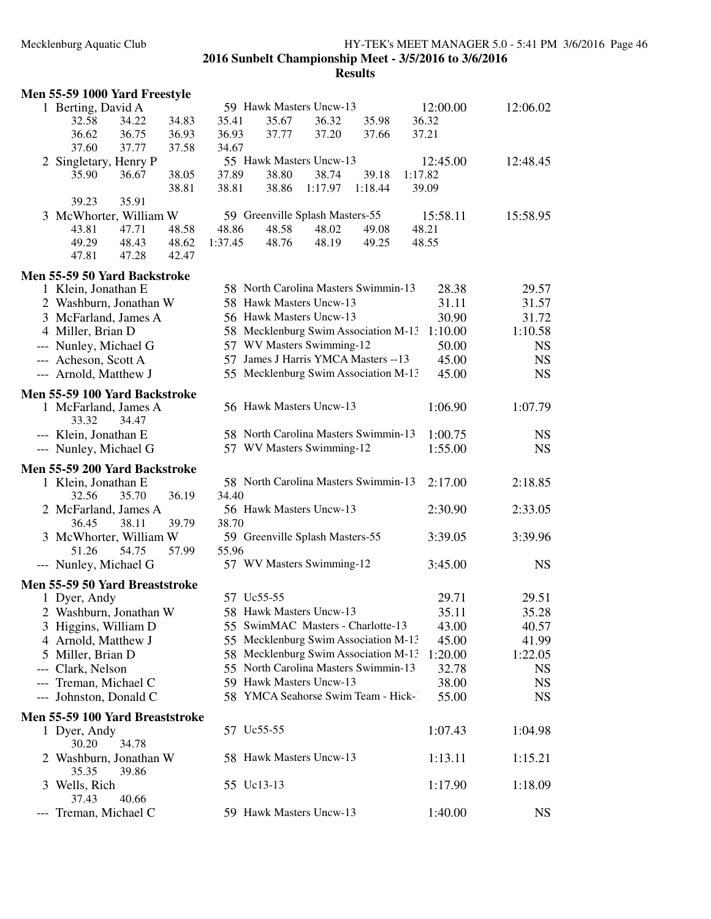## Mecklenburg Aquatic Club HY-TEK's MEET MANAGER 5.0 - 5:41 PM 3/6/2016 Page 46 **2016 Sunbelt Championship Meet - 3/5/2016 to 3/6/2016**

|     | Men 55-59 1000 Yard Freestyle   |                |                |         |                                      |                         |         |          |           |
|-----|---------------------------------|----------------|----------------|---------|--------------------------------------|-------------------------|---------|----------|-----------|
|     | 1 Berting, David A              |                |                |         | 59 Hawk Masters Uncw-13              |                         |         | 12:00.00 | 12:06.02  |
|     | 32.58                           | 34.22          | 34.83          | 35.41   | 35.67                                | 36.32                   | 35.98   | 36.32    |           |
|     | 36.62                           | 36.75          | 36.93          | 36.93   | 37.77                                | 37.20                   | 37.66   | 37.21    |           |
|     | 37.60                           | 37.77          | 37.58          | 34.67   |                                      |                         |         |          |           |
|     | 2 Singletary, Henry P           |                |                |         | 55 Hawk Masters Uncw-13              |                         |         | 12:45.00 | 12:48.45  |
|     | 35.90                           | 36.67          | 38.05          | 37.89   | 38.80                                | 38.74                   | 39.18   | 1:17.82  |           |
|     |                                 |                | 38.81          | 38.81   | 38.86                                | 1:17.97                 | 1:18.44 | 39.09    |           |
|     | 39.23                           | 35.91          |                |         |                                      |                         |         |          |           |
|     | 3 McWhorter, William W          |                |                |         | 59 Greenville Splash Masters-55      |                         |         | 15:58.11 | 15:58.95  |
|     | 43.81<br>49.29                  | 47.71<br>48.43 | 48.58          | 48.86   | 48.58<br>48.76                       | 48.02                   | 49.08   | 48.21    |           |
|     | 47.81                           | 47.28          | 48.62<br>42.47 | 1:37.45 |                                      | 48.19                   | 49.25   | 48.55    |           |
|     |                                 |                |                |         |                                      |                         |         |          |           |
|     | Men 55-59 50 Yard Backstroke    |                |                |         |                                      |                         |         |          |           |
|     | 1 Klein, Jonathan E             |                |                |         | 58 North Carolina Masters Swimmin-13 |                         |         | 28.38    | 29.57     |
|     | 2 Washburn, Jonathan W          |                |                |         | 58 Hawk Masters Uncw-13              |                         |         | 31.11    | 31.57     |
|     | 3 McFarland, James A            |                |                |         | 56 Hawk Masters Uncw-13              |                         |         | 30.90    | 31.72     |
|     | 4 Miller, Brian D               |                |                |         | 58 Mecklenburg Swim Association M-13 |                         |         | 1:10.00  | 1:10.58   |
|     | --- Nunley, Michael G           |                |                |         | 57 WV Masters Swimming-12            |                         |         | 50.00    | <b>NS</b> |
|     | --- Acheson, Scott A            |                |                |         | 57 James J Harris YMCA Masters -- 13 |                         |         | 45.00    | <b>NS</b> |
|     | --- Arnold, Matthew J           |                |                |         | 55 Mecklenburg Swim Association M-13 |                         |         | 45.00    | <b>NS</b> |
|     | Men 55-59 100 Yard Backstroke   |                |                |         |                                      |                         |         |          |           |
|     | 1 McFarland, James A            |                |                |         | 56 Hawk Masters Uncw-13              |                         |         | 1:06.90  | 1:07.79   |
|     | 33.32                           | 34.47          |                |         |                                      |                         |         |          |           |
|     | --- Klein, Jonathan E           |                |                |         | 58 North Carolina Masters Swimmin-13 |                         |         | 1:00.75  | <b>NS</b> |
|     | --- Nunley, Michael G           |                |                |         | 57 WV Masters Swimming-12            |                         |         | 1:55.00  | <b>NS</b> |
|     | Men 55-59 200 Yard Backstroke   |                |                |         |                                      |                         |         |          |           |
|     | 1 Klein, Jonathan E             |                |                |         | 58 North Carolina Masters Swimmin-13 |                         |         | 2:17.00  | 2:18.85   |
|     | 32.56                           | 35.70          | 36.19          | 34.40   |                                      |                         |         |          |           |
|     |                                 |                |                |         |                                      | 56 Hawk Masters Uncw-13 |         | 2:30.90  | 2:33.05   |
|     | 2 McFarland, James A            |                |                |         |                                      |                         |         |          |           |
|     | 36.45                           | 38.11          | 39.79          | 38.70   |                                      |                         |         |          |           |
|     | 3 McWhorter, William W          |                |                |         | 59 Greenville Splash Masters-55      |                         |         | 3:39.05  | 3:39.96   |
|     | 51.26                           | 54.75          | 57.99          | 55.96   |                                      |                         |         |          |           |
|     | --- Nunley, Michael G           |                |                |         | 57 WV Masters Swimming-12            |                         |         | 3:45.00  | <b>NS</b> |
|     | Men 55-59 50 Yard Breaststroke  |                |                |         |                                      |                         |         |          |           |
|     | 1 Dyer, Andy                    |                |                |         | 57 Uc55-55                           |                         |         | 29.71    | 29.51     |
|     | 2 Washburn, Jonathan W          |                |                |         | 58 Hawk Masters Uncw-13              |                         |         | 35.11    | 35.28     |
|     | 3 Higgins, William D            |                |                |         | 55 SwimMAC Masters - Charlotte-13    |                         |         | 43.00    | 40.57     |
|     | 4 Arnold, Matthew J             |                |                |         | 55 Mecklenburg Swim Association M-13 |                         |         | 45.00    | 41.99     |
|     | 5 Miller, Brian D               |                |                |         | 58 Mecklenburg Swim Association M-13 |                         |         | 1:20.00  | 1:22.05   |
| --- | Clark, Nelson                   |                |                |         | 55 North Carolina Masters Swimmin-13 |                         |         | 32.78    | <b>NS</b> |
| --- | Treman, Michael C               |                |                |         | 59 Hawk Masters Uncw-13              |                         |         | 38.00    | <b>NS</b> |
|     | --- Johnston, Donald C          |                |                |         | 58 YMCA Seahorse Swim Team - Hick-1  |                         |         | 55.00    | <b>NS</b> |
|     | Men 55-59 100 Yard Breaststroke |                |                |         |                                      |                         |         |          |           |
|     | 1 Dyer, Andy                    |                |                |         | 57 Uc55-55                           |                         |         | 1:07.43  | 1:04.98   |
|     | 30.20                           | 34.78          |                |         |                                      |                         |         |          |           |
|     | 2 Washburn, Jonathan W          |                |                |         | 58 Hawk Masters Uncw-13              |                         |         | 1:13.11  | 1:15.21   |
|     | 35.35                           | 39.86          |                |         |                                      |                         |         |          |           |
| 3   | Wells, Rich                     |                |                |         | 55 Uc13-13                           |                         |         | 1:17.90  | 1:18.09   |
|     | 37.43<br>--- Treman, Michael C  | 40.66          |                |         | 59 Hawk Masters Uncw-13              |                         |         | 1:40.00  | <b>NS</b> |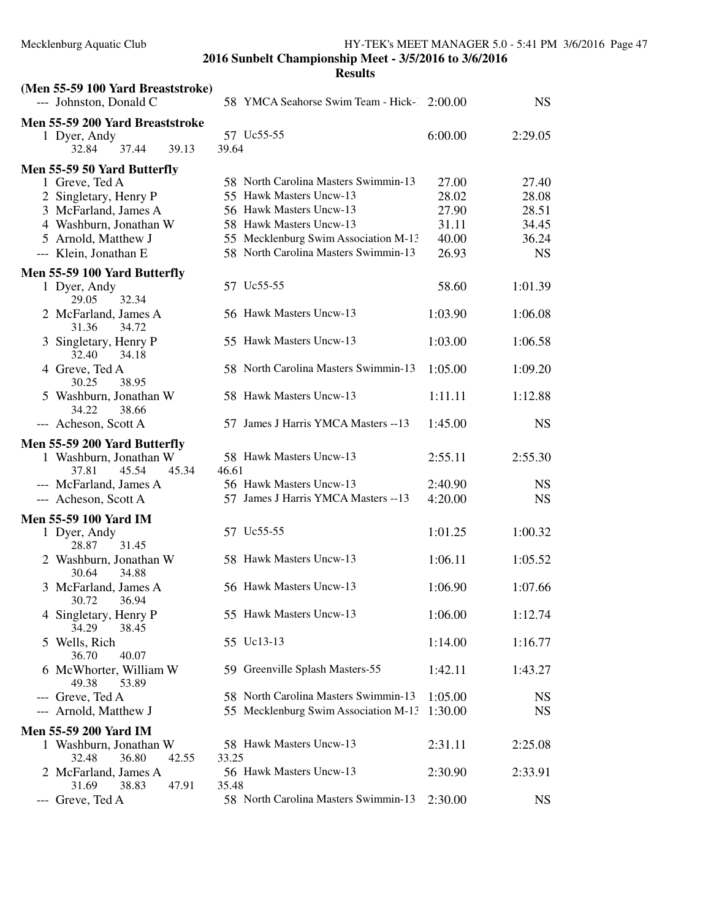| (Men 55-59 100 Yard Breaststroke)                 |                                            |         |           |
|---------------------------------------------------|--------------------------------------------|---------|-----------|
| --- Johnston, Donald C                            | 58 YMCA Seahorse Swim Team - Hick- 2:00.00 |         | <b>NS</b> |
| Men 55-59 200 Yard Breaststroke                   |                                            |         |           |
| 1 Dyer, Andy                                      | 57 Uc55-55                                 | 6:00.00 | 2:29.05   |
| 37.44<br>39.13<br>32.84                           | 39.64                                      |         |           |
| Men 55-59 50 Yard Butterfly                       |                                            |         |           |
| 1 Greve, Ted A                                    | 58 North Carolina Masters Swimmin-13       | 27.00   | 27.40     |
| 2 Singletary, Henry P                             | 55 Hawk Masters Uncw-13                    | 28.02   | 28.08     |
| 3 McFarland, James A                              | 56 Hawk Masters Uncw-13                    | 27.90   | 28.51     |
| 4 Washburn, Jonathan W                            | 58 Hawk Masters Uncw-13                    | 31.11   | 34.45     |
| 5 Arnold, Matthew J                               | 55 Mecklenburg Swim Association M-13       | 40.00   | 36.24     |
|                                                   | 58 North Carolina Masters Swimmin-13       | 26.93   |           |
| --- Klein, Jonathan E                             |                                            |         | <b>NS</b> |
| Men 55-59 100 Yard Butterfly                      |                                            |         |           |
| 1 Dyer, Andy<br>29.05<br>32.34                    | 57 Uc55-55                                 | 58.60   | 1:01.39   |
| 2 McFarland, James A<br>31.36<br>34.72            | 56 Hawk Masters Uncw-13                    | 1:03.90 | 1:06.08   |
| 3 Singletary, Henry P<br>32.40<br>34.18           | 55 Hawk Masters Uncw-13                    | 1:03.00 | 1:06.58   |
| 4 Greve, Ted A<br>30.25<br>38.95                  | 58 North Carolina Masters Swimmin-13       | 1:05.00 | 1:09.20   |
| 5 Washburn, Jonathan W<br>38.66<br>34.22          | 58 Hawk Masters Uncw-13                    | 1:11.11 | 1:12.88   |
| --- Acheson, Scott A                              | 57 James J Harris YMCA Masters -- 13       | 1:45.00 | <b>NS</b> |
| Men 55-59 200 Yard Butterfly                      |                                            |         |           |
| 1 Washburn, Jonathan W<br>45.54<br>37.81<br>45.34 | 58 Hawk Masters Uncw-13<br>46.61           | 2:55.11 | 2:55.30   |
| --- McFarland, James A                            | 56 Hawk Masters Uncw-13                    | 2:40.90 | <b>NS</b> |
| --- Acheson, Scott A                              | 57 James J Harris YMCA Masters -- 13       | 4:20.00 | <b>NS</b> |
|                                                   |                                            |         |           |
| <b>Men 55-59 100 Yard IM</b>                      | 57 Uc55-55                                 |         |           |
| 1 Dyer, Andy<br>31.45<br>28.87                    |                                            | 1:01.25 | 1:00.32   |
| 2 Washburn, Jonathan W                            | 58 Hawk Masters Uncw-13                    | 1:06.11 | 1:05.52   |
| 30.64<br>34.88                                    |                                            |         |           |
| 3 McFarland, James A<br>30.72 36.94               | 56 Hawk Masters Uncw-13                    | 1:06.90 | 1:07.66   |
| 4 Singletary, Henry P<br>34.29<br>38.45           | 55 Hawk Masters Uncw-13                    | 1:06.00 | 1:12.74   |
| 5 Wells, Rich<br>36.70<br>40.07                   | 55 Uc13-13                                 | 1:14.00 | 1:16.77   |
| 6 McWhorter, William W<br>53.89<br>49.38          | 59 Greenville Splash Masters-55            | 1:42.11 | 1:43.27   |
| --- Greve, Ted A                                  | 58 North Carolina Masters Swimmin-13       | 1:05.00 | <b>NS</b> |
| --- Arnold, Matthew J                             | 55 Mecklenburg Swim Association M-13       | 1:30.00 | <b>NS</b> |
|                                                   |                                            |         |           |
| <b>Men 55-59 200 Yard IM</b>                      |                                            |         |           |
| 1 Washburn, Jonathan W                            | 58 Hawk Masters Uncw-13                    | 2:31.11 | 2:25.08   |
| 36.80<br>32.48<br>42.55<br>2 McFarland, James A   | 33.25<br>56 Hawk Masters Uncw-13           | 2:30.90 | 2:33.91   |
| 47.91<br>31.69<br>38.83                           | 35.48                                      |         |           |
| --- Greve, Ted A                                  | 58 North Carolina Masters Swimmin-13       | 2:30.00 | <b>NS</b> |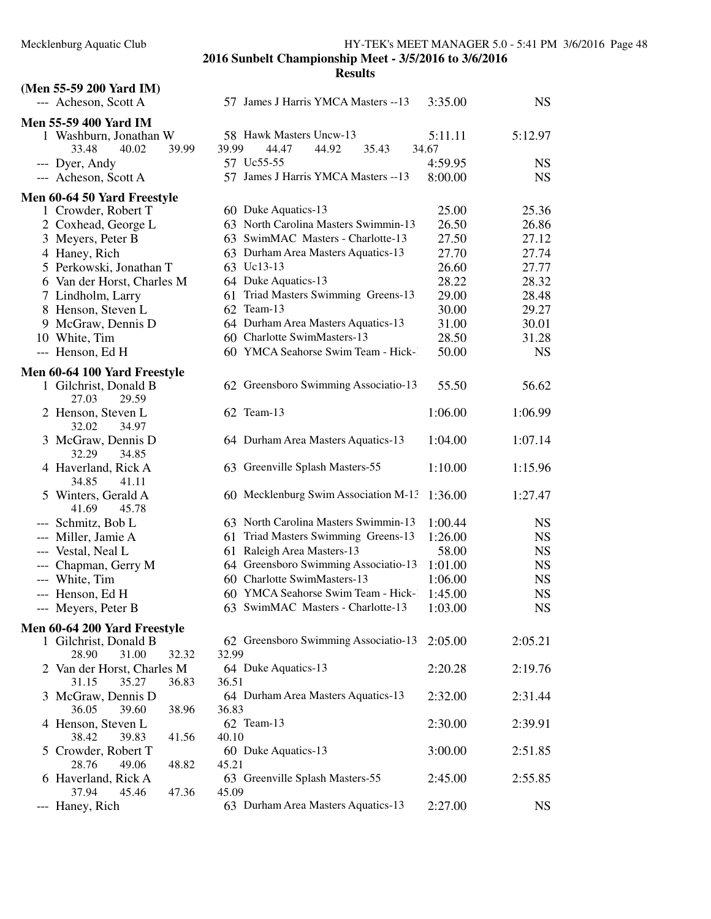|               | (Men 55-59 200 Yard IM)                        |                                             |         |           |
|---------------|------------------------------------------------|---------------------------------------------|---------|-----------|
|               | --- Acheson, Scott A                           | 57 James J Harris YMCA Masters --13         | 3:35.00 | <b>NS</b> |
|               | <b>Men 55-59 400 Yard IM</b>                   |                                             |         |           |
|               | 1 Washburn, Jonathan W                         | 58 Hawk Masters Uncw-13                     | 5:11.11 | 5:12.97   |
|               | 33.48<br>40.02<br>39.99                        | 44.47<br>44.92<br>35.43<br>39.99            | 34.67   |           |
|               | --- Dyer, Andy                                 | 57 Uc55-55                                  | 4:59.95 | <b>NS</b> |
|               | --- Acheson, Scott A                           | 57 James J Harris YMCA Masters -- 13        | 8:00.00 | <b>NS</b> |
|               | Men 60-64 50 Yard Freestyle                    |                                             |         |           |
|               | 1 Crowder, Robert T                            | 60 Duke Aquatics-13                         | 25.00   | 25.36     |
|               | 2 Coxhead, George L                            | 63 North Carolina Masters Swimmin-13        | 26.50   | 26.86     |
|               | 3 Meyers, Peter B                              | 63 SwimMAC Masters - Charlotte-13           | 27.50   | 27.12     |
|               | 4 Haney, Rich                                  | 63 Durham Area Masters Aquatics-13          | 27.70   | 27.74     |
|               | 5 Perkowski, Jonathan T                        | 63 Uc13-13                                  | 26.60   | 27.77     |
|               | 6 Van der Horst, Charles M                     | 64 Duke Aquatics-13                         | 28.22   | 28.32     |
|               | 7 Lindholm, Larry                              | 61 Triad Masters Swimming Greens-13         | 29.00   | 28.48     |
|               | 8 Henson, Steven L                             | 62 Team-13                                  | 30.00   | 29.27     |
|               | 9 McGraw, Dennis D                             | 64 Durham Area Masters Aquatics-13          | 31.00   | 30.01     |
|               | 10 White, Tim                                  | 60 Charlotte SwimMasters-13                 | 28.50   | 31.28     |
|               | --- Henson, Ed H                               | 60 YMCA Seahorse Swim Team - Hick-1         | 50.00   | <b>NS</b> |
|               | Men 60-64 100 Yard Freestyle                   |                                             |         |           |
|               | 1 Gilchrist, Donald B<br>27.03<br>29.59        | 62 Greensboro Swimming Associatio-13        | 55.50   | 56.62     |
|               | 2 Henson, Steven L<br>32.02<br>34.97           | 62 Team-13                                  | 1:06.00 | 1:06.99   |
|               | 3 McGraw, Dennis D<br>32.29<br>34.85           | 64 Durham Area Masters Aquatics-13          | 1:04.00 | 1:07.14   |
|               | 4 Haverland, Rick A<br>34.85<br>41.11          | 63 Greenville Splash Masters-55             | 1:10.00 | 1:15.96   |
|               | 5 Winters, Gerald A<br>41.69<br>45.78          | 60 Mecklenburg Swim Association M-13        | 1:36.00 | 1:27.47   |
|               | --- Schmitz, Bob L                             | 63 North Carolina Masters Swimmin-13        | 1:00.44 | <b>NS</b> |
|               | --- Miller, Jamie A                            | 61 Triad Masters Swimming Greens-13         | 1:26.00 | <b>NS</b> |
|               | --- Vestal, Neal L                             | Raleigh Area Masters-13<br>61               | 58.00   | <b>NS</b> |
|               | --- Chapman, Gerry M                           | 64 Greensboro Swimming Associatio-13        | 1:01.00 | <b>NS</b> |
|               | --- White, Tim                                 | 60 Charlotte SwimMasters-13                 | 1:06.00 | <b>NS</b> |
|               | --- Henson, Ed H                               | 60 YMCA Seahorse Swim Team - Hick-1         | 1:45.00 | <b>NS</b> |
|               | --- Meyers, Peter B                            | 63 SwimMAC Masters - Charlotte-13           | 1:03.00 | <b>NS</b> |
|               | Men 60-64 200 Yard Freestyle                   |                                             |         |           |
|               | 1 Gilchrist, Donald B                          | 62 Greensboro Swimming Associatio-13        | 2:05.00 | 2:05.21   |
|               | 28.90<br>31.00<br>32.32                        | 32.99                                       |         |           |
|               | 2 Van der Horst, Charles M                     | 64 Duke Aquatics-13                         | 2:20.28 | 2:19.76   |
|               | 31.15<br>35.27<br>36.83                        | 36.51                                       |         |           |
| 3             | McGraw, Dennis D<br>36.05<br>39.60<br>38.96    | 64 Durham Area Masters Aquatics-13<br>36.83 | 2:32.00 | 2:31.44   |
|               | 4 Henson, Steven L<br>38.42<br>39.83<br>41.56  | 62 Team-13<br>40.10                         | 2:30.00 | 2:39.91   |
| $\mathcal{L}$ | Crowder, Robert T<br>28.76<br>49.06<br>48.82   | 60 Duke Aquatics-13<br>45.21                | 3:00.00 | 2:51.85   |
|               | 6 Haverland, Rick A<br>37.94<br>45.46<br>47.36 | 63 Greenville Splash Masters-55<br>45.09    | 2:45.00 | 2:55.85   |
| ---           | Haney, Rich                                    | 63 Durham Area Masters Aquatics-13          | 2:27.00 | <b>NS</b> |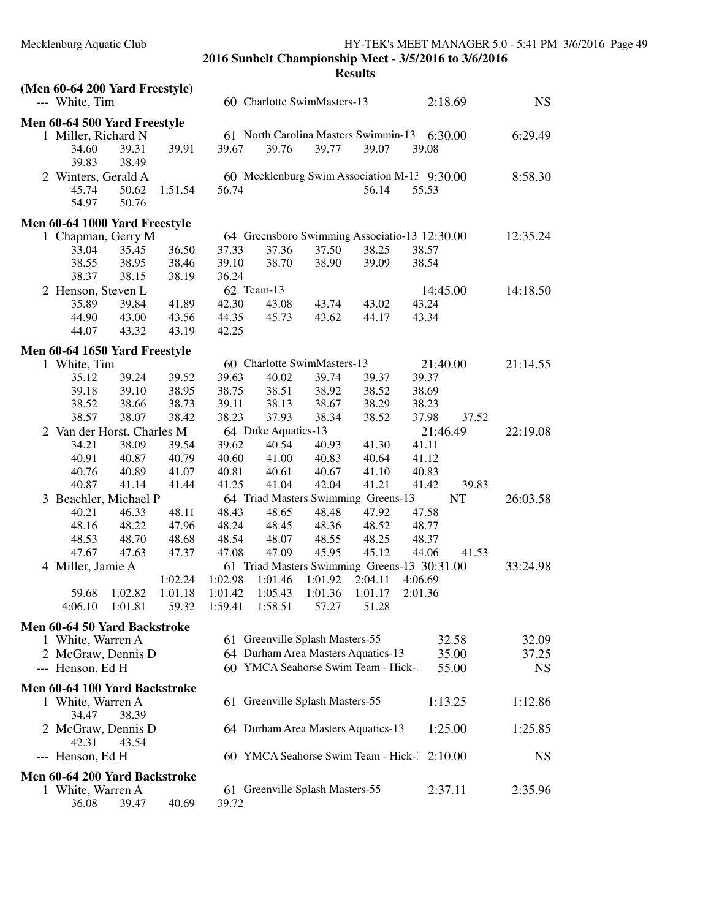| (Men 60-64 200 Yard Freestyle)      |         |         |         |                              |                                 |                                      |                                               |           |           |
|-------------------------------------|---------|---------|---------|------------------------------|---------------------------------|--------------------------------------|-----------------------------------------------|-----------|-----------|
| --- White, Tim                      |         |         |         |                              | 60 Charlotte SwimMasters-13     |                                      |                                               | 2:18.69   | <b>NS</b> |
| Men 60-64 500 Yard Freestyle        |         |         |         |                              |                                 |                                      |                                               |           |           |
| 1 Miller, Richard N                 |         |         |         |                              |                                 | 61 North Carolina Masters Swimmin-13 |                                               | 6:30.00   | 6:29.49   |
| 34.60                               | 39.31   | 39.91   | 39.67   | 39.76                        | 39.77                           | 39.07                                | 39.08                                         |           |           |
| 39.83                               | 38.49   |         |         |                              |                                 |                                      |                                               |           |           |
| 2 Winters, Gerald A                 |         |         |         |                              |                                 |                                      | 60 Mecklenburg Swim Association M-13 9:30.00  |           | 8:58.30   |
| 45.74                               | 50.62   | 1:51.54 | 56.74   |                              |                                 | 56.14                                | 55.53                                         |           |           |
| 54.97                               | 50.76   |         |         |                              |                                 |                                      |                                               |           |           |
| Men 60-64 1000 Yard Freestyle       |         |         |         |                              |                                 |                                      |                                               |           |           |
| 1 Chapman, Gerry M                  |         |         |         |                              |                                 |                                      | 64 Greensboro Swimming Associatio-13 12:30.00 |           | 12:35.24  |
| 33.04                               | 35.45   | 36.50   | 37.33   | 37.36                        | 37.50                           | 38.25                                | 38.57                                         |           |           |
| 38.55                               | 38.95   | 38.46   | 39.10   | 38.70                        | 38.90                           | 39.09                                | 38.54                                         |           |           |
| 38.37                               | 38.15   | 38.19   | 36.24   |                              |                                 |                                      |                                               |           |           |
| 2 Henson, Steven L                  |         |         |         | 62 Team-13                   |                                 |                                      | 14:45.00                                      |           | 14:18.50  |
| 35.89                               | 39.84   | 41.89   | 42.30   | 43.08                        | 43.74                           | 43.02                                | 43.24                                         |           |           |
| 44.90                               | 43.00   | 43.56   | 44.35   | 45.73                        | 43.62                           | 44.17                                | 43.34                                         |           |           |
| 44.07                               | 43.32   | 43.19   | 42.25   |                              |                                 |                                      |                                               |           |           |
| Men 60-64 1650 Yard Freestyle       |         |         |         |                              |                                 |                                      |                                               |           |           |
| 1 White, Tim                        |         |         |         |                              | 60 Charlotte SwimMasters-13     |                                      | 21:40.00                                      |           | 21:14.55  |
| 35.12                               | 39.24   | 39.52   | 39.63   | 40.02                        | 39.74                           | 39.37                                | 39.37                                         |           |           |
| 39.18                               | 39.10   | 38.95   | 38.75   | 38.51                        | 38.92                           | 38.52                                | 38.69                                         |           |           |
| 38.52                               | 38.66   | 38.73   | 39.11   | 38.13                        | 38.67                           | 38.29                                | 38.23                                         |           |           |
| 38.57                               | 38.07   | 38.42   | 38.23   | 37.93                        | 38.34                           | 38.52                                | 37.98                                         | 37.52     |           |
| 2 Van der Horst, Charles M<br>34.21 | 38.09   | 39.54   | 39.62   | 64 Duke Aquatics-13<br>40.54 | 40.93                           | 41.30                                | 21:46.49<br>41.11                             |           | 22:19.08  |
| 40.91                               | 40.87   | 40.79   | 40.60   | 41.00                        | 40.83                           | 40.64                                | 41.12                                         |           |           |
| 40.76                               | 40.89   | 41.07   | 40.81   | 40.61                        | 40.67                           | 41.10                                | 40.83                                         |           |           |
| 40.87                               | 41.14   | 41.44   | 41.25   | 41.04                        | 42.04                           | 41.21                                | 41.42                                         | 39.83     |           |
| 3 Beachler, Michael P               |         |         |         |                              |                                 | 64 Triad Masters Swimming Greens-13  |                                               | <b>NT</b> | 26:03.58  |
| 40.21                               | 46.33   | 48.11   | 48.43   | 48.65                        | 48.48                           | 47.92                                | 47.58                                         |           |           |
| 48.16                               | 48.22   | 47.96   | 48.24   | 48.45                        | 48.36                           | 48.52                                | 48.77                                         |           |           |
| 48.53                               | 48.70   | 48.68   | 48.54   | 48.07                        | 48.55                           | 48.25                                | 48.37                                         |           |           |
| 47.67                               | 47.63   | 47.37   | 47.08   | 47.09                        | 45.95                           | 45.12                                | 44.06                                         | 41.53     |           |
| 4 Miller, Jamie A                   |         |         |         |                              |                                 |                                      | 61 Triad Masters Swimming Greens-13 30:31.00  |           | 33:24.98  |
|                                     |         | 1:02.24 | 1:02.98 | 1:01.46                      | 1:01.92                         | 2:04.11                              | 4:06.69                                       |           |           |
| 59.68                               | 1:02.82 | 1:01.18 | 1:01.42 | 1:05.43                      | 1:01.36                         | 1:01.17                              | 2:01.36                                       |           |           |
| 4:06.10                             | 1:01.81 | 59.32   | 1:59.41 | 1:58.51                      | 57.27                           | 51.28                                |                                               |           |           |
| Men 60-64 50 Yard Backstroke        |         |         |         |                              |                                 |                                      |                                               |           |           |
| 1 White, Warren A                   |         |         |         |                              | 61 Greenville Splash Masters-55 |                                      |                                               | 32.58     | 32.09     |
| 2 McGraw, Dennis D                  |         |         |         |                              |                                 | 64 Durham Area Masters Aquatics-13   |                                               | 35.00     | 37.25     |
| --- Henson, Ed H                    |         |         |         |                              |                                 | 60 YMCA Seahorse Swim Team - Hick-1  |                                               | 55.00     | <b>NS</b> |
| Men 60-64 100 Yard Backstroke       |         |         |         |                              |                                 |                                      |                                               |           |           |
| 1 White, Warren A                   |         |         |         |                              | 61 Greenville Splash Masters-55 |                                      |                                               | 1:13.25   | 1:12.86   |
| 34.47                               | 38.39   |         |         |                              |                                 |                                      |                                               |           |           |
| 2 McGraw, Dennis D                  |         |         |         |                              |                                 | 64 Durham Area Masters Aquatics-13   |                                               | 1:25.00   | 1:25.85   |
| 42.31                               | 43.54   |         |         |                              |                                 |                                      |                                               |           |           |
| --- Henson, Ed H                    |         |         |         |                              |                                 | 60 YMCA Seahorse Swim Team - Hick-   |                                               | 2:10.00   | <b>NS</b> |
|                                     |         |         |         |                              |                                 |                                      |                                               |           |           |
| Men 60-64 200 Yard Backstroke       |         |         |         |                              | 61 Greenville Splash Masters-55 |                                      |                                               |           | 2:35.96   |
| 1 White, Warren A<br>36.08          | 39.47   | 40.69   | 39.72   |                              |                                 |                                      |                                               | 2:37.11   |           |
|                                     |         |         |         |                              |                                 |                                      |                                               |           |           |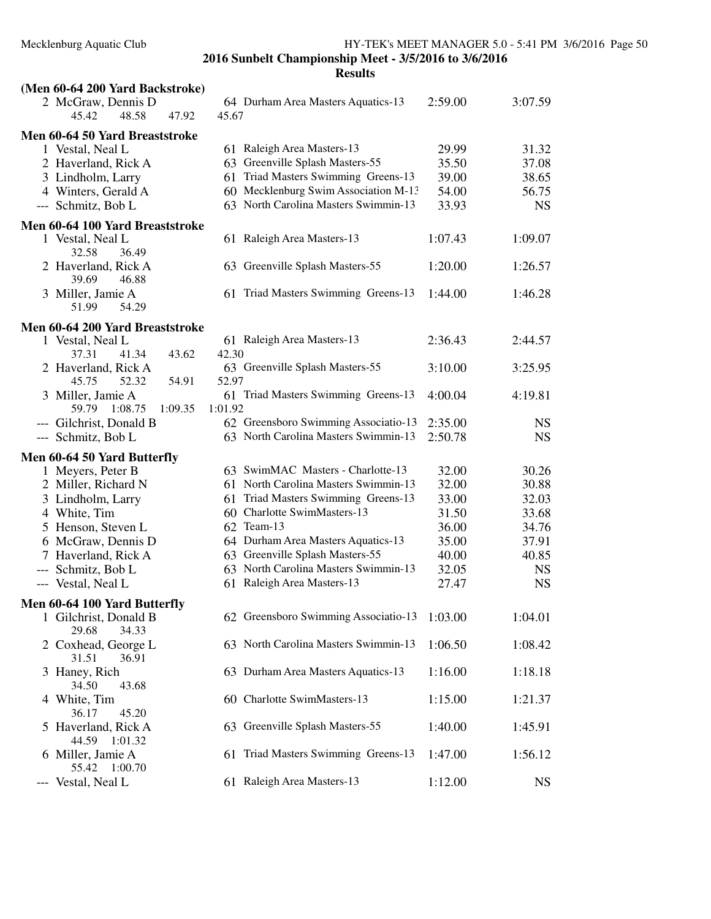| (Men 60-64 200 Yard Backstroke)                       |         |         |                                      |         |           |
|-------------------------------------------------------|---------|---------|--------------------------------------|---------|-----------|
| 2 McGraw, Dennis D<br>48.58<br>45.42                  | 47.92   | 45.67   | 64 Durham Area Masters Aquatics-13   | 2:59.00 | 3:07.59   |
| Men 60-64 50 Yard Breaststroke                        |         |         |                                      |         |           |
| 1 Vestal, Neal L                                      |         |         | 61 Raleigh Area Masters-13           | 29.99   | 31.32     |
| 2 Haverland, Rick A                                   |         |         | 63 Greenville Splash Masters-55      | 35.50   | 37.08     |
| 3 Lindholm, Larry                                     |         | 61      | Triad Masters Swimming Greens-13     | 39.00   | 38.65     |
| 4 Winters, Gerald A                                   |         |         | 60 Mecklenburg Swim Association M-13 | 54.00   | 56.75     |
| --- Schmitz, Bob L                                    |         |         | 63 North Carolina Masters Swimmin-13 | 33.93   | <b>NS</b> |
|                                                       |         |         |                                      |         |           |
| Men 60-64 100 Yard Breaststroke                       |         |         |                                      |         |           |
| 1 Vestal, Neal L                                      |         |         | 61 Raleigh Area Masters-13           | 1:07.43 | 1:09.07   |
| 32.58<br>36.49                                        |         |         |                                      |         |           |
| 2 Haverland, Rick A                                   |         |         | 63 Greenville Splash Masters-55      | 1:20.00 | 1:26.57   |
| 39.69<br>46.88                                        |         |         |                                      |         |           |
| 3 Miller, Jamie A                                     |         |         | 61 Triad Masters Swimming Greens-13  | 1:44.00 | 1:46.28   |
| 54.29<br>51.99                                        |         |         |                                      |         |           |
| Men 60-64 200 Yard Breaststroke                       |         |         |                                      |         |           |
| 1 Vestal, Neal L                                      |         |         | 61 Raleigh Area Masters-13           | 2:36.43 | 2:44.57   |
| 37.31<br>41.34                                        | 43.62   | 42.30   |                                      |         |           |
| 2 Haverland, Rick A                                   |         |         | 63 Greenville Splash Masters-55      | 3:10.00 | 3:25.95   |
| 45.75<br>52.32                                        | 54.91   | 52.97   |                                      |         |           |
| 3 Miller, Jamie A                                     |         |         | 61 Triad Masters Swimming Greens-13  | 4:00.04 | 4:19.81   |
| 1:08.75<br>59.79                                      | 1:09.35 | 1:01.92 |                                      |         |           |
| --- Gilchrist, Donald B                               |         |         | 62 Greensboro Swimming Associatio-13 | 2:35.00 | <b>NS</b> |
| --- Schmitz, Bob L                                    |         |         | 63 North Carolina Masters Swimmin-13 | 2:50.78 | <b>NS</b> |
|                                                       |         |         |                                      |         |           |
| Men 60-64 50 Yard Butterfly                           |         |         |                                      |         |           |
| 1 Meyers, Peter B                                     |         |         | 63 SwimMAC Masters - Charlotte-13    | 32.00   | 30.26     |
| 2 Miller, Richard N                                   |         |         | 61 North Carolina Masters Swimmin-13 | 32.00   | 30.88     |
| 3 Lindholm, Larry                                     |         |         | 61 Triad Masters Swimming Greens-13  | 33.00   | 32.03     |
| 4 White, Tim                                          |         |         | 60 Charlotte SwimMasters-13          | 31.50   | 33.68     |
| 5 Henson, Steven L                                    |         |         | 62 Team-13                           | 36.00   | 34.76     |
| 6 McGraw, Dennis D                                    |         |         | 64 Durham Area Masters Aquatics-13   | 35.00   | 37.91     |
| 7 Haverland, Rick A                                   |         |         | 63 Greenville Splash Masters-55      | 40.00   | 40.85     |
| --- Schmitz, Bob L                                    |         |         | 63 North Carolina Masters Swimmin-13 | 32.05   | <b>NS</b> |
| --- Vestal, Neal L                                    |         |         | 61 Raleigh Area Masters-13           | 27.47   | <b>NS</b> |
|                                                       |         |         |                                      |         |           |
| Men 60-64 100 Yard Butterfly<br>1 Gilchrist, Donald B |         |         | 62 Greensboro Swimming Associatio-13 | 1:03.00 | 1:04.01   |
| 29.68<br>34.33                                        |         |         |                                      |         |           |
| 2 Coxhead, George L                                   |         |         | 63 North Carolina Masters Swimmin-13 | 1:06.50 | 1:08.42   |
| 31.51<br>36.91                                        |         |         |                                      |         |           |
|                                                       |         |         | 63 Durham Area Masters Aquatics-13   | 1:16.00 | 1:18.18   |
| 3 Haney, Rich<br>34.50<br>43.68                       |         |         |                                      |         |           |
|                                                       |         |         | 60 Charlotte SwimMasters-13          |         |           |
| 4 White, Tim                                          |         |         |                                      | 1:15.00 | 1:21.37   |
| 36.17<br>45.20                                        |         |         |                                      |         |           |
| 5 Haverland, Rick A                                   |         |         | 63 Greenville Splash Masters-55      | 1:40.00 | 1:45.91   |
| 44.59<br>1:01.32                                      |         |         |                                      |         |           |
| 6 Miller, Jamie A                                     |         |         | 61 Triad Masters Swimming Greens-13  | 1:47.00 | 1:56.12   |
| 55.42<br>1:00.70                                      |         |         |                                      |         |           |
| --- Vestal, Neal L                                    |         |         | 61 Raleigh Area Masters-13           | 1:12.00 | <b>NS</b> |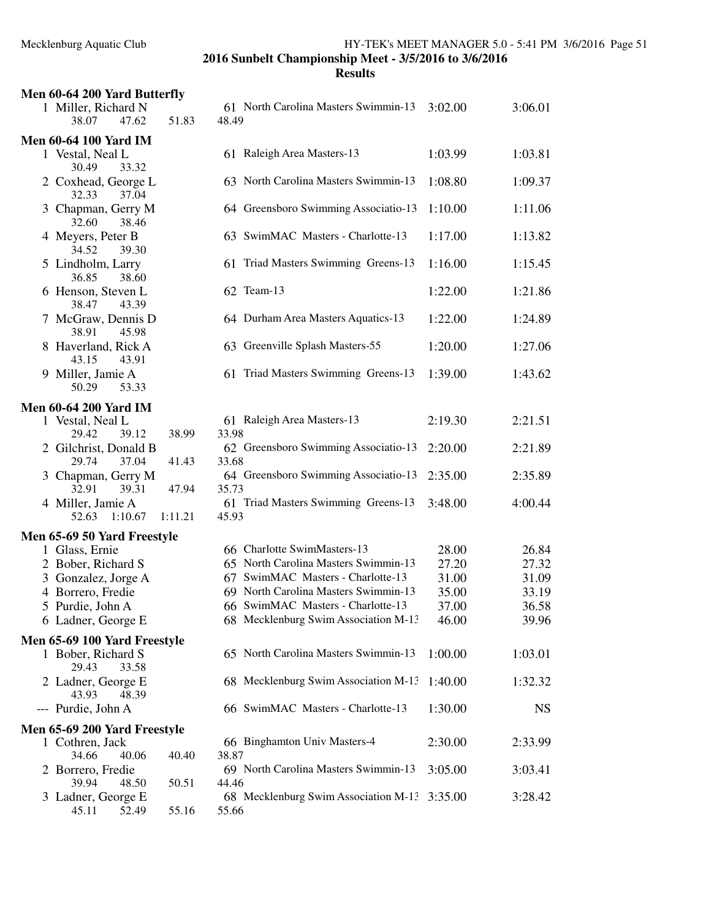| Men 60-64 200 Yard Butterfly            |         |                                               |         |           |
|-----------------------------------------|---------|-----------------------------------------------|---------|-----------|
| 1 Miller, Richard N<br>38.07<br>47.62   | 51.83   | 61 North Carolina Masters Swimmin-13<br>48.49 | 3:02.00 | 3:06.01   |
| <b>Men 60-64 100 Yard IM</b>            |         |                                               |         |           |
| 1 Vestal, Neal L<br>30.49<br>33.32      |         | 61 Raleigh Area Masters-13                    | 1:03.99 | 1:03.81   |
| 2 Coxhead, George L<br>32.33<br>37.04   |         | 63 North Carolina Masters Swimmin-13          | 1:08.80 | 1:09.37   |
| 3 Chapman, Gerry M<br>32.60<br>38.46    |         | 64 Greensboro Swimming Associatio-13          | 1:10.00 | 1:11.06   |
| 4 Meyers, Peter B<br>34.52<br>39.30     |         | 63 SwimMAC Masters - Charlotte-13             | 1:17.00 | 1:13.82   |
| 5 Lindholm, Larry<br>36.85<br>38.60     |         | 61 Triad Masters Swimming Greens-13           | 1:16.00 | 1:15.45   |
| 6 Henson, Steven L<br>38.47<br>43.39    |         | 62 Team-13                                    | 1:22.00 | 1:21.86   |
| 7 McGraw, Dennis D<br>38.91<br>45.98    |         | 64 Durham Area Masters Aquatics-13            | 1:22.00 | 1:24.89   |
| 8 Haverland, Rick A<br>43.15<br>43.91   |         | 63 Greenville Splash Masters-55               | 1:20.00 | 1:27.06   |
| 9 Miller, Jamie A<br>50.29<br>53.33     |         | 61 Triad Masters Swimming Greens-13           | 1:39.00 | 1:43.62   |
| <b>Men 60-64 200 Yard IM</b>            |         |                                               |         |           |
| 1 Vestal, Neal L<br>29.42<br>39.12      | 38.99   | 61 Raleigh Area Masters-13<br>33.98           | 2:19.30 | 2:21.51   |
| 2 Gilchrist, Donald B<br>29.74<br>37.04 | 41.43   | 62 Greensboro Swimming Associatio-13<br>33.68 | 2:20.00 | 2:21.89   |
| 3 Chapman, Gerry M<br>32.91<br>39.31    | 47.94   | 64 Greensboro Swimming Associatio-13<br>35.73 | 2:35.00 | 2:35.89   |
| 4 Miller, Jamie A<br>52.63<br>1:10.67   | 1:11.21 | 61 Triad Masters Swimming Greens-13<br>45.93  | 3:48.00 | 4:00.44   |
| Men 65-69 50 Yard Freestyle             |         |                                               |         |           |
| 1 Glass, Ernie                          |         | 66 Charlotte SwimMasters-13                   | 28.00   | 26.84     |
| 2 Bober, Richard S                      |         | 65 North Carolina Masters Swimmin-13          | 27.20   | 27.32     |
|                                         |         | 67 SwimMAC Masters - Charlotte-13             | 31.00   | 31.09     |
| 3 Gonzalez, Jorge A                     |         | 69 North Carolina Masters Swimmin-13          |         |           |
| 4 Borrero, Fredie                       |         |                                               | 35.00   | 33.19     |
| 5 Purdie, John A                        |         | 66 SwimMAC Masters - Charlotte-13             | 37.00   | 36.58     |
| 6 Ladner, George E                      |         | 68 Mecklenburg Swim Association M-13          | 46.00   | 39.96     |
| Men 65-69 100 Yard Freestyle            |         |                                               |         |           |
| 1 Bober, Richard S<br>33.58<br>29.43    |         | 65 North Carolina Masters Swimmin-13          | 1:00.00 | 1:03.01   |
| 2 Ladner, George E<br>43.93<br>48.39    |         | 68 Mecklenburg Swim Association M-13          | 1:40.00 | 1:32.32   |
| --- Purdie, John A                      |         | 66 SwimMAC Masters - Charlotte-13             | 1:30.00 | <b>NS</b> |
| Men 65-69 200 Yard Freestyle            |         |                                               |         |           |
| 1 Cothren, Jack                         |         | 66 Binghamton Univ Masters-4                  | 2:30.00 | 2:33.99   |
| 34.66<br>40.06                          | 40.40   | 38.87                                         |         |           |
| 2 Borrero, Fredie<br>39.94<br>48.50     | 50.51   | 69 North Carolina Masters Swimmin-13<br>44.46 | 3:05.00 | 3:03.41   |
| 3 Ladner, George E<br>45.11<br>52.49    | 55.16   | 68 Mecklenburg Swim Association M-13<br>55.66 | 3:35.00 | 3:28.42   |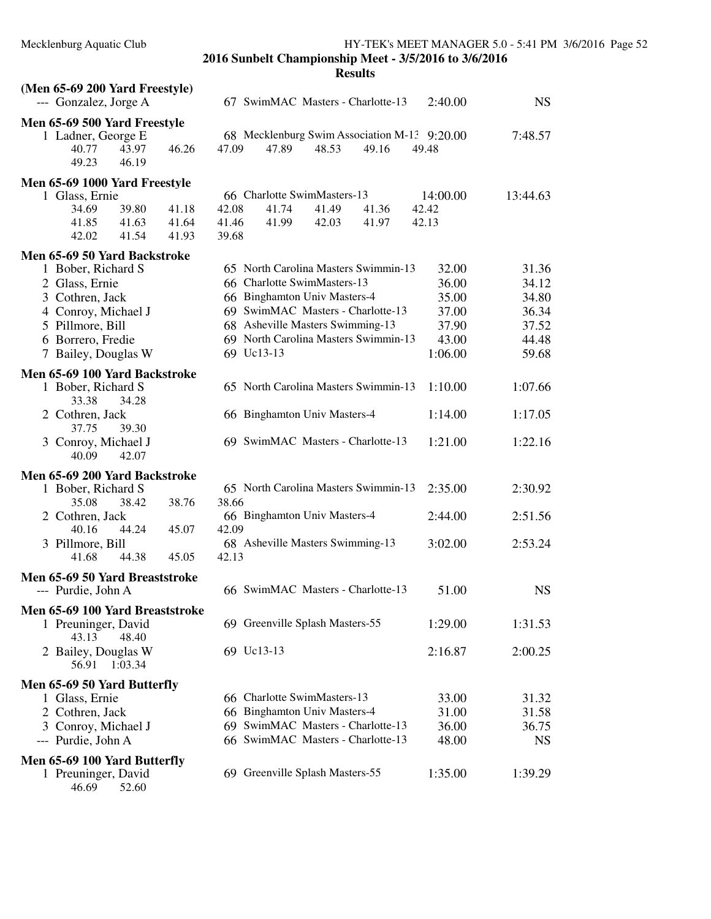46.69 52.60

**2016 Sunbelt Championship Meet - 3/5/2016 to 3/6/2016 Results**

## **(Men 65-69 200 Yard Freestyle)** --- Gonzalez, Jorge A 67 SwimMAC Masters - Charlotte-13 2:40.00 NS **Men 65-69 500 Yard Freestyle** 1 rge E 68 Mecklenburg Swim Association M-13 9:20.00 7:48.57<br>43.97 46.26 47.09 47.89 48.53 49.16 49.48 40.77 43.97 46.26 47.09 47.89 48.53 49.16 49.48 49.23 46.19 **Men 65-69 1000 Yard Freestyle** 1 Glass, Ernie 66 Charlotte SwimMasters-13 14:00.00 13:44.63<br>34.69 39.80 41.18 42.08 41.74 41.49 41.36 42.42 34.69 39.80 41.18 42.08 41.74 41.49 41.36 42.42 41.85 41.63 41.64 41.46 41.99 42.03 41.97 42.13 42.02 41.54 41.93 39.68 **Men 65-69 50 Yard Backstroke** 65 North Carolina Masters Swimmin-13 32.00 31.36 2 Glass, Ernie 66 Charlotte SwimMasters-13 36.00 34.12 3 Cothren, Jack 66 Binghamton Univ Masters-4 35.00 34.80 4 Conroy, Michael J 69 SwimMAC Masters - Charlotte-13 37.00 36.34<br>5 Pillmore, Bill 68 Asheville Masters Swimming-13 37.90 37.52 68 Asheville Masters Swimming-13 37.90 37.52 6 Borrero, Fredie 69 North Carolina Masters Swimmin-13 43.00 44.48 7 Bailey, Douglas W 69 Uc13-13 1:06.00 59.68 **Men 65-69 100 Yard Backstroke** 1 Bober, Richard S 65 North Carolina Masters Swimmin-13 1:10.00 1:07.66 33.38 34.28 2 Cothren, Jack 66 Binghamton Univ Masters-4 1:14.00 1:17.05 37.75 39.30 3 Conroy, Michael J 69 SwimMAC Masters - Charlotte-13 1:21.00 1:22.16 40.09 42.07 **Men 65-69 200 Yard Backstroke** 1 Bober, Richard S 65 North Carolina Masters Swimmin-13 2:35.00 2:30.92 35.08 38.42 38.76 38.66 2 Cothren, Jack 66 Binghamton Univ Masters-4 2:44.00 2:51.56 40.16 44.24 45.07 42.09 3 Pillmore, Bill 68 Asheville Masters Swimming-13 3:02.00 2:53.24 41.68 44.38 45.05 42.13 **Men 65-69 50 Yard Breaststroke** --- Purdie, John A 66 SwimMAC Masters - Charlotte-13 51.00 NS **Men 65-69 100 Yard Breaststroke** 1 Preuninger, David 69 Greenville Splash Masters-55 1:29.00 1:31.53 43.13 48.40 2 Bailey, Douglas W 69 Uc13-13 2:16.87 2:00.25 56.91 1:03.34 **Men 65-69 50 Yard Butterfly** 1 Glass, Ernie 66 Charlotte SwimMasters-13 33.00 31.32 2 Cothren, Jack 66 Binghamton Univ Masters-4 31.00 31.58 3 Conroy, Michael J 69 SwimMAC Masters - Charlotte-13 36.00 36.75 --- Purdie, John A 66 SwimMAC Masters - Charlotte-13 48.00 NS **Men 65-69 100 Yard Butterfly** 1 Preuninger, David 69 Greenville Splash Masters-55 1:35.00 1:39.29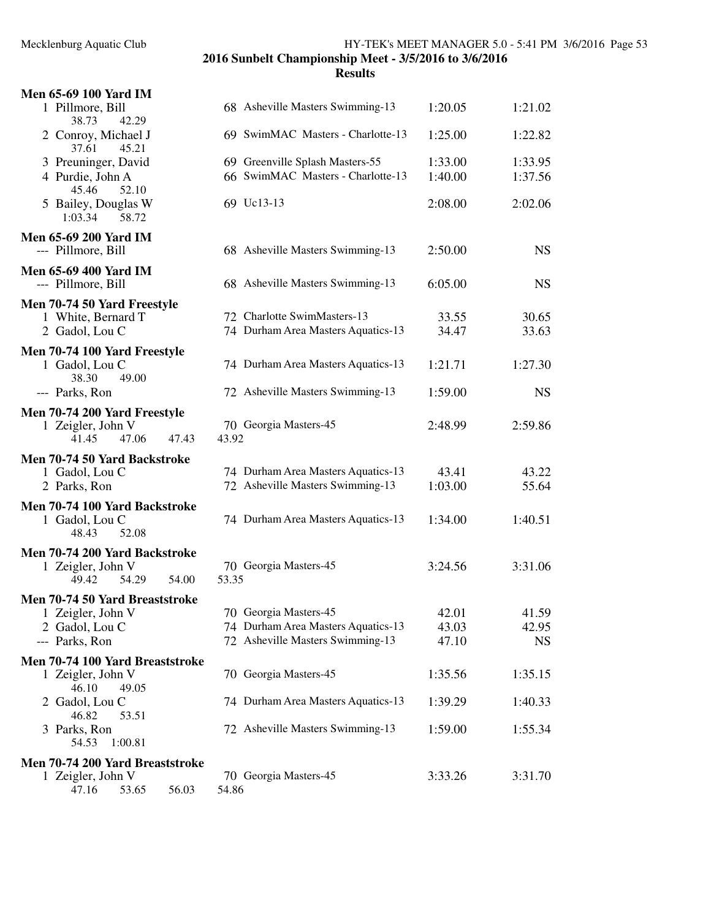## Mecklenburg Aquatic Club HY-TEK's MEET MANAGER 5.0 - 5:41 PM 3/6/2016 Page 53

**2016 Sunbelt Championship Meet - 3/5/2016 to 3/6/2016**

| <b>Men 65-69 100 Yard IM</b>                              |                                                                      |                    |                    |
|-----------------------------------------------------------|----------------------------------------------------------------------|--------------------|--------------------|
| 1 Pillmore, Bill<br>38.73<br>42.29                        | 68 Asheville Masters Swimming-13                                     | 1:20.05            | 1:21.02            |
| 2 Conroy, Michael J<br>45.21<br>37.61                     | 69 SwimMAC Masters - Charlotte-13                                    | 1:25.00            | 1:22.82            |
| 3 Preuninger, David<br>4 Purdie, John A<br>52.10<br>45.46 | 69 Greenville Splash Masters-55<br>66 SwimMAC Masters - Charlotte-13 | 1:33.00<br>1:40.00 | 1:33.95<br>1:37.56 |
| 5 Bailey, Douglas W<br>1:03.34<br>58.72                   | 69 Uc13-13                                                           | 2:08.00            | 2:02.06            |
| <b>Men 65-69 200 Yard IM</b><br>--- Pillmore, Bill        | 68 Asheville Masters Swimming-13                                     | 2:50.00            | <b>NS</b>          |
| Men 65-69 400 Yard IM<br>--- Pillmore, Bill               | 68 Asheville Masters Swimming-13                                     | 6:05.00            | <b>NS</b>          |
| Men 70-74 50 Yard Freestyle                               |                                                                      |                    |                    |
| 1 White, Bernard T                                        | 72 Charlotte SwimMasters-13                                          | 33.55              | 30.65              |
| 2 Gadol, Lou C                                            | 74 Durham Area Masters Aquatics-13                                   | 34.47              | 33.63              |
| Men 70-74 100 Yard Freestyle                              |                                                                      |                    |                    |
| 1 Gadol, Lou C<br>38.30<br>49.00                          | 74 Durham Area Masters Aquatics-13                                   | 1:21.71            | 1:27.30            |
| --- Parks, Ron                                            | 72 Asheville Masters Swimming-13                                     | 1:59.00            | <b>NS</b>          |
| Men 70-74 200 Yard Freestyle                              |                                                                      |                    |                    |
| 1 Zeigler, John V<br>47.06<br>47.43<br>41.45              | 70 Georgia Masters-45<br>43.92                                       | 2:48.99            | 2:59.86            |
| Men 70-74 50 Yard Backstroke                              |                                                                      |                    |                    |
| 1 Gadol, Lou C                                            | 74 Durham Area Masters Aquatics-13                                   | 43.41              | 43.22              |
| 2 Parks, Ron                                              | 72 Asheville Masters Swimming-13                                     | 1:03.00            | 55.64              |
| Men 70-74 100 Yard Backstroke                             |                                                                      |                    |                    |
| 1 Gadol, Lou C<br>52.08<br>48.43                          | 74 Durham Area Masters Aquatics-13                                   | 1:34.00            | 1:40.51            |
| Men 70-74 200 Yard Backstroke                             |                                                                      |                    |                    |
| 1 Zeigler, John V                                         | 70 Georgia Masters-45                                                | 3:24.56            | 3:31.06            |
| 54.00<br>54.29<br>49.42                                   | 53.35                                                                |                    |                    |
| Men 70-74 50 Yard Breaststroke                            |                                                                      |                    |                    |
| 1 Zeigler, John V                                         | 70 Georgia Masters-45                                                | 42.01              | 41.59              |
| 2 Gadol, Lou C                                            | 74 Durham Area Masters Aquatics-13                                   | 43.03              | 42.95              |
| --- Parks, Ron                                            | 72 Asheville Masters Swimming-13                                     | 47.10              | <b>NS</b>          |
| Men 70-74 100 Yard Breaststroke                           |                                                                      |                    |                    |
| 1 Zeigler, John V<br>46.10<br>49.05                       | 70 Georgia Masters-45                                                | 1:35.56            | 1:35.15            |
| 2 Gadol, Lou C<br>46.82<br>53.51                          | 74 Durham Area Masters Aquatics-13                                   | 1:39.29            | 1:40.33            |
| 3 Parks, Ron<br>1:00.81<br>54.53                          | 72 Asheville Masters Swimming-13                                     | 1:59.00            | 1:55.34            |
| Men 70-74 200 Yard Breaststroke                           |                                                                      |                    |                    |
| 1 Zeigler, John V                                         | 70 Georgia Masters-45                                                | 3:33.26            | 3:31.70            |
| 47.16<br>53.65<br>56.03                                   | 54.86                                                                |                    |                    |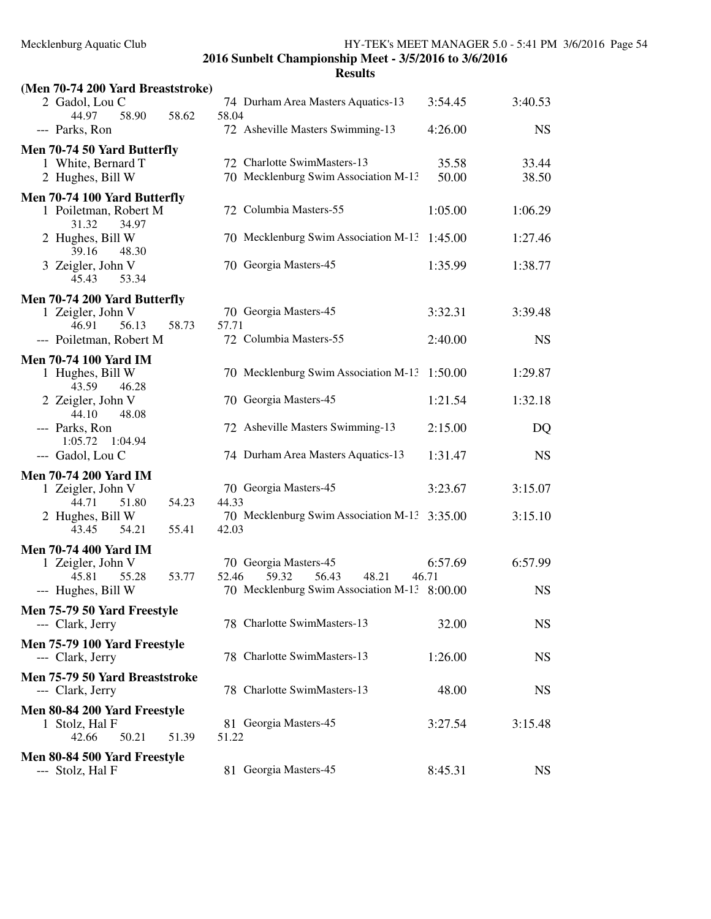| (Men 70-74 200 Yard Breaststroke)                                                                |                                                                                |                  |                    |
|--------------------------------------------------------------------------------------------------|--------------------------------------------------------------------------------|------------------|--------------------|
| 2 Gadol, Lou C<br>44.97<br>58.90<br>58.62                                                        | 74 Durham Area Masters Aquatics-13<br>58.04                                    | 3:54.45          | 3:40.53            |
| --- Parks, Ron                                                                                   | 72 Asheville Masters Swimming-13                                               | 4:26.00          | <b>NS</b>          |
| Men 70-74 50 Yard Butterfly<br>1 White, Bernard T<br>2 Hughes, Bill W                            | 72 Charlotte SwimMasters-13<br>70 Mecklenburg Swim Association M-13            | 35.58<br>50.00   | 33.44<br>38.50     |
| Men 70-74 100 Yard Butterfly<br>1 Poiletman, Robert M<br>31.32<br>34.97                          | 72 Columbia Masters-55                                                         | 1:05.00          | 1:06.29            |
| 2 Hughes, Bill W<br>39.16<br>48.30                                                               | 70 Mecklenburg Swim Association M-13                                           | 1:45.00          | 1:27.46            |
| 3 Zeigler, John V<br>53.34<br>45.43                                                              | 70 Georgia Masters-45                                                          | 1:35.99          | 1:38.77            |
| Men 70-74 200 Yard Butterfly<br>1 Zeigler, John V<br>46.91<br>56.13<br>58.73                     | 70 Georgia Masters-45<br>57.71<br>72 Columbia Masters-55                       | 3:32.31          | 3:39.48            |
| --- Poiletman, Robert M                                                                          |                                                                                | 2:40.00          | <b>NS</b>          |
| <b>Men 70-74 100 Yard IM</b><br>1 Hughes, Bill W<br>43.59<br>46.28                               | 70 Mecklenburg Swim Association M-13                                           | 1:50.00          | 1:29.87            |
| 2 Zeigler, John V<br>44.10<br>48.08                                                              | 70 Georgia Masters-45                                                          | 1:21.54          | 1:32.18            |
| --- Parks, Ron<br>1:05.72<br>1:04.94                                                             | 72 Asheville Masters Swimming-13                                               | 2:15.00          | DQ                 |
| --- Gadol, Lou C                                                                                 | 74 Durham Area Masters Aquatics-13                                             | 1:31.47          | <b>NS</b>          |
| <b>Men 70-74 200 Yard IM</b><br>1 Zeigler, John V<br>51.80<br>54.23<br>44.71<br>2 Hughes, Bill W | 70 Georgia Masters-45<br>44.33<br>70 Mecklenburg Swim Association M-13 3:35.00 | 3:23.67          | 3:15.07<br>3:15.10 |
| 54.21<br>55.41<br>43.45                                                                          | 42.03                                                                          |                  |                    |
| <b>Men 70-74 400 Yard IM</b><br>1 Zeigler, John V<br>45.81<br>55.28<br>53.77                     | 70 Georgia Masters-45<br>59.32<br>56.43<br>52.46<br>48.21                      | 6:57.69<br>46.71 | 6:57.99            |
| --- Hughes, Bill W                                                                               | 70 Mecklenburg Swim Association M-13 8:00.00                                   |                  | <b>NS</b>          |
| Men 75-79 50 Yard Freestyle<br>--- Clark, Jerry                                                  | 78 Charlotte SwimMasters-13                                                    | 32.00            | <b>NS</b>          |
| Men 75-79 100 Yard Freestyle<br>--- Clark, Jerry                                                 | 78 Charlotte SwimMasters-13                                                    | 1:26.00          | <b>NS</b>          |
| Men 75-79 50 Yard Breaststroke<br>--- Clark, Jerry                                               | 78 Charlotte SwimMasters-13                                                    | 48.00            | <b>NS</b>          |
| Men 80-84 200 Yard Freestyle<br>1 Stolz, Hal F<br>42.66<br>50.21<br>51.39                        | 81 Georgia Masters-45<br>51.22                                                 | 3:27.54          | 3:15.48            |
| Men 80-84 500 Yard Freestyle<br>Stolz, Hal F                                                     | 81 Georgia Masters-45                                                          | 8:45.31          | <b>NS</b>          |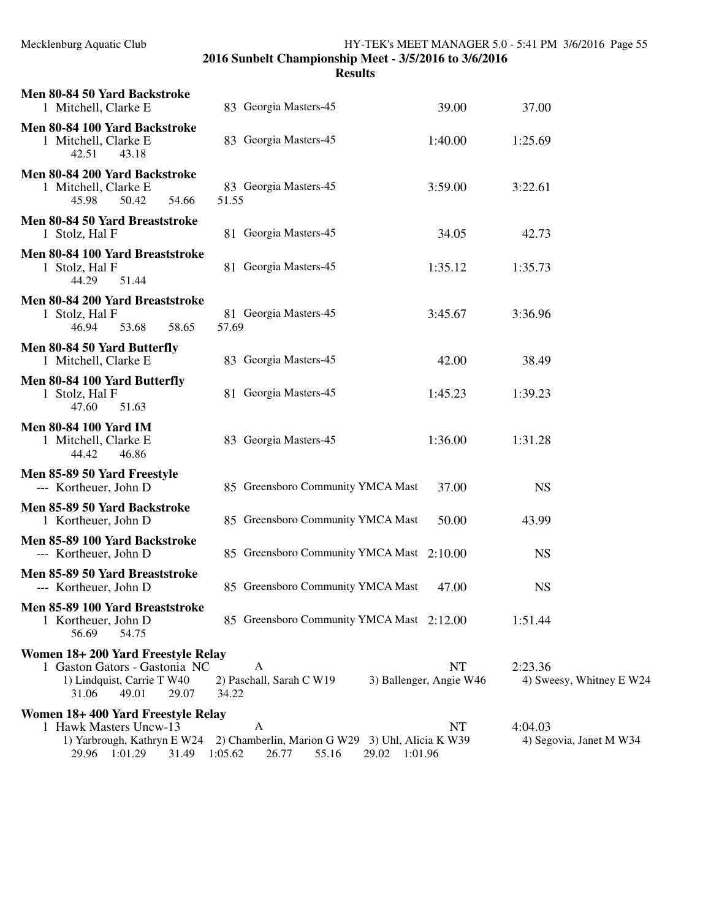| Men 80-84 50 Yard Backstroke<br>1 Mitchell, Clarke E                                                                        | 83 Georgia Masters-45                                                                       | 39.00                                | 37.00                               |
|-----------------------------------------------------------------------------------------------------------------------------|---------------------------------------------------------------------------------------------|--------------------------------------|-------------------------------------|
| Men 80-84 100 Yard Backstroke<br>1 Mitchell, Clarke E<br>42.51<br>43.18                                                     | 83 Georgia Masters-45                                                                       | 1:40.00                              | 1:25.69                             |
| Men 80-84 200 Yard Backstroke<br>1 Mitchell, Clarke E<br>45.98<br>50.42<br>54.66                                            | 83 Georgia Masters-45<br>51.55                                                              | 3:59.00                              | 3:22.61                             |
| Men 80-84 50 Yard Breaststroke<br>1 Stolz, Hal F                                                                            | 81 Georgia Masters-45                                                                       | 34.05                                | 42.73                               |
| Men 80-84 100 Yard Breaststroke<br>1 Stolz, Hal F<br>44.29<br>51.44                                                         | 81 Georgia Masters-45                                                                       | 1:35.12                              | 1:35.73                             |
| Men 80-84 200 Yard Breaststroke<br>1 Stolz, Hal F<br>46.94<br>53.68<br>58.65                                                | 81 Georgia Masters-45<br>57.69                                                              | 3:45.67                              | 3:36.96                             |
| Men 80-84 50 Yard Butterfly<br>1 Mitchell, Clarke E                                                                         | 83 Georgia Masters-45                                                                       | 42.00                                | 38.49                               |
| Men 80-84 100 Yard Butterfly<br>1 Stolz, Hal F<br>47.60<br>51.63                                                            | 81 Georgia Masters-45                                                                       | 1:45.23                              | 1:39.23                             |
| <b>Men 80-84 100 Yard IM</b><br>1 Mitchell, Clarke E<br>44.42<br>46.86                                                      | 83 Georgia Masters-45                                                                       | 1:36.00                              | 1:31.28                             |
| Men 85-89 50 Yard Freestyle<br>--- Kortheuer, John D                                                                        | 85 Greensboro Community YMCA Mast                                                           | 37.00                                | <b>NS</b>                           |
| Men 85-89 50 Yard Backstroke<br>1 Kortheuer, John D                                                                         | 85 Greensboro Community YMCA Mast                                                           | 50.00                                | 43.99                               |
| Men 85-89 100 Yard Backstroke<br>--- Kortheuer, John D                                                                      | 85 Greensboro Community YMCA Mast 2:10.00                                                   |                                      | <b>NS</b>                           |
| Men 85-89 50 Yard Breaststroke<br>--- Kortheuer, John D                                                                     | 85 Greensboro Community YMCA Mast                                                           | 47.00                                | <b>NS</b>                           |
| Men 85-89 100 Yard Breaststroke<br>1 Kortheuer, John D<br>56.69<br>54.75                                                    | 85 Greensboro Community YMCA Mast 2:12.00                                                   |                                      | 1:51.44                             |
| Women 18+200 Yard Freestyle Relay<br>1 Gaston Gators - Gastonia NC<br>1) Lindquist, Carrie T W40<br>31.06<br>49.01<br>29.07 | A<br>2) Paschall, Sarah C W19<br>34.22                                                      | <b>NT</b><br>3) Ballenger, Angie W46 | 2:23.36<br>4) Sweesy, Whitney E W24 |
| Women 18+400 Yard Freestyle Relay<br>1 Hawk Masters Uncw-13<br>1) Yarbrough, Kathryn E W24<br>29.96 1:01.29<br>31.49        | A<br>2) Chamberlin, Marion G W29 3) Uhl, Alicia K W39<br>1:05.62<br>26.77<br>55.16<br>29.02 | NT<br>1:01.96                        | 4:04.03<br>4) Segovia, Janet M W34  |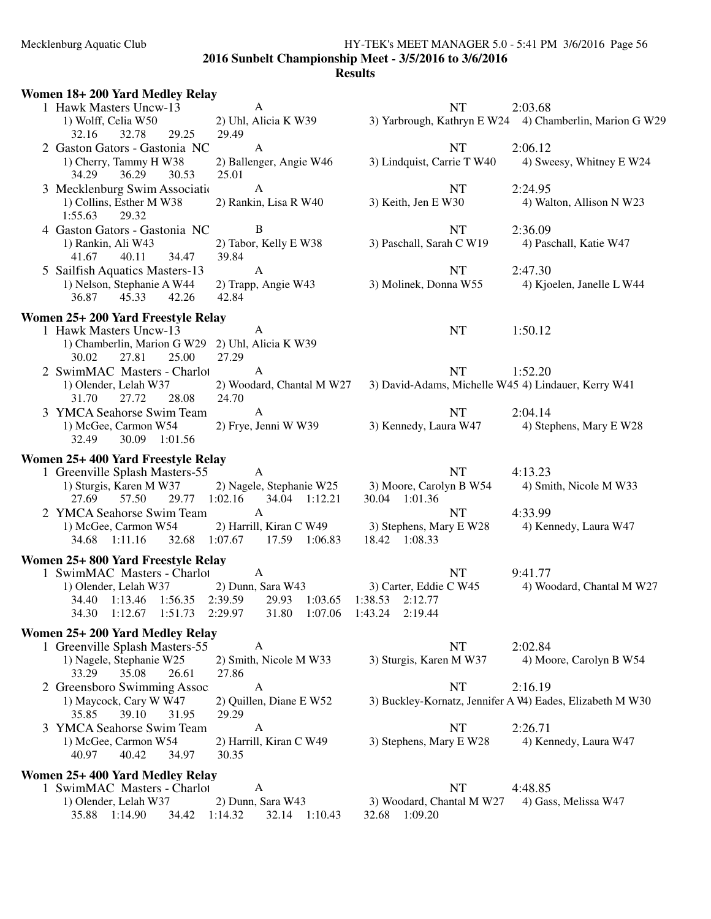#### Mecklenburg Aquatic Club HY-TEK's MEET MANAGER 5.0 - 5:41 PM 3/6/2016 Page 56 **2016 Sunbelt Championship Meet - 3/5/2016 to 3/6/2016 Results**

### **Women 18+ 200 Yard Medley Relay** 1 Hawk Masters Uncw-13 A<br>
1) Wolff, Celia W50 2) Uhl, Alicia K W39 3) Yarbrough, Kathryn E W24 4) Cha 3) Yarbrough, Kathryn E W24 4) Chamberlin, Marion G W29 32.16 32.78 29.25 29.49 2 Gaston Gators - Gastonia NC A<br>
1) Cherry, Tammy H W38 2) Ballenger, Angie W46 3) Lindquist, Carrie T W40 4) Swe 1) Cherry, Tammy H W38 2) Ballenger, Angie W46 3) Lindquist, Carrie T W40 4) Sweesy, Whitney E W24 34.29 36.29 30.53 25.01 3 Mecklenburg Swim Association M-13 A NT 2:24.95 1) Collins, Esther M W38 2) Rankin, Lisa R W40 3) Keith, Jen E W30 4) Walton, Allison N W23<br>1.55.63 29.32 1:55.63 4 Gaston Gators - Gastonia NC B<br>
1) Rankin, Ali W43 2) Tabor, Kelly E W38 3) Paschall, Sarah C W19 4) Paschall, Katie W47 2) Tabor, Kelly E W38 3) Paschall, Sarah C W19 39.84 41.67 40.11 34.47 5 Sailfish Aquatics Masters-13 A NT 2:47.30 1) Nelson, Stephanie A W44 2) Trapp, Angie W43 3) Molinek, Donna W55 4) Kjoelen, Janelle L W44 36.87 45.33 42.26 42.84 **Women 25+ 200 Yard Freestyle Relay** 1 Hawk Masters Uncw-13 A NT 1:50.12 1) Chamberlin, Marion G W29 2) Uhl, Alicia K W39 30.02 27.81 25.00 27.29 2 SwimMAC Masters - Charlot A NT 1:52.20<br>1) Olender, Lelah W37 2) Woodard, Chantal M W27 3) David-Adams, Michelle W45 4) Line 3) David-Adams, Michelle W45 4) Lindauer, Kerry W41 31.70 27.72 28.08 24.70 3 YMCA Seahorse Swim Team  $A$   $\overline{NT}$  2:04.14 1) McGee, Carmon W54 2) Frye, Jenni W W39 3) Kennedy, Laura W47 4) Stephens, Mary E W28 32.49 30.09 1:01.56 **Women 25+ 400 Yard Freestyle Relay** 1 Greenville Splash Masters-55 A<br>
1) Sturgis, Karen M W37 2) Nagele, Stephanie W25 3) Moore, Carolyn B W54 4) Smith, Nicole M W33 2) Nagele, Stephanie W25 3) Moore, Carolyn B W54 27.69 57.50 29.77 1:02.16 34.04 1:12.21 30.04 1:01.36 2 YMCA Seahorse Swim Team A NT 4:33.99<br>1) McGee, Carmon W54 2) Harrill, Kiran C W49 3) Stephens, Mary E W28 4) Ken 1) McGee, Carmon W54 2) Harrill, Kiran C W49 3) Stephens, Mary E W28 4) Kennedy, Laura W47 34.68 1:11.16 32.68 1:07.67 17.59 1:06.83 18.42 1:08.33 **Women 25+ 800 Yard Freestyle Relay** 1 SwimMAC Masters - Charlot A NT 9:41.77<br>1) Olender, Lelah W37 2) Dunn, Sara W43 3) Carter, Eddie C W45 4) Wo 4) Woodard, Chantal M W27 34.40 1:13.46 1:56.35 2:39.59 29.93 1:03.65 1:38.53 2:12.77 1:51.73 2:29.97 **Women 25+ 200 Yard Medley Relay** 1 Greenville Splash Masters-55 A NT 2:02.84<br>1) Nagele, Stephanie W25 2) Smith, Nicole M W33 3) Sturgis, Karen M W37 4) Mo 2) Smith, Nicole M W33 3) Sturgis, Karen M W37 4) Moore, Carolyn B W54 33.29 35.08 26.61 27.86 2 Greensboro Swimming Assoc A<br>
1) Maycock, Cary W W47 2) Quillen, Diane E W52 3) Buckley-Kornatz, Jennifer A W) Ead 3) Buckley-Kornatz, Jennifer A W) Eades, Elizabeth M W30 35.85 39.10 31.95 29.29 3 YMCA Seahorse Swim Team A NT 2:26.71<br>1) McGee, Carmon W54 2) Harrill, Kiran C W49 3) Stephens, Mary E W28 4) Ker 1) Stephens, Mary E W28  $\qquad$  4) Kennedy, Laura W47 40.97 40.42 34.97 30.35 **Women 25+ 400 Yard Medley Relay** 1 SwimMAC Masters - Charlot A NT 4:48.85 1) Olender, Lelah W37 2) Dunn, Sara W43 3) Woodard, Chantal M W27 4) Gass, Melissa W47 35.88 1:14.90 34.42 1:14.32 32.14 1:10.43 32.68 1:09.20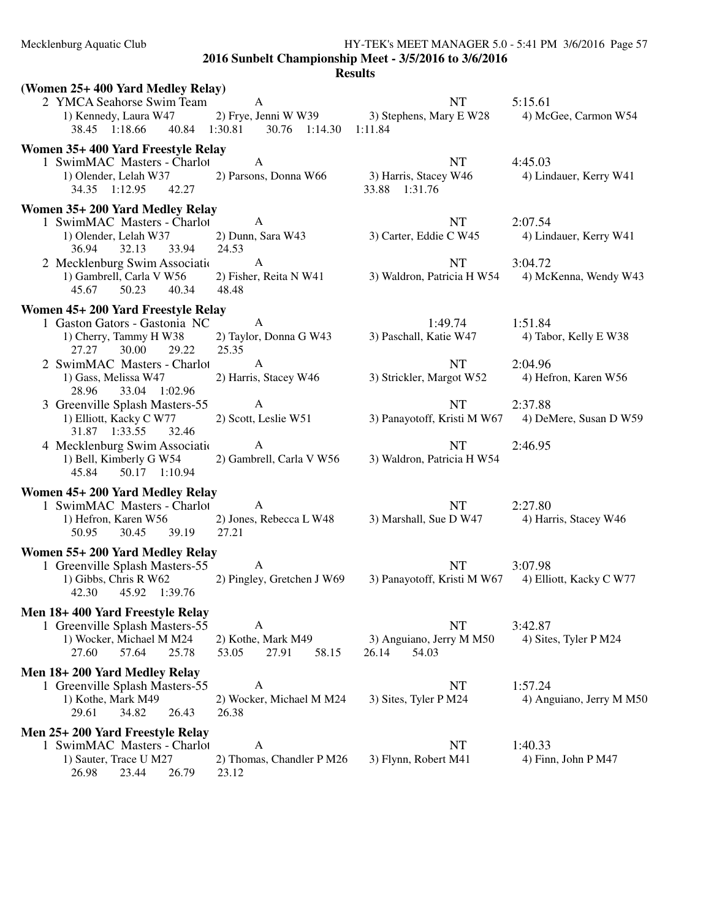Mecklenburg Aquatic Club HY-TEK's MEET MANAGER 5.0 - 5:41 PM 3/6/2016 Page 57

**2016 Sunbelt Championship Meet - 3/5/2016 to 3/6/2016**

| (Women 25+400 Yard Medley Relay)                                  |                             |                             |                          |
|-------------------------------------------------------------------|-----------------------------|-----------------------------|--------------------------|
| 2 YMCA Seahorse Swim Team                                         | A                           | NT                          | 5:15.61                  |
| 1) Kennedy, Laura W47                                             | 2) Frye, Jenni W W39        | 3) Stephens, Mary E W28     | 4) McGee, Carmon W54     |
| 38.45 1:18.66                                                     | 40.84 1:30.81 30.76 1:14.30 | 1:11.84                     |                          |
| Women 35+400 Yard Freestyle Relay                                 |                             |                             |                          |
| 1 SwimMAC Masters - Charlot                                       | A                           | NT                          | 4:45.03                  |
| 1) Olender, Lelah W37                                             | 2) Parsons, Donna W66       | 3) Harris, Stacey W46       | 4) Lindauer, Kerry W41   |
| 34.35 1:12.95<br>42.27                                            |                             | 33.88 1:31.76               |                          |
|                                                                   |                             |                             |                          |
| Women 35+200 Yard Medley Relay                                    |                             |                             |                          |
| 1 SwimMAC Masters - Charlot                                       | A                           | NT                          | 2:07.54                  |
| 1) Olender, Lelah W37                                             | 2) Dunn, Sara W43           | 3) Carter, Eddie C W45      | 4) Lindauer, Kerry W41   |
| 36.94<br>32.13<br>33.94                                           | 24.53<br>$\mathbf{A}$       |                             |                          |
| 2 Mecklenburg Swim Associatio                                     |                             | <b>NT</b>                   | 3:04.72                  |
| 1) Gambrell, Carla V W56                                          | 2) Fisher, Reita N W41      | 3) Waldron, Patricia H W54  | 4) McKenna, Wendy W43    |
| 50.23<br>40.34<br>45.67                                           | 48.48                       |                             |                          |
| Women 45+ 200 Yard Freestyle Relay                                |                             |                             |                          |
| 1 Gaston Gators - Gastonia NC                                     | A                           | 1:49.74                     | 1:51.84                  |
| 1) Cherry, Tammy H W38                                            | 2) Taylor, Donna G W43      | 3) Paschall, Katie W47      | 4) Tabor, Kelly E W38    |
| 27.27<br>30.00<br>29.22                                           | 25.35                       |                             |                          |
| 2 SwimMAC Masters - Charlot                                       | A                           | <b>NT</b>                   | 2:04.96                  |
| 1) Gass, Melissa W47                                              | 2) Harris, Stacey W46       | 3) Strickler, Margot W52    | 4) Hefron, Karen W56     |
| 28.96<br>33.04 1:02.96                                            |                             |                             |                          |
| 3 Greenville Splash Masters-55                                    | $\mathbf{A}$                | NT                          | 2:37.88                  |
| 1) Elliott, Kacky C W77                                           | 2) Scott, Leslie W51        | 3) Panayotoff, Kristi M W67 | 4) DeMere, Susan D W59   |
| 31.87 1:33.55<br>32.46                                            |                             |                             |                          |
| 4 Mecklenburg Swim Association                                    | A                           | NT                          | 2:46.95                  |
| 1) Bell, Kimberly G W54                                           | 2) Gambrell, Carla V W56    | 3) Waldron, Patricia H W54  |                          |
| 45.84<br>50.17 1:10.94                                            |                             |                             |                          |
| Women 45+200 Yard Medley Relay                                    |                             |                             |                          |
| 1 SwimMAC Masters - Charlot                                       | A                           | NT                          | 2:27.80                  |
| 1) Hefron, Karen W56                                              | 2) Jones, Rebecca L W48     | 3) Marshall, Sue D W47      | 4) Harris, Stacey W46    |
| 39.19<br>50.95<br>30.45                                           | 27.21                       |                             |                          |
|                                                                   |                             |                             |                          |
| Women 55+ 200 Yard Medley Relay<br>1 Greenville Splash Masters-55 | A                           | <b>NT</b>                   | 3:07.98                  |
| 1) Gibbs, Chris R W62                                             | 2) Pingley, Gretchen J W69  | 3) Panayotoff, Kristi M W67 | 4) Elliott, Kacky C W77  |
| 42.30<br>45.92 1:39.76                                            |                             |                             |                          |
|                                                                   |                             |                             |                          |
| Men 18+400 Yard Freestyle Relay                                   |                             |                             |                          |
| 1 Greenville Splash Masters-55                                    | A                           | <b>NT</b>                   | 3:42.87                  |
| 1) Wocker, Michael M M24                                          | 2) Kothe, Mark M49          | 3) Anguiano, Jerry M M50    | 4) Sites, Tyler P M24    |
| 57.64<br>25.78<br>27.60                                           | 27.91<br>58.15<br>53.05     | 54.03<br>26.14              |                          |
| Men 18+200 Yard Medley Relay                                      |                             |                             |                          |
| 1 Greenville Splash Masters-55                                    | A                           | NT                          | 1:57.24                  |
| 1) Kothe, Mark M49                                                | 2) Wocker, Michael M M24    | 3) Sites, Tyler P M24       | 4) Anguiano, Jerry M M50 |
| 29.61<br>34.82<br>26.43                                           | 26.38                       |                             |                          |
| Men 25+ 200 Yard Freestyle Relay                                  |                             |                             |                          |
| 1 SwimMAC Masters - Charlot                                       | A                           | NT                          | 1:40.33                  |
| 1) Sauter, Trace U M27                                            | 2) Thomas, Chandler P M26   | 3) Flynn, Robert M41        | 4) Finn, John P M47      |
| 26.98<br>23.44<br>26.79                                           | 23.12                       |                             |                          |
|                                                                   |                             |                             |                          |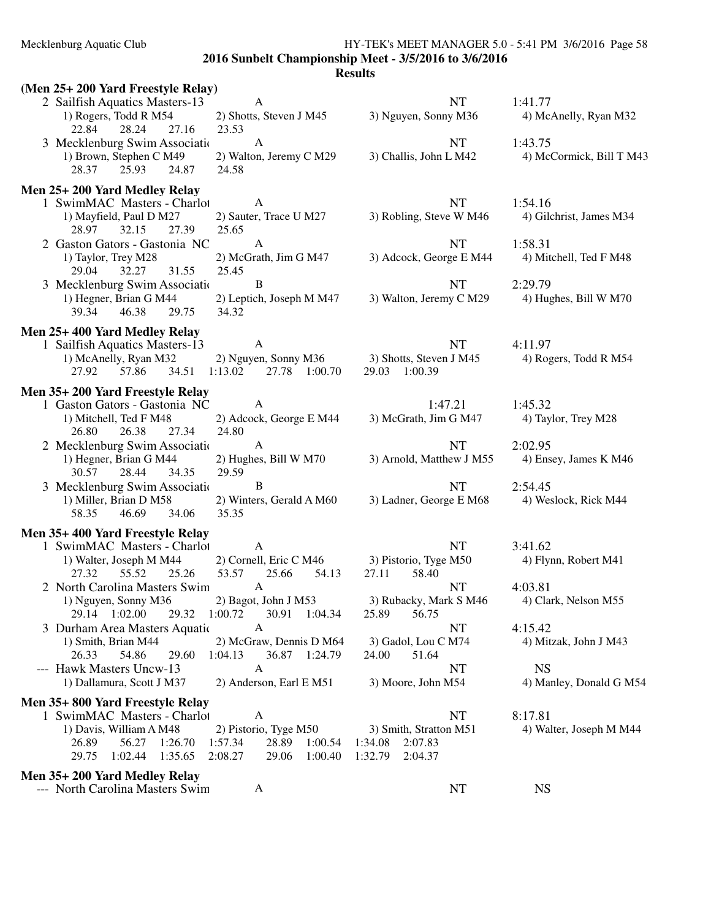## Mecklenburg Aquatic Club HY-TEK's MEET MANAGER 5.0 - 5:41 PM 3/6/2016 Page 58

**2016 Sunbelt Championship Meet - 3/5/2016 to 3/6/2016**

| (Men 25+ 200 Yard Freestyle Relay)                                                                        |                                                                                       |                                                                       |                                      |
|-----------------------------------------------------------------------------------------------------------|---------------------------------------------------------------------------------------|-----------------------------------------------------------------------|--------------------------------------|
| 2 Sailfish Aquatics Masters-13<br>1) Rogers, Todd R M54<br>28.24<br>22.84<br>27.16                        | A<br>2) Shotts, Steven J M45<br>23.53                                                 | <b>NT</b><br>3) Nguyen, Sonny M36                                     | 1:41.77<br>4) McAnelly, Ryan M32     |
| 3 Mecklenburg Swim Association<br>1) Brown, Stephen C M49<br>24.87<br>28.37<br>25.93                      | $\mathbf{A}$<br>2) Walton, Jeremy C M29<br>24.58                                      | <b>NT</b><br>3) Challis, John L M42                                   | 1:43.75<br>4) McCormick, Bill T M43  |
| Men 25+200 Yard Medley Relay                                                                              |                                                                                       |                                                                       |                                      |
| 1 SwimMAC Masters - Charlot<br>1) Mayfield, Paul D M27<br>28.97<br>32.15<br>27.39                         | A<br>2) Sauter, Trace U M27<br>25.65                                                  | <b>NT</b><br>3) Robling, Steve W M46                                  | 1:54.16<br>4) Gilchrist, James M34   |
| 2 Gaston Gators - Gastonia NC<br>1) Taylor, Trey M28<br>32.27 31.55<br>29.04                              | A<br>2) McGrath, Jim G M47<br>25.45                                                   | NT<br>3) Adcock, George E M44                                         | 1:58.31<br>4) Mitchell, Ted F M48    |
| 3 Mecklenburg Swim Associatio<br>1) Hegner, Brian G M44<br>39.34<br>46.38<br>29.75                        | B<br>2) Leptich, Joseph M M47<br>34.32                                                | <b>NT</b><br>3) Walton, Jeremy C M29                                  | 2:29.79<br>4) Hughes, Bill W M70     |
| Men 25+400 Yard Medley Relay                                                                              |                                                                                       |                                                                       |                                      |
| 1 Sailfish Aquatics Masters-13<br>1) McAnelly, Ryan M32<br>57.86 34.51 1:13.02<br>27.92                   | A<br>2) Nguyen, Sonny M36 3) Shotts, Steven J M45<br>27.78 1:00.70                    | NT<br>29.03 1:00.39                                                   | 4:11.97<br>4) Rogers, Todd R M54     |
| Men 35+200 Yard Freestyle Relay                                                                           |                                                                                       |                                                                       |                                      |
| 1 Gaston Gators - Gastonia NC<br>1) Mitchell, Ted F M48<br>26.80<br>26.38<br>27.34                        | A<br>2) Adcock, George E M44<br>24.80                                                 | 1:47.21<br>3) McGrath, Jim G M47                                      | 1:45.32<br>4) Taylor, Trey M28       |
| 2 Mecklenburg Swim Association<br>1) Hegner, Brian G M44<br>28.44<br>34.35<br>30.57                       | A<br>2) Hughes, Bill W M70<br>29.59                                                   | NT<br>3) Arnold, Matthew J M55                                        | 2:02.95<br>4) Ensey, James K M46     |
| 3 Mecklenburg Swim Association<br>1) Miller, Brian D M58<br>58.35<br>46.69 34.06                          | B<br>2) Winters, Gerald A M60<br>35.35                                                | NT<br>3) Ladner, George E M68                                         | 2:54.45<br>4) Weslock, Rick M44      |
| Men 35+400 Yard Freestyle Relay                                                                           |                                                                                       |                                                                       |                                      |
| 1 SwimMAC Masters - Charlot<br>1) Walter, Joseph M M44<br>55.52<br>25.26<br>27.32                         | A<br>2) Cornell, Eric C M46<br>53.57 25.66<br>54.13                                   | NT<br>3) Pistorio, Tyge M50<br>58.40<br>27.11                         | 3:41.62<br>4) Flynn, Robert M41      |
| 2 North Carolina Masters Swim<br>1) Nguyen, Sonny M36<br>29.14 1:02.00 29.32 1:00.72                      | A<br>2) Bagot, John J M53<br>30.91 1:04.34                                            | NT<br>3) Rubacky, Mark S M46<br>25.89<br>56.75                        | 4:03.81<br>4) Clark, Nelson M55      |
| 3 Durham Area Masters Aquatic                                                                             | A                                                                                     | NT                                                                    | 4:15.42                              |
| 1) Smith, Brian M44<br>26.33<br>54.86<br>29.60                                                            | 2) McGraw, Dennis D M64<br>1:04.13<br>36.87 1:24.79                                   | 3) Gadol, Lou C M74<br>24.00<br>51.64                                 | 4) Mitzak, John J M43                |
| --- Hawk Masters Uncw-13<br>1) Dallamura, Scott J M37                                                     | A<br>2) Anderson, Earl E M51                                                          | NT<br>3) Moore, John M54                                              | <b>NS</b><br>4) Manley, Donald G M54 |
| Men 35+800 Yard Freestyle Relay                                                                           |                                                                                       |                                                                       |                                      |
| 1 SwimMAC Masters - Charlot<br>1) Davis, William A M48<br>26.89<br>56.27 1:26.70<br>29.75 1:02.44 1:35.65 | A<br>2) Pistorio, Tyge M50<br>28.89 1:00.54<br>1:57.34<br>2:08.27<br>29.06<br>1:00.40 | NT<br>3) Smith, Stratton M51<br>1:34.08 2:07.83<br>1:32.79<br>2:04.37 | 8:17.81<br>4) Walter, Joseph M M44   |
| Men 35+200 Yard Medley Relay<br>--- North Carolina Masters Swim                                           | A                                                                                     | NT                                                                    | <b>NS</b>                            |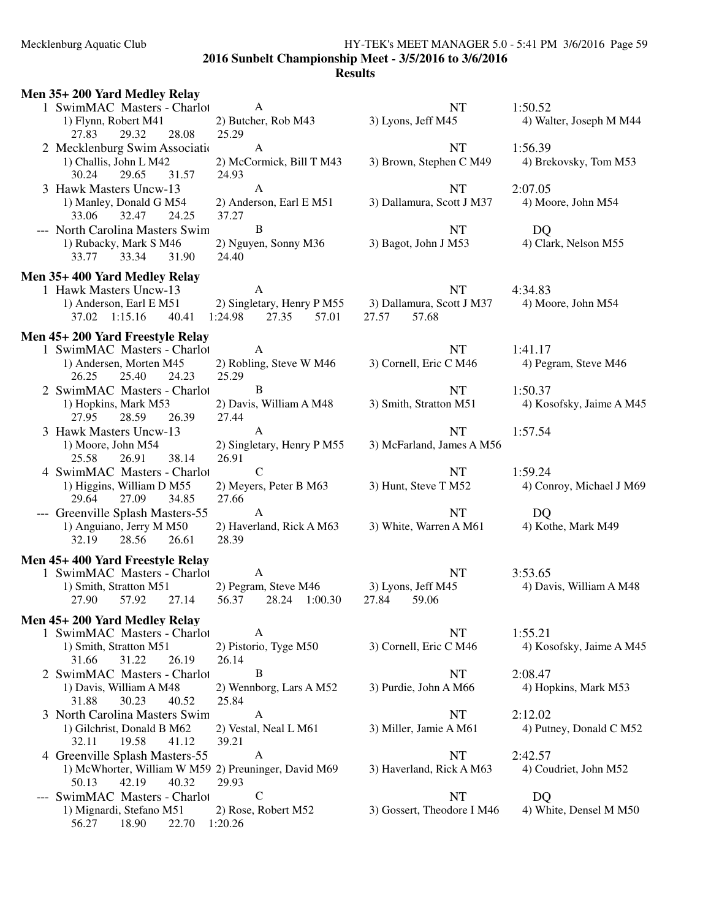## Mecklenburg Aquatic Club HY-TEK's MEET MANAGER 5.0 - 5:41 PM 3/6/2016 Page 59 **2016 Sunbelt Championship Meet - 3/5/2016 to 3/6/2016 Results**

| 1 SwimMAC Masters - Charlot<br>$\mathbf{A}$<br>NT<br>1:50.52<br>1) Flynn, Robert M41<br>3) Lyons, Jeff M45<br>2) Butcher, Rob M43<br>4) Walter, Joseph M M44<br>29.32<br>28.08<br>25.29<br>27.83<br><b>NT</b><br>2 Mecklenburg Swim Association<br>1:56.39<br>A<br>1) Challis, John L M42<br>2) McCormick, Bill T M43<br>3) Brown, Stephen C M49<br>4) Brekovsky, Tom M53<br>29.65<br>31.57<br>24.93<br>30.24<br>3 Hawk Masters Uncw-13<br>$\mathbf{A}$<br><b>NT</b><br>2:07.05<br>1) Manley, Donald G M54<br>2) Anderson, Earl E M51<br>3) Dallamura, Scott J M37<br>4) Moore, John M54<br>37.27<br>33.06<br>32.47<br>24.25<br>B<br>--- North Carolina Masters Swim<br><b>NT</b><br>DQ<br>1) Rubacky, Mark S M46<br>2) Nguyen, Sonny M36<br>3) Bagot, John J M53<br>4) Clark, Nelson M55<br>24.40<br>33.77<br>33.34<br>31.90<br>Men 35+400 Yard Medley Relay<br>$\mathbf{A}$<br>1 Hawk Masters Uncw-13<br>NT<br>4:34.83<br>2) Singletary, Henry P M55 3) Dallamura, Scott J M37<br>1) Anderson, Earl E M51<br>4) Moore, John M54<br>37.02 1:15.16<br>1:24.98<br>27.35<br>57.01<br>27.57<br>57.68<br>40.41<br>Men 45+200 Yard Freestyle Relay<br>1 SwimMAC Masters - Charlot<br><b>NT</b><br>A<br>1:41.17<br>2) Robling, Steve W M46<br>1) Andersen, Morten M45<br>3) Cornell, Eric C M46<br>4) Pegram, Steve M46<br>26.25<br>25.40<br>24.23<br>25.29<br>B<br>2 SwimMAC Masters - Charlot<br><b>NT</b><br>1:50.37<br>2) Davis, William A M48<br>3) Smith, Stratton M51<br>4) Kosofsky, Jaime A M45<br>1) Hopkins, Mark M53<br>28.59<br>27.95<br>26.39<br>27.44<br>$\mathbf{A}$<br>3 Hawk Masters Uncw-13<br><b>NT</b><br>1:57.54<br>2) Singletary, Henry P M55<br>1) Moore, John M54<br>3) McFarland, James A M56<br>26.91<br>25.58<br>26.91<br>38.14<br>$\mathcal{C}$<br>4 SwimMAC Masters - Charlot<br>1:59.24<br>NT<br>2) Meyers, Peter B M63<br>3) Hunt, Steve T M52<br>1) Higgins, William D M55<br>4) Conroy, Michael J M69<br>29.64<br>27.09<br>34.85<br>27.66<br>$\mathbf{A}$<br>--- Greenville Splash Masters-55<br><b>NT</b><br>DQ<br>3) White, Warren A M61<br>4) Kothe, Mark M49<br>1) Anguiano, Jerry M M50<br>2) Haverland, Rick A M63<br>32.19<br>28.56<br>26.61<br>28.39<br>Men 45+400 Yard Freestyle Relay<br>1 SwimMAC Masters - Charlot<br>A<br><b>NT</b><br>3:53.65<br>2) Pegram, Steve M46<br>1) Smith, Stratton M51<br>3) Lyons, Jeff M45<br>4) Davis, William A M48<br>56.37<br>28.24 1:00.30<br>57.92<br>27.14<br>27.84<br>59.06<br>27.90<br>Men 45+200 Yard Medley Relay<br>1 SwimMAC Masters - Charlot<br>NT<br>1:55.21<br>A<br>3) Cornell, Eric C M46<br>2) Pistorio, Tyge M50<br>4) Kosofsky, Jaime A M45<br>1) Smith, Stratton M51<br>31.66<br>31.22<br>26.19<br>26.14<br>B<br>2 SwimMAC Masters - Charlot<br><b>NT</b><br>2:08.47<br>3) Purdie, John A M66<br>1) Davis, William A M48<br>2) Wennborg, Lars A M52<br>4) Hopkins, Mark M53<br>31.88<br>30.23<br>25.84<br>40.52<br>$\mathbf{A}$<br>3 North Carolina Masters Swim<br><b>NT</b><br>2:12.02<br>1) Gilchrist, Donald B M62<br>2) Vestal, Neal L M61<br>3) Miller, Jamie A M61<br>4) Putney, Donald C M52<br>39.21<br>32.11<br>19.58<br>41.12<br>$\mathbf{A}$<br>4 Greenville Splash Masters-55<br><b>NT</b><br>2:42.57<br>1) McWhorter, William W M59 2) Preuninger, David M69<br>3) Haverland, Rick A M63<br>4) Coudriet, John M52<br>29.93<br>50.13<br>42.19<br>40.32<br>$\mathbf C$<br>--- SwimMAC Masters - Charlot<br><b>NT</b><br>DQ<br>3) Gossert, Theodore I M46<br>1) Mignardi, Stefano M51<br>2) Rose, Robert M52<br>4) White, Densel M M50<br>56.27<br>18.90<br>22.70<br>1:20.26 | Men 35+200 Yard Medley Relay |  |  |
|------------------------------------------------------------------------------------------------------------------------------------------------------------------------------------------------------------------------------------------------------------------------------------------------------------------------------------------------------------------------------------------------------------------------------------------------------------------------------------------------------------------------------------------------------------------------------------------------------------------------------------------------------------------------------------------------------------------------------------------------------------------------------------------------------------------------------------------------------------------------------------------------------------------------------------------------------------------------------------------------------------------------------------------------------------------------------------------------------------------------------------------------------------------------------------------------------------------------------------------------------------------------------------------------------------------------------------------------------------------------------------------------------------------------------------------------------------------------------------------------------------------------------------------------------------------------------------------------------------------------------------------------------------------------------------------------------------------------------------------------------------------------------------------------------------------------------------------------------------------------------------------------------------------------------------------------------------------------------------------------------------------------------------------------------------------------------------------------------------------------------------------------------------------------------------------------------------------------------------------------------------------------------------------------------------------------------------------------------------------------------------------------------------------------------------------------------------------------------------------------------------------------------------------------------------------------------------------------------------------------------------------------------------------------------------------------------------------------------------------------------------------------------------------------------------------------------------------------------------------------------------------------------------------------------------------------------------------------------------------------------------------------------------------------------------------------------------------------------------------------------------------------------------------------------------------------------------------------------------------------------------------------------------------------------------------------------------------------------------------------------------------------------------------------------------------------------------------------------------------------------------------------------------------------------------------------------------|------------------------------|--|--|
|                                                                                                                                                                                                                                                                                                                                                                                                                                                                                                                                                                                                                                                                                                                                                                                                                                                                                                                                                                                                                                                                                                                                                                                                                                                                                                                                                                                                                                                                                                                                                                                                                                                                                                                                                                                                                                                                                                                                                                                                                                                                                                                                                                                                                                                                                                                                                                                                                                                                                                                                                                                                                                                                                                                                                                                                                                                                                                                                                                                                                                                                                                                                                                                                                                                                                                                                                                                                                                                                                                                                                                                    |                              |  |  |
|                                                                                                                                                                                                                                                                                                                                                                                                                                                                                                                                                                                                                                                                                                                                                                                                                                                                                                                                                                                                                                                                                                                                                                                                                                                                                                                                                                                                                                                                                                                                                                                                                                                                                                                                                                                                                                                                                                                                                                                                                                                                                                                                                                                                                                                                                                                                                                                                                                                                                                                                                                                                                                                                                                                                                                                                                                                                                                                                                                                                                                                                                                                                                                                                                                                                                                                                                                                                                                                                                                                                                                                    |                              |  |  |
|                                                                                                                                                                                                                                                                                                                                                                                                                                                                                                                                                                                                                                                                                                                                                                                                                                                                                                                                                                                                                                                                                                                                                                                                                                                                                                                                                                                                                                                                                                                                                                                                                                                                                                                                                                                                                                                                                                                                                                                                                                                                                                                                                                                                                                                                                                                                                                                                                                                                                                                                                                                                                                                                                                                                                                                                                                                                                                                                                                                                                                                                                                                                                                                                                                                                                                                                                                                                                                                                                                                                                                                    |                              |  |  |
|                                                                                                                                                                                                                                                                                                                                                                                                                                                                                                                                                                                                                                                                                                                                                                                                                                                                                                                                                                                                                                                                                                                                                                                                                                                                                                                                                                                                                                                                                                                                                                                                                                                                                                                                                                                                                                                                                                                                                                                                                                                                                                                                                                                                                                                                                                                                                                                                                                                                                                                                                                                                                                                                                                                                                                                                                                                                                                                                                                                                                                                                                                                                                                                                                                                                                                                                                                                                                                                                                                                                                                                    |                              |  |  |
|                                                                                                                                                                                                                                                                                                                                                                                                                                                                                                                                                                                                                                                                                                                                                                                                                                                                                                                                                                                                                                                                                                                                                                                                                                                                                                                                                                                                                                                                                                                                                                                                                                                                                                                                                                                                                                                                                                                                                                                                                                                                                                                                                                                                                                                                                                                                                                                                                                                                                                                                                                                                                                                                                                                                                                                                                                                                                                                                                                                                                                                                                                                                                                                                                                                                                                                                                                                                                                                                                                                                                                                    |                              |  |  |
|                                                                                                                                                                                                                                                                                                                                                                                                                                                                                                                                                                                                                                                                                                                                                                                                                                                                                                                                                                                                                                                                                                                                                                                                                                                                                                                                                                                                                                                                                                                                                                                                                                                                                                                                                                                                                                                                                                                                                                                                                                                                                                                                                                                                                                                                                                                                                                                                                                                                                                                                                                                                                                                                                                                                                                                                                                                                                                                                                                                                                                                                                                                                                                                                                                                                                                                                                                                                                                                                                                                                                                                    |                              |  |  |
|                                                                                                                                                                                                                                                                                                                                                                                                                                                                                                                                                                                                                                                                                                                                                                                                                                                                                                                                                                                                                                                                                                                                                                                                                                                                                                                                                                                                                                                                                                                                                                                                                                                                                                                                                                                                                                                                                                                                                                                                                                                                                                                                                                                                                                                                                                                                                                                                                                                                                                                                                                                                                                                                                                                                                                                                                                                                                                                                                                                                                                                                                                                                                                                                                                                                                                                                                                                                                                                                                                                                                                                    |                              |  |  |
|                                                                                                                                                                                                                                                                                                                                                                                                                                                                                                                                                                                                                                                                                                                                                                                                                                                                                                                                                                                                                                                                                                                                                                                                                                                                                                                                                                                                                                                                                                                                                                                                                                                                                                                                                                                                                                                                                                                                                                                                                                                                                                                                                                                                                                                                                                                                                                                                                                                                                                                                                                                                                                                                                                                                                                                                                                                                                                                                                                                                                                                                                                                                                                                                                                                                                                                                                                                                                                                                                                                                                                                    |                              |  |  |
|                                                                                                                                                                                                                                                                                                                                                                                                                                                                                                                                                                                                                                                                                                                                                                                                                                                                                                                                                                                                                                                                                                                                                                                                                                                                                                                                                                                                                                                                                                                                                                                                                                                                                                                                                                                                                                                                                                                                                                                                                                                                                                                                                                                                                                                                                                                                                                                                                                                                                                                                                                                                                                                                                                                                                                                                                                                                                                                                                                                                                                                                                                                                                                                                                                                                                                                                                                                                                                                                                                                                                                                    |                              |  |  |
|                                                                                                                                                                                                                                                                                                                                                                                                                                                                                                                                                                                                                                                                                                                                                                                                                                                                                                                                                                                                                                                                                                                                                                                                                                                                                                                                                                                                                                                                                                                                                                                                                                                                                                                                                                                                                                                                                                                                                                                                                                                                                                                                                                                                                                                                                                                                                                                                                                                                                                                                                                                                                                                                                                                                                                                                                                                                                                                                                                                                                                                                                                                                                                                                                                                                                                                                                                                                                                                                                                                                                                                    |                              |  |  |
|                                                                                                                                                                                                                                                                                                                                                                                                                                                                                                                                                                                                                                                                                                                                                                                                                                                                                                                                                                                                                                                                                                                                                                                                                                                                                                                                                                                                                                                                                                                                                                                                                                                                                                                                                                                                                                                                                                                                                                                                                                                                                                                                                                                                                                                                                                                                                                                                                                                                                                                                                                                                                                                                                                                                                                                                                                                                                                                                                                                                                                                                                                                                                                                                                                                                                                                                                                                                                                                                                                                                                                                    |                              |  |  |
|                                                                                                                                                                                                                                                                                                                                                                                                                                                                                                                                                                                                                                                                                                                                                                                                                                                                                                                                                                                                                                                                                                                                                                                                                                                                                                                                                                                                                                                                                                                                                                                                                                                                                                                                                                                                                                                                                                                                                                                                                                                                                                                                                                                                                                                                                                                                                                                                                                                                                                                                                                                                                                                                                                                                                                                                                                                                                                                                                                                                                                                                                                                                                                                                                                                                                                                                                                                                                                                                                                                                                                                    |                              |  |  |
|                                                                                                                                                                                                                                                                                                                                                                                                                                                                                                                                                                                                                                                                                                                                                                                                                                                                                                                                                                                                                                                                                                                                                                                                                                                                                                                                                                                                                                                                                                                                                                                                                                                                                                                                                                                                                                                                                                                                                                                                                                                                                                                                                                                                                                                                                                                                                                                                                                                                                                                                                                                                                                                                                                                                                                                                                                                                                                                                                                                                                                                                                                                                                                                                                                                                                                                                                                                                                                                                                                                                                                                    |                              |  |  |
|                                                                                                                                                                                                                                                                                                                                                                                                                                                                                                                                                                                                                                                                                                                                                                                                                                                                                                                                                                                                                                                                                                                                                                                                                                                                                                                                                                                                                                                                                                                                                                                                                                                                                                                                                                                                                                                                                                                                                                                                                                                                                                                                                                                                                                                                                                                                                                                                                                                                                                                                                                                                                                                                                                                                                                                                                                                                                                                                                                                                                                                                                                                                                                                                                                                                                                                                                                                                                                                                                                                                                                                    |                              |  |  |
|                                                                                                                                                                                                                                                                                                                                                                                                                                                                                                                                                                                                                                                                                                                                                                                                                                                                                                                                                                                                                                                                                                                                                                                                                                                                                                                                                                                                                                                                                                                                                                                                                                                                                                                                                                                                                                                                                                                                                                                                                                                                                                                                                                                                                                                                                                                                                                                                                                                                                                                                                                                                                                                                                                                                                                                                                                                                                                                                                                                                                                                                                                                                                                                                                                                                                                                                                                                                                                                                                                                                                                                    |                              |  |  |
|                                                                                                                                                                                                                                                                                                                                                                                                                                                                                                                                                                                                                                                                                                                                                                                                                                                                                                                                                                                                                                                                                                                                                                                                                                                                                                                                                                                                                                                                                                                                                                                                                                                                                                                                                                                                                                                                                                                                                                                                                                                                                                                                                                                                                                                                                                                                                                                                                                                                                                                                                                                                                                                                                                                                                                                                                                                                                                                                                                                                                                                                                                                                                                                                                                                                                                                                                                                                                                                                                                                                                                                    |                              |  |  |
|                                                                                                                                                                                                                                                                                                                                                                                                                                                                                                                                                                                                                                                                                                                                                                                                                                                                                                                                                                                                                                                                                                                                                                                                                                                                                                                                                                                                                                                                                                                                                                                                                                                                                                                                                                                                                                                                                                                                                                                                                                                                                                                                                                                                                                                                                                                                                                                                                                                                                                                                                                                                                                                                                                                                                                                                                                                                                                                                                                                                                                                                                                                                                                                                                                                                                                                                                                                                                                                                                                                                                                                    |                              |  |  |
|                                                                                                                                                                                                                                                                                                                                                                                                                                                                                                                                                                                                                                                                                                                                                                                                                                                                                                                                                                                                                                                                                                                                                                                                                                                                                                                                                                                                                                                                                                                                                                                                                                                                                                                                                                                                                                                                                                                                                                                                                                                                                                                                                                                                                                                                                                                                                                                                                                                                                                                                                                                                                                                                                                                                                                                                                                                                                                                                                                                                                                                                                                                                                                                                                                                                                                                                                                                                                                                                                                                                                                                    |                              |  |  |
|                                                                                                                                                                                                                                                                                                                                                                                                                                                                                                                                                                                                                                                                                                                                                                                                                                                                                                                                                                                                                                                                                                                                                                                                                                                                                                                                                                                                                                                                                                                                                                                                                                                                                                                                                                                                                                                                                                                                                                                                                                                                                                                                                                                                                                                                                                                                                                                                                                                                                                                                                                                                                                                                                                                                                                                                                                                                                                                                                                                                                                                                                                                                                                                                                                                                                                                                                                                                                                                                                                                                                                                    |                              |  |  |
|                                                                                                                                                                                                                                                                                                                                                                                                                                                                                                                                                                                                                                                                                                                                                                                                                                                                                                                                                                                                                                                                                                                                                                                                                                                                                                                                                                                                                                                                                                                                                                                                                                                                                                                                                                                                                                                                                                                                                                                                                                                                                                                                                                                                                                                                                                                                                                                                                                                                                                                                                                                                                                                                                                                                                                                                                                                                                                                                                                                                                                                                                                                                                                                                                                                                                                                                                                                                                                                                                                                                                                                    |                              |  |  |
|                                                                                                                                                                                                                                                                                                                                                                                                                                                                                                                                                                                                                                                                                                                                                                                                                                                                                                                                                                                                                                                                                                                                                                                                                                                                                                                                                                                                                                                                                                                                                                                                                                                                                                                                                                                                                                                                                                                                                                                                                                                                                                                                                                                                                                                                                                                                                                                                                                                                                                                                                                                                                                                                                                                                                                                                                                                                                                                                                                                                                                                                                                                                                                                                                                                                                                                                                                                                                                                                                                                                                                                    |                              |  |  |
|                                                                                                                                                                                                                                                                                                                                                                                                                                                                                                                                                                                                                                                                                                                                                                                                                                                                                                                                                                                                                                                                                                                                                                                                                                                                                                                                                                                                                                                                                                                                                                                                                                                                                                                                                                                                                                                                                                                                                                                                                                                                                                                                                                                                                                                                                                                                                                                                                                                                                                                                                                                                                                                                                                                                                                                                                                                                                                                                                                                                                                                                                                                                                                                                                                                                                                                                                                                                                                                                                                                                                                                    |                              |  |  |
|                                                                                                                                                                                                                                                                                                                                                                                                                                                                                                                                                                                                                                                                                                                                                                                                                                                                                                                                                                                                                                                                                                                                                                                                                                                                                                                                                                                                                                                                                                                                                                                                                                                                                                                                                                                                                                                                                                                                                                                                                                                                                                                                                                                                                                                                                                                                                                                                                                                                                                                                                                                                                                                                                                                                                                                                                                                                                                                                                                                                                                                                                                                                                                                                                                                                                                                                                                                                                                                                                                                                                                                    |                              |  |  |
|                                                                                                                                                                                                                                                                                                                                                                                                                                                                                                                                                                                                                                                                                                                                                                                                                                                                                                                                                                                                                                                                                                                                                                                                                                                                                                                                                                                                                                                                                                                                                                                                                                                                                                                                                                                                                                                                                                                                                                                                                                                                                                                                                                                                                                                                                                                                                                                                                                                                                                                                                                                                                                                                                                                                                                                                                                                                                                                                                                                                                                                                                                                                                                                                                                                                                                                                                                                                                                                                                                                                                                                    |                              |  |  |
|                                                                                                                                                                                                                                                                                                                                                                                                                                                                                                                                                                                                                                                                                                                                                                                                                                                                                                                                                                                                                                                                                                                                                                                                                                                                                                                                                                                                                                                                                                                                                                                                                                                                                                                                                                                                                                                                                                                                                                                                                                                                                                                                                                                                                                                                                                                                                                                                                                                                                                                                                                                                                                                                                                                                                                                                                                                                                                                                                                                                                                                                                                                                                                                                                                                                                                                                                                                                                                                                                                                                                                                    |                              |  |  |
|                                                                                                                                                                                                                                                                                                                                                                                                                                                                                                                                                                                                                                                                                                                                                                                                                                                                                                                                                                                                                                                                                                                                                                                                                                                                                                                                                                                                                                                                                                                                                                                                                                                                                                                                                                                                                                                                                                                                                                                                                                                                                                                                                                                                                                                                                                                                                                                                                                                                                                                                                                                                                                                                                                                                                                                                                                                                                                                                                                                                                                                                                                                                                                                                                                                                                                                                                                                                                                                                                                                                                                                    |                              |  |  |
|                                                                                                                                                                                                                                                                                                                                                                                                                                                                                                                                                                                                                                                                                                                                                                                                                                                                                                                                                                                                                                                                                                                                                                                                                                                                                                                                                                                                                                                                                                                                                                                                                                                                                                                                                                                                                                                                                                                                                                                                                                                                                                                                                                                                                                                                                                                                                                                                                                                                                                                                                                                                                                                                                                                                                                                                                                                                                                                                                                                                                                                                                                                                                                                                                                                                                                                                                                                                                                                                                                                                                                                    |                              |  |  |
|                                                                                                                                                                                                                                                                                                                                                                                                                                                                                                                                                                                                                                                                                                                                                                                                                                                                                                                                                                                                                                                                                                                                                                                                                                                                                                                                                                                                                                                                                                                                                                                                                                                                                                                                                                                                                                                                                                                                                                                                                                                                                                                                                                                                                                                                                                                                                                                                                                                                                                                                                                                                                                                                                                                                                                                                                                                                                                                                                                                                                                                                                                                                                                                                                                                                                                                                                                                                                                                                                                                                                                                    |                              |  |  |
|                                                                                                                                                                                                                                                                                                                                                                                                                                                                                                                                                                                                                                                                                                                                                                                                                                                                                                                                                                                                                                                                                                                                                                                                                                                                                                                                                                                                                                                                                                                                                                                                                                                                                                                                                                                                                                                                                                                                                                                                                                                                                                                                                                                                                                                                                                                                                                                                                                                                                                                                                                                                                                                                                                                                                                                                                                                                                                                                                                                                                                                                                                                                                                                                                                                                                                                                                                                                                                                                                                                                                                                    |                              |  |  |
|                                                                                                                                                                                                                                                                                                                                                                                                                                                                                                                                                                                                                                                                                                                                                                                                                                                                                                                                                                                                                                                                                                                                                                                                                                                                                                                                                                                                                                                                                                                                                                                                                                                                                                                                                                                                                                                                                                                                                                                                                                                                                                                                                                                                                                                                                                                                                                                                                                                                                                                                                                                                                                                                                                                                                                                                                                                                                                                                                                                                                                                                                                                                                                                                                                                                                                                                                                                                                                                                                                                                                                                    |                              |  |  |
|                                                                                                                                                                                                                                                                                                                                                                                                                                                                                                                                                                                                                                                                                                                                                                                                                                                                                                                                                                                                                                                                                                                                                                                                                                                                                                                                                                                                                                                                                                                                                                                                                                                                                                                                                                                                                                                                                                                                                                                                                                                                                                                                                                                                                                                                                                                                                                                                                                                                                                                                                                                                                                                                                                                                                                                                                                                                                                                                                                                                                                                                                                                                                                                                                                                                                                                                                                                                                                                                                                                                                                                    |                              |  |  |
|                                                                                                                                                                                                                                                                                                                                                                                                                                                                                                                                                                                                                                                                                                                                                                                                                                                                                                                                                                                                                                                                                                                                                                                                                                                                                                                                                                                                                                                                                                                                                                                                                                                                                                                                                                                                                                                                                                                                                                                                                                                                                                                                                                                                                                                                                                                                                                                                                                                                                                                                                                                                                                                                                                                                                                                                                                                                                                                                                                                                                                                                                                                                                                                                                                                                                                                                                                                                                                                                                                                                                                                    |                              |  |  |
|                                                                                                                                                                                                                                                                                                                                                                                                                                                                                                                                                                                                                                                                                                                                                                                                                                                                                                                                                                                                                                                                                                                                                                                                                                                                                                                                                                                                                                                                                                                                                                                                                                                                                                                                                                                                                                                                                                                                                                                                                                                                                                                                                                                                                                                                                                                                                                                                                                                                                                                                                                                                                                                                                                                                                                                                                                                                                                                                                                                                                                                                                                                                                                                                                                                                                                                                                                                                                                                                                                                                                                                    |                              |  |  |
|                                                                                                                                                                                                                                                                                                                                                                                                                                                                                                                                                                                                                                                                                                                                                                                                                                                                                                                                                                                                                                                                                                                                                                                                                                                                                                                                                                                                                                                                                                                                                                                                                                                                                                                                                                                                                                                                                                                                                                                                                                                                                                                                                                                                                                                                                                                                                                                                                                                                                                                                                                                                                                                                                                                                                                                                                                                                                                                                                                                                                                                                                                                                                                                                                                                                                                                                                                                                                                                                                                                                                                                    |                              |  |  |
|                                                                                                                                                                                                                                                                                                                                                                                                                                                                                                                                                                                                                                                                                                                                                                                                                                                                                                                                                                                                                                                                                                                                                                                                                                                                                                                                                                                                                                                                                                                                                                                                                                                                                                                                                                                                                                                                                                                                                                                                                                                                                                                                                                                                                                                                                                                                                                                                                                                                                                                                                                                                                                                                                                                                                                                                                                                                                                                                                                                                                                                                                                                                                                                                                                                                                                                                                                                                                                                                                                                                                                                    |                              |  |  |
|                                                                                                                                                                                                                                                                                                                                                                                                                                                                                                                                                                                                                                                                                                                                                                                                                                                                                                                                                                                                                                                                                                                                                                                                                                                                                                                                                                                                                                                                                                                                                                                                                                                                                                                                                                                                                                                                                                                                                                                                                                                                                                                                                                                                                                                                                                                                                                                                                                                                                                                                                                                                                                                                                                                                                                                                                                                                                                                                                                                                                                                                                                                                                                                                                                                                                                                                                                                                                                                                                                                                                                                    |                              |  |  |
|                                                                                                                                                                                                                                                                                                                                                                                                                                                                                                                                                                                                                                                                                                                                                                                                                                                                                                                                                                                                                                                                                                                                                                                                                                                                                                                                                                                                                                                                                                                                                                                                                                                                                                                                                                                                                                                                                                                                                                                                                                                                                                                                                                                                                                                                                                                                                                                                                                                                                                                                                                                                                                                                                                                                                                                                                                                                                                                                                                                                                                                                                                                                                                                                                                                                                                                                                                                                                                                                                                                                                                                    |                              |  |  |
|                                                                                                                                                                                                                                                                                                                                                                                                                                                                                                                                                                                                                                                                                                                                                                                                                                                                                                                                                                                                                                                                                                                                                                                                                                                                                                                                                                                                                                                                                                                                                                                                                                                                                                                                                                                                                                                                                                                                                                                                                                                                                                                                                                                                                                                                                                                                                                                                                                                                                                                                                                                                                                                                                                                                                                                                                                                                                                                                                                                                                                                                                                                                                                                                                                                                                                                                                                                                                                                                                                                                                                                    |                              |  |  |
|                                                                                                                                                                                                                                                                                                                                                                                                                                                                                                                                                                                                                                                                                                                                                                                                                                                                                                                                                                                                                                                                                                                                                                                                                                                                                                                                                                                                                                                                                                                                                                                                                                                                                                                                                                                                                                                                                                                                                                                                                                                                                                                                                                                                                                                                                                                                                                                                                                                                                                                                                                                                                                                                                                                                                                                                                                                                                                                                                                                                                                                                                                                                                                                                                                                                                                                                                                                                                                                                                                                                                                                    |                              |  |  |
|                                                                                                                                                                                                                                                                                                                                                                                                                                                                                                                                                                                                                                                                                                                                                                                                                                                                                                                                                                                                                                                                                                                                                                                                                                                                                                                                                                                                                                                                                                                                                                                                                                                                                                                                                                                                                                                                                                                                                                                                                                                                                                                                                                                                                                                                                                                                                                                                                                                                                                                                                                                                                                                                                                                                                                                                                                                                                                                                                                                                                                                                                                                                                                                                                                                                                                                                                                                                                                                                                                                                                                                    |                              |  |  |
|                                                                                                                                                                                                                                                                                                                                                                                                                                                                                                                                                                                                                                                                                                                                                                                                                                                                                                                                                                                                                                                                                                                                                                                                                                                                                                                                                                                                                                                                                                                                                                                                                                                                                                                                                                                                                                                                                                                                                                                                                                                                                                                                                                                                                                                                                                                                                                                                                                                                                                                                                                                                                                                                                                                                                                                                                                                                                                                                                                                                                                                                                                                                                                                                                                                                                                                                                                                                                                                                                                                                                                                    |                              |  |  |
|                                                                                                                                                                                                                                                                                                                                                                                                                                                                                                                                                                                                                                                                                                                                                                                                                                                                                                                                                                                                                                                                                                                                                                                                                                                                                                                                                                                                                                                                                                                                                                                                                                                                                                                                                                                                                                                                                                                                                                                                                                                                                                                                                                                                                                                                                                                                                                                                                                                                                                                                                                                                                                                                                                                                                                                                                                                                                                                                                                                                                                                                                                                                                                                                                                                                                                                                                                                                                                                                                                                                                                                    |                              |  |  |
|                                                                                                                                                                                                                                                                                                                                                                                                                                                                                                                                                                                                                                                                                                                                                                                                                                                                                                                                                                                                                                                                                                                                                                                                                                                                                                                                                                                                                                                                                                                                                                                                                                                                                                                                                                                                                                                                                                                                                                                                                                                                                                                                                                                                                                                                                                                                                                                                                                                                                                                                                                                                                                                                                                                                                                                                                                                                                                                                                                                                                                                                                                                                                                                                                                                                                                                                                                                                                                                                                                                                                                                    |                              |  |  |
|                                                                                                                                                                                                                                                                                                                                                                                                                                                                                                                                                                                                                                                                                                                                                                                                                                                                                                                                                                                                                                                                                                                                                                                                                                                                                                                                                                                                                                                                                                                                                                                                                                                                                                                                                                                                                                                                                                                                                                                                                                                                                                                                                                                                                                                                                                                                                                                                                                                                                                                                                                                                                                                                                                                                                                                                                                                                                                                                                                                                                                                                                                                                                                                                                                                                                                                                                                                                                                                                                                                                                                                    |                              |  |  |
|                                                                                                                                                                                                                                                                                                                                                                                                                                                                                                                                                                                                                                                                                                                                                                                                                                                                                                                                                                                                                                                                                                                                                                                                                                                                                                                                                                                                                                                                                                                                                                                                                                                                                                                                                                                                                                                                                                                                                                                                                                                                                                                                                                                                                                                                                                                                                                                                                                                                                                                                                                                                                                                                                                                                                                                                                                                                                                                                                                                                                                                                                                                                                                                                                                                                                                                                                                                                                                                                                                                                                                                    |                              |  |  |
|                                                                                                                                                                                                                                                                                                                                                                                                                                                                                                                                                                                                                                                                                                                                                                                                                                                                                                                                                                                                                                                                                                                                                                                                                                                                                                                                                                                                                                                                                                                                                                                                                                                                                                                                                                                                                                                                                                                                                                                                                                                                                                                                                                                                                                                                                                                                                                                                                                                                                                                                                                                                                                                                                                                                                                                                                                                                                                                                                                                                                                                                                                                                                                                                                                                                                                                                                                                                                                                                                                                                                                                    |                              |  |  |
|                                                                                                                                                                                                                                                                                                                                                                                                                                                                                                                                                                                                                                                                                                                                                                                                                                                                                                                                                                                                                                                                                                                                                                                                                                                                                                                                                                                                                                                                                                                                                                                                                                                                                                                                                                                                                                                                                                                                                                                                                                                                                                                                                                                                                                                                                                                                                                                                                                                                                                                                                                                                                                                                                                                                                                                                                                                                                                                                                                                                                                                                                                                                                                                                                                                                                                                                                                                                                                                                                                                                                                                    |                              |  |  |
|                                                                                                                                                                                                                                                                                                                                                                                                                                                                                                                                                                                                                                                                                                                                                                                                                                                                                                                                                                                                                                                                                                                                                                                                                                                                                                                                                                                                                                                                                                                                                                                                                                                                                                                                                                                                                                                                                                                                                                                                                                                                                                                                                                                                                                                                                                                                                                                                                                                                                                                                                                                                                                                                                                                                                                                                                                                                                                                                                                                                                                                                                                                                                                                                                                                                                                                                                                                                                                                                                                                                                                                    |                              |  |  |
|                                                                                                                                                                                                                                                                                                                                                                                                                                                                                                                                                                                                                                                                                                                                                                                                                                                                                                                                                                                                                                                                                                                                                                                                                                                                                                                                                                                                                                                                                                                                                                                                                                                                                                                                                                                                                                                                                                                                                                                                                                                                                                                                                                                                                                                                                                                                                                                                                                                                                                                                                                                                                                                                                                                                                                                                                                                                                                                                                                                                                                                                                                                                                                                                                                                                                                                                                                                                                                                                                                                                                                                    |                              |  |  |
|                                                                                                                                                                                                                                                                                                                                                                                                                                                                                                                                                                                                                                                                                                                                                                                                                                                                                                                                                                                                                                                                                                                                                                                                                                                                                                                                                                                                                                                                                                                                                                                                                                                                                                                                                                                                                                                                                                                                                                                                                                                                                                                                                                                                                                                                                                                                                                                                                                                                                                                                                                                                                                                                                                                                                                                                                                                                                                                                                                                                                                                                                                                                                                                                                                                                                                                                                                                                                                                                                                                                                                                    |                              |  |  |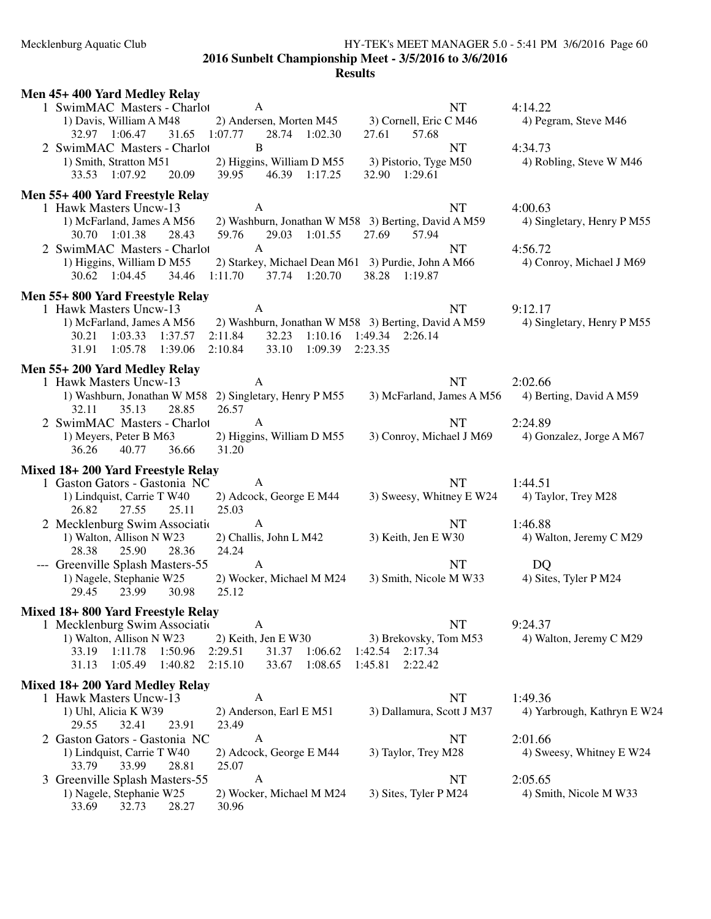# Mecklenburg Aquatic Club HY-TEK's MEET MANAGER 5.0 - 5:41 PM 3/6/2016 Page 60 **2016 Sunbelt Championship Meet - 3/5/2016 to 3/6/2016**

| Men 45+400 Yard Medley Relay                                                                                                                                   |                             |
|----------------------------------------------------------------------------------------------------------------------------------------------------------------|-----------------------------|
| 1 SwimMAC Masters - Charlot<br>NT<br>A                                                                                                                         | 4:14.22                     |
| 3) Cornell, Eric C M46<br>1) Davis, William A M48<br>2) Andersen, Morten M45                                                                                   | 4) Pegram, Steve M46        |
| 32.97 1:06.47<br>1:07.77<br>31.65<br>28.74 1:02.30<br>27.61<br>57.68                                                                                           |                             |
| 2 SwimMAC Masters - Charlot<br>B<br>NT                                                                                                                         | 4:34.73                     |
| 1) Smith, Stratton M51<br>2) Higgins, William D M55<br>3) Pistorio, Tyge M50                                                                                   | 4) Robling, Steve W M46     |
| 32.90 1:29.61<br>33.53 1:07.92<br>20.09<br>39.95<br>46.39 1:17.25                                                                                              |                             |
| Men 55+400 Yard Freestyle Relay                                                                                                                                |                             |
| $\mathbf{A}$<br>1 Hawk Masters Uncw-13<br><b>NT</b>                                                                                                            | 4:00.63                     |
| 2) Washburn, Jonathan W M58 3) Berting, David A M59<br>1) McFarland, James A M56                                                                               | 4) Singletary, Henry P M55  |
| 30.70 1:01.38<br>29.03 1:01.55<br>27.69<br>57.94<br>28.43<br>59.76                                                                                             |                             |
| 2 SwimMAC Masters - Charlot<br>$\mathbf{A}$<br>NT                                                                                                              | 4:56.72                     |
| 2) Starkey, Michael Dean M61 3) Purdie, John A M66<br>1) Higgins, William D M55                                                                                | 4) Conroy, Michael J M69    |
| 30.62 1:04.45<br>34.46<br>1:11.70<br>37.74 1:20.70<br>38.28 1:19.87                                                                                            |                             |
|                                                                                                                                                                |                             |
| Men 55+800 Yard Freestyle Relay                                                                                                                                |                             |
| <b>NT</b><br>1 Hawk Masters Uncw-13<br>A                                                                                                                       | 9:12.17                     |
| 1) McFarland, James A M56<br>2) Washburn, Jonathan W M58 3) Berting, David A M59<br>30.21<br>1:03.33<br>1:37.57<br>2:11.84<br>32.23 1:10.16<br>1:49.34 2:26.14 | 4) Singletary, Henry P M55  |
| 1:05.78 1:39.06<br>2:10.84<br>33.10 1:09.39<br>31.91<br>2:23.35                                                                                                |                             |
|                                                                                                                                                                |                             |
| Men 55+200 Yard Medley Relay                                                                                                                                   |                             |
| <b>NT</b><br>1 Hawk Masters Uncw-13<br>A                                                                                                                       | 2:02.66                     |
| 1) Washburn, Jonathan W M58 2) Singletary, Henry P M55<br>3) McFarland, James A M56                                                                            | 4) Berting, David A M59     |
| 28.85<br>26.57<br>32.11<br>35.13                                                                                                                               |                             |
| <b>NT</b><br>2 SwimMAC Masters - Charlot<br>$\mathbf{A}$                                                                                                       | 2:24.89                     |
| 1) Meyers, Peter B M63<br>2) Higgins, William D M55<br>3) Conroy, Michael J M69                                                                                | 4) Gonzalez, Jorge A M67    |
| 40.77<br>31.20<br>36.26<br>36.66                                                                                                                               |                             |
| Mixed 18+200 Yard Freestyle Relay                                                                                                                              |                             |
| 1 Gaston Gators - Gastonia NC<br><b>NT</b><br>A                                                                                                                | 1:44.51                     |
| 2) Adcock, George E M44<br>3) Sweesy, Whitney E W24<br>1) Lindquist, Carrie T W40                                                                              | 4) Taylor, Trey M28         |
| 25.03<br>26.82<br>27.55<br>25.11                                                                                                                               |                             |
| 2 Mecklenburg Swim Association<br><b>NT</b><br>A                                                                                                               | 1:46.88                     |
| 2) Challis, John L M42<br>1) Walton, Allison N W23<br>3) Keith, Jen E W30                                                                                      | 4) Walton, Jeremy C M29     |
| 24.24<br>28.38<br>25.90<br>28.36                                                                                                                               |                             |
| --- Greenville Splash Masters-55<br>A<br><b>NT</b>                                                                                                             | DQ                          |
| 1) Nagele, Stephanie W25<br>2) Wocker, Michael M M24<br>3) Smith, Nicole M W33                                                                                 | 4) Sites, Tyler P M24       |
| 29.45<br>23.99<br>30.98<br>25.12                                                                                                                               |                             |
|                                                                                                                                                                |                             |
| Mixed 18+800 Yard Freestyle Relay                                                                                                                              |                             |
| A<br>NT<br>1 Mecklenburg Swim Association                                                                                                                      | 9:24.37                     |
| 1) Walton, Allison N W23<br>2) Keith, Jen E W30<br>3) Brekovsky, Tom M53<br>1:11.78<br>1:50.96<br>2:29.51<br>1:06.62<br>1:42.54<br>2:17.34<br>33.19            | 4) Walton, Jeremy C M29     |
| 31.37<br>2:15.10<br>2:22.42<br>31.13<br>1:05.49<br>1:40.82<br>33.67<br>1:08.65<br>1:45.81                                                                      |                             |
|                                                                                                                                                                |                             |
| Mixed 18+200 Yard Medley Relay                                                                                                                                 |                             |
| <b>NT</b><br>1 Hawk Masters Uncw-13<br>A                                                                                                                       | 1:49.36                     |
| 1) Uhl, Alicia K W39<br>2) Anderson, Earl E M51<br>3) Dallamura, Scott J M37                                                                                   | 4) Yarbrough, Kathryn E W24 |
| 29.55<br>32.41<br>23.91<br>23.49                                                                                                                               |                             |
| 2 Gaston Gators - Gastonia NC<br>NT<br>A                                                                                                                       | 2:01.66                     |
| 1) Lindquist, Carrie T W40<br>2) Adcock, George E M44<br>3) Taylor, Trey M28                                                                                   | 4) Sweesy, Whitney E W24    |
| 33.79<br>33.99<br>28.81<br>25.07                                                                                                                               |                             |
| $\mathbf{A}$<br>3 Greenville Splash Masters-55<br>NT                                                                                                           | 2:05.65                     |
| 1) Nagele, Stephanie W25<br>2) Wocker, Michael M M24<br>3) Sites, Tyler P M24                                                                                  | 4) Smith, Nicole M W33      |
| 32.73<br>28.27<br>33.69<br>30.96                                                                                                                               |                             |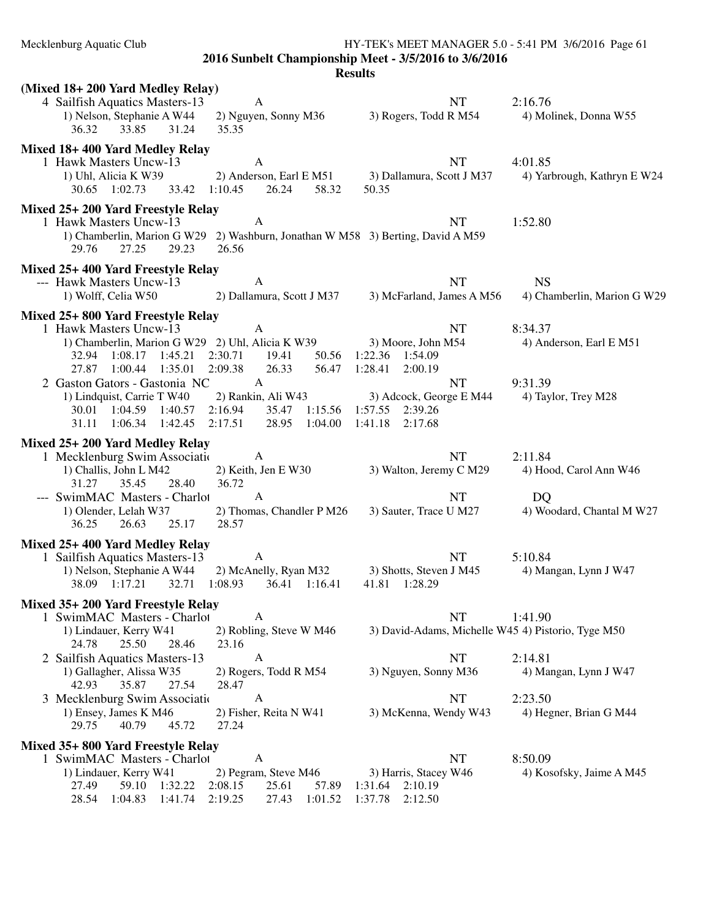| Mecklenburg Aquatic Club<br>HY-TEK's MEET MANAGER 5.0 - 5:41 PM 3/6/2016 Page 61                                                                                                                                                                                    |                                                                                          |                                                                      |  |  |  |  |  |
|---------------------------------------------------------------------------------------------------------------------------------------------------------------------------------------------------------------------------------------------------------------------|------------------------------------------------------------------------------------------|----------------------------------------------------------------------|--|--|--|--|--|
| 2016 Sunbelt Championship Meet - 3/5/2016 to 3/6/2016<br><b>Results</b>                                                                                                                                                                                             |                                                                                          |                                                                      |  |  |  |  |  |
| (Mixed 18+ 200 Yard Medley Relay)<br>4 Sailfish Aquatics Masters-13<br>A<br>1) Nelson, Stephanie A W44<br>2) Nguyen, Sonny M36                                                                                                                                      | NT<br>3) Rogers, Todd R M54                                                              | 2:16.76<br>4) Molinek, Donna W55                                     |  |  |  |  |  |
| 36.32<br>33.85<br>35.35<br>31.24                                                                                                                                                                                                                                    |                                                                                          |                                                                      |  |  |  |  |  |
| Mixed 18+400 Yard Medley Relay<br>$\mathbf{A}$<br>1 Hawk Masters Uncw-13<br>1) Uhl, Alicia K W39<br>58.32<br>30.65 1:02.73<br>33.42 1:10.45<br>26.24                                                                                                                | <b>NT</b><br>2) Anderson, Earl E M51 3) Dallamura, Scott J M37<br>50.35                  | 4:01.85<br>4) Yarbrough, Kathryn E W24                               |  |  |  |  |  |
| Mixed 25+ 200 Yard Freestyle Relay<br>1 Hawk Masters Uncw-13<br>A<br>1) Chamberlin, Marion G W29 2) Washburn, Jonathan W M58 3) Berting, David A M59<br>27.25<br>29.23<br>26.56<br>29.76                                                                            | <b>NT</b>                                                                                | 1:52.80                                                              |  |  |  |  |  |
| Mixed 25+400 Yard Freestyle Relay<br>--- Hawk Masters Uncw-13<br>A<br>1) Wolff, Celia W50                                                                                                                                                                           | <b>NT</b><br>2) Dallamura, Scott J M37 3) McFarland, James A M56                         | <b>NS</b><br>4) Chamberlin, Marion G W29                             |  |  |  |  |  |
| Mixed 25+800 Yard Freestyle Relay<br>A<br>1 Hawk Masters Uncw-13<br>1) Chamberlin, Marion G W29 2) Uhl, Alicia K W39<br>32.94 1:08.17 1:45.21 2:30.71<br>19.41<br>27.87 1:00.44 1:35.01<br>2:09.38<br>26.33                                                         | <b>NT</b><br>3) Moore, John M54<br>50.56 1:22.36 1:54.09<br>56.47 1:28.41<br>2:00.19     | 8:34.37<br>4) Anderson, Earl E M51                                   |  |  |  |  |  |
| 2 Gaston Gators - Gastonia NC<br>$\mathbf{A}$<br>2) Rankin, Ali W43<br>1) Lindquist, Carrie T W40<br>2:16.94<br>30.01 1:04.59 1:40.57<br>31.11 1:06.34 1:42.45 2:17.51<br>28.95 1:04.00                                                                             | <b>NT</b><br>3) Adcock, George E M44<br>35.47 1:15.56 1:57.55 2:39.26<br>1:41.18 2:17.68 | 9:31.39<br>4) Taylor, Trey M28                                       |  |  |  |  |  |
| Mixed 25+200 Yard Medley Relay<br>1 Mecklenburg Swim Association<br>A A<br>1) Challis, John L M42<br>2) Keith, Jen E W30<br>31.27<br>35.45<br>28.40<br>36.72<br>$\mathbf{A}$<br>--- SwimMAC Masters - Charlot<br>2) Thomas, Chandler P M26<br>1) Olender, Lelah W37 | <b>NT</b><br>3) Walton, Jeremy C M29<br><b>NT</b><br>3) Sauter, Trace U M27              | 2:11.84<br>4) Hood, Carol Ann W46<br>DQ<br>4) Woodard, Chantal M W27 |  |  |  |  |  |
| 28.57<br>36.25<br>26.63<br>25.17<br>Mixed 25+400 Yard Medley Relay<br>A                                                                                                                                                                                             | NT                                                                                       | 5:10.84                                                              |  |  |  |  |  |
| 1 Sailfish Aquatics Masters-13<br>1) Nelson, Stephanie A W44<br>2) McAnelly, Ryan M32<br>38.09 1:17.21<br>1:08.93<br>36.41 1:16.41<br>32.71                                                                                                                         | 3) Shotts, Steven J M45<br>41.81 1:28.29                                                 | 4) Mangan, Lynn J W47                                                |  |  |  |  |  |
| Mixed 35+ 200 Yard Freestyle Relay<br>1 SwimMAC Masters - Charlot<br>A<br>1) Lindauer, Kerry W41<br>2) Robling, Steve W M46<br>24.78<br>25.50<br>28.46<br>23.16                                                                                                     | <b>NT</b><br>3) David-Adams, Michelle W45 4) Pistorio, Tyge M50                          | 1:41.90                                                              |  |  |  |  |  |
| 2 Sailfish Aquatics Masters-13<br>A<br>1) Gallagher, Alissa W35<br>2) Rogers, Todd R M54<br>42.93<br>35.87<br>27.54<br>28.47                                                                                                                                        | NT<br>3) Nguyen, Sonny M36                                                               | 2:14.81<br>4) Mangan, Lynn J W47                                     |  |  |  |  |  |
| 3 Mecklenburg Swim Association<br>A<br>1) Ensey, James K M46<br>2) Fisher, Reita N W41<br>29.75<br>40.79<br>27.24<br>45.72                                                                                                                                          | NT<br>3) McKenna, Wendy W43                                                              | 2:23.50<br>4) Hegner, Brian G M44                                    |  |  |  |  |  |
| Mixed 35+800 Yard Freestyle Relay<br>1 SwimMAC Masters - Charlot<br>A<br>2) Pegram, Steve M46<br>1) Lindauer, Kerry W41<br>1:32.22<br>2:08.15<br>25.61<br>27.49<br>59.10<br>57.89<br>28.54<br>1:04.83<br>1:41.74<br>2:19.25<br>27.43<br>1:01.52                     | <b>NT</b><br>3) Harris, Stacey W46<br>2:10.19<br>1:31.64<br>2:12.50<br>1:37.78           | 8:50.09<br>4) Kosofsky, Jaime A M45                                  |  |  |  |  |  |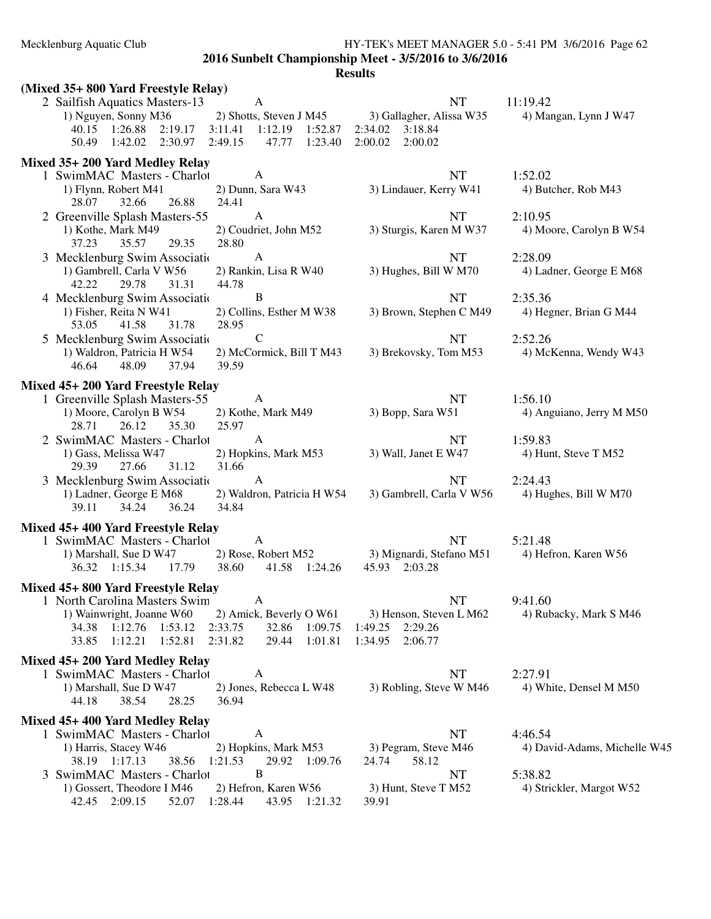## Mecklenburg Aquatic Club HY-TEK's MEET MANAGER 5.0 - 5:41 PM 3/6/2016 Page 62 **2016 Sunbelt Championship Meet - 3/5/2016 to 3/6/2016**

| (Mixed 35+ 800 Yard Freestyle Relay)                                                                                                                                                     |                                                                 |                                                                                  |                                                    |
|------------------------------------------------------------------------------------------------------------------------------------------------------------------------------------------|-----------------------------------------------------------------|----------------------------------------------------------------------------------|----------------------------------------------------|
| $\mathbf{A}$<br>2 Sailfish Aquatics Masters-13<br>1) Nguyen, Sonny M36<br>40.15 1:26.88<br>3:11.41<br>2:19.17<br>50.49 1:42.02 2:30.97<br>2:49.15                                        | 2) Shotts, Steven J M45<br>1:12.19<br>1:52.87<br>47.77 1:23.40  | <b>NT</b><br>3) Gallagher, Alissa W35<br>2:34.02  3:18.84<br>2:00.02<br>2:00.02  | 11:19.42<br>4) Mangan, Lynn J W47                  |
| Mixed 35+200 Yard Medley Relay<br>1 SwimMAC Masters - Charlot<br>A<br>2) Dunn, Sara W43<br>1) Flynn, Robert M41                                                                          |                                                                 | <b>NT</b><br>3) Lindauer, Kerry W41                                              | 1:52.02<br>4) Butcher, Rob M43                     |
| 28.07<br>32.66<br>26.88<br>24.41                                                                                                                                                         |                                                                 |                                                                                  |                                                    |
| 2 Greenville Splash Masters-55<br>$\mathbf{A}$<br>1) Kothe, Mark M49<br>37.23<br>35.57<br>28.80<br>29.35                                                                                 | 2) Coudriet, John M52                                           | <b>NT</b><br>3) Sturgis, Karen M W37                                             | 2:10.95<br>4) Moore, Carolyn B W54                 |
| $\mathbf{A}$<br>3 Mecklenburg Swim Associatio<br>1) Gambrell, Carla V W56<br>42.22<br>31.31<br>44.78<br>29.78                                                                            | 2) Rankin, Lisa R W40                                           | <b>NT</b><br>3) Hughes, Bill W M70                                               | 2:28.09<br>4) Ladner, George E M68                 |
| $\bf{B}$<br>4 Mecklenburg Swim Associatio<br>1) Fisher, Reita N W41<br>53.05<br>41.58<br>31.78<br>28.95                                                                                  | 2) Collins, Esther M W38                                        | <b>NT</b><br>3) Brown, Stephen C M49                                             | 2:35.36<br>4) Hegner, Brian G M44                  |
| $\mathbf C$<br>5 Mecklenburg Swim Association<br>1) Waldron, Patricia H W54<br>39.59<br>46.64<br>48.09<br>37.94                                                                          | 2) McCormick, Bill T M43                                        | <b>NT</b><br>3) Brekovsky, Tom M53                                               | 2:52.26<br>4) McKenna, Wendy W43                   |
| Mixed 45+200 Yard Freestyle Relay                                                                                                                                                        |                                                                 |                                                                                  |                                                    |
| 1 Greenville Splash Masters-55<br>A<br>1) Moore, Carolyn B W54<br>26.12<br>28.71<br>35.30<br>25.97                                                                                       | 2) Kothe, Mark M49                                              | <b>NT</b><br>3) Bopp, Sara W51                                                   | 1:56.10<br>4) Anguiano, Jerry M M50                |
| 2 SwimMAC Masters - Charlot<br>A<br>1) Gass, Melissa W47<br>29.39<br>27.66<br>31.12<br>31.66                                                                                             | 2) Hopkins, Mark M53                                            | <b>NT</b><br>3) Wall, Janet E W47                                                | 1:59.83<br>4) Hunt, Steve T M52                    |
| 3 Mecklenburg Swim Associatio<br>A<br>1) Ladner, George E M68<br>34.24<br>39.11<br>36.24<br>34.84                                                                                        | 2) Waldron, Patricia H W54                                      | <b>NT</b><br>3) Gambrell, Carla V W56                                            | 2:24.43<br>4) Hughes, Bill W M70                   |
| Mixed 45+400 Yard Freestyle Relay<br>1 SwimMAC Masters - Charlot<br>A<br>1) Marshall, Sue D W47<br>17.79<br>38.60<br>36.32 1:15.34                                                       | 2) Rose, Robert M52<br>41.58 1:24.26                            | <b>NT</b><br>3) Mignardi, Stefano M51<br>45.93 2:03.28                           | 5:21.48<br>4) Hefron, Karen W56                    |
| Mixed 45+800 Yard Freestyle Relay<br>1 North Carolina Masters Swim<br>A<br>1) Wainwright, Joanne W60<br>34.38<br>1:12.76<br>1:53.12<br>2:33.75<br>33.85<br>1:12.21<br>1:52.81<br>2:31.82 | 2) Amick, Beverly O W61<br>32.86<br>1:09.75<br>29.44<br>1:01.81 | <b>NT</b><br>3) Henson, Steven L M62<br>2:29.26<br>1:49.25<br>1:34.95<br>2:06.77 | 9:41.60<br>4) Rubacky, Mark S M46                  |
| Mixed 45+200 Yard Medley Relay<br>1 SwimMAC Masters - Charlot<br>A<br>1) Marshall, Sue D W47<br>38.54<br>28.25<br>44.18<br>36.94                                                         | 2) Jones, Rebecca L W48                                         | <b>NT</b><br>3) Robling, Steve W M46                                             | 2:27.91<br>4) White, Densel M M50                  |
| Mixed 45+400 Yard Medley Relay<br>1 SwimMAC Masters - Charlot<br>A<br>1) Harris, Stacey W46<br>38.19 1:17.13<br>38.56<br>1:21.53<br>$\bf{B}$<br>3 SwimMAC Masters - Charlot              | 2) Hopkins, Mark M53<br>29.92<br>1:09.76                        | NT<br>3) Pegram, Steve M46<br>24.74<br>58.12<br>NT                               | 4:46.54<br>4) David-Adams, Michelle W45<br>5:38.82 |
| 1) Gossert, Theodore I M46<br>42.45 2:09.15<br>1:28.44<br>52.07                                                                                                                          | 2) Hefron, Karen W56<br>1:21.32<br>43.95                        | 3) Hunt, Steve T M52<br>39.91                                                    | 4) Strickler, Margot W52                           |